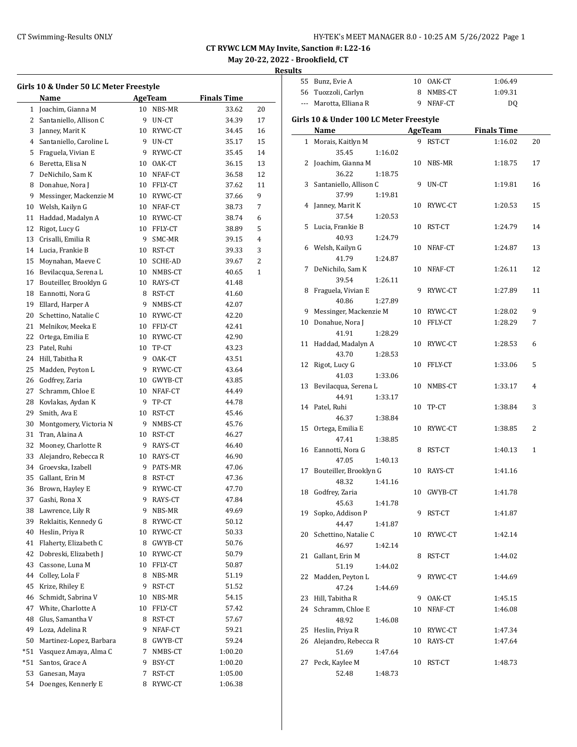| HY-TEK's MEET MANAGER 8.0 - 10:25 AM 5/26/2022 Page 1 |  |  |  |
|-------------------------------------------------------|--|--|--|
|-------------------------------------------------------|--|--|--|

## **May 20-22, 2022 - Brookfield, CT**

|                | Girls 10 & Under 50 LC Meter Freestyle<br>Name |    | AgeTeam                | <b>Finals Time</b> |              |
|----------------|------------------------------------------------|----|------------------------|--------------------|--------------|
| 1              | Joachim, Gianna M                              | 10 | NBS-MR                 | 33.62              | 20           |
| 2              | Santaniello, Allison C                         | 9  | UN-CT                  | 34.39              | 17           |
| 3              | Janney, Marit K                                |    | 10 RYWC-CT             | 34.45              | 16           |
| $\overline{4}$ | Santaniello, Caroline L                        |    | 9 UN-CT                | 35.17              | 15           |
| 5              | Fraguela, Vivian E                             | 9  | RYWC-CT                | 35.45              | 14           |
|                | 6 Beretta, Elisa N                             | 10 | OAK-CT                 | 36.15              | 13           |
| 7              | DeNichilo, Sam K                               | 10 | NFAF-CT                | 36.58              | 12           |
| 8              | Donahue, Nora J                                | 10 | FFLY-CT                | 37.62              | 11           |
| 9              | Messinger, Mackenzie M                         |    | 10 RYWC-CT             | 37.66              | 9            |
| 10             | Welsh, Kailyn G                                | 10 | NFAF-CT                | 38.73              | 7            |
| 11             | Haddad, Madalyn A                              | 10 | RYWC-CT                | 38.74              | 6            |
| 12             | Rigot, Lucy G                                  | 10 | FFLY-CT                | 38.89              | 5            |
| 13             | Crisalli, Emilia R                             | 9  | SMC-MR                 | 39.15              | 4            |
|                |                                                |    |                        |                    | 3            |
|                | 14 Lucia, Frankie B                            | 10 | RST-CT                 | 39.33              |              |
| 15             | Moynahan, Maeve C                              |    | 10 SCHE-AD             | 39.67              | 2            |
|                | 16 Bevilacqua, Serena L                        |    | 10 NMBS-CT             | 40.65              | $\mathbf{1}$ |
| 17             | Bouteiller, Brooklyn G                         |    | 10 RAYS-CT             | 41.48              |              |
|                | 18 Eannotti, Nora G                            | 8  | RST-CT                 | 41.60              |              |
| 19             | Ellard, Harper A                               | 9. | NMBS-CT                | 42.07              |              |
| 20             | Schettino, Natalie C                           | 10 | RYWC-CT                | 42.20              |              |
| 21             | Melnikov, Meeka E                              | 10 | FFLY-CT                | 42.41              |              |
| 22             | Ortega, Emilia E                               | 10 | RYWC-CT                | 42.90              |              |
| 23             | Patel, Ruhi                                    | 10 | TP-CT                  | 43.23              |              |
|                | 24 Hill, Tabitha R                             | 9  | OAK-CT                 | 43.51              |              |
| 25             | Madden, Peyton L                               | 9  | RYWC-CT                | 43.64              |              |
|                | 26 Godfrey, Zaria                              | 10 | GWYB-CT                | 43.85              |              |
| 27             | Schramm, Chloe E                               |    | 10 NFAF-CT             | 44.49              |              |
| 28             | Kovlakas, Aydan K                              | 9  | TP-CT                  | 44.78              |              |
| 29             | Smith, Ava E                                   |    | 10 RST-CT              | 45.46              |              |
| 30             | Montgomery, Victoria N                         | 9  | NMBS-CT                | 45.76              |              |
| 31             | Tran, Alaina A                                 | 10 | RST-CT                 | 46.27              |              |
| 32             | Mooney, Charlotte R                            | 9  | RAYS-CT                | 46.40              |              |
| 33             | Alejandro, Rebecca R                           |    | 10 RAYS-CT             | 46.90              |              |
|                | 34 Groevska, Izabell                           | 9  | PATS-MR                | 47.06              |              |
| 35             | Gallant, Erin M                                | 8  | RST-CT                 | 47.36              |              |
| 36             | Brown, Hayley E                                | 9  | RYWC-CT                | 47.70              |              |
| 37             | Gashi, Rona X                                  | 9  | RAYS-CT                | 47.84              |              |
| 38             | Lawrence, Lily R                               | 9  | NBS-MR                 | 49.69              |              |
| 39             | Reklaitis, Kennedy G                           | 8  | RYWC-CT                | 50.12              |              |
| 40             | Heslin, Priya R                                | 10 | RYWC-CT                | 50.33              |              |
| 41             | Flaherty, Elizabeth C                          | 8  | GWYB-CT                | 50.76              |              |
| 42             | Dobreski, Elizabeth J                          | 10 | RYWC-CT                | 50.79              |              |
| 43             | Cassone, Luna M                                | 10 | FFLY-CT                | 50.87              |              |
| 44             | Colley, Lola F                                 | 8  | NBS-MR                 | 51.19              |              |
| 45             | Krize, Rhiley E                                | 9  | RST-CT                 | 51.52              |              |
| 46             | Schmidt, Sabrina V                             | 10 | NBS-MR                 | 54.15              |              |
| 47             | White, Charlotte A                             | 10 | FFLY-CT                | 57.42              |              |
| 48             | Glus, Samantha V                               | 8  | RST-CT                 | 57.67              |              |
| 49             | Loza, Adelina R                                | 9. | NFAF-CT                | 59.21              |              |
| 50             | Martinez-Lopez, Barbara                        | 8  | ${\tt GWYB\text{-}CT}$ | 59.24              |              |
| *51            | Vasquez Amaya, Alma C                          | 7  | NMBS-CT                | 1:00.20            |              |
| *51            | Santos, Grace A                                | 9. | BSY-CT                 | 1:00.20            |              |
| 53             | Ganesan, Maya                                  | 7  | RST-CT                 | 1:05.00            |              |
|                | 54 Doenges, Kennerly E                         | 8  | RYWC-CT                | 1:06.38            |              |
|                |                                                |    |                        |                    |              |

| 55 | Bunz, Evie A                            |    | 10 OAK-CT              | 1:06.49            |              |
|----|-----------------------------------------|----|------------------------|--------------------|--------------|
|    | 56 Tuozzoli, Carlyn                     |    | 8 NMBS-CT              | 1:09.31            |              |
|    | --- Marotta, Elliana R                  |    | 9 NFAF-CT              | DQ                 |              |
|    |                                         |    |                        |                    |              |
|    | Girls 10 & Under 100 LC Meter Freestyle |    |                        |                    |              |
|    | Name                                    |    | <b>AgeTeam</b>         | <b>Finals Time</b> |              |
|    | 1 Morais, Kaitlyn M                     |    | 9 RST-CT               | 1:16.02            | 20           |
|    | 35.45<br>1:16.02                        |    |                        |                    |              |
| 2  | Joachim, Gianna M                       | 10 | NBS-MR                 | 1:18.75            | 17           |
|    | 36.22<br>1:18.75                        |    |                        |                    |              |
| 3  | Santaniello, Allison C                  | 9  | UN-CT                  | 1:19.81            | 16           |
|    | 37.99<br>1:19.81                        |    |                        |                    |              |
| 4  | Janney, Marit K                         |    | 10 RYWC-CT             | 1:20.53            | 15           |
|    | 37.54<br>1:20.53                        |    |                        |                    |              |
| 5  | Lucia, Frankie B                        | 10 | RST-CT                 | 1:24.79            | 14           |
|    | 40.93<br>1:24.79                        |    |                        |                    |              |
|    | 6 Welsh, Kailyn G                       | 10 | NFAF-CT                | 1:24.87            | 13           |
|    | 41.79<br>1:24.87                        |    |                        |                    |              |
| 7  | DeNichilo, Sam K                        | 10 | NFAF-CT                | 1:26.11            | 12           |
|    | 39.54<br>1:26.11                        |    |                        |                    |              |
| 8  | Fraguela, Vivian E                      | 9  | RYWC-CT                | 1:27.89            | 11           |
|    | 40.86<br>1:27.89                        |    |                        |                    |              |
| 9  | Messinger, Mackenzie M                  |    | 10 RYWC-CT             | 1:28.02            | 9            |
| 10 | Donahue, Nora J                         |    | 10 FFLY-CT             | 1:28.29            | 7            |
|    | 41.91<br>1:28.29                        |    |                        |                    |              |
| 11 | Haddad, Madalyn A                       |    | 10 RYWC-CT             | 1:28.53            | 6            |
|    | 43.70<br>1:28.53                        |    |                        |                    |              |
| 12 | Rigot, Lucy G                           |    | 10 FFLY-CT             | 1:33.06            | 5            |
|    | 41.03<br>1:33.06                        |    |                        |                    |              |
| 13 | Bevilacqua, Serena L                    |    | 10 NMBS-CT             | 1:33.17            | 4            |
|    | 44.91<br>1:33.17                        |    |                        |                    |              |
|    | 14 Patel, Ruhi                          | 10 | TP-CT                  | 1:38.84            | 3            |
|    | 46.37<br>1:38.84                        |    |                        |                    |              |
| 15 | Ortega, Emilia E                        | 10 | RYWC-CT                | 1:38.85            | 2            |
|    | 47.41<br>1:38.85                        |    |                        |                    |              |
| 16 | Eannotti, Nora G                        | 8  | RST-CT                 | 1:40.13            | $\mathbf{1}$ |
|    | 47.05<br>1:40.13                        |    |                        |                    |              |
| 17 | Bouteiller, Brooklyn G                  |    | 10 RAYS-CT             | 1:41.16            |              |
|    | 48.32<br>1:41.16                        |    |                        |                    |              |
| 18 | Godfrey, Zaria                          |    | 10 GWYB-CT             | 1:41.78            |              |
|    | 45.63<br>1:41.78                        |    |                        |                    |              |
|    | 19 Sopko, Addison P<br>44.47<br>1:41.87 |    | 9 RST-CT               | 1:41.87            |              |
| 20 | Schettino, Natalie C                    |    |                        | 1:42.14            |              |
|    | 46.97                                   |    | 10 RYWC-CT             |                    |              |
| 21 | 1:42.14<br>Gallant, Erin M              |    | 8 RST-CT               | 1:44.02            |              |
|    | 51.19<br>1:44.02                        |    |                        |                    |              |
| 22 | Madden, Peyton L                        | 9  | RYWC-CT                | 1:44.69            |              |
|    | 47.24<br>1:44.69                        |    |                        |                    |              |
| 23 | Hill, Tabitha R                         |    |                        |                    |              |
|    | 24 Schramm, Chloe E                     |    | 9 OAK-CT<br>10 NFAF-CT | 1:45.15<br>1:46.08 |              |
|    |                                         |    |                        |                    |              |
| 25 | 48.92<br>1:46.08<br>Heslin, Priya R     |    | 10 RYWC-CT             |                    |              |
| 26 |                                         |    |                        | 1:47.34            |              |
|    | Alejandro, Rebecca R                    |    | 10 RAYS-CT             | 1:47.64            |              |
| 27 | 51.69<br>1:47.64<br>Peck, Kaylee M      |    |                        |                    |              |
|    | 52.48                                   | 10 | RST-CT                 | 1:48.73            |              |
|    | 1:48.73                                 |    |                        |                    |              |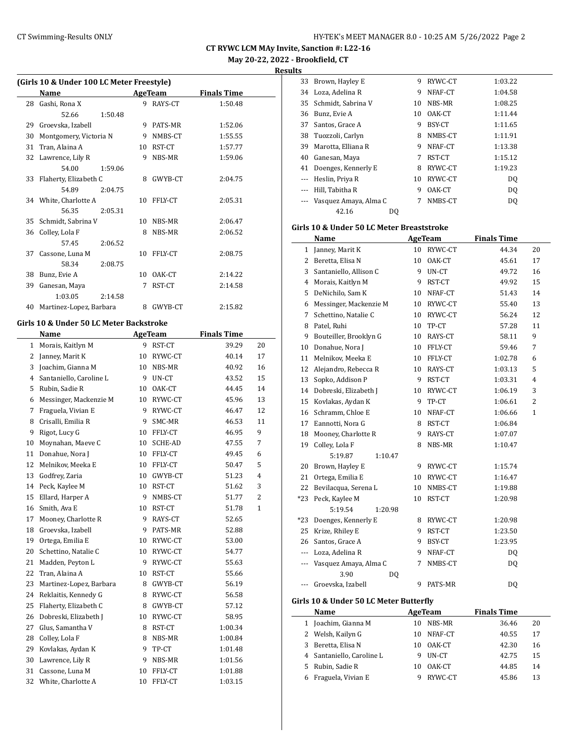**Results**

|    | Name                    |         | <b>AgeTeam</b> |         | <b>Finals Time</b> |
|----|-------------------------|---------|----------------|---------|--------------------|
| 28 | Gashi, Rona X           |         | 9              | RAYS-CT | 1:50.48            |
|    | 52.66                   | 1:50.48 |                |         |                    |
| 29 | Groevska, Izabell       |         | 9              | PATS-MR | 1:52.06            |
| 30 | Montgomery, Victoria N  |         | 9              | NMBS-CT | 1:55.55            |
| 31 | Tran, Alaina A          |         | 10             | RST-CT  | 1:57.77            |
| 32 | Lawrence, Lily R        |         | 9              | NBS-MR  | 1:59.06            |
|    | 54.00                   | 1:59.06 |                |         |                    |
| 33 | Flaherty, Elizabeth C   |         | 8              | GWYB-CT | 2:04.75            |
|    | 54.89                   | 2:04.75 |                |         |                    |
|    | 34 White, Charlotte A   |         | 10             | FFLY-CT | 2:05.31            |
|    | 56.35                   | 2:05.31 |                |         |                    |
| 35 | Schmidt, Sabrina V      |         | 10             | NBS-MR  | 2:06.47            |
| 36 | Colley, Lola F          |         | 8              | NBS-MR  | 2:06.52            |
|    | 57.45                   | 2:06.52 |                |         |                    |
| 37 | Cassone, Luna M         |         | 10             | FFLY-CT | 2:08.75            |
|    | 58.34                   | 2:08.75 |                |         |                    |
| 38 | Bunz, Evie A            |         | 10             | OAK-CT  | 2:14.22            |
| 39 | Ganesan, Maya           |         | 7              | RST-CT  | 2:14.58            |
|    | 1:03.05                 | 2:14.58 |                |         |                    |
| 40 | Martinez-Lopez, Barbara |         | 8              | GWYB-CT | 2:15.82            |

#### **Girls 10 & Under 50 LC Meter Backstroke**

|    | Name                    | <b>AgeTeam</b>  |         | <b>Finals Time</b> |                |
|----|-------------------------|-----------------|---------|--------------------|----------------|
| 1  | Morais, Kaitlyn M       | 9               | RST-CT  | 39.29              | 20             |
| 2  | Janney, Marit K         | 10              | RYWC-CT | 40.14              | 17             |
| 3  | Joachim, Gianna M       | 10              | NBS-MR  | 40.92              | 16             |
| 4  | Santaniello, Caroline L | 9               | UN-CT   | 43.52              | 15             |
| 5  | Rubin, Sadie R          | 10              | OAK-CT  | 44.45              | 14             |
| 6  | Messinger, Mackenzie M  | 10 <sup>°</sup> | RYWC-CT | 45.96              | 13             |
| 7  | Fraguela, Vivian E      | 9               | RYWC-CT | 46.47              | 12             |
| 8  | Crisalli, Emilia R      | 9               | SMC-MR  | 46.53              | 11             |
| 9  | Rigot, Lucy G           | 10              | FFLY-CT | 46.95              | 9              |
| 10 | Moynahan, Maeve C       | 10              | SCHE-AD | 47.55              | 7              |
| 11 | Donahue, Nora J         | 10              | FFLY-CT | 49.45              | 6              |
| 12 | Melnikov, Meeka E       | 10              | FFLY-CT | 50.47              | 5              |
| 13 | Godfrey, Zaria          | 10              | GWYB-CT | 51.23              | $\overline{4}$ |
| 14 | Peck, Kaylee M          | 10              | RST-CT  | 51.62              | 3              |
| 15 | Ellard, Harper A        | 9               | NMBS-CT | 51.77              | $\overline{2}$ |
| 16 | Smith, Ava E            | 10              | RST-CT  | 51.78              | 1              |
| 17 | Mooney, Charlotte R     | 9               | RAYS-CT | 52.65              |                |
| 18 | Groevska, Izabell       | 9               | PATS-MR | 52.88              |                |
| 19 | Ortega, Emilia E        | 10              | RYWC-CT | 53.00              |                |
| 20 | Schettino, Natalie C    | 10              | RYWC-CT | 54.77              |                |
| 21 | Madden, Peyton L        | 9               | RYWC-CT | 55.63              |                |
| 22 | Tran, Alaina A          | 10              | RST-CT  | 55.66              |                |
| 23 | Martinez-Lopez, Barbara | 8               | GWYB-CT | 56.19              |                |
| 24 | Reklaitis, Kennedy G    | 8               | RYWC-CT | 56.58              |                |
| 25 | Flaherty, Elizabeth C   | 8               | GWYB-CT | 57.12              |                |
| 26 | Dobreski, Elizabeth J   | 10              | RYWC-CT | 58.95              |                |
| 27 | Glus, Samantha V        | 8               | RST-CT  | 1:00.34            |                |
| 28 | Colley, Lola F          | 8               | NBS-MR  | 1:00.84            |                |
| 29 | Kovlakas, Aydan K       | 9               | TP-CT   | 1:01.48            |                |
| 30 | Lawrence, Lily R        | 9               | NBS-MR  | 1:01.56            |                |
| 31 | Cassone, Luna M         | 10              | FFLY-CT | 1:01.88            |                |
| 32 | White, Charlotte A      | 10              | FFLY-CT | 1:03.15            |                |

| 33 | Brown, Hayley E       | 9  | RYWC-CT | 1:03.22        |
|----|-----------------------|----|---------|----------------|
| 34 | Loza, Adelina R       | 9  | NFAF-CT | 1:04.58        |
|    | 35 Schmidt, Sabrina V | 10 | NBS-MR  | 1:08.25        |
| 36 | Bunz, Evie A          | 10 | OAK-CT  | 1:11.44        |
| 37 | Santos, Grace A       | 9  | BSY-CT  | 1:11.65        |
| 38 | Tuozzoli, Carlyn      | 8  | NMBS-CT | 1:11.91        |
| 39 | Marotta, Elliana R    | 9  | NFAF-CT | 1:13.38        |
| 40 | Ganesan, Maya         | 7  | RST-CT  | 1:15.12        |
| 41 | Doenges, Kennerly E   | 8  | RYWC-CT | 1:19.23        |
|    | Heslin, Priya R       | 10 | RYWC-CT | D <sub>0</sub> |
|    | Hill, Tabitha R       | 9  | OAK-CT  | DO.            |
|    | Vasquez Amaya, Alma C | 7  | NMBS-CT | DQ             |
|    | 42.16                 | DO |         |                |

#### **Girls 10 & Under 50 LC Meter Breaststroke**

|                | Name                                    | <b>AgeTeam</b> |         | <b>Finals Time</b> |              |
|----------------|-----------------------------------------|----------------|---------|--------------------|--------------|
| 1              | Janney, Marit K                         | 10             | RYWC-CT | 44.34              | 20           |
| 2              | Beretta, Elisa N                        | 10             | OAK-CT  | 45.61              | 17           |
| 3              | Santaniello, Allison C                  | 9              | UN-CT   | 49.72              | 16           |
| 4              | Morais, Kaitlyn M                       | 9              | RST-CT  | 49.92              | 15           |
| 5              | DeNichilo, Sam K                        | 10             | NFAF-CT | 51.43              | 14           |
| 6              | Messinger, Mackenzie M                  | 10             | RYWC-CT | 55.40              | 13           |
| 7              | Schettino, Natalie C                    | 10             | RYWC-CT | 56.24              | 12           |
| 8              | Patel, Ruhi                             | 10             | TP-CT   | 57.28              | 11           |
| 9              | Bouteiller, Brooklyn G                  | 10             | RAYS-CT | 58.11              | 9            |
| 10             | Donahue, Nora J                         | 10             | FFLY-CT | 59.46              | 7            |
| 11             | Melnikov, Meeka E                       | 10             | FFLY-CT | 1:02.78            | 6            |
| 12             | Alejandro, Rebecca R                    | 10             | RAYS-CT | 1:03.13            | 5            |
| 13             | Sopko, Addison P                        | 9              | RST-CT  | 1:03.31            | 4            |
| 14             | Dobreski, Elizabeth J                   | 10             | RYWC-CT | 1:06.19            | 3            |
| 15             | Kovlakas, Aydan K                       | 9              | TP-CT   | 1:06.61            | 2            |
| 16             | Schramm, Chloe E                        | 10             | NFAF-CT | 1:06.66            | $\mathbf{1}$ |
| 17             | Eannotti, Nora G                        | 8              | RST-CT  | 1:06.84            |              |
| 18             | Mooney, Charlotte R                     | 9              | RAYS-CT | 1:07.07            |              |
| 19             | Colley, Lola F                          | 8              | NBS-MR  | 1:10.47            |              |
|                | 5:19.87<br>1:10.47                      |                |         |                    |              |
| 20             | Brown, Hayley E                         | 9              | RYWC-CT | 1:15.74            |              |
| 21             | Ortega, Emilia E                        | 10             | RYWC-CT | 1:16.47            |              |
| 22             | Bevilacqua, Serena L                    | 10             | NMBS-CT | 1:19.88            |              |
| $*23$          | Peck, Kaylee M                          | 10             | RST-CT  | 1:20.98            |              |
|                | 5:19.54<br>1:20.98                      |                |         |                    |              |
| $*23$          | Doenges, Kennerly E                     | 8              | RYWC-CT | 1:20.98            |              |
| 25             | Krize, Rhiley E                         | 9              | RST-CT  | 1:23.50            |              |
| 26             | Santos, Grace A                         | 9              | BSY-CT  | 1:23.95            |              |
| $\overline{a}$ | Loza, Adelina R                         | 9              | NFAF-CT | DQ                 |              |
| ---            | Vasquez Amaya, Alma C                   | 7              | NMBS-CT | DQ                 |              |
|                | 3.90<br>DQ                              |                |         |                    |              |
| ---            | Groevska, Izabell                       | 9              | PATS-MR | DQ                 |              |
|                | Cirle 10 8. Under 50 LC Motor Putterfly |                |         |                    |              |

#### **Girls 10 & Under 50 LC Meter Butterfly**

| Name                      |    | AgeTeam | <b>Finals Time</b> |    |  |
|---------------------------|----|---------|--------------------|----|--|
| 1 Joachim, Gianna M       | 10 | NBS-MR  | 36.46              | 20 |  |
| 2 Welsh, Kailyn G         | 10 | NFAF-CT | 40.55              | 17 |  |
| 3 Beretta, Elisa N        | 10 | OAK-CT  | 42.30              | 16 |  |
| 4 Santaniello, Caroline L | 9  | UN-CT   | 42.75              | 15 |  |
| 5 Rubin, Sadie R          | 10 | OAK-CT  | 44.85              | 14 |  |
| 6 Fraguela, Vivian E      | g  | RYWC-CT | 45.86              | 13 |  |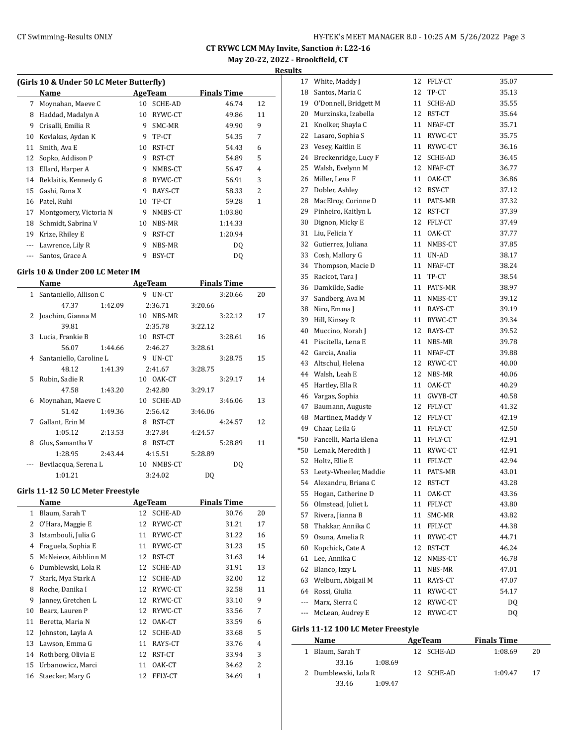## CT Swimming-Results ONLY **CT Swimming-Results ONLY** 10:25 AM 5/26/2022 Page 3

**CT RYWC LCM MAy Invite, Sanction #: L22-16 May 20-22, 2022 - Brookfield, CT**

**Results**

|    | Name                   | AgeTeam |                | <b>Finals Time</b> |                |  |
|----|------------------------|---------|----------------|--------------------|----------------|--|
| 7  | Moynahan, Maeve C      | 10      | <b>SCHE-AD</b> | 46.74              | 12             |  |
| 8  | Haddad, Madalyn A      | 10      | RYWC-CT        | 49.86              | 11             |  |
| 9  | Crisalli, Emilia R     | 9       | SMC-MR         | 49.90              | 9              |  |
| 10 | Kovlakas, Aydan K      | 9       | TP-CT          | 54.35              | 7              |  |
| 11 | Smith, Ava E           | 10      | RST-CT         | 54.43              | 6              |  |
| 12 | Sopko, Addison P       | 9       | RST-CT         | 54.89              | 5              |  |
| 13 | Ellard, Harper A       | 9       | NMBS-CT        | 56.47              | 4              |  |
| 14 | Reklaitis, Kennedy G   | 8       | RYWC-CT        | 56.91              | 3              |  |
| 15 | Gashi, Rona X          | 9       | RAYS-CT        | 58.33              | $\overline{2}$ |  |
| 16 | Patel, Ruhi            | 10      | TP-CT          | 59.28              | 1              |  |
| 17 | Montgomery, Victoria N | 9       | NMBS-CT        | 1:03.80            |                |  |
| 18 | Schmidt, Sabrina V     | 10      | NBS-MR         | 1:14.33            |                |  |
| 19 | Krize, Rhiley E        | 9       | RST-CT         | 1:20.94            |                |  |
|    | Lawrence, Lily R       | 9       | NBS-MR         | DQ                 |                |  |
|    | Santos, Grace A        | 9       | BSY-CT         | DO.                |                |  |

#### **Girls 10 & Under 200 LC Meter IM**

|              | Name                    |         | <b>AgeTeam</b> |            | <b>Finals Time</b> |         |    |  |
|--------------|-------------------------|---------|----------------|------------|--------------------|---------|----|--|
| $\mathbf{1}$ | Santaniello, Allison C  |         |                | 9 UN-CT    |                    | 3:20.66 | 20 |  |
|              | 47.37                   | 1:42.09 |                | 2:36.71    | 3:20.66            |         |    |  |
|              | 2 Joachim, Gianna M     |         |                | 10 NBS-MR  |                    | 3:22.12 | 17 |  |
|              | 39.81                   |         |                | 2:35.78    | 3:22.12            |         |    |  |
| 3            | Lucia, Frankie B        |         |                | 10 RST-CT  |                    | 3:28.61 | 16 |  |
|              | 56.07                   | 1:44.66 |                | 2:46.27    | 3:28.61            |         |    |  |
| 4            | Santaniello, Caroline L |         |                | 9 UN-CT    |                    | 3:28.75 | 15 |  |
|              | 48.12                   | 1:41.39 |                | 2:41.67    | 3:28.75            |         |    |  |
| 5.           | Rubin, Sadie R          |         |                | 10 OAK-CT  |                    | 3:29.17 | 14 |  |
|              | 47.58                   | 1:43.20 |                | 2:42.80    | 3:29.17            |         |    |  |
| 6            | Moynahan, Maeve C       |         |                | 10 SCHE-AD |                    | 3:46.06 | 13 |  |
|              | 51.42                   | 1:49.36 |                | 2:56.42    | 3:46.06            |         |    |  |
| 7            | Gallant, Erin M         |         | 8              | RST-CT     |                    | 4:24.57 | 12 |  |
|              | 1:05.12                 | 2:13.53 |                | 3:27.84    | 4:24.57            |         |    |  |
| 8            | Glus, Samantha V        |         | 8              | RST-CT     |                    | 5:28.89 | 11 |  |
|              | 1:28.95                 | 2:43.44 |                | 4:15.51    | 5:28.89            |         |    |  |
|              | Bevilacqua, Serena L    |         | 10             | NMBS-CT    |                    | DQ      |    |  |
|              | 1:01.21                 |         |                | 3:24.02    | DQ                 |         |    |  |

## **Girls 11-12 50 LC Meter Freestyle**

| Name         |                      |    | AgeTeam        | <b>Finals Time</b> |    |
|--------------|----------------------|----|----------------|--------------------|----|
| $\mathbf{1}$ | Blaum, Sarah T       | 12 | <b>SCHE-AD</b> | 30.76              | 20 |
| 2            | O'Hara, Maggie E     | 12 | RYWC-CT        | 31.21              | 17 |
| 3            | Istambouli, Julia G  | 11 | RYWC-CT        | 31.22              | 16 |
| 4            | Fraguela, Sophia E   | 11 | RYWC-CT        | 31.23              | 15 |
| 5            | McNeiece, Aibhlinn M | 12 | RST-CT         | 31.63              | 14 |
| 6            | Dumblewski, Lola R   | 12 | <b>SCHE-AD</b> | 31.91              | 13 |
| 7            | Stark, Mya Stark A   | 12 | <b>SCHE-AD</b> | 32.00              | 12 |
| 8            | Roche, Danika I      | 12 | RYWC-CT        | 32.58              | 11 |
| 9            | Janney, Gretchen L   | 12 | RYWC-CT        | 33.10              | 9  |
| 10           | Bearz, Lauren P      | 12 | RYWC-CT        | 33.56              | 7  |
| 11           | Beretta, Maria N     | 12 | OAK-CT         | 33.59              | 6  |
| 12           | Johnston, Layla A    | 12 | <b>SCHE-AD</b> | 33.68              | 5  |
| 13           | Lawson, Emma G       | 11 | RAYS-CT        | 33.76              | 4  |
| 14           | Rothberg, Olivia E   | 12 | RST-CT         | 33.94              | 3  |
| 15           | Urbanowicz, Marci    | 11 | OAK-CT         | 34.62              | 2  |
| 16           | Staecker, Mary G     | 12 | FFLY-CT        | 34.69              | 1  |

| 17  | White, Maddy J        | 12 | FFLY-CT | 35.07 |
|-----|-----------------------|----|---------|-------|
| 18  | Santos, Maria C       | 12 | TP-CT   | 35.13 |
| 19  | O'Donnell, Bridgett M | 11 | SCHE-AD | 35.55 |
| 20  | Murzinska, Izabella   | 12 | RST-CT  | 35.64 |
| 21  | Knolker, Shayla C     | 11 | NFAF-CT | 35.71 |
| 22  | Lasaro, Sophia S      | 11 | RYWC-CT | 35.75 |
| 23  | Vesey, Kaitlin E      | 11 | RYWC-CT | 36.16 |
| 24  | Breckenridge, Lucy F  | 12 | SCHE-AD | 36.45 |
| 25  | Walsh, Evelynn M      | 12 | NFAF-CT | 36.77 |
| 26  | Miller, Lena F        | 11 | OAK-CT  | 36.86 |
| 27  | Dobler, Ashley        | 12 | BSY-CT  | 37.12 |
| 28  | MacElroy, Corinne D   | 11 | PATS-MR | 37.32 |
| 29  | Pinheiro, Kaitlyn L   | 12 | RST-CT  | 37.39 |
| 30  | Dignon, Micky E       | 12 | FFLY-CT | 37.49 |
| 31  | Liu, Felicia Y        | 11 | OAK-CT  | 37.77 |
| 32  | Gutierrez, Juliana    | 11 | NMBS-CT | 37.85 |
| 33  | Cosh, Mallory G       | 11 | UN-AD   | 38.17 |
| 34  | Thompson, Macie D     | 11 | NFAF-CT | 38.24 |
| 35  | Racicot, Tara J       | 11 | TP-CT   | 38.54 |
| 36  | Damkilde, Sadie       | 11 | PATS-MR | 38.97 |
| 37  | Sandberg, Ava M       | 11 | NMBS-CT | 39.12 |
| 38  | Niro, Emma J          | 11 | RAYS-CT | 39.19 |
| 39  | Hill, Kinsey R        | 11 | RYWC-CT | 39.34 |
| 40  | Muccino, Norah J      | 12 | RAYS-CT | 39.52 |
| 41  | Piscitella, Lena E    | 11 | NBS-MR  | 39.78 |
| 42  | Garcia, Analia        | 11 | NFAF-CT | 39.88 |
| 43  | Altschul, Helena      | 12 | RYWC-CT | 40.00 |
| 44  | Walsh, Leah E         | 12 | NBS-MR  | 40.06 |
| 45  | Hartley, Ella R       | 11 | OAK-CT  | 40.29 |
| 46  | Vargas, Sophia        | 11 | GWYB-CT | 40.58 |
| 47  | Baumann, Auguste      | 12 | FFLY-CT | 41.32 |
| 48  | Martinez, Maddy V     | 12 | FFLY-CT | 42.19 |
| 49  | Chaar, Leila G        | 11 | FFLY-CT | 42.50 |
| *50 | Fancelli, Maria Elena | 11 | FFLY-CT | 42.91 |
| *50 | Lemak, Meredith J     | 11 | RYWC-CT | 42.91 |
| 52  | Holtz, Ellie E        | 11 | FFLY-CT | 42.94 |
| 53  | Leety-Wheeler, Maddie | 11 | PATS-MR | 43.01 |
| 54  | Alexandru, Briana C   | 12 | RST-CT  | 43.28 |
| 55  | Hogan, Catherine D    | 11 | OAK-CT  | 43.36 |
| 56  | Olmstead, Juliet L    | 11 | FFLY-CT | 43.80 |
| 57  | Rivera, Jianna B      | 11 | SMC-MR  | 43.82 |
| 58  | Thakkar, Annika C     | 11 | FFLY-CT | 44.38 |
| 59  | Osuna, Amelia R       | 11 | RYWC-CT | 44.71 |
| 60  | Kopchick, Cate A      | 12 | RST-CT  | 46.24 |
| 61  | Lee, Annika C         | 12 | NMBS-CT | 46.78 |
| 62  | Blanco, Izzy L        | 11 | NBS-MR  | 47.01 |
| 63  | Welburn, Abigail M    | 11 | RAYS-CT | 47.07 |
| 64  | Rossi, Giulia         | 11 | RYWC-CT | 54.17 |
| --- | Marx, Sierra C        | 12 | RYWC-CT | DQ    |
| --- | McLean, Audrey E      | 12 | RYWC-CT | DQ    |
|     |                       |    |         |       |

## **Girls 11-12 100 LC Meter Freestyle**

| Name |  | AgeTeam              | <b>Finals Time</b> |            |  |         |    |
|------|--|----------------------|--------------------|------------|--|---------|----|
|      |  | 1 Blaum, Sarah T     |                    | 12 SCHE-AD |  | 1:08.69 | 20 |
|      |  | 33.16                | 1:08.69            |            |  |         |    |
|      |  | 2 Dumblewski, Lola R |                    | 12 SCHE-AD |  | 1:09.47 | 17 |
|      |  | 33.46                | 1:09.47            |            |  |         |    |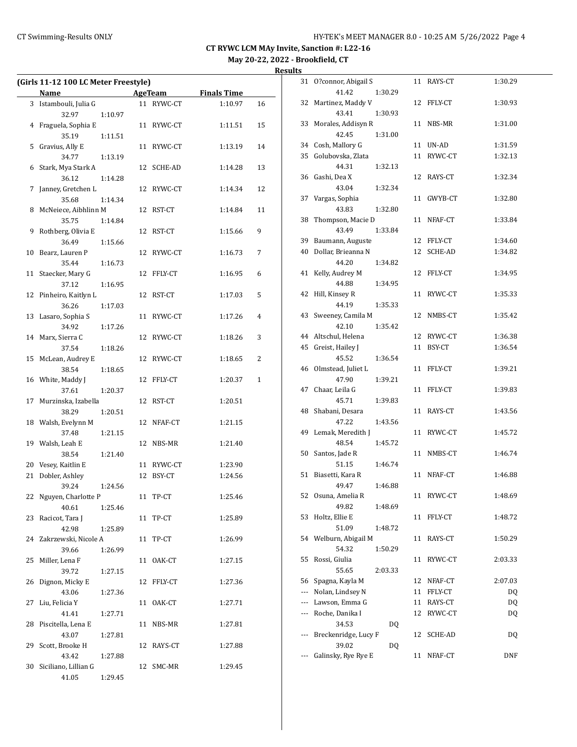|    | (Girls 11-12 100 LC Meter Freestyle) |         |    |                |                    |              |
|----|--------------------------------------|---------|----|----------------|--------------------|--------------|
|    | Name                                 |         |    | <b>AgeTeam</b> | <b>Finals Time</b> |              |
|    | 3 Istambouli, Julia G                |         |    | 11 RYWC-CT     | 1:10.97            | 16           |
|    | 32.97                                | 1:10.97 |    |                |                    |              |
|    | 4 Fraguela, Sophia E                 |         |    | 11 RYWC-CT     | 1:11.51            | 15           |
|    | 35.19                                | 1:11.51 |    |                |                    |              |
| 5  | Gravius, Ally E                      |         |    | 11 RYWC-CT     | 1:13.19            | 14           |
|    | 34.77                                | 1:13.19 |    |                |                    |              |
|    | 6 Stark, Mya Stark A                 |         | 12 | SCHE-AD        | 1:14.28            | 13           |
|    | 36.12                                | 1:14.28 |    |                |                    |              |
| 7  | Janney, Gretchen L                   |         |    | 12 RYWC-CT     | 1:14.34            | 12           |
|    | 35.68                                | 1:14.34 |    |                |                    |              |
| 8  | McNeiece, Aibhlinn M                 |         |    | 12 RST-CT      | 1:14.84            | 11           |
|    | 35.75                                | 1:14.84 |    |                |                    |              |
| 9  | Rothberg, Olivia E                   |         |    | 12 RST-CT      | 1:15.66            | 9            |
|    | 36.49                                | 1:15.66 |    |                |                    |              |
| 10 | Bearz, Lauren P                      |         | 12 | RYWC-CT        | 1:16.73            | 7            |
|    | 35.44                                | 1:16.73 |    |                |                    |              |
| 11 | Staecker, Mary G                     |         |    | 12 FFLY-CT     | 1:16.95            | 6            |
|    | 37.12                                | 1:16.95 |    |                |                    |              |
| 12 | Pinheiro, Kaitlyn L                  |         |    | 12 RST-CT      | 1:17.03            | 5            |
|    | 36.26                                | 1:17.03 |    |                |                    |              |
| 13 | Lasaro, Sophia S                     |         | 11 | RYWC-CT        | 1:17.26            | 4            |
|    | 34.92                                | 1:17.26 |    |                |                    |              |
|    | 14 Marx, Sierra C                    |         | 12 | RYWC-CT        | 1:18.26            | 3            |
|    | 37.54                                | 1:18.26 |    |                |                    |              |
| 15 | McLean, Audrey E                     |         |    | 12 RYWC-CT     | 1:18.65            | 2            |
|    | 38.54                                | 1:18.65 |    |                |                    |              |
|    | 16 White, Maddy J                    |         | 12 | FFLY-CT        | 1:20.37            | $\mathbf{1}$ |
|    | 37.61                                | 1:20.37 |    |                |                    |              |
| 17 | Murzinska, Izabella                  |         |    | 12 RST-CT      | 1:20.51            |              |
|    | 38.29                                | 1:20.51 |    |                |                    |              |
|    | 18 Walsh, Evelynn M                  |         |    | 12 NFAF-CT     | 1:21.15            |              |
|    | 37.48                                | 1:21.15 |    |                |                    |              |
|    | 19 Walsh, Leah E                     |         |    | 12 NBS-MR      | 1:21.40            |              |
|    | 38.54                                | 1:21.40 |    |                |                    |              |
| 20 | Vesey, Kaitlin E                     |         |    | 11 RYWC-CT     | 1:23.90            |              |
| 21 | Dobler, Ashley                       |         |    | 12 BSY-CT      | 1:24.56            |              |
|    | 39.24                                | 1:24.56 |    |                |                    |              |
| 22 | Nguyen, Charlotte P                  |         |    | 11 TP-CT       | 1:25.46            |              |
|    | 40.61                                | 1:25.46 |    |                |                    |              |
| 23 | Racicot, Tara J                      |         |    | 11 TP-CT       | 1:25.89            |              |
|    | 42.98                                | 1:25.89 |    |                |                    |              |
| 24 | Zakrzewski, Nicole A                 |         |    | 11 TP-CT       | 1:26.99            |              |
|    | 39.66                                | 1:26.99 |    |                |                    |              |
| 25 | Miller, Lena F                       |         | 11 | OAK-CT         | 1:27.15            |              |
|    | 39.72                                | 1:27.15 |    |                |                    |              |
| 26 | Dignon, Micky E                      |         | 12 | FFLY-CT        | 1:27.36            |              |
|    | 43.06                                | 1:27.36 |    |                |                    |              |
| 27 | Liu, Felicia Y                       |         | 11 | OAK-CT         | 1:27.71            |              |
|    | 41.41                                | 1:27.71 |    |                |                    |              |
| 28 | Piscitella, Lena E                   |         | 11 | NBS-MR         | 1:27.81            |              |
|    | 43.07                                | 1:27.81 |    |                |                    |              |
| 29 | Scott, Brooke H                      |         |    | 12 RAYS-CT     | 1:27.88            |              |
|    | 43.42                                | 1:27.88 |    |                |                    |              |
| 30 | Siciliano, Lillian G                 |         |    | 12 SMC-MR      | 1:29.45            |              |
|    | 41.05                                | 1:29.45 |    |                |                    |              |

| 31  | O?connor, Abigail S  |    | 11 RAYS-CT | 1:30.29    |  |
|-----|----------------------|----|------------|------------|--|
|     | 41.42<br>1:30.29     |    |            |            |  |
| 32  | Martinez, Maddy V    | 12 | FFLY-CT    | 1:30.93    |  |
|     | 43.41<br>1:30.93     |    |            |            |  |
| 33  | Morales, Addisyn R   | 11 | NBS-MR     | 1:31.00    |  |
|     | 42.45<br>1:31.00     |    |            |            |  |
| 34  | Cosh, Mallory G      | 11 | UN-AD      | 1:31.59    |  |
| 35  | Golubovska, Zlata    | 11 | RYWC-CT    | 1:32.13    |  |
|     | 44.31<br>1:32.13     |    |            |            |  |
| 36  | Gashi, Dea X         | 12 | RAYS-CT    | 1:32.34    |  |
|     | 43.04<br>1:32.34     |    |            |            |  |
| 37  | Vargas, Sophia       | 11 | GWYB-CT    | 1:32.80    |  |
|     | 43.83<br>1:32.80     |    |            |            |  |
| 38  | Thompson, Macie D    | 11 | NFAF-CT    | 1:33.84    |  |
|     | 43.49<br>1:33.84     |    |            |            |  |
| 39  | Baumann, Auguste     |    | 12 FFLY-CT | 1:34.60    |  |
| 40  | Dollar, Brieanna N   | 12 | SCHE-AD    | 1:34.82    |  |
|     | 44.20<br>1:34.82     |    |            |            |  |
|     | Kelly, Audrey M      |    |            | 1:34.95    |  |
| 41  | 44.88                |    | 12 FFLY-CT |            |  |
|     | 1:34.95              |    |            |            |  |
| 42  | Hill, Kinsey R       | 11 | RYWC-CT    | 1:35.33    |  |
|     | 44.19<br>1:35.33     |    |            |            |  |
| 43  | Sweeney, Camila M    | 12 | NMBS-CT    | 1:35.42    |  |
|     | 42.10<br>1:35.42     |    |            |            |  |
| 44  | Altschul, Helena     |    | 12 RYWC-CT | 1:36.38    |  |
| 45  | Greist, Hailey J     | 11 | BSY-CT     | 1:36.54    |  |
|     | 45.52<br>1:36.54     |    |            |            |  |
| 46  | Olmstead, Juliet L   | 11 | FFLY-CT    | 1:39.21    |  |
|     | 47.90<br>1:39.21     |    |            |            |  |
| 47  | Chaar, Leila G       | 11 | FFLY-CT    | 1:39.83    |  |
|     | 45.71<br>1:39.83     |    |            |            |  |
| 48  | Shabani, Desara      | 11 | RAYS-CT    | 1:43.56    |  |
|     | 47.22<br>1:43.56     |    |            |            |  |
| 49  | Lemak, Meredith J    | 11 | RYWC-CT    | 1:45.72    |  |
|     | 48.54<br>1:45.72     |    |            |            |  |
| 50  | Santos, Jade R       | 11 | NMBS-CT    | 1:46.74    |  |
|     | 51.15<br>1:46.74     |    |            |            |  |
| 51  | Biasetti, Kara R     | 11 | NFAF-CT    | 1:46.88    |  |
|     | 49.47<br>1:46.88     |    |            |            |  |
| 52  | Osuna, Amelia R      | 11 | RYWC-CT    | 1:48.69    |  |
|     | 49.82<br>1:48.69     |    |            |            |  |
| 53  | Holtz, Ellie E       | 11 | FFLY-CT    | 1:48.72    |  |
|     | 51.09<br>1:48.72     |    |            |            |  |
| 54  | Welburn, Abigail M   | 11 | RAYS-CT    | 1:50.29    |  |
|     | 54.32<br>1:50.29     |    |            |            |  |
| 55  | Rossi, Giulia        | 11 | RYWC-CT    | 2:03.33    |  |
|     | 55.65<br>2:03.33     |    |            |            |  |
| 56  | Spagna, Kayla M      | 12 | NFAF-CT    | 2:07.03    |  |
| --- | Nolan, Lindsey N     | 11 | FFLY-CT    | DQ         |  |
| --- | Lawson, Emma G       | 11 | RAYS-CT    | <b>DQ</b>  |  |
| --- | Roche, Danika I      | 12 | RYWC-CT    | <b>DQ</b>  |  |
|     | 34.53<br>DQ          |    |            |            |  |
| --- | Breckenridge, Lucy F | 12 | SCHE-AD    | DQ         |  |
|     | 39.02<br>DQ          |    |            |            |  |
| --- | Galinsky, Rye Rye E  | 11 | NFAF-CT    | <b>DNF</b> |  |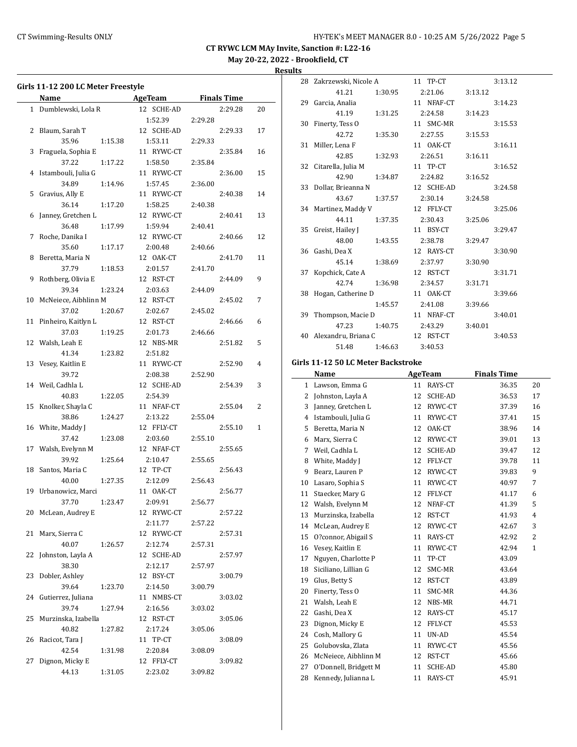## CT Swimming-Results ONLY **CT Swimming-Results ONLY** 10:25 AM 5/26/2022 Page 5

**CT RYWC LCM MAy Invite, Sanction #: L22-16 May 20-22, 2022 - Brookfield, CT**

**Results**

|    | Girls 11-12 200 LC Meter Freestyle |         |                       |         |                    |    |
|----|------------------------------------|---------|-----------------------|---------|--------------------|----|
|    | Name                               |         | AgeTeam               |         | <b>Finals Time</b> |    |
|    | 1 Dumblewski, Lola R               |         | 12 SCHE-AD            |         | 2:29.28            | 20 |
|    |                                    |         | 1:52.39               | 2:29.28 |                    |    |
|    | 2 Blaum, Sarah T                   |         | 12 SCHE-AD            |         | 2:29.33            | 17 |
|    | 35.96                              | 1:15.38 | 1:53.11               | 2:29.33 |                    |    |
|    | 3 Fraguela, Sophia E               |         | 11 RYWC-CT            |         | 2:35.84            | 16 |
|    | 37.22                              | 1:17.22 | 1:58.50               | 2:35.84 |                    |    |
|    | 4 Istambouli, Julia G              |         | 11 RYWC-CT            |         | 2:36.00            | 15 |
|    | 34.89                              | 1:14.96 | 1:57.45               | 2:36.00 |                    |    |
|    | 5 Gravius, Ally E                  |         | 11 RYWC-CT            |         | 2:40.38            | 14 |
|    | 36.14                              | 1:17.20 | 1:58.25               | 2:40.38 |                    |    |
|    | 6 Janney, Gretchen L               |         | 12 RYWC-CT            |         | 2:40.41            | 13 |
|    | 36.48                              | 1:17.99 | 1:59.94               | 2:40.41 |                    |    |
| 7  | Roche, Danika I                    |         | 12 RYWC-CT            |         | 2:40.66            | 12 |
|    | 35.60                              | 1:17.17 | 2:00.48               | 2:40.66 |                    |    |
|    | 8 Beretta, Maria N                 |         | 12 OAK-CT             |         | 2:41.70            | 11 |
|    | 37.79                              | 1:18.53 | 2:01.57               | 2:41.70 |                    |    |
| 9  | Rothberg, Olivia E                 |         | 12 RST-CT             |         | 2:44.09            | 9  |
|    | 39.34                              | 1:23.24 | 2:03.63               | 2:44.09 |                    |    |
|    | 10 McNeiece, Aibhlinn M            |         | 12 RST-CT             |         | 2:45.02            | 7  |
|    | 37.02                              | 1:20.67 | 2:02.67               | 2:45.02 |                    |    |
|    | 11 Pinheiro, Kaitlyn L             |         | 12 RST-CT             |         | 2:46.66            | 6  |
|    | 37.03                              | 1:19.25 | 2:01.73               | 2:46.66 |                    |    |
|    | 12 Walsh, Leah E                   |         | 12 NBS-MR             |         | 2:51.82            | 5  |
|    | 41.34                              | 1:23.82 | 2:51.82               |         |                    |    |
|    | 13 Vesey, Kaitlin E                |         | 11 RYWC-CT            |         | 2:52.90            | 4  |
|    | 39.72                              |         | 2:08.38               | 2:52.90 |                    |    |
|    | 14 Weil, Cadhla L                  |         | 12 SCHE-AD            |         | 2:54.39            | 3  |
|    | 40.83                              | 1:22.05 | 2:54.39               |         |                    |    |
|    | 15 Knolker, Shayla C               |         | 11 NFAF-CT            |         | 2:55.04            | 2  |
|    | 38.86                              | 1:24.27 | 2:13.22               | 2:55.04 |                    |    |
|    | 16 White, Maddy J                  |         | 12 FFLY-CT            |         | 2:55.10            | 1  |
|    | 37.42                              | 1:23.08 | 2:03.60               | 2:55.10 |                    |    |
|    | 17 Walsh, Evelynn M                |         | 12 NFAF-CT            |         | 2:55.65            |    |
|    | 39.92                              | 1:25.64 | 2:10.47               | 2:55.65 |                    |    |
|    | 18 Santos, Maria C                 |         | 12 TP-CT              |         | 2:56.43            |    |
|    | 40.00                              | 1:27.35 | 2:12.09               | 2:56.43 |                    |    |
|    | 19 Urbanowicz, Marci               |         | 11 OAK-CT             |         | 2:56.77            |    |
|    | 37.70                              | 1:23.47 | 2:09.91               | 2:56.77 |                    |    |
|    | 20 McLean, Audrey E                |         | 12 RYWC-CT            |         | 2:57.22            |    |
|    |                                    |         | 2:11.77               | 2:57.22 |                    |    |
| 21 | Marx, Sierra C                     |         | 12 RYWC-CT            |         | 2:57.31            |    |
|    | 40.07<br>Johnston, Layla A         | 1:26.57 | 2:12.74               | 2:57.31 |                    |    |
| 22 | 38.30                              |         | 12 SCHE-AD            |         | 2:57.97            |    |
| 23 | Dobler, Ashley                     |         | 2:12.17<br>12 BSY-CT  | 2:57.97 |                    |    |
|    | 39.64                              |         |                       |         | 3:00.79            |    |
| 24 | Gutierrez, Juliana                 | 1:23.70 | 2:14.50<br>11 NMBS-CT | 3:00.79 |                    |    |
|    | 39.74                              |         | 2:16.56               |         | 3:03.02            |    |
| 25 | Murzinska, Izabella                | 1:27.94 | 12 RST-CT             | 3:03.02 | 3:05.06            |    |
|    |                                    |         | 2:17.24               |         |                    |    |
| 26 | 40.82<br>Racicot, Tara J           | 1:27.82 | 11 TP-CT              | 3:05.06 | 3:08.09            |    |
|    | 42.54                              | 1:31.98 | 2:20.84               | 3:08.09 |                    |    |
| 27 | Dignon, Micky E                    |         | 12 FFLY-CT            |         | 3:09.82            |    |
|    | 44.13                              | 1:31.05 | 2:23.02               | 3:09.82 |                    |    |
|    |                                    |         |                       |         |                    |    |

| 28 | Zakrzewski, Nicole A |         | 11 TP-CT   |         | 3:13.12 |
|----|----------------------|---------|------------|---------|---------|
|    | 41.21                | 1:30.95 | 2:21.06    | 3:13.12 |         |
| 29 | Garcia, Analia       |         | 11 NFAF-CT |         | 3:14.23 |
|    | 41.19                | 1:31.25 | 2:24.58    | 3:14.23 |         |
| 30 | Finerty, Tess O      |         | 11 SMC-MR  |         | 3:15.53 |
|    | 42.72                | 1:35.30 | 2:27.55    | 3:15.53 |         |
| 31 | Miller, Lena F       |         | 11 OAK-CT  |         | 3:16.11 |
|    | 42.85                | 1:32.93 | 2:26.51    | 3:16.11 |         |
| 32 | Citarella, Julia M   |         | 11 TP-CT   |         | 3:16.52 |
|    | 42.90                | 1:34.87 | 2:24.82    | 3:16.52 |         |
| 33 | Dollar, Brieanna N   |         | 12 SCHE-AD |         | 3:24.58 |
|    | 43.67                | 1:37.57 | 2:30.14    | 3:24.58 |         |
|    | 34 Martinez, Maddy V |         | 12 FFLY-CT |         | 3:25.06 |
|    | 44.11                | 1:37.35 | 2:30.43    | 3:25.06 |         |
| 35 | Greist, Hailey J     |         | 11 BSY-CT  |         | 3:29.47 |
|    | 48.00                | 1:43.55 | 2:38.78    | 3:29.47 |         |
| 36 | Gashi, Dea X         |         | 12 RAYS-CT |         | 3:30.90 |
|    | 45.14                | 1:38.69 | 2:37.97    | 3:30.90 |         |
| 37 | Kopchick, Cate A     |         | 12 RST-CT  |         | 3:31.71 |
|    | 42.74                | 1:36.98 | 2:34.57    | 3:31.71 |         |
| 38 | Hogan, Catherine D   |         | 11 OAK-CT  |         | 3:39.66 |
|    |                      | 1:45.57 | 2:41.08    | 3:39.66 |         |
| 39 | Thompson, Macie D    |         | 11 NFAF-CT |         | 3:40.01 |
|    | 47.23                | 1:40.75 | 2:43.29    | 3:40.01 |         |
| 40 | Alexandru, Briana C  |         | 12 RST-CT  |         | 3:40.53 |
|    | 51.48                | 1:46.63 | 3:40.53    |         |         |

#### **Girls 11-12 50 LC Meter Backstroke**

| Name |                       |    | <b>AgeTeam</b> | <b>Finals Time</b> |              |
|------|-----------------------|----|----------------|--------------------|--------------|
| 1    | Lawson, Emma G        | 11 | RAYS-CT        | 36.35              | 20           |
| 2    | Johnston, Layla A     | 12 | <b>SCHE-AD</b> | 36.53              | 17           |
| 3    | Janney, Gretchen L    | 12 | RYWC-CT        | 37.39              | 16           |
| 4    | Istambouli, Julia G   | 11 | RYWC-CT        | 37.41              | 15           |
| 5    | Beretta, Maria N      | 12 | OAK-CT         | 38.96              | 14           |
| 6    | Marx, Sierra C        | 12 | RYWC-CT        | 39.01              | 13           |
| 7    | Weil, Cadhla L        | 12 | <b>SCHE-AD</b> | 39.47              | 12           |
| 8    | White, Maddy J        | 12 | FFLY-CT        | 39.78              | 11           |
| 9    | Bearz, Lauren P       | 12 | RYWC-CT        | 39.83              | 9            |
| 10   | Lasaro, Sophia S      | 11 | RYWC-CT        | 40.97              | 7            |
| 11   | Staecker, Mary G      | 12 | FFLY-CT        | 41.17              | 6            |
| 12   | Walsh, Evelynn M      | 12 | NFAF-CT        | 41.39              | 5            |
| 13   | Murzinska, Izabella   | 12 | RST-CT         | 41.93              | 4            |
| 14   | McLean, Audrey E      | 12 | RYWC-CT        | 42.67              | 3            |
| 15   | O?connor, Abigail S   | 11 | RAYS-CT        | 42.92              | 2            |
| 16   | Vesey, Kaitlin E      | 11 | RYWC-CT        | 42.94              | $\mathbf{1}$ |
| 17   | Nguyen, Charlotte P   | 11 | TP-CT          | 43.09              |              |
| 18   | Siciliano, Lillian G  | 12 | SMC-MR         | 43.64              |              |
| 19   | Glus, Betty S         | 12 | RST-CT         | 43.89              |              |
| 20   | Finerty, Tess O       | 11 | SMC-MR         | 44.36              |              |
| 21   | Walsh, Leah E         | 12 | NBS-MR         | 44.71              |              |
| 22   | Gashi, Dea X          | 12 | RAYS-CT        | 45.17              |              |
| 23   | Dignon, Micky E       | 12 | FFLY-CT        | 45.53              |              |
| 24   | Cosh, Mallory G       | 11 | UN-AD          | 45.54              |              |
| 25   | Golubovska, Zlata     | 11 | RYWC-CT        | 45.56              |              |
| 26   | McNeiece, Aibhlinn M  | 12 | RST-CT         | 45.66              |              |
| 27   | O'Donnell, Bridgett M | 11 | <b>SCHE-AD</b> | 45.80              |              |
| 28   | Kennedy, Julianna L   | 11 | RAYS-CT        | 45.91              |              |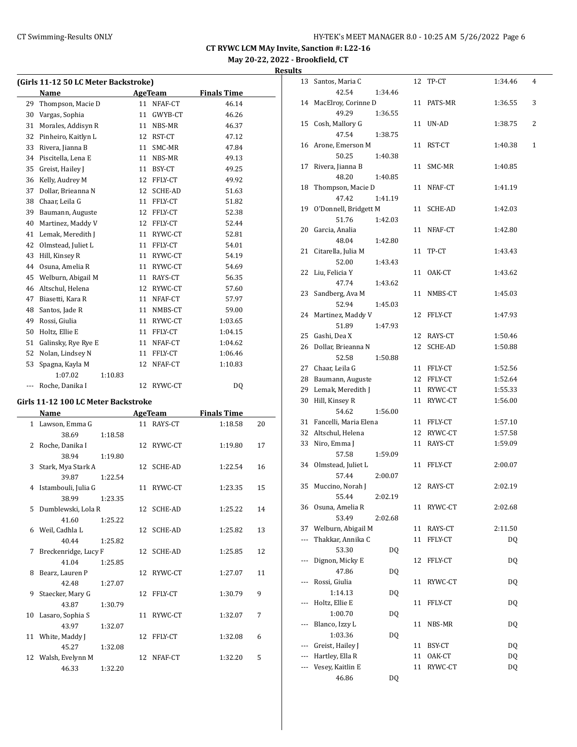## **May 20-22, 2022 - Brookfield, CT**

| Results |  |
|---------|--|
|         |  |

|     | (Girls 11-12 50 LC Meter Backstroke) |         |                |                |                    |    |
|-----|--------------------------------------|---------|----------------|----------------|--------------------|----|
|     | Name                                 |         | <b>AgeTeam</b> |                | <b>Finals Time</b> |    |
| 29  | Thompson, Macie D                    |         | 11             | NFAF-CT        | 46.14              |    |
| 30  | Vargas, Sophia                       |         | 11             | GWYB-CT        | 46.26              |    |
| 31  | Morales, Addisyn R                   |         |                | 11 NBS-MR      | 46.37              |    |
| 32  | Pinheiro, Kaitlyn L                  |         |                | 12 RST-CT      | 47.12              |    |
| 33  | Rivera, Jianna B                     |         |                | 11 SMC-MR      | 47.84              |    |
| 34  | Piscitella, Lena E                   |         |                | 11 NBS-MR      | 49.13              |    |
| 35  | Greist, Hailey J                     |         |                | 11 BSY-CT      | 49.25              |    |
| 36  | Kelly, Audrey M                      |         |                | 12 FFLY-CT     | 49.92              |    |
| 37  | Dollar, Brieanna N                   |         |                | 12 SCHE-AD     | 51.63              |    |
| 38  | Chaar, Leila G                       |         |                | 11 FFLY-CT     | 51.82              |    |
| 39  | Baumann, Auguste                     |         |                | 12 FFLY-CT     | 52.38              |    |
| 40  | Martinez, Maddy V                    |         |                | 12 FFLY-CT     | 52.44              |    |
| 41  | Lemak, Meredith J                    |         |                | 11 RYWC-CT     | 52.81              |    |
| 42  | Olmstead, Juliet L                   |         |                | 11 FFLY-CT     | 54.01              |    |
| 43  | Hill, Kinsey R                       |         |                | 11 RYWC-CT     | 54.19              |    |
| 44  | Osuna, Amelia R                      |         |                | 11 RYWC-CT     | 54.69              |    |
| 45  | Welburn, Abigail M                   |         |                | 11 RAYS-CT     | 56.35              |    |
| 46  | Altschul, Helena                     |         |                | 12 RYWC-CT     | 57.60              |    |
| 47  | Biasetti, Kara R                     |         |                | 11 NFAF-CT     | 57.97              |    |
| 48  | Santos, Jade R                       |         |                | 11 NMBS-CT     | 59.00              |    |
| 49  | Rossi, Giulia                        |         |                | 11 RYWC-CT     | 1:03.65            |    |
| 50  | Holtz, Ellie E                       |         |                | 11 FFLY-CT     | 1:04.15            |    |
| 51  | Galinsky, Rye Rye E                  |         |                | 11 NFAF-CT     | 1:04.62            |    |
| 52  | Nolan, Lindsey N                     |         |                | 11 FFLY-CT     | 1:06.46            |    |
| 53  | Spagna, Kayla M                      |         | 12             | NFAF-CT        | 1:10.83            |    |
|     | 1:07.02                              | 1:10.83 |                |                |                    |    |
| --- | Roche, Danika I                      |         | 12             | RYWC-CT        | DQ                 |    |
|     | Girls 11-12 100 LC Meter Backstroke  |         |                |                |                    |    |
|     | Name                                 |         |                | <b>AgeTeam</b> | <b>Finals Time</b> |    |
|     | 1 Lawson, Emma G                     |         | 11             | RAYS-CT        | 1:18.58            | 20 |
|     | 38.69                                | 1:18.58 |                |                |                    |    |
| 2   | Roche, Danika I                      |         | 12             | RYWC-CT        | 1:19.80            | 17 |
|     | 38.94                                | 1:19.80 |                |                |                    |    |
| 3   | Stark, Mya Stark A                   |         | 12             | SCHE-AD        | 1:22.54            | 16 |
|     | 39.87                                | 1:22.54 |                |                |                    |    |
| 4   | Istambouli, Julia G                  |         | 11             | RYWC-CT        | 1:23.35            | 15 |
|     | 38.99                                | 1:23.35 |                |                |                    |    |
|     | 5 Dumblewski, Lola R                 |         | 12             | SCHE-AD        | 1:25.22            | 14 |
|     | 41.60                                | 1:25.22 |                |                |                    |    |
| 6   | Weil, Cadhla L                       |         | 12             | SCHE-AD        | 1:25.82            | 13 |
|     | 40.44                                | 1:25.82 |                |                |                    |    |
| 7   | Breckenridge, Lucy F                 |         | 12             | SCHE-AD        | 1:25.85            | 12 |
|     | 41.04                                | 1:25.85 |                |                |                    |    |
| 8   | Bearz, Lauren P                      |         | 12             | RYWC-CT        | 1:27.07            | 11 |
|     | 42.48                                | 1:27.07 |                |                |                    |    |

9 Staecker, Mary G 12 FFLY-CT 1:30.79 9

10 Lasaro, Sophia S 11 RYWC-CT 1:32.07 7

11 White, Maddy J 12 FFLY-CT 1:32.08 6

12 Walsh, Evelynn M 12 NFAF-CT 1:32.20 5

43.87 1:30.79

43.97 1:32.07

45.27 1:32.08

46.33 1:32.20

| 13  | Santos, Maria C       |         | 12 | TP-CT      | 1:34.46   | 4 |
|-----|-----------------------|---------|----|------------|-----------|---|
|     | 42.54                 | 1:34.46 |    |            |           |   |
| 14  | MacElroy, Corinne D   |         | 11 | PATS-MR    | 1:36.55   | 3 |
|     | 49.29                 | 1:36.55 |    |            |           |   |
| 15  | Cosh, Mallory G       |         | 11 | UN-AD      | 1:38.75   | 2 |
|     | 47.54                 | 1:38.75 |    |            |           |   |
| 16  | Arone, Emerson M      |         | 11 | RST-CT     | 1:40.38   | 1 |
|     | 50.25                 | 1:40.38 |    |            |           |   |
| 17  | Rivera, Jianna B      |         | 11 | SMC-MR     | 1:40.85   |   |
|     | 48.20                 | 1:40.85 |    |            |           |   |
| 18  | Thompson, Macie D     |         |    | 11 NFAF-CT | 1:41.19   |   |
|     | 47.42                 | 1:41.19 |    |            |           |   |
| 19  | O'Donnell, Bridgett M |         |    | 11 SCHE-AD | 1:42.03   |   |
|     | 51.76                 | 1:42.03 |    |            |           |   |
| 20  | Garcia, Analia        |         |    | 11 NFAF-CT | 1:42.80   |   |
|     | 48.04                 | 1:42.80 |    |            |           |   |
| 21  | Citarella, Julia M    |         | 11 | TP-CT      | 1:43.43   |   |
|     | 52.00                 | 1:43.43 |    |            |           |   |
| 22  | Liu, Felicia Y        |         |    | 11 OAK-CT  | 1:43.62   |   |
|     | 47.74                 | 1:43.62 |    |            |           |   |
| 23  | Sandberg, Ava M       |         | 11 | NMBS-CT    | 1:45.03   |   |
|     | 52.94                 | 1:45.03 |    |            |           |   |
| 24  | Martinez, Maddy V     |         | 12 | FFLY-CT    | 1:47.93   |   |
|     | 51.89                 | 1:47.93 |    |            |           |   |
| 25  | Gashi, Dea X          |         |    | 12 RAYS-CT | 1:50.46   |   |
| 26  | Dollar, Brieanna N    |         |    | 12 SCHE-AD | 1:50.88   |   |
|     | 52.58                 | 1:50.88 |    |            |           |   |
| 27  | Chaar, Leila G        |         |    | 11 FFLY-CT | 1:52.56   |   |
| 28  | Baumann, Auguste      |         |    | 12 FFLY-CT | 1:52.64   |   |
| 29  | Lemak, Meredith J     |         |    | 11 RYWC-CT | 1:55.33   |   |
|     | Hill, Kinsey R        |         | 11 |            |           |   |
| 30  |                       |         |    | RYWC-CT    | 1:56.00   |   |
|     | 54.62                 | 1:56.00 |    |            |           |   |
| 31  | Fancelli, Maria Elena |         |    | 11 FFLY-CT | 1:57.10   |   |
| 32  | Altschul, Helena      |         |    | 12 RYWC-CT | 1:57.58   |   |
| 33  | Niro, Emma J          |         |    | 11 RAYS-CT | 1:59.09   |   |
|     | 57.58                 | 1:59.09 |    |            |           |   |
| 34  | Olmstead, Juliet L    |         |    | 11 FFLY-CT | 2:00.07   |   |
|     | 57.44                 | 2:00.07 |    |            |           |   |
| 35  | Muccino, Norah J      |         |    | 12 RAYS-CT | 2:02.19   |   |
|     | 55.44                 | 2:02.19 |    |            |           |   |
| 36  | Osuna, Amelia R       |         | 11 | RYWC-CT    | 2:02.68   |   |
|     | 53.49                 | 2:02.68 |    |            |           |   |
| 37  | Welburn, Abigail M    |         | 11 | RAYS-CT    | 2:11.50   |   |
| --- | Thakkar, Annika C     |         | 11 | FFLY-CT    | <b>DQ</b> |   |
|     | 53.30                 | DQ      |    |            |           |   |
| --- | Dignon, Micky E       |         | 12 | FFLY-CT    | <b>DQ</b> |   |
|     | 47.86                 | DQ      |    |            |           |   |
|     | Rossi, Giulia         |         | 11 | RYWC-CT    | <b>DQ</b> |   |
|     | 1:14.13               | DQ      |    |            |           |   |
|     | Holtz, Ellie E        |         | 11 | FFLY-CT    | DQ        |   |
|     | 1:00.70               | DQ      |    |            |           |   |
|     | Blanco, Izzy L        |         | 11 | NBS-MR     | <b>DQ</b> |   |
|     | 1:03.36               | DQ      |    |            |           |   |
|     | Greist, Hailey J      |         | 11 | BSY-CT     | <b>DQ</b> |   |
|     | Hartley, Ella R       |         | 11 | OAK-CT     | DQ        |   |
|     | Vesey, Kaitlin E      |         | 11 | RYWC-CT    | DQ        |   |
|     | 46.86                 | DQ      |    |            |           |   |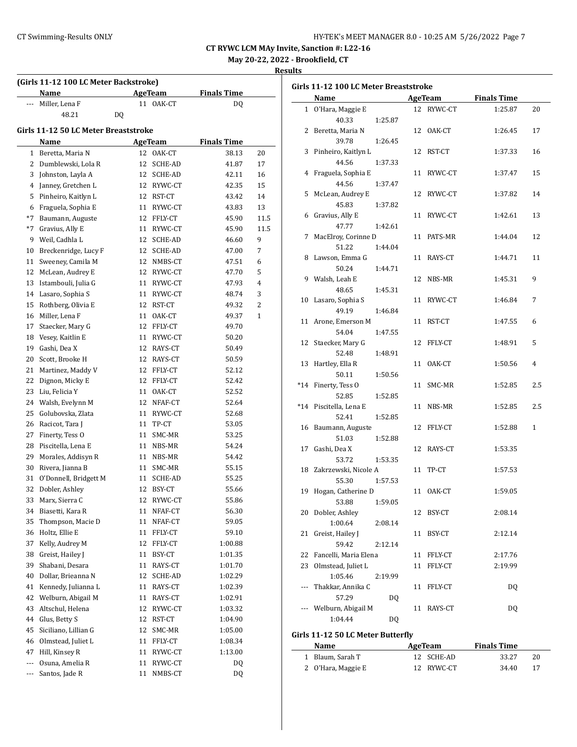| HY-TEK's MEET MANAGER 8.0 - 10:25 AM 5/26/2022 Page 7 |  |  |  |  |
|-------------------------------------------------------|--|--|--|--|
|-------------------------------------------------------|--|--|--|--|

**May 20-22, 2022 - Brookfield, CT**

|       | (Girls 11-12 100 LC Meter Backstroke) |    |            |                    |      |
|-------|---------------------------------------|----|------------|--------------------|------|
|       | Name                                  |    | AgeTeam    | <b>Finals Time</b> |      |
| $---$ | Miller, Lena F                        |    | 11 OAK-CT  | DQ                 |      |
|       | 48.21                                 | DQ |            |                    |      |
|       | Girls 11-12 50 LC Meter Breaststroke  |    |            |                    |      |
|       | Name                                  |    | AgeTeam    | <b>Finals Time</b> |      |
|       | 1 Beretta, Maria N                    |    | 12 OAK-CT  | 38.13              | 20   |
| 2     | Dumblewski, Lola R                    | 12 | SCHE-AD    | 41.87              | 17   |
| 3     | Johnston, Layla A                     |    | 12 SCHE-AD | 42.11              | 16   |
| 4     | Janney, Gretchen L                    |    | 12 RYWC-CT | 42.35              | 15   |
| 5     | Pinheiro, Kaitlyn L                   |    | 12 RST-CT  | 43.42              | 14   |
| 6     | Fraguela, Sophia E                    |    | 11 RYWC-CT | 43.83              | 13   |
| $*7$  | Baumann, Auguste                      |    | 12 FFLY-CT | 45.90              | 11.5 |
| $*7$  | Gravius, Ally E                       |    | 11 RYWC-CT | 45.90              | 11.5 |
| 9     | Weil, Cadhla L                        |    | 12 SCHE-AD | 46.60              | 9    |
| 10    | Breckenridge, Lucy F                  |    | 12 SCHE-AD | 47.00              | 7    |
| 11    |                                       |    | 12 NMBS-CT |                    | 6    |
| 12    | Sweeney, Camila M                     |    | 12 RYWC-CT | 47.51<br>47.70     | 5    |
|       | McLean, Audrey E                      |    |            |                    | 4    |
| 13    | Istambouli, Julia G                   |    | 11 RYWC-CT | 47.93              |      |
| 14    | Lasaro, Sophia S                      |    | 11 RYWC-CT | 48.74              | 3    |
| 15    | Rothberg, Olivia E                    |    | 12 RST-CT  | 49.32              | 2    |
| 16    | Miller, Lena F                        |    | 11 OAK-CT  | 49.37              | 1    |
| 17    | Staecker, Mary G                      |    | 12 FFLY-CT | 49.70              |      |
| 18    | Vesey, Kaitlin E                      |    | 11 RYWC-CT | 50.20              |      |
| 19    | Gashi, Dea X                          |    | 12 RAYS-CT | 50.49              |      |
| 20    | Scott, Brooke H                       |    | 12 RAYS-CT | 50.59              |      |
| 21    | Martinez, Maddy V                     |    | 12 FFLY-CT | 52.12              |      |
| 22    | Dignon, Micky E                       |    | 12 FFLY-CT | 52.42              |      |
| 23    | Liu, Felicia Y                        |    | 11 OAK-CT  | 52.52              |      |
| 24    | Walsh, Evelynn M                      |    | 12 NFAF-CT | 52.64              |      |
| 25    | Golubovska, Zlata                     |    | 11 RYWC-CT | 52.68              |      |
| 26    | Racicot, Tara J                       |    | 11 TP-CT   | 53.05              |      |
| 27    | Finerty, Tess O                       |    | 11 SMC-MR  | 53.25              |      |
| 28    | Piscitella, Lena E                    |    | 11 NBS-MR  | 54.24              |      |
| 29    | Morales, Addisyn R                    |    | 11 NBS-MR  | 54.42              |      |
| 30    | Rivera, Jianna B                      |    | 11 SMC-MR  | 55.15              |      |
| 31    | O'Donnell, Bridgett M                 | 11 | SCHE-AD    | 55.25              |      |
| 32    | Dobler, Ashley                        | 12 | BSY-CT     | 55.66              |      |
| 33    | Marx, Sierra C                        | 12 | RYWC-CT    | 55.86              |      |
| 34    | Biasetti, Kara R                      | 11 | NFAF-CT    | 56.30              |      |
| 35    | Thompson, Macie D                     | 11 | NFAF-CT    | 59.05              |      |
| 36    | Holtz, Ellie E                        | 11 | FFLY-CT    | 59.10              |      |
| 37    | Kelly, Audrey M                       | 12 | FFLY-CT    | 1:00.88            |      |
| 38    | Greist, Hailey J                      | 11 | BSY-CT     | 1:01.35            |      |
| 39    | Shabani, Desara                       | 11 | RAYS-CT    | 1:01.70            |      |
| 40    | Dollar, Brieanna N                    | 12 | SCHE-AD    | 1:02.29            |      |
| 41    | Kennedy, Julianna L                   | 11 | RAYS-CT    | 1:02.39            |      |
| 42    | Welburn, Abigail M                    | 11 | RAYS-CT    | 1:02.91            |      |
| 43    | Altschul, Helena                      | 12 | RYWC-CT    | 1:03.32            |      |
| 44    | Glus, Betty S                         | 12 | RST-CT     | 1:04.90            |      |
| 45    | Siciliano, Lillian G                  | 12 | SMC-MR     | 1:05.00            |      |
| 46    | Olmstead, Juliet L                    | 11 | FFLY-CT    | 1:08.34            |      |
| 47    | Hill, Kinsey R                        | 11 | RYWC-CT    | 1:13.00            |      |
| ---   | Osuna, Amelia R                       | 11 | RYWC-CT    | DQ                 |      |
| ---   | Santos, Jade R                        | 11 | NMBS-CT    | DQ                 |      |

|    | Name                     |         |    | AgeTeam    | <b>Finals Time</b> |     |
|----|--------------------------|---------|----|------------|--------------------|-----|
|    | 1 O'Hara, Maggie E       |         |    | 12 RYWC-CT | 1:25.87            | 20  |
|    | 40.33                    | 1:25.87 |    |            |                    |     |
|    | 2 Beretta, Maria N       |         |    | 12 OAK-CT  | 1:26.45            | 17  |
|    | 39.78                    | 1:26.45 |    |            |                    |     |
|    | 3 Pinheiro, Kaitlyn L    |         |    | 12 RST-CT  | 1:37.33            | 16  |
|    | 44.56                    | 1:37.33 |    |            |                    |     |
|    | 4 Fraguela, Sophia E     |         |    | 11 RYWC-CT | 1:37.47            | 15  |
|    | 44.56                    | 1:37.47 |    |            |                    |     |
|    | 5 McLean, Audrey E       |         |    | 12 RYWC-CT | 1:37.82            | 14  |
|    | 45.83                    | 1:37.82 |    |            |                    |     |
|    | 6 Gravius, Ally E        |         |    | 11 RYWC-CT | 1:42.61            | 13  |
|    | 47.77                    | 1:42.61 |    |            |                    |     |
|    | 7 MacElroy, Corinne D    |         |    | 11 PATS-MR | 1:44.04            | 12  |
|    | 51.22                    | 1:44.04 |    |            |                    |     |
|    | 8 Lawson, Emma G         |         |    | 11 RAYS-CT | 1:44.71            | 11  |
|    | 50.24                    | 1:44.71 |    |            |                    |     |
|    | 9 Walsh, Leah E          |         |    | 12 NBS-MR  | 1:45.31            | 9   |
|    | 48.65                    | 1:45.31 |    |            |                    |     |
|    | 10 Lasaro, Sophia S      |         |    | 11 RYWC-CT | 1:46.84            | 7   |
|    | 49.19                    | 1:46.84 |    |            |                    |     |
|    | 11 Arone, Emerson M      |         |    | 11 RST-CT  | 1:47.55            | 6   |
|    | 54.04                    | 1:47.55 |    |            |                    |     |
|    | 12 Staecker, Mary G      |         |    | 12 FFLY-CT | 1:48.91            | 5   |
|    | 52.48                    | 1:48.91 |    |            |                    |     |
|    | 13 Hartley, Ella R       |         |    | 11 OAK-CT  | 1:50.56            | 4   |
|    | 50.11                    | 1:50.56 |    |            |                    |     |
|    | *14 Finerty, Tess O      |         |    | 11 SMC-MR  | 1:52.85            | 2.5 |
|    | 52.85                    | 1:52.85 |    |            |                    |     |
|    | *14 Piscitella, Lena E   |         |    | 11 NBS-MR  | 1:52.85            | 2.5 |
|    | 52.41                    | 1:52.85 |    |            |                    |     |
|    | 16 Baumann, Auguste      |         |    | 12 FFLY-CT | 1:52.88            | 1   |
|    | 51.03                    | 1:52.88 |    |            |                    |     |
| 17 | Gashi, Dea X             |         |    | 12 RAYS-CT | 1:53.35            |     |
|    | 53.72                    | 1:53.35 |    |            |                    |     |
|    | 18 Zakrzewski, Nicole A  |         |    | 11 TP-CT   | 1:57.53            |     |
|    | 55.30                    | 1:57.53 |    |            |                    |     |
|    | 19 Hogan, Catherine D    |         |    | 11 OAK-CT  | 1:59.05            |     |
|    | 53.88                    | 1:59.05 |    |            |                    |     |
|    | 20 Dobler, Ashley        |         |    | 12 BSY-CT  | 2:08.14            |     |
|    | 1:00.64                  | 2:08.14 |    |            |                    |     |
| 21 | Greist, Hailey J         |         |    | 11 BSY-CT  | 2:12.14            |     |
|    | 59.42                    | 2:12.14 |    |            |                    |     |
|    | 22 Fancelli, Maria Elena |         | 11 | FFLY-CT    | 2:17.76            |     |
| 23 | Olmstead, Juliet L       |         |    | 11 FFLY-CT | 2:19.99            |     |
|    | 1:05.46                  | 2:19.99 |    |            |                    |     |
|    | ---   Thakkar, Annika C  |         |    | 11 FFLY-CT | DQ                 |     |
|    | 57.29                    | DQ      |    |            |                    |     |
|    | --- Welburn, Abigail M   |         |    | 11 RAYS-CT | DQ                 |     |
|    | 1:04.44                  | DQ      |    |            |                    |     |

| Name               | AgeTeam    | <b>Finals Time</b> |    |
|--------------------|------------|--------------------|----|
| 1 Blaum. Sarah T   | 12 SCHE-AD | 33.27              | 20 |
| 2 O'Hara, Maggie E | 12 RYWC-CT | 34.40              |    |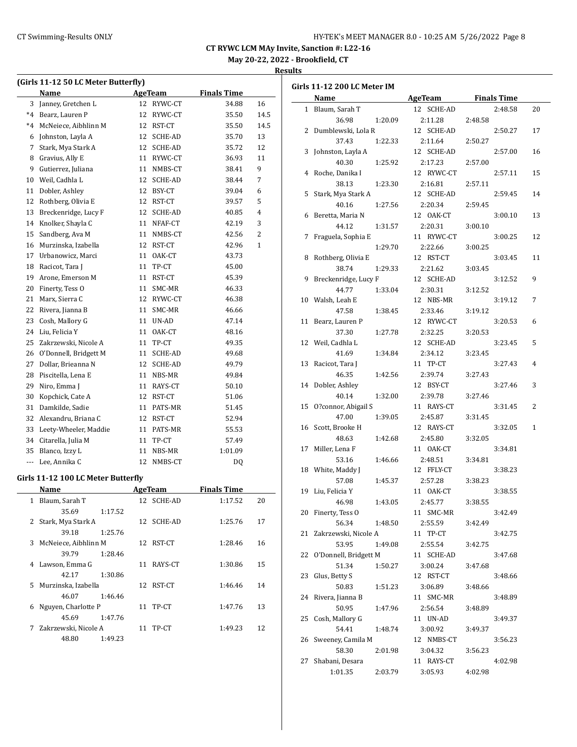## CT Swimming-Results ONLY **CONCRET MANAGER 8.0 - 10:25 AM 5/26/2022** Page 8

**CT RYWC LCM MAy Invite, Sanction #: L22-16**

**May 20-22, 2022 - Brookfield, CT**

#### **Results**

 $\sim$ 

| (Girls 11-12 50 LC Meter Butterfly) |                                    |         |                |                |                    |      |  |  |
|-------------------------------------|------------------------------------|---------|----------------|----------------|--------------------|------|--|--|
|                                     | Name                               |         | <b>AgeTeam</b> |                | <b>Finals Time</b> |      |  |  |
| 3                                   | Janney, Gretchen L                 |         | 12             | RYWC-CT        | 34.88              | 16   |  |  |
| $*4$                                | Bearz, Lauren P                    |         | 12             | RYWC-CT        | 35.50              | 14.5 |  |  |
| $^*4$                               | McNeiece, Aibhlinn M               |         | 12             | RST-CT         | 35.50              | 14.5 |  |  |
| 6                                   | Johnston, Layla A                  |         | 12             | SCHE-AD        | 35.70              | 13   |  |  |
| 7                                   | Stark, Mya Stark A                 |         |                | 12 SCHE-AD     | 35.72              | 12   |  |  |
| 8                                   | Gravius, Ally E                    |         | 11             | RYWC-CT        | 36.93              | 11   |  |  |
| 9                                   | Gutierrez, Juliana                 |         |                | 11 NMBS-CT     | 38.41              | 9    |  |  |
| 10                                  | Weil, Cadhla L                     |         |                | 12 SCHE-AD     | 38.44              | 7    |  |  |
| 11                                  | Dobler, Ashley                     |         |                | 12 BSY-CT      | 39.04              | 6    |  |  |
| 12                                  | Rothberg, Olivia E                 |         | 12             | RST-CT         | 39.57              | 5    |  |  |
| 13                                  | Breckenridge, Lucy F               |         | 12             | SCHE-AD        | 40.85              | 4    |  |  |
| 14                                  | Knolker, Shayla C                  |         | 11             | NFAF-CT        | 42.19              | 3    |  |  |
| 15                                  | Sandberg, Ava M                    |         | 11             | NMBS-CT        | 42.56              | 2    |  |  |
| 16                                  | Murzinska, Izabella                |         | 12             | RST-CT         | 42.96              | 1    |  |  |
| 17                                  | Urbanowicz, Marci                  |         | 11             | OAK-CT         | 43.73              |      |  |  |
| 18                                  | Racicot, Tara J                    |         | 11             | TP-CT          | 45.00              |      |  |  |
| 19                                  | Arone, Emerson M                   |         | 11             | RST-CT         | 45.39              |      |  |  |
| 20                                  | Finerty, Tess O                    |         | 11             | SMC-MR         | 46.33              |      |  |  |
| 21                                  | Marx, Sierra C                     |         |                | 12 RYWC-CT     | 46.38              |      |  |  |
| 22                                  | Rivera, Jianna B                   |         | 11             | SMC-MR         | 46.66              |      |  |  |
| 23                                  | Cosh, Mallory G                    |         | 11             | UN-AD          | 47.14              |      |  |  |
| 24                                  | Liu, Felicia Y                     |         | 11             | OAK-CT         | 48.16              |      |  |  |
| 25                                  | Zakrzewski, Nicole A               |         | 11             | TP-CT          | 49.35              |      |  |  |
| 26                                  | O'Donnell, Bridgett M              |         | 11             | SCHE-AD        | 49.68              |      |  |  |
| 27                                  | Dollar, Brieanna N                 |         | 12             | SCHE-AD        | 49.79              |      |  |  |
| 28                                  | Piscitella, Lena E                 |         |                | 11 NBS-MR      | 49.84              |      |  |  |
| 29                                  | Niro, Emma J                       |         |                | 11 RAYS-CT     | 50.10              |      |  |  |
| 30                                  | Kopchick, Cate A                   |         |                | 12 RST-CT      | 51.06              |      |  |  |
| 31                                  | Damkilde, Sadie                    |         | 11             | PATS-MR        | 51.45              |      |  |  |
| 32                                  | Alexandru, Briana C                |         |                | 12 RST-CT      | 52.94              |      |  |  |
| 33                                  | Leety-Wheeler, Maddie              |         |                | 11 PATS-MR     | 55.53              |      |  |  |
| 34                                  | Citarella, Julia M                 |         | 11             | TP-CT          | 57.49              |      |  |  |
| 35                                  | Blanco, Izzy L                     |         | 11             | NBS-MR         | 1:01.09            |      |  |  |
| ---                                 | Lee, Annika C                      |         | 12             | NMBS-CT        | DQ                 |      |  |  |
|                                     |                                    |         |                |                |                    |      |  |  |
|                                     | Girls 11-12 100 LC Meter Butterfly |         |                |                |                    |      |  |  |
|                                     | Name                               |         |                | <b>AgeTeam</b> | <b>Finals Time</b> |      |  |  |
|                                     | 1 Blaum, Sarah T                   |         |                | 12 SCHE-AD     | 1:17.52            | 20   |  |  |
|                                     | 35.69                              | 1:17.52 |                |                |                    |      |  |  |
| 2                                   | Stark, Mya Stark A                 |         |                | 12 SCHE-AD     | 1:25.76            | 17   |  |  |
|                                     | 39.18                              | 1:25.76 |                |                |                    |      |  |  |
| 3                                   | McNeiece, Aibhlinn M               |         |                | 12 RST-CT      | 1:28.46            | 16   |  |  |
|                                     | 39.79                              | 1:28.46 |                |                |                    |      |  |  |
| 4                                   | Lawson, Emma G                     |         | 11             | RAYS-CT        | 1:30.86            | 15   |  |  |
|                                     | 42.17                              | 1:30.86 |                |                |                    |      |  |  |
| 5                                   | Murzinska, Izabella                |         | 12             | RST-CT         | 1:46.46            | 14   |  |  |
|                                     | 46.07                              | 1:46.46 |                |                |                    |      |  |  |

6 Nguyen, Charlotte P 11 TP-CT 1:47.76 13

7 Zakrzewski, Nicole A 11 TP-CT 1:49.23 12

45.69 1:47.76

48.80 1:49.23

|    | Girls 11-12 200 LC Meter IM |                |                    |  |
|----|-----------------------------|----------------|--------------------|--|
|    | Name                        | <b>AgeTeam</b> | <b>Finals Time</b> |  |
|    | 1 Blaum, Sarah T            | 12 SCHE-AD     | 2:48.58<br>20      |  |
|    | 36.98<br>1:20.09            | 2:11.28        | 2:48.58            |  |
| 2  | Dumblewski, Lola R          | 12 SCHE-AD     | 2:50.27<br>17      |  |
|    | 37.43<br>1:22.33            | 2:11.64        | 2:50.27            |  |
| 3  | Johnston, Layla A           | 12 SCHE-AD     | 2:57.00<br>16      |  |
|    | 40.30<br>1:25.92            | 2:17.23        | 2:57.00            |  |
| 4  | Roche, Danika I             | 12 RYWC-CT     | 2:57.11<br>15      |  |
|    | 38.13<br>1:23.30            | 2:16.81        | 2:57.11            |  |
| 5  | Stark, Mya Stark A          | 12 SCHE-AD     | 2:59.45<br>14      |  |
|    | 40.16<br>1:27.56            | 2:20.34        | 2:59.45            |  |
| 6  | Beretta, Maria N            | 12 OAK-CT      | 3:00.10<br>13      |  |
|    | 44.12<br>1:31.57            | 2:20.31        | 3:00.10            |  |
| 7  | Fraguela, Sophia E          | 11 RYWC-CT     | 12<br>3:00.25      |  |
|    | 1:29.70                     | 2:22.66        | 3:00.25            |  |
| 8  | Rothberg, Olivia E          | 12 RST-CT      | 3:03.45<br>11      |  |
|    | 38.74<br>1:29.33            | 2:21.62        | 3:03.45            |  |
| 9  | Breckenridge, Lucy F        | 12 SCHE-AD     | 3:12.52<br>9       |  |
|    | 44.77<br>1:33.04            | 2:30.31        | 3:12.52            |  |
| 10 | Walsh, Leah E               | 12 NBS-MR      | 3:19.12<br>7       |  |
|    | 47.58<br>1:38.45            | 2:33.46        | 3:19.12            |  |
| 11 | Bearz, Lauren P             | 12 RYWC-CT     | 3:20.53<br>6       |  |
|    | 37.30<br>1:27.78            | 2:32.25        | 3:20.53            |  |
| 12 | Weil, Cadhla L              | 12 SCHE-AD     | 3:23.45<br>5       |  |
|    | 41.69<br>1:34.84            | 2:34.12        | 3:23.45            |  |
| 13 | Racicot, Tara J             | 11 TP-CT       | 3:27.43<br>4       |  |
|    | 46.35<br>1:42.56            | 2:39.74        | 3:27.43            |  |
| 14 | Dobler, Ashley              | 12 BSY-CT      | 3<br>3:27.46       |  |
|    | 40.14<br>1:32.00            | 2:39.78        | 3:27.46            |  |
| 15 | O?connor, Abigail S         | 11 RAYS-CT     | 2<br>3:31.45       |  |
|    | 47.00<br>1:39.05            | 2:45.87        | 3:31.45            |  |
| 16 | Scott, Brooke H             | 12 RAYS-CT     | 3:32.05<br>1       |  |
|    | 48.63<br>1:42.68            | 2:45.80        | 3:32.05            |  |
| 17 | Miller, Lena F              | 11 OAK-CT      | 3:34.81            |  |
|    | 53.16<br>1:46.66            | 2:48.51        | 3:34.81            |  |
| 18 | White, Maddy J              | 12 FFLY-CT     | 3:38.23            |  |
|    | 57.08<br>1:45.37            | 2:57.28        | 3:38.23            |  |
| 19 | Liu, Felicia Y              | 11 OAK-CT      | 3:38.55            |  |
|    | 46.98<br>1:43.05            | 2:45.77        | 3:38.55            |  |
|    | 20 Finerty, Tess O          | 11 SMC-MR      | 3:42.49            |  |
|    | 56.34<br>1:48.50            | 2:55.59        | 3:42.49            |  |
| 21 | Zakrzewski, Nicole A        | 11 TP-CT       | 3:42.75            |  |
|    | 53.95<br>1:49.08            | 2:55.54        | 3:42.75            |  |
| 22 | O'Donnell, Bridgett M       | 11 SCHE-AD     | 3:47.68            |  |
|    | 51.34<br>1:50.27            | 3:00.24        | 3:47.68            |  |
| 23 | Glus, Betty S               | 12 RST-CT      | 3:48.66            |  |
|    | 50.83<br>1:51.23            | 3:06.89        | 3:48.66            |  |
| 24 | Rivera, Jianna B            | 11 SMC-MR      | 3:48.89            |  |
|    | 50.95<br>1:47.96            | 2:56.54        | 3:48.89            |  |
| 25 | Cosh, Mallory G             | 11 UN-AD       | 3:49.37            |  |
|    | 54.41<br>1:48.74            | 3:00.92        | 3:49.37            |  |
| 26 | Sweeney, Camila M           | 12 NMBS-CT     | 3:56.23            |  |
|    | 58.30<br>2:01.98            | 3:04.32        | 3:56.23            |  |
| 27 | Shabani, Desara             | 11 RAYS-CT     | 4:02.98            |  |
|    | 1:01.35<br>2:03.79          | 3:05.93        | 4:02.98            |  |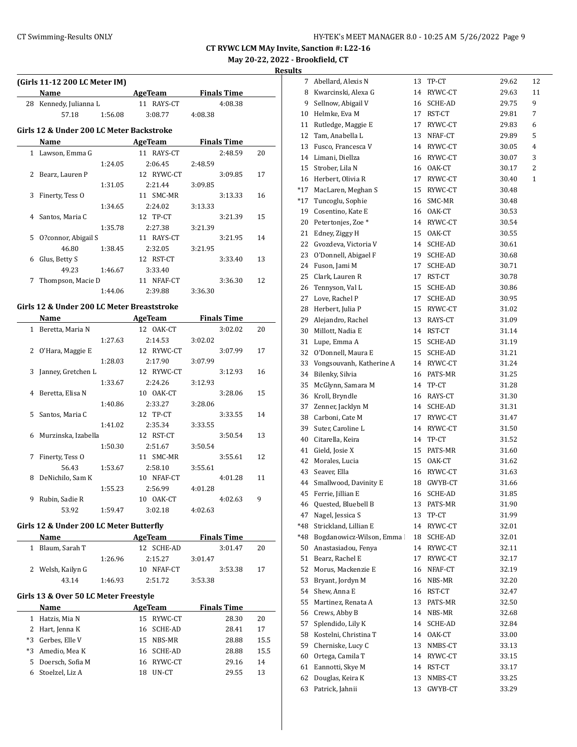$\overline{a}$ 

**CT RYWC LCM MAy Invite, Sanction #: L22-16 May 20-22, 2022 - Brookfield, CT**

|              | (Girls 11-12 200 LC Meter IM)              |         |                             |                    |                    |      |
|--------------|--------------------------------------------|---------|-----------------------------|--------------------|--------------------|------|
|              | Name                                       |         | <b>Example 2018 AgeTeam</b> |                    | <b>Finals Time</b> |      |
|              | 28 Kennedy, Julianna L                     |         | 11 RAYS-CT                  |                    | 4:08.38            |      |
|              | 57.18                                      | 1:56.08 | 3:08.77                     | 4:08.38            |                    |      |
|              | Girls 12 & Under 200 LC Meter Backstroke   |         |                             |                    |                    |      |
|              |                                            |         |                             |                    |                    |      |
|              | Name                                       |         | AgeTeam                     | <b>Finals Time</b> |                    |      |
|              | 1 Lawson, Emma G                           |         | 11 RAYS-CT                  |                    | 2:48.59            | 20   |
|              |                                            | 1:24.05 | 2:06.45                     | 2:48.59            |                    |      |
|              | 2 Bearz, Lauren P                          |         | 12 RYWC-CT                  |                    | 3:09.85            | 17   |
|              |                                            | 1:31.05 | 2:21.44                     | 3:09.85            |                    |      |
| 3            | Finerty, Tess O                            |         | 11 SMC-MR                   |                    | 3:13.33            | 16   |
|              |                                            | 1:34.65 | 2:24.02                     | 3:13.33            |                    |      |
| 4            | Santos, Maria C                            |         | 12 TP-CT                    |                    | 3:21.39            | 15   |
|              |                                            | 1:35.78 | 2:27.38                     | 3:21.39            |                    |      |
|              | 5 O?connor, Abigail S                      |         | 11 RAYS-CT                  |                    | 3:21.95            | 14   |
|              | 46.80                                      | 1:38.45 | 2:32.05                     | 3:21.95            |                    |      |
| 6            | Glus, Betty S                              |         | 12 RST-CT                   |                    | 3:33.40            | 13   |
|              | 49.23                                      | 1:46.67 | 3:33.40                     |                    |                    |      |
|              | 7 Thompson, Macie D                        |         | 11 NFAF-CT                  |                    | 3:36.30            | 12   |
|              |                                            | 1:44.06 | 2:39.88                     | 3:36.30            |                    |      |
|              |                                            |         |                             |                    |                    |      |
|              | Girls 12 & Under 200 LC Meter Breaststroke |         |                             |                    |                    |      |
|              | Name                                       |         | <b>Example 2018 AgeTeam</b> |                    | <b>Finals Time</b> |      |
|              | 1 Beretta, Maria N                         |         | 12 OAK-CT                   |                    | 3:02.02            | 20   |
|              |                                            | 1:27.63 | 2:14.53                     | 3:02.02            |                    |      |
|              | 2 O'Hara, Maggie E                         |         | 12 RYWC-CT                  |                    | 3:07.99            | 17   |
|              |                                            | 1:28.03 | 2:17.90                     | 3:07.99            |                    |      |
| 3            | Janney, Gretchen L                         |         | 12 RYWC-CT                  |                    | 3:12.93            | 16   |
|              |                                            | 1:33.67 | 2:24.26                     | 3:12.93            |                    |      |
|              | 4 Beretta, Elisa N                         |         | 10 OAK-CT                   |                    | 3:28.06            | 15   |
|              |                                            | 1:40.86 | 2:33.27                     | 3:28.06            |                    |      |
|              | 5 Santos, Maria C                          |         | 12 TP-CT                    |                    | 3:33.55            | 14   |
|              |                                            | 1:41.02 | 2:35.34                     | 3:33.55            |                    |      |
| 6            | Murzinska, Izabella                        |         | 12 RST-CT                   |                    | 3:50.54            | 13   |
|              |                                            | 1:50.30 | 2:51.67                     | 3:50.54            |                    |      |
|              |                                            |         |                             |                    |                    |      |
| 7            | Finerty, Tess O                            |         | 11 SMC-MR                   |                    | 3:55.61            | 12   |
|              | 56.43                                      | 1:53.67 | 2:58.10                     | 3:55.61            |                    |      |
| 8            | DeNichilo, Sam K                           |         | 10 NFAF-CT                  |                    | 4:01.28            | 11   |
|              |                                            | 1:55.23 | 2:56.99                     | 4:01.28            |                    |      |
| 9            | Rubin, Sadie R                             |         | 10 OAK-CT                   |                    | 4:02.63            | 9    |
|              | 53.92                                      | 1:59.47 | 3:02.18                     | 4:02.63            |                    |      |
|              | Girls 12 & Under 200 LC Meter Butterfly    |         |                             |                    |                    |      |
|              | Name                                       |         | <b>AgeTeam</b>              |                    | <b>Finals Time</b> |      |
| $\mathbf{1}$ | Blaum, Sarah T                             |         |                             |                    |                    |      |
|              |                                            |         | 12 SCHE-AD                  |                    | 3:01.47            | 20   |
|              |                                            | 1:26.96 | 2:15.27                     | 3:01.47            |                    |      |
| 2            | Welsh, Kailyn G                            |         | 10 NFAF-CT                  |                    | 3:53.38            | 17   |
|              | 43.14                                      | 1:46.93 | 2:51.72                     | 3:53.38            |                    |      |
|              | Girls 13 & Over 50 LC Meter Freestyle      |         |                             |                    |                    |      |
|              | Name                                       |         | <b>AgeTeam</b>              |                    | <b>Finals Time</b> |      |
|              | 1 Hatzis, Mia N                            |         | 15 RYWC-CT                  |                    | 28.30              | 20   |
|              |                                            |         |                             |                    |                    |      |
|              | 2 Hart, Jenna K                            |         | 16 SCHE-AD                  |                    | 28.41              | 17   |
|              |                                            |         | 15 NBS-MR                   |                    | 28.88              | 15.5 |
| *3           | Gerbes, Elle V                             |         |                             |                    |                    |      |
| *3           | Amedio, Mea K                              |         | 16 SCHE-AD                  |                    | 28.88              | 15.5 |
| 5            | Doersch, Sofia M                           |         | 16 RYWC-CT                  |                    | 29.16              | 14   |

| 7     | Abellard, Alexis N            | 13 | TP-CT   | 29.62 | 12 |
|-------|-------------------------------|----|---------|-------|----|
| 8     | Kwarcinski, Alexa G           | 14 | RYWC-CT | 29.63 | 11 |
| 9     | Sellnow, Abigail V            | 16 | SCHE-AD | 29.75 | 9  |
| 10    | Helmke, Eva M                 | 17 | RST-CT  | 29.81 | 7  |
| 11    | Rutledge, Maggie E            | 17 | RYWC-CT | 29.83 | 6  |
| 12    | Tam, Anabella L               | 13 | NFAF-CT | 29.89 | 5  |
| 13    | Fusco, Francesca V            | 14 | RYWC-CT | 30.05 | 4  |
| 14    | Limani, Diellza               | 16 | RYWC-CT | 30.07 | 3  |
| 15    | Strober, Lila N               | 16 | OAK-CT  | 30.17 | 2  |
| 16    | Herbert, Olivia R             | 17 | RYWC-CT | 30.40 | 1  |
| $*17$ | MacLaren, Meghan S            | 15 | RYWC-CT | 30.48 |    |
| *17   | Tuncoglu, Sophie              | 16 | SMC-MR  | 30.48 |    |
| 19    | Cosentino, Kate E             | 16 | OAK-CT  | 30.53 |    |
| 20    | Petertonjes, Zoe <sup>*</sup> | 14 | RYWC-CT | 30.54 |    |
| 21    | Edney, Ziggy H                | 15 | OAK-CT  | 30.55 |    |
| 22    | Gvozdeva, Victoria V          | 14 | SCHE-AD | 30.61 |    |
| 23    | O'Donnell, Abigael F          | 19 | SCHE-AD | 30.68 |    |
| 24    | Fuson, Jami M                 | 17 | SCHE-AD | 30.71 |    |
| 25    | Clark, Lauren R               | 17 | RST-CT  | 30.78 |    |
| 26    | Tennyson, Val L               | 15 | SCHE-AD | 30.86 |    |
| 27    | Love, Rachel P                | 17 | SCHE-AD | 30.95 |    |
| 28    | Herbert, Julia P              | 15 | RYWC-CT | 31.02 |    |
| 29    | Alejandro, Rachel             | 13 | RAYS-CT | 31.09 |    |
| 30    | Millott, Nadia E              | 14 | RST-CT  | 31.14 |    |
| 31    | Lupe, Emma A                  | 15 | SCHE-AD | 31.19 |    |
| 32    | O'Donnell, Maura E            | 15 | SCHE-AD | 31.21 |    |
| 33    | Vongsouvanh, Katherine A      | 14 | RYWC-CT | 31.24 |    |
| 34    | Bilenky, Silvia               | 16 | PATS-MR | 31.25 |    |
| 35    | McGlynn, Samara M             | 14 | TP-CT   | 31.28 |    |
| 36    | Kroll, Bryndle                | 16 | RAYS-CT | 31.30 |    |
| 37    | Zenner, Jacklyn M             | 14 | SCHE-AD | 31.31 |    |
| 38    | Carboni, Cate M               | 17 | RYWC-CT | 31.47 |    |
| 39    | Suter, Caroline L             | 14 | RYWC-CT | 31.50 |    |
| 40    | Citarella, Keira              | 14 | TP-CT   | 31.52 |    |
| 41    | Gield, Josie X                | 15 | PATS-MR | 31.60 |    |
| 42    | Morales, Lucia                | 15 | OAK-CT  | 31.62 |    |
| 43    | Seaver, Ella                  | 16 | RYWC-CT | 31.63 |    |
| 44    | Smallwood, Davinity E         | 18 | GWYB-CT | 31.66 |    |
| 45    | Ferrie, Jillian E             | 16 | SCHE-AD | 31.85 |    |
| 46    | Quested, Bluebell B           | 13 | PATS-MR | 31.90 |    |
| 47    | Nagel, Jessica S              | 13 | TP-CT   | 31.99 |    |
| *48   | Strickland, Lillian E         | 14 | RYWC-CT | 32.01 |    |
| *48   | Bogdanowicz-Wilson, Emma      | 18 | SCHE-AD | 32.01 |    |
| 50    | Anastasiadou, Fenya           | 14 | RYWC-CT | 32.11 |    |
| 51    | Bearz, Rachel E               | 17 | RYWC-CT | 32.17 |    |
| 52    | Morus, Mackenzie E            | 16 | NFAF-CT | 32.19 |    |
| 53    | Bryant, Jordyn M              | 16 | NBS-MR  | 32.20 |    |
| 54    | Shew, Anna E                  | 16 | RST-CT  | 32.47 |    |
| 55    | Martinez, Renata A            | 13 | PATS-MR | 32.50 |    |
| 56    | Crews, Abby B                 | 14 | NBS-MR  | 32.68 |    |
| 57    | Splendido, Lily K             | 14 | SCHE-AD | 32.84 |    |
| 58    | Kostelni, Christina T         | 14 | OAK-CT  | 33.00 |    |
| 59    | Cherniske, Lucy C             | 13 | NMBS-CT | 33.13 |    |
| 60    | Ortega, Camila T              | 14 | RYWC-CT | 33.15 |    |
| 61    | Eannotti, Skye M              | 14 | RST-CT  | 33.17 |    |
| 62    | Douglas, Keira K              | 13 | NMBS-CT | 33.25 |    |
| 63    | Patrick, Jahnii               | 13 | GWYB-CT | 33.29 |    |
|       |                               |    |         |       |    |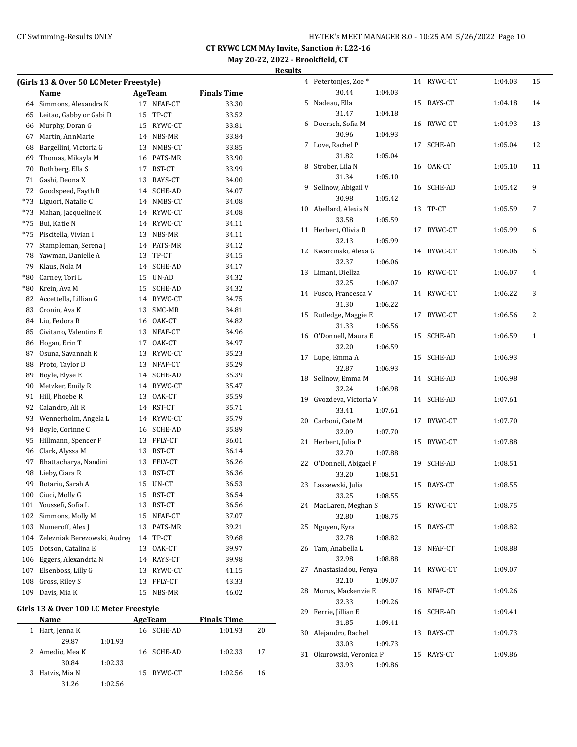**May 20-22, 2022 - Brookfield, CT Results**

|  |  |  | 13 & Over 50 LC Meter Freestyle) |
|--|--|--|----------------------------------|

|       | (Girls 13 & Over 50 LC Meter Freestyle) |    |            |                    |    |
|-------|-----------------------------------------|----|------------|--------------------|----|
|       | Name                                    |    | AgeTeam    | <b>Finals Time</b> |    |
| 64    | Simmons, Alexandra K                    | 17 | NFAF-CT    | 33.30              |    |
| 65    | Leitao, Gabby or Gabi D                 | 15 | TP-CT      | 33.52              |    |
| 66    | Murphy, Doran G                         |    | 15 RYWC-CT | 33.81              |    |
| 67    | Martin, AnnMarie                        |    | 14 NBS-MR  | 33.84              |    |
| 68    | Bargellini, Victoria G                  |    | 13 NMBS-CT | 33.85              |    |
| 69    | Thomas, Mikayla M                       |    | 16 PATS-MR | 33.90              |    |
| 70    | Rothberg, Ella S                        |    | 17 RST-CT  | 33.99              |    |
| 71    | Gashi, Deona X                          |    | 13 RAYS-CT | 34.00              |    |
| 72    | Goodspeed, Fayth R                      |    | 14 SCHE-AD | 34.07              |    |
| *73   | Liguori, Natalie C                      |    | 14 NMBS-CT | 34.08              |    |
| *73   | Mahan, Jacqueline K                     |    | 14 RYWC-CT | 34.08              |    |
| *75   | Bui, Katie N                            |    | 14 RYWC-CT | 34.11              |    |
| *75   | Piscitella, Vivian I                    |    | 13 NBS-MR  | 34.11              |    |
| 77    | Stampleman, Serena J                    |    | 14 PATS-MR | 34.12              |    |
| 78    | Yawman, Danielle A                      | 13 | TP-CT      | 34.15              |    |
| 79    | Klaus, Nola M                           |    | 14 SCHE-AD | 34.17              |    |
| $*80$ | Carney, Tori L                          |    | 15 UN-AD   | 34.32              |    |
| $*80$ | Krein, Ava M                            |    | 15 SCHE-AD | 34.32              |    |
| 82    | Accettella, Lillian G                   |    |            |                    |    |
|       |                                         |    | 14 RYWC-CT | 34.75              |    |
| 83    | Cronin, Ava K                           |    | 13 SMC-MR  | 34.81              |    |
| 84    | Liu, Fedora R                           |    | 16 OAK-CT  | 34.82              |    |
| 85    | Civitano, Valentina E                   |    | 13 NFAF-CT | 34.96              |    |
| 86    | Hogan, Erin T                           | 17 | OAK-CT     | 34.97              |    |
| 87    | Osuna, Savannah R                       |    | 13 RYWC-CT | 35.23              |    |
| 88    | Proto, Taylor D                         |    | 13 NFAF-CT | 35.29              |    |
| 89    | Boyle, Elyse E                          |    | 14 SCHE-AD | 35.39              |    |
| 90    | Metzker, Emily R                        |    | 14 RYWC-CT | 35.47              |    |
| 91    | Hill, Phoebe R                          |    | 13 OAK-CT  | 35.59              |    |
| 92    | Calandro, Ali R                         |    | 14 RST-CT  | 35.71              |    |
| 93    | Wennerholm, Angela L                    |    | 14 RYWC-CT | 35.79              |    |
| 94    | Boyle, Corinne C                        |    | 16 SCHE-AD | 35.89              |    |
| 95    | Hillmann, Spencer F                     |    | 13 FFLY-CT | 36.01              |    |
| 96    | Clark, Alyssa M                         |    | 13 RST-CT  | 36.14              |    |
| 97    | Bhattacharya, Nandini                   |    | 13 FFLY-CT | 36.26              |    |
| 98    | Lieby, Ciara R                          |    | 13 RST-CT  | 36.36              |    |
| 99    | Rotariu, Sarah A                        | 15 | UN-CT      | 36.53              |    |
| 100   | Ciuci, Molly G                          | 15 | RST-CT     | 36.54              |    |
| 101   | Youssefi, Sofia L                       | 13 | RST-CT     | 36.56              |    |
| 102   | Simmons, Molly M                        | 15 | NFAF-CT    | 37.07              |    |
| 103   | Numeroff, Alex J                        | 13 | PATS-MR    | 39.21              |    |
| 104   | Zelezniak Berezowski, Audrey            |    | 14 TP-CT   | 39.68              |    |
| 105   | Dotson, Catalina E                      | 13 | OAK-CT     | 39.97              |    |
| 106   | Eggers, Alexandria N                    |    | 14 RAYS-CT | 39.98              |    |
| 107   | Elsenboss, Lilly G                      |    | 13 RYWC-CT | 41.15              |    |
| 108   | Gross, Riley S                          | 13 | FFLY-CT    | 43.33              |    |
| 109   | Davis, Mia K                            | 15 | NBS-MR     | 46.02              |    |
|       |                                         |    |            |                    |    |
|       | Girls 13 & Over 100 LC Meter Freestyle  |    |            |                    |    |
|       | Name                                    |    | AgeTeam    | <b>Finals Time</b> |    |
| 1     | Hart, Jenna K                           | 16 | SCHE-AD    | 1:01.93            | 20 |
|       | 29.87<br>1:01.93                        |    |            |                    |    |
|       | 2 Amedio, Mea K                         |    | 16 SCHE-AD | 1:02.33            | 17 |

30.84 1:02.33

31.26 1:02.56

3 Hatzis, Mia N 15 RYWC-CT 1:02.56 16

|    | 4 Petertonjes, Zoe *  |         | 14 | RYWC-CT        | 1:04.03 | 15           |
|----|-----------------------|---------|----|----------------|---------|--------------|
|    | 30.44                 | 1:04.03 |    |                |         |              |
| 5  | Nadeau, Ella          |         | 15 | RAYS-CT        | 1:04.18 | 14           |
|    | 31.47                 | 1:04.18 |    |                |         |              |
| 6  | Doersch, Sofia M      |         | 16 | RYWC-CT        | 1:04.93 | 13           |
|    | 30.96                 | 1:04.93 |    |                |         |              |
| 7  | Love, Rachel P        |         | 17 | <b>SCHE-AD</b> | 1:05.04 | 12           |
|    | 31.82                 | 1:05.04 |    |                |         |              |
| 8  | Strober, Lila N       |         | 16 | OAK-CT         | 1:05.10 | 11           |
|    | 31.34                 | 1:05.10 |    |                |         |              |
| 9  | Sellnow, Abigail V    |         | 16 | SCHE-AD        | 1:05.42 | 9            |
|    | 30.98                 | 1:05.42 |    |                |         |              |
| 10 | Abellard, Alexis N    |         | 13 | TP-CT          | 1:05.59 | 7            |
|    | 33.58                 | 1:05.59 |    |                |         |              |
| 11 | Herbert, Olivia R     |         | 17 | RYWC-CT        | 1:05.99 | 6            |
|    | 32.13                 | 1:05.99 |    |                |         |              |
| 12 | Kwarcinski, Alexa G   |         | 14 | RYWC-CT        | 1:06.06 | 5            |
|    | 32.37                 | 1:06.06 |    |                |         |              |
| 13 | Limani, Diellza       |         | 16 | RYWC-CT        | 1:06.07 | 4            |
|    | 32.25                 | 1:06.07 |    |                |         |              |
| 14 | Fusco, Francesca V    |         | 14 | RYWC-CT        | 1:06.22 | 3            |
|    | 31.30                 | 1:06.22 |    |                |         |              |
| 15 | Rutledge, Maggie E    |         | 17 | RYWC-CT        | 1:06.56 | 2            |
|    | 31.33                 | 1:06.56 |    |                |         |              |
| 16 | O'Donnell, Maura E    |         | 15 | SCHE-AD        | 1:06.59 | $\mathbf{1}$ |
|    | 32.20                 | 1:06.59 |    |                |         |              |
| 17 | Lupe, Emma A          |         | 15 | SCHE-AD        | 1:06.93 |              |
|    | 32.87                 | 1:06.93 |    |                |         |              |
| 18 | Sellnow, Emma M       |         | 14 | SCHE-AD        | 1:06.98 |              |
|    | 32.24                 | 1:06.98 |    |                |         |              |
| 19 | Gvozdeva, Victoria V  |         |    | 14 SCHE-AD     | 1:07.61 |              |
|    | 33.41                 | 1:07.61 |    |                |         |              |
| 20 | Carboni, Cate M       |         | 17 | RYWC-CT        | 1:07.70 |              |
|    | 32.09                 | 1:07.70 |    |                |         |              |
| 21 | Herbert, Julia P      |         | 15 | RYWC-CT        | 1:07.88 |              |
|    | 32.70                 | 1:07.88 |    |                |         |              |
| 22 | O'Donnell, Abigael F  |         | 19 | SCHE-AD        | 1:08.51 |              |
|    | 33.20                 | 1:08.51 |    |                |         |              |
| 23 | Laszewski, Julia      |         | 15 | RAYS-CT        | 1:08.55 |              |
|    | 33.25                 | 1:08.55 |    |                |         |              |
| 24 | MacLaren, Meghan S    |         | 15 | RYWC-CT        | 1:08.75 |              |
|    | 32.80                 | 1:08.75 |    |                |         |              |
| 25 | Nguyen, Kyra          |         | 15 | RAYS-CT        | 1:08.82 |              |
|    | 32.78                 | 1:08.82 |    |                |         |              |
| 26 | Tam, Anabella L       |         | 13 | NFAF-CT        | 1:08.88 |              |
|    | 32.98                 | 1:08.88 |    |                |         |              |
| 27 | Anastasiadou, Fenya   |         | 14 | RYWC-CT        | 1:09.07 |              |
|    | 32.10                 | 1:09.07 |    |                |         |              |
| 28 | Morus, Mackenzie E    |         | 16 | NFAF-CT        | 1:09.26 |              |
|    | 32.33                 | 1:09.26 |    |                |         |              |
| 29 | Ferrie, Jillian E     |         | 16 | SCHE-AD        | 1:09.41 |              |
|    | 31.85                 | 1:09.41 |    |                |         |              |
| 30 | Alejandro, Rachel     |         | 13 | RAYS-CT        | 1:09.73 |              |
|    | 33.03                 | 1:09.73 |    |                |         |              |
| 31 | Okurowski, Veronica P |         | 15 | RAYS-CT        | 1:09.86 |              |
|    | 33.93                 | 1:09.86 |    |                |         |              |
|    |                       |         |    |                |         |              |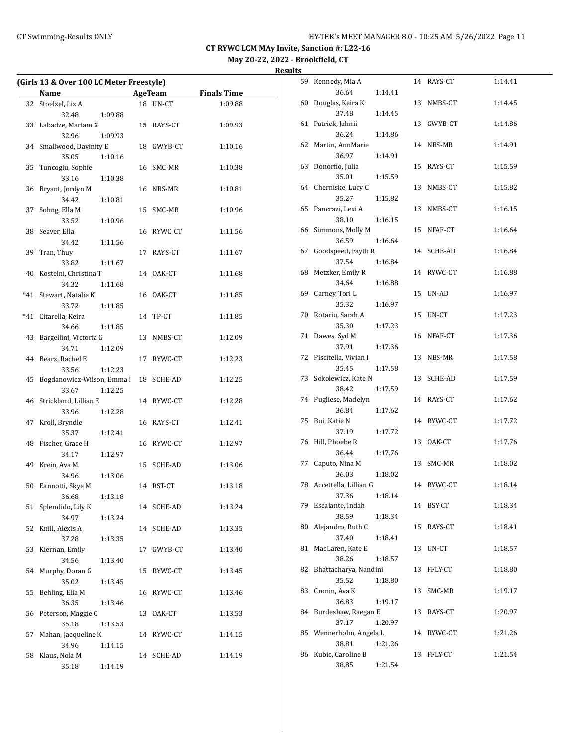**May 20-22, 2022 - Brookfield, CT Results**

| (Girls 13 & Over 100 LC Meter Freestyle) |                             |         |  |            |         |  |
|------------------------------------------|-----------------------------|---------|--|------------|---------|--|
|                                          | Name AgeTeam Finals Time    |         |  |            |         |  |
|                                          | 32 Stoelzel, Liz A          |         |  | 18 UN-CT   | 1:09.88 |  |
|                                          | 32.48                       | 1:09.88 |  |            |         |  |
|                                          | 33 Labadze, Mariam X        |         |  | 15 RAYS-CT | 1:09.93 |  |
|                                          | 32.96                       | 1:09.93 |  |            |         |  |
|                                          | 34 Smallwood, Davinity E    |         |  | 18 GWYB-CT | 1:10.16 |  |
|                                          | 35.05                       | 1:10.16 |  |            |         |  |
|                                          | 35 Tuncoglu, Sophie         |         |  | 16 SMC-MR  | 1:10.38 |  |
|                                          | 33.16                       | 1:10.38 |  |            |         |  |
|                                          | 36 Bryant, Jordyn M         |         |  | 16 NBS-MR  | 1:10.81 |  |
|                                          | 34.42                       | 1:10.81 |  |            |         |  |
| 37                                       | Sohng, Ella M               |         |  | 15 SMC-MR  | 1:10.96 |  |
|                                          | 33.52                       | 1:10.96 |  |            |         |  |
|                                          | 38 Seaver, Ella             |         |  | 16 RYWC-CT | 1:11.56 |  |
|                                          | 34.42                       | 1:11.56 |  |            |         |  |
|                                          | 39 Tran, Thuy<br>33.82      |         |  | 17 RAYS-CT | 1:11.67 |  |
|                                          | 40 Kostelni, Christina T    | 1:11.67 |  | 14 OAK-CT  | 1:11.68 |  |
|                                          | 34.32                       | 1:11.68 |  |            |         |  |
| $*41$                                    | Stewart, Natalie K          |         |  | 16 OAK-CT  | 1:11.85 |  |
|                                          | 33.72                       | 1:11.85 |  |            |         |  |
| $*41$                                    | Citarella, Keira            |         |  | 14 TP-CT   | 1:11.85 |  |
|                                          | 34.66                       | 1:11.85 |  |            |         |  |
|                                          | 43 Bargellini, Victoria G   |         |  | 13 NMBS-CT | 1:12.09 |  |
|                                          | 34.71                       | 1:12.09 |  |            |         |  |
|                                          | 44 Bearz, Rachel E          |         |  | 17 RYWC-CT | 1:12.23 |  |
|                                          | 33.56                       | 1:12.23 |  |            |         |  |
|                                          | 45 Bogdanowicz-Wilson, Emma |         |  | 18 SCHE-AD | 1:12.25 |  |
|                                          | 33.67                       | 1:12.25 |  |            |         |  |
|                                          | 46 Strickland, Lillian E    |         |  | 14 RYWC-CT | 1:12.28 |  |
|                                          | 33.96                       | 1:12.28 |  |            |         |  |
|                                          | 47 Kroll, Bryndle           |         |  | 16 RAYS-CT | 1:12.41 |  |
|                                          | 35.37                       | 1:12.41 |  |            |         |  |
|                                          | 48 Fischer, Grace H         |         |  | 16 RYWC-CT | 1:12.97 |  |
|                                          | 34.17                       | 1:12.97 |  |            |         |  |
|                                          | 49 Krein, Ava M             |         |  | 15 SCHE-AD | 1:13.06 |  |
|                                          | 34.96                       | 1:13.06 |  |            |         |  |
|                                          | 50 Eannotti, Skye M         |         |  | 14 RST-CT  | 1:13.18 |  |
|                                          | 36.68                       | 1:13.18 |  |            |         |  |
| 51                                       | Splendido, Lily K<br>34.97  |         |  | 14 SCHE-AD | 1:13.24 |  |
| 52                                       | Knill, Alexis A             | 1:13.24 |  | 14 SCHE-AD | 1:13.35 |  |
|                                          | 37.28                       | 1:13.35 |  |            |         |  |
| 53                                       | Kiernan, Emily              |         |  | 17 GWYB-CT | 1:13.40 |  |
|                                          | 34.56                       | 1:13.40 |  |            |         |  |
| 54                                       | Murphy, Doran G             |         |  | 15 RYWC-CT | 1:13.45 |  |
|                                          | 35.02                       | 1:13.45 |  |            |         |  |
| 55                                       | Behling, Ella M             |         |  | 16 RYWC-CT | 1:13.46 |  |
|                                          | 36.35                       | 1:13.46 |  |            |         |  |
|                                          | 56 Peterson, Maggie C       |         |  | 13 OAK-CT  | 1:13.53 |  |
|                                          | 35.18                       | 1:13.53 |  |            |         |  |
| 57                                       | Mahan, Jacqueline K         |         |  | 14 RYWC-CT | 1:14.15 |  |
|                                          | 34.96                       | 1:14.15 |  |            |         |  |
|                                          | 58 Klaus, Nola M            |         |  | 14 SCHE-AD | 1:14.19 |  |
|                                          | 35.18                       | 1:14.19 |  |            |         |  |

| 59 | Kennedy, Mia A          |         |    | 14 RAYS-CT | 1:14.41 |
|----|-------------------------|---------|----|------------|---------|
|    | 36.64                   | 1:14.41 |    |            |         |
| 60 | Douglas, Keira K        |         | 13 | NMBS-CT    | 1:14.45 |
|    | 37.48                   | 1:14.45 |    |            |         |
| 61 | Patrick, Jahnii         |         |    | 13 GWYB-CT | 1:14.86 |
|    | 36.24                   | 1:14.86 |    |            |         |
| 62 | Martin, AnnMarie        |         |    | 14 NBS-MR  | 1:14.91 |
|    | 36.97                   | 1:14.91 |    |            |         |
| 63 | Donorfio, Julia         |         | 15 | RAYS-CT    | 1:15.59 |
|    | 35.01                   | 1:15.59 |    |            |         |
| 64 | Cherniske, Lucy C       |         | 13 | NMBS-CT    | 1:15.82 |
|    | 35.27                   | 1:15.82 |    |            |         |
| 65 | Pancrazi, Lexi A        |         |    | 13 NMBS-CT | 1:16.15 |
|    | 38.10                   | 1:16.15 |    |            |         |
| 66 | Simmons, Molly M        |         |    | 15 NFAF-CT | 1:16.64 |
|    | 36.59                   | 1:16.64 |    |            |         |
| 67 | Goodspeed, Fayth R      |         | 14 | SCHE-AD    | 1:16.84 |
|    | 37.54                   | 1:16.84 |    |            |         |
| 68 | Metzker, Emily R        |         |    | 14 RYWC-CT | 1:16.88 |
|    | 34.64                   | 1:16.88 |    |            |         |
| 69 | Carney, Tori L          |         | 15 | UN-AD      | 1:16.97 |
|    | 35.32                   | 1:16.97 |    |            |         |
| 70 | Rotariu, Sarah A        |         | 15 | UN-CT      | 1:17.23 |
|    | 35.30                   | 1:17.23 |    |            |         |
| 71 | Dawes, Syd M            |         |    | 16 NFAF-CT | 1:17.36 |
|    | 37.91                   | 1:17.36 |    |            |         |
| 72 | Piscitella, Vivian I    |         | 13 | NBS-MR     | 1:17.58 |
|    | 35.45                   | 1:17.58 |    |            |         |
| 73 | Sokolewicz, Kate N      |         | 13 | SCHE-AD    | 1:17.59 |
|    | 38.42                   | 1:17.59 |    |            |         |
| 74 | Pugliese, Madelyn       |         |    | 14 RAYS-CT | 1:17.62 |
|    | 36.84                   | 1:17.62 |    |            |         |
| 75 | Bui, Katie N            |         | 14 | RYWC-CT    | 1:17.72 |
|    | 37.19<br>Hill, Phoebe R | 1:17.72 |    |            | 1:17.76 |
| 76 | 36.44                   | 1:17.76 | 13 | OAK-CT     |         |
| 77 | Caputo, Nina M          |         | 13 | SMC-MR     | 1:18.02 |
|    | 36.03                   | 1:18.02 |    |            |         |
| 78 | Accettella, Lillian G   |         |    | 14 RYWC-CT | 1:18.14 |
|    | 37.36                   | 1:18.14 |    |            |         |
| 79 | Escalante, Indah        |         |    | 14 BSY-CT  | 1:18.34 |
|    | 38.59                   | 1:18.34 |    |            |         |
| 80 | Alejandro, Ruth C       |         | 15 | RAYS-CT    | 1:18.41 |
|    | 37.40                   | 1:18.41 |    |            |         |
| 81 | MacLaren, Kate E        |         | 13 | UN-CT      | 1:18.57 |
|    | 38.26                   | 1:18.57 |    |            |         |
| 82 | Bhattacharya, Nandini   |         | 13 | FFLY-CT    | 1:18.80 |
|    | 35.52                   | 1:18.80 |    |            |         |
| 83 | Cronin, Ava K           |         | 13 | SMC-MR     | 1:19.17 |
|    | 36.83                   | 1:19.17 |    |            |         |
| 84 | Burdeshaw, Raegan E     |         | 13 | RAYS-CT    | 1:20.97 |
|    | 37.17                   | 1:20.97 |    |            |         |
| 85 | Wennerholm, Angela L    |         |    | 14 RYWC-CT | 1:21.26 |
|    | 38.81                   | 1:21.26 |    |            |         |
| 86 | Kubic, Caroline B       |         | 13 | FFLY-CT    | 1:21.54 |
|    | 38.85                   | 1:21.54 |    |            |         |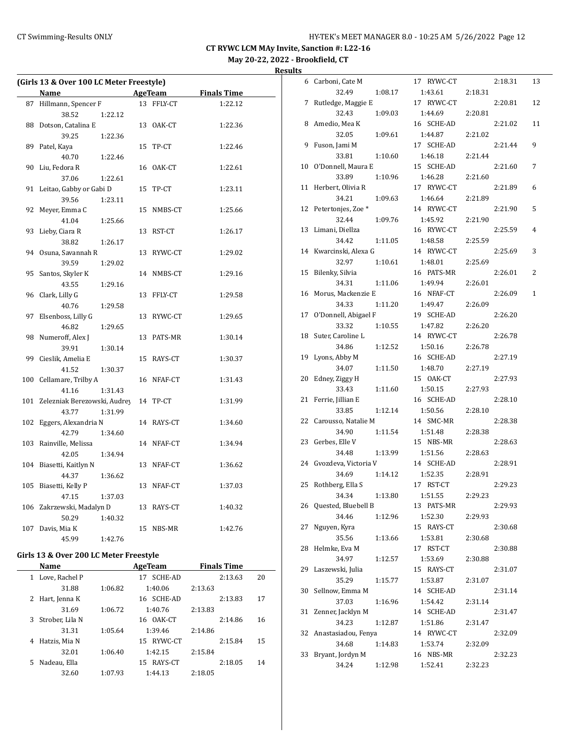**Results**

| (Girls 13 & Over 100 LC Meter Freestyle) |                              |    |                |                    |  |  |  |
|------------------------------------------|------------------------------|----|----------------|--------------------|--|--|--|
|                                          | Name                         |    | <b>AgeTeam</b> | <b>Finals Time</b> |  |  |  |
| 87                                       | Hillmann, Spencer F          | 13 | FFLY-CT        | 1:22.12            |  |  |  |
|                                          | 38.52<br>1:22.12             |    |                |                    |  |  |  |
| 88                                       | Dotson, Catalina E           |    | 13 OAK-CT      | 1:22.36            |  |  |  |
|                                          | 39.25<br>1:22.36             |    |                |                    |  |  |  |
| 89                                       | Patel, Kaya                  |    | 15 TP-CT       | 1:22.46            |  |  |  |
|                                          | 40.70<br>1:22.46             |    |                |                    |  |  |  |
| 90                                       | Liu, Fedora R                |    | 16 OAK-CT      | 1:22.61            |  |  |  |
|                                          | 37.06<br>1:22.61             |    |                |                    |  |  |  |
| 91                                       | Leitao, Gabby or Gabi D      | 15 | TP-CT          | 1:23.11            |  |  |  |
|                                          | 39.56<br>1:23.11             |    |                |                    |  |  |  |
| 92                                       | Meyer, Emma C                |    | 15 NMBS-CT     | 1:25.66            |  |  |  |
|                                          | 41.04<br>1:25.66             |    |                |                    |  |  |  |
| 93                                       | Lieby, Ciara R               |    | 13 RST-CT      | 1:26.17            |  |  |  |
|                                          | 38.82<br>1:26.17             |    |                |                    |  |  |  |
| 94                                       | Osuna, Savannah R            |    | 13 RYWC-CT     | 1:29.02            |  |  |  |
|                                          | 39.59<br>1:29.02             |    |                |                    |  |  |  |
| 95                                       | Santos, Skyler K             |    | 14 NMBS-CT     | 1:29.16            |  |  |  |
|                                          | 43.55<br>1:29.16             |    |                |                    |  |  |  |
| 96                                       | Clark, Lilly G               |    | 13 FFLY-CT     | 1:29.58            |  |  |  |
|                                          | 40.76<br>1:29.58             |    |                |                    |  |  |  |
| 97                                       | Elsenboss, Lilly G           |    | 13 RYWC-CT     | 1:29.65            |  |  |  |
|                                          | 46.82<br>1:29.65             |    |                |                    |  |  |  |
| 98                                       | Numeroff, Alex J             | 13 | PATS-MR        | 1:30.14            |  |  |  |
|                                          | 39.91<br>1:30.14             |    |                |                    |  |  |  |
| 99                                       | Cieslik, Amelia E            |    | 15 RAYS-CT     | 1:30.37            |  |  |  |
|                                          | 41.52<br>1:30.37             |    |                |                    |  |  |  |
| 100                                      | Cellamare, Trilby A          |    | 16 NFAF-CT     | 1:31.43            |  |  |  |
|                                          | 41.16<br>1:31.43             |    |                |                    |  |  |  |
| 101                                      | Zelezniak Berezowski, Audrey |    | 14 TP-CT       | 1:31.99            |  |  |  |
|                                          | 43.77<br>1:31.99             |    |                |                    |  |  |  |
| 102                                      | Eggers, Alexandria N         |    | 14 RAYS-CT     | 1:34.60            |  |  |  |
|                                          | 42.79<br>1:34.60             |    |                |                    |  |  |  |
| 103                                      | Rainville, Melissa           |    | 14 NFAF-CT     | 1:34.94            |  |  |  |
|                                          | 42.05<br>1:34.94             |    |                |                    |  |  |  |
| 104                                      | Biasetti, Kaitlyn N          |    | 13 NFAF-CT     | 1:36.62            |  |  |  |
|                                          | 44.37<br>1:36.62             |    |                |                    |  |  |  |
| 105                                      | Biasetti, Kelly P            |    | 13 NFAF-CT     | 1:37.03            |  |  |  |
|                                          | 47.15<br>1:37.03             |    |                |                    |  |  |  |
|                                          | 106 Zakrzewski, Madalyn D    |    | 13 RAYS-CT     | 1:40.32            |  |  |  |
|                                          | 50.29<br>1:40.32             |    |                |                    |  |  |  |
| 107                                      | Davis, Mia K                 |    | 15 NBS-MR      | 1:42.76            |  |  |  |
|                                          | 45.99<br>1:42.76             |    |                |                    |  |  |  |

## **Girls 13 & Over 200 LC Meter Freestyle**

|    | Name            |         | AgeTeam       | <b>Finals Time</b> |               |  |
|----|-----------------|---------|---------------|--------------------|---------------|--|
| 1  | Love, Rachel P  |         | SCHE-AD<br>17 |                    | 20<br>2:13.63 |  |
|    | 31.88           | 1:06.82 | 1:40.06       | 2:13.63            |               |  |
| 2  | Hart, Jenna K   |         | SCHE-AD<br>16 |                    | 17<br>2:13.83 |  |
|    | 31.69           | 1:06.72 | 1:40.76       | 2:13.83            |               |  |
| 3  | Strober, Lila N |         | OAK-CT<br>16  |                    | 2:14.86<br>16 |  |
|    | 31.31           | 1:05.64 | 1:39.46       | 2:14.86            |               |  |
| 4  | Hatzis, Mia N   |         | RYWC-CT<br>15 |                    | 2:15.84<br>15 |  |
|    | 32.01           | 1:06.40 | 1:42.15       | 2:15.84            |               |  |
| 5. | Nadeau, Ella    |         | RAYS-CT<br>15 |                    | 2:18.05<br>14 |  |
|    | 32.60           | 1:07.93 | 1:44.13       | 2:18.05            |               |  |

|    | 6 Carboni, Cate M             |         | 17 RYWC-CT |         | 2:18.31 | 13 |
|----|-------------------------------|---------|------------|---------|---------|----|
|    | 32.49                         | 1:08.17 | 1:43.61    | 2:18.31 |         |    |
| 7  | Rutledge, Maggie E            |         | 17 RYWC-CT |         | 2:20.81 | 12 |
|    | 32.43                         | 1:09.03 | 1:44.69    | 2:20.81 |         |    |
|    | 8 Amedio, Mea K               |         | 16 SCHE-AD |         | 2:21.02 | 11 |
|    | 32.05                         | 1:09.61 | 1:44.87    | 2:21.02 |         |    |
| 9  | Fuson, Jami M                 |         | 17 SCHE-AD |         | 2:21.44 | 9  |
|    | 33.81                         | 1:10.60 | 1:46.18    | 2:21.44 |         |    |
| 10 | O'Donnell, Maura E            |         | 15 SCHE-AD |         | 2:21.60 | 7  |
|    | 33.89                         | 1:10.96 | 1:46.28    | 2:21.60 |         |    |
| 11 | Herbert, Olivia R             |         | 17 RYWC-CT |         | 2:21.89 | 6  |
|    | 34.21                         | 1:09.63 | 1:46.64    | 2:21.89 |         |    |
| 12 | Petertonjes, Zoe <sup>*</sup> |         | 14 RYWC-CT |         | 2:21.90 | 5  |
|    | 32.44                         | 1:09.76 | 1:45.92    | 2:21.90 |         |    |
| 13 | Limani, Diellza               |         | 16 RYWC-CT |         | 2:25.59 | 4  |
|    | 34.42                         | 1:11.05 | 1:48.58    | 2:25.59 |         |    |
|    | 14 Kwarcinski, Alexa G        |         | 14 RYWC-CT |         | 2:25.69 | 3  |
|    | 32.97                         | 1:10.61 | 1:48.01    | 2:25.69 |         |    |
| 15 | Bilenky, Silvia               |         | 16 PATS-MR |         | 2:26.01 | 2  |
|    | 34.31                         | 1:11.06 | 1:49.94    | 2:26.01 |         |    |
|    | 16 Morus, Mackenzie E         |         | 16 NFAF-CT |         | 2:26.09 | 1  |
|    | 34.33                         | 1:11.20 | 1:49.47    | 2:26.09 |         |    |
|    | 17 O'Donnell, Abigael F       |         | 19 SCHE-AD |         | 2:26.20 |    |
|    | 33.32                         | 1:10.55 | 1:47.82    | 2:26.20 |         |    |
| 18 | Suter, Caroline L             |         | 14 RYWC-CT |         | 2:26.78 |    |
|    | 34.86                         | 1:12.52 | 1:50.16    | 2:26.78 |         |    |
| 19 | Lyons, Abby M                 |         | 16 SCHE-AD |         | 2:27.19 |    |
|    | 34.07                         | 1:11.50 | 1:48.70    | 2:27.19 |         |    |
| 20 | Edney, Ziggy H                |         | 15 OAK-CT  |         | 2:27.93 |    |
|    | 33.43                         | 1:11.60 | 1:50.15    | 2:27.93 |         |    |
| 21 | Ferrie, Jillian E             |         | 16 SCHE-AD |         | 2:28.10 |    |
|    | 33.85                         | 1:12.14 | 1:50.56    | 2:28.10 |         |    |
| 22 | Carousso, Natalie M           |         | 14 SMC-MR  |         | 2:28.38 |    |
|    | 34.90                         | 1:11.54 | 1:51.48    |         |         |    |
| 23 | Gerbes, Elle V                |         | 15 NBS-MR  | 2:28.38 | 2:28.63 |    |
|    |                               |         | 1:51.56    |         |         |    |
|    | 34.48                         | 1:13.99 |            | 2:28.63 |         |    |
|    | 24 Gvozdeva, Victoria V       |         | 14 SCHE-AD |         | 2:28.91 |    |
|    | 34.69                         | 1:14.12 | 1:52.35    | 2:28.91 |         |    |
| 25 | Rothberg, Ella S              |         | 17 RST-CT  |         | 2:29.23 |    |
|    | 34.34                         | 1:13.80 | 1:51.55    | 2:29.23 |         |    |
|    | 26 Quested, Bluebell B        |         | 13 PATS-MR |         | 2:29.93 |    |
|    | 34.46                         | 1:12.96 | 1:52.30    | 2:29.93 |         |    |
| 27 | Nguyen, Kyra                  |         | 15 RAYS-CT |         | 2:30.68 |    |
|    | 35.56                         | 1:13.66 | 1:53.81    | 2:30.68 |         |    |
| 28 | Helmke, Eva M                 |         | 17 RST-CT  |         | 2:30.88 |    |
|    | 34.97                         | 1:12.57 | 1:53.69    | 2:30.88 |         |    |
| 29 | Laszewski, Julia              |         | 15 RAYS-CT |         | 2:31.07 |    |
|    | 35.29                         | 1:15.77 | 1:53.87    | 2:31.07 |         |    |
| 30 | Sellnow, Emma M               |         | 14 SCHE-AD |         | 2:31.14 |    |
|    | 37.03                         | 1:16.96 | 1:54.42    | 2:31.14 |         |    |
| 31 | Zenner, Jacklyn M             |         | 14 SCHE-AD |         | 2:31.47 |    |
|    | 34.23                         | 1:12.87 | 1:51.86    | 2:31.47 |         |    |
| 32 | Anastasiadou, Fenya           |         | 14 RYWC-CT |         | 2:32.09 |    |
|    | 34.68                         | 1:14.83 | 1:53.74    | 2:32.09 |         |    |
| 33 | Bryant, Jordyn M              |         | 16 NBS-MR  |         | 2:32.23 |    |
|    | 34.24                         | 1:12.98 | 1:52.41    | 2:32.23 |         |    |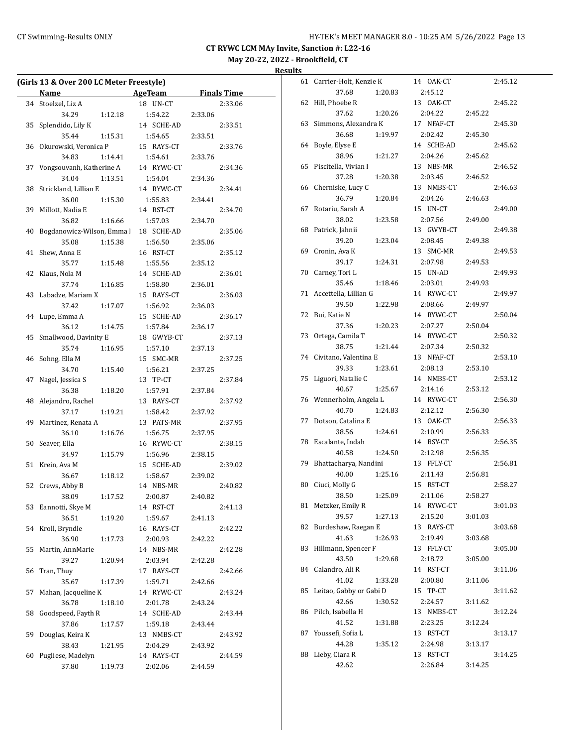|    | (Girls 13 & Over 200 LC Meter Freestyle) |                           |                    |  |
|----|------------------------------------------|---------------------------|--------------------|--|
|    | Name                                     | <b>Example 21 AgeTeam</b> | <b>Finals Time</b> |  |
|    | 34 Stoelzel, Liz A                       | 18 UN-CT                  | 2:33.06            |  |
|    | 34.29                                    | 1:54.22<br>1:12.18        | 2:33.06            |  |
| 35 | Splendido, Lily K                        | 14 SCHE-AD                | 2:33.51            |  |
|    | 35.44                                    | 1:54.65<br>1:15.31        | 2:33.51            |  |
| 36 | Okurowski, Veronica P                    | 15 RAYS-CT                | 2:33.76            |  |
|    | 34.83                                    | 1:14.41<br>1:54.61        | 2:33.76            |  |
| 37 | Vongsouvanh, Katherine A                 | 14 RYWC-CT                | 2:34.36            |  |
|    | 34.04                                    | 1:13.51<br>1:54.04        | 2:34.36            |  |
| 38 | Strickland, Lillian E                    | 14 RYWC-CT                | 2:34.41            |  |
|    | 36.00                                    | 1:15.30<br>1:55.83        | 2:34.41            |  |
| 39 | Millott, Nadia E                         | 14 RST-CT                 | 2:34.70            |  |
|    | 36.82                                    | 1:16.66<br>1:57.03        | 2:34.70            |  |
| 40 | Bogdanowicz-Wilson, Emma                 | 18 SCHE-AD                | 2:35.06            |  |
|    | 35.08                                    | 1:15.38<br>1:56.50        | 2:35.06            |  |
| 41 | Shew, Anna E                             | 16 RST-CT                 | 2:35.12            |  |
|    | 35.77                                    | 1:15.48<br>1:55.56        | 2:35.12            |  |
| 42 | Klaus, Nola M                            | 14 SCHE-AD                | 2:36.01            |  |
|    | 37.74                                    | 1:16.85<br>1:58.80        | 2:36.01            |  |
| 43 | Labadze, Mariam X                        | 15 RAYS-CT                | 2:36.03            |  |
|    | 37.42                                    | 1:17.07<br>1:56.92        | 2:36.03            |  |
|    | 44 Lupe, Emma A                          | 15 SCHE-AD                | 2:36.17            |  |
|    | 36.12                                    | 1:14.75<br>1:57.84        | 2:36.17            |  |
| 45 | Smallwood, Davinity E                    | 18 GWYB-CT                | 2:37.13            |  |
|    | 35.74                                    | 1:16.95<br>1:57.10        | 2:37.13            |  |
| 46 | Sohng, Ella M                            | 15 SMC-MR                 | 2:37.25            |  |
|    | 34.70                                    | 1:15.40<br>1:56.21        | 2:37.25            |  |
| 47 | Nagel, Jessica S                         | 13 TP-CT                  | 2:37.84            |  |
|    | 36.38                                    | 1:18.20<br>1:57.91        | 2:37.84            |  |
| 48 | Alejandro, Rachel                        | 13 RAYS-CT                | 2:37.92            |  |
|    | 37.17                                    | 1:19.21<br>1:58.42        | 2:37.92            |  |
| 49 | Martinez, Renata A                       | 13 PATS-MR                | 2:37.95            |  |
|    | 36.10                                    | 1:16.76<br>1:56.75        | 2:37.95            |  |
| 50 | Seaver, Ella                             | 16 RYWC-CT                | 2:38.15            |  |
|    | 34.97                                    | 1:15.79<br>1:56.96        | 2:38.15            |  |
| 51 | Krein, Ava M                             | 15 SCHE-AD                | 2:39.02            |  |
|    | 36.67                                    | 1:18.12<br>1:58.67        | 2:39.02            |  |
| 52 | Crews, Abby B                            | 14 NBS-MR                 | 2:40.82            |  |
|    | 38.09                                    | 1:17.52<br>2:00.87        | 2:40.82            |  |
| 53 | Eannotti, Skye M                         | 14 RST-CT                 | 2:41.13            |  |
|    | 36.51                                    | 1:59.67<br>1:19.20        | 2:41.13            |  |
| 54 | Kroll, Bryndle                           | 16 RAYS-CT                | 2:42.22            |  |
|    | 36.90                                    | 1:17.73<br>2:00.93        | 2:42.22            |  |
| 55 | Martin, AnnMarie                         | 14 NBS-MR                 | 2:42.28            |  |
|    | 39.27                                    | 2:03.94<br>1:20.94        | 2:42.28            |  |
| 56 | Tran, Thuy                               | 17 RAYS-CT                | 2:42.66            |  |
|    | 35.67                                    | 1:17.39<br>1:59.71        | 2:42.66            |  |
| 57 | Mahan, Jacqueline K                      | 14 RYWC-CT                | 2:43.24            |  |
|    | 36.78                                    | 1:18.10<br>2:01.78        | 2:43.24            |  |
| 58 | Goodspeed, Fayth R                       | 14 SCHE-AD                | 2:43.44            |  |
|    | 37.86                                    | 1:17.57<br>1:59.18        | 2:43.44            |  |
| 59 | Douglas, Keira K                         | 13 NMBS-CT                | 2:43.92            |  |
|    | 38.43                                    | 1:21.95<br>2:04.29        | 2:43.92            |  |
| 60 | Pugliese, Madelyn                        | 14 RAYS-CT                | 2:44.59            |  |
|    | 37.80                                    | 1:19.73<br>2:02.06        | 2:44.59            |  |
|    |                                          |                           |                    |  |

| 61 | Carrier-Holt, Kenzie K  |         |    | 14 OAK-CT  |         | 2:45.12 |
|----|-------------------------|---------|----|------------|---------|---------|
|    | 37.68                   | 1:20.83 |    | 2:45.12    |         |         |
| 62 | Hill, Phoebe R          |         |    | 13 OAK-CT  |         | 2:45.22 |
|    | 37.62                   | 1:20.26 |    | 2:04.22    | 2:45.22 |         |
| 63 | Simmons, Alexandra K    |         |    | 17 NFAF-CT |         | 2:45.30 |
|    | 36.68                   | 1:19.97 |    | 2:02.42    | 2:45.30 |         |
| 64 | Boyle, Elyse E          |         |    | 14 SCHE-AD |         | 2:45.62 |
|    | 38.96                   | 1:21.27 |    | 2:04.26    | 2:45.62 |         |
| 65 | Piscitella, Vivian I    |         |    | 13 NBS-MR  |         | 2:46.52 |
|    | 37.28                   | 1:20.38 |    | 2:03.45    | 2:46.52 |         |
| 66 | Cherniske, Lucy C       |         |    | 13 NMBS-CT |         | 2:46.63 |
|    | 36.79                   | 1:20.84 |    | 2:04.26    | 2:46.63 |         |
| 67 | Rotariu, Sarah A        |         |    | 15 UN-CT   |         | 2:49.00 |
|    | 38.02                   | 1:23.58 |    | 2:07.56    | 2:49.00 |         |
| 68 | Patrick, Jahnii         |         |    | 13 GWYB-CT |         | 2:49.38 |
|    | 39.20                   | 1:23.04 |    | 2:08.45    | 2:49.38 |         |
| 69 | Cronin, Ava K           |         |    | 13 SMC-MR  |         | 2:49.53 |
|    | 39.17                   | 1:24.31 |    | 2:07.98    | 2:49.53 |         |
| 70 | Carney, Tori L          |         |    | 15 UN-AD   |         | 2:49.93 |
|    | 35.46                   | 1:18.46 |    | 2:03.01    | 2:49.93 |         |
| 71 | Accettella, Lillian G   |         |    | 14 RYWC-CT |         | 2:49.97 |
|    | 39.50                   | 1:22.98 |    | 2:08.66    | 2:49.97 |         |
| 72 | Bui, Katie N            |         |    | 14 RYWC-CT |         | 2:50.04 |
|    | 37.36                   | 1:20.23 |    | 2:07.27    | 2:50.04 |         |
| 73 | Ortega, Camila T        |         |    | 14 RYWC-CT |         | 2:50.32 |
|    | 38.75                   | 1:21.44 |    | 2:07.34    | 2:50.32 |         |
| 74 | Civitano, Valentina E   |         |    | 13 NFAF-CT |         | 2:53.10 |
|    | 39.33                   | 1:23.61 |    | 2:08.13    | 2:53.10 |         |
| 75 | Liguori, Natalie C      |         |    | 14 NMBS-CT |         | 2:53.12 |
|    | 40.67                   | 1:25.67 |    | 2:14.16    | 2:53.12 |         |
| 76 | Wennerholm, Angela L    |         |    | 14 RYWC-CT |         | 2:56.30 |
|    | 40.70                   | 1:24.83 |    | 2:12.12    | 2:56.30 |         |
| 77 | Dotson, Catalina E      |         |    | 13 OAK-CT  |         | 2:56.33 |
|    | 38.56                   | 1:24.61 |    | 2:10.99    | 2:56.33 |         |
| 78 | Escalante, Indah        |         |    | 14 BSY-CT  |         | 2:56.35 |
|    | 40.58                   | 1:24.50 |    | 2:12.98    | 2:56.35 |         |
| 79 | Bhattacharya, Nandini   |         |    | 13 FFLY-CT |         | 2:56.81 |
|    | 40.00                   | 1:25.16 |    | 2:11.43    | 2:56.81 |         |
| 80 | Ciuci, Molly G          |         |    | 15 RST-CT  |         | 2:58.27 |
|    | 38.50                   | 1:25.09 |    | 2:11.06    | 2:58.27 |         |
| 81 | Metzker, Emily R        |         |    | 14 RYWC-CT |         | 3:01.03 |
|    | 39.57                   | 1:27.13 |    | 2:15.20    | 3:01.03 |         |
| 82 | Burdeshaw, Raegan E     |         | 13 | RAYS-CT    |         | 3:03.68 |
|    | 41.63                   | 1:26.93 |    | 2:19.49    | 3:03.68 |         |
| 83 | Hillmann, Spencer F     |         |    | 13 FFLY-CT |         | 3:05.00 |
|    | 43.50                   | 1:29.68 |    | 2:18.72    | 3:05.00 |         |
| 84 | Calandro, Ali R         |         |    | 14 RST-CT  |         | 3:11.06 |
|    | 41.02                   | 1:33.28 |    | 2:00.80    | 3:11.06 |         |
| 85 | Leitao, Gabby or Gabi D |         |    | 15 TP-CT   |         | 3:11.62 |
|    | 42.66                   | 1:30.52 |    | 2:24.57    | 3:11.62 |         |
| 86 | Pilch, Isabella H       |         |    | 13 NMBS-CT |         | 3:12.24 |
|    | 41.52                   | 1:31.88 |    | 2:23.25    | 3:12.24 |         |
| 87 | Youssefi, Sofia L       |         |    | 13 RST-CT  |         | 3:13.17 |
|    | 44.28                   | 1:35.12 |    | 2:24.98    | 3:13.17 |         |
| 88 | Lieby, Ciara R          |         |    | 13 RST-CT  |         | 3:14.25 |
|    | 42.62                   |         |    | 2:26.84    | 3:14.25 |         |
|    |                         |         |    |            |         |         |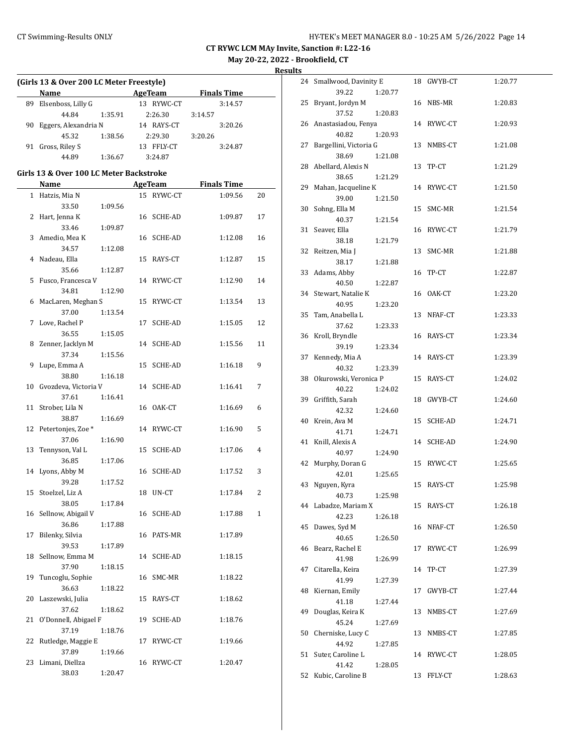**May 20-22, 2022 - Brookfield, CT**

| (Girls 13 & Over 200 LC Meter Freestyle) |                                         |         |    |                |                    |    |  |  |
|------------------------------------------|-----------------------------------------|---------|----|----------------|--------------------|----|--|--|
|                                          | Name                                    |         |    | <b>AgeTeam</b> | <b>Finals Time</b> |    |  |  |
|                                          | 89 Elsenboss, Lilly G                   |         |    | 13 RYWC-CT     | 3:14.57            |    |  |  |
|                                          | 44.84                                   | 1:35.91 |    | 2:26.30        | 3:14.57            |    |  |  |
| 90                                       | Eggers, Alexandria N                    |         |    | 14 RAYS-CT     | 3:20.26            |    |  |  |
|                                          | 45.32                                   |         |    |                |                    |    |  |  |
|                                          |                                         | 1:38.56 |    | 2:29.30        | 3:20.26            |    |  |  |
|                                          | 91 Gross, Riley S                       |         |    | 13 FFLY-CT     | 3:24.87            |    |  |  |
|                                          | 44.89                                   | 1:36.67 |    | 3:24.87        |                    |    |  |  |
|                                          | Girls 13 & Over 100 LC Meter Backstroke |         |    |                |                    |    |  |  |
|                                          | Name                                    |         |    | AgeTeam        | <b>Finals Time</b> |    |  |  |
|                                          | 1 Hatzis, Mia N                         |         |    | 15 RYWC-CT     | 1:09.56            | 20 |  |  |
|                                          | 33.50                                   | 1:09.56 |    |                |                    |    |  |  |
|                                          | 2 Hart, Jenna K                         |         |    | 16 SCHE-AD     | 1:09.87            | 17 |  |  |
|                                          | 33.46                                   | 1:09.87 |    |                |                    |    |  |  |
| 3                                        | Amedio, Mea K                           |         |    | 16 SCHE-AD     | 1:12.08            | 16 |  |  |
|                                          | 34.57                                   | 1:12.08 |    |                |                    |    |  |  |
|                                          | 4 Nadeau, Ella                          |         |    | 15 RAYS-CT     | 1:12.87            | 15 |  |  |
|                                          | 35.66                                   | 1:12.87 |    |                |                    |    |  |  |
| 5                                        | Fusco, Francesca V                      |         |    | 14 RYWC-CT     | 1:12.90            | 14 |  |  |
|                                          | 34.81                                   | 1:12.90 |    |                |                    |    |  |  |
|                                          | 6 MacLaren, Meghan S                    |         | 15 | RYWC-CT        | 1:13.54            | 13 |  |  |
|                                          | 37.00                                   | 1:13.54 |    |                |                    |    |  |  |
| 7                                        | Love, Rachel P                          |         | 17 | <b>SCHE-AD</b> | 1:15.05            | 12 |  |  |
|                                          | 36.55                                   | 1:15.05 |    |                |                    |    |  |  |
| 8                                        | Zenner, Jacklyn M                       |         | 14 | SCHE-AD        | 1:15.56            | 11 |  |  |
|                                          | 37.34                                   | 1:15.56 |    |                |                    |    |  |  |
| 9                                        | Lupe, Emma A                            |         | 15 | SCHE-AD        | 1:16.18            | 9  |  |  |
|                                          | 38.80                                   | 1:16.18 |    |                |                    |    |  |  |
| 10                                       | Gvozdeva, Victoria V                    |         |    | 14 SCHE-AD     | 1:16.41            | 7  |  |  |
|                                          | 37.61                                   | 1:16.41 |    |                |                    |    |  |  |
| 11                                       | Strober, Lila N                         |         |    | 16 OAK-CT      | 1:16.69            | 6  |  |  |
|                                          | 38.87                                   | 1:16.69 |    |                |                    |    |  |  |
|                                          | 12 Petertonjes, Zoe *                   |         |    | 14 RYWC-CT     | 1:16.90            | 5  |  |  |
|                                          | 37.06                                   | 1:16.90 |    |                |                    |    |  |  |
| 13                                       | Tennyson, Val L                         |         | 15 | SCHE-AD        | 1:17.06            | 4  |  |  |
|                                          | 36.85                                   | 1:17.06 |    |                |                    |    |  |  |
| 14                                       | Lyons, Abby M                           |         |    | 16 SCHE-AD     | 1:17.52            | 3  |  |  |
|                                          | 39.28                                   | 1:17.52 |    |                |                    |    |  |  |
|                                          | 15 Stoelzel, Liz A                      |         |    | UN-CT          | 1:17.84            | 2  |  |  |
|                                          | 38.05                                   | 1:17.84 | 18 |                |                    |    |  |  |
|                                          | 16 Sellnow, Abigail V                   |         |    | 16 SCHE-AD     | 1:17.88            | 1  |  |  |
|                                          | 36.86                                   |         |    |                |                    |    |  |  |
| 17                                       | Bilenky, Silvia                         | 1:17.88 |    | 16 PATS-MR     | 1:17.89            |    |  |  |
|                                          | 39.53                                   |         |    |                |                    |    |  |  |
|                                          |                                         | 1:17.89 |    |                |                    |    |  |  |
| 18                                       | Sellnow, Emma M                         |         | 14 | SCHE-AD        | 1:18.15            |    |  |  |
|                                          | 37.90                                   | 1:18.15 |    |                |                    |    |  |  |
| 19                                       | Tuncoglu, Sophie                        |         | 16 | SMC-MR         | 1:18.22            |    |  |  |
|                                          | 36.63                                   | 1:18.22 |    |                |                    |    |  |  |
| 20                                       | Laszewski, Julia                        |         | 15 | RAYS-CT        | 1:18.62            |    |  |  |
|                                          | 37.62                                   | 1:18.62 |    |                |                    |    |  |  |
| 21                                       | O'Donnell, Abigael F                    |         | 19 | SCHE-AD        | 1:18.76            |    |  |  |
|                                          | 37.19                                   | 1:18.76 |    |                |                    |    |  |  |
| 22                                       | Rutledge, Maggie E                      |         | 17 | RYWC-CT        | 1:19.66            |    |  |  |
|                                          | 37.89                                   | 1:19.66 |    |                |                    |    |  |  |
| 23                                       | Limani, Diellza                         |         | 16 | RYWC-CT        | 1:20.47            |    |  |  |
|                                          | 38.03                                   | 1:20.47 |    |                |                    |    |  |  |

| 24 | Smallwood, Davinity E      |         |    | 18 GWYB-CT | 1:20.77 |
|----|----------------------------|---------|----|------------|---------|
|    | 39.22                      | 1:20.77 |    |            |         |
| 25 | Bryant, Jordyn M           |         |    | 16 NBS-MR  | 1:20.83 |
|    | 37.52                      | 1:20.83 |    |            |         |
| 26 | Anastasiadou, Fenya        |         |    | 14 RYWC-CT | 1:20.93 |
|    | 40.82                      | 1:20.93 |    |            |         |
| 27 | Bargellini, Victoria G     |         | 13 | NMBS-CT    | 1:21.08 |
|    | 38.69                      | 1:21.08 |    |            |         |
| 28 | Abellard, Alexis N         |         | 13 | TP-CT      | 1:21.29 |
|    | 38.65                      | 1:21.29 |    |            |         |
| 29 | Mahan, Jacqueline K        |         |    | 14 RYWC-CT | 1:21.50 |
|    | 39.00                      | 1:21.50 |    |            |         |
| 30 | Sohng, Ella M              |         | 15 | SMC-MR     | 1:21.54 |
|    | 40.37                      | 1:21.54 |    |            |         |
| 31 | Seaver, Ella               |         | 16 | RYWC-CT    | 1:21.79 |
|    |                            |         |    |            |         |
|    | 38.18                      | 1:21.79 |    |            |         |
| 32 | Reitzen, Mia J             |         | 13 | SMC-MR     | 1:21.88 |
|    | 38.17                      | 1:21.88 |    |            |         |
| 33 | Adams, Abby                |         | 16 | TP-CT      | 1:22.87 |
|    | 40.50                      | 1:22.87 |    |            |         |
| 34 | Stewart, Natalie K         |         |    | 16 OAK-CT  | 1:23.20 |
|    | 40.95                      | 1:23.20 |    |            |         |
| 35 | Tam, Anabella L            |         | 13 | NFAF-CT    | 1:23.33 |
|    | 37.62                      | 1:23.33 |    |            |         |
| 36 | Kroll, Bryndle             |         |    | 16 RAYS-CT | 1:23.34 |
|    | 39.19                      | 1:23.34 |    |            |         |
| 37 | Kennedy, Mia A             |         |    | 14 RAYS-CT | 1:23.39 |
|    | 40.32                      | 1:23.39 |    |            |         |
| 38 | Okurowski, Veronica P      |         | 15 | RAYS-CT    | 1:24.02 |
|    | 40.22                      | 1:24.02 |    |            |         |
| 39 | Griffith, Sarah            |         | 18 | GWYB-CT    | 1:24.60 |
|    | 42.32                      | 1:24.60 |    |            |         |
| 40 | Krein, Ava M               |         | 15 | SCHE-AD    | 1:24.71 |
|    | 41.71                      | 1:24.71 |    |            |         |
| 41 | Knill, Alexis A            |         | 14 | SCHE-AD    | 1:24.90 |
|    | 40.97                      | 1:24.90 |    |            |         |
| 42 | Murphy, Doran G            |         |    | 15 RYWC-CT | 1:25.65 |
|    | 42.01                      | 1:25.65 |    |            |         |
| 43 | Nguyen, Kyra               |         | 15 | RAYS-CT    | 1:25.98 |
|    | 40.73                      | 1:25.98 |    |            |         |
| 44 | Labadze, Mariam X          |         |    | 15 RAYS-CT | 1:26.18 |
|    | 42.23                      | 1:26.18 |    |            |         |
| 45 | Dawes, Syd M               |         |    | 16 NFAF-CT | 1:26.50 |
|    | 40.65                      | 1:26.50 |    |            |         |
| 46 | Bearz, Rachel E            |         | 17 | RYWC-CT    | 1:26.99 |
|    | 41.98                      | 1:26.99 |    |            |         |
| 47 | Citarella, Keira           |         | 14 | TP-CT      | 1:27.39 |
|    | 41.99                      | 1:27.39 |    |            |         |
| 48 | Kiernan, Emily             |         | 17 | GWYB-CT    | 1:27.44 |
|    | 41.18                      | 1:27.44 |    |            |         |
| 49 | Douglas, Keira K           |         | 13 | NMBS-CT    | 1:27.69 |
|    |                            |         |    |            |         |
| 50 | 45.24<br>Cherniske, Lucy C | 1:27.69 | 13 |            |         |
|    | 44.92                      |         |    | NMBS-CT    | 1:27.85 |
|    |                            | 1:27.85 |    |            |         |
| 51 | Suter, Caroline L          |         |    | 14 RYWC-CT | 1:28.05 |
|    | 41.42                      | 1:28.05 |    | 13 FFLY-CT |         |
| 52 | Kubic, Caroline B          |         |    |            | 1:28.63 |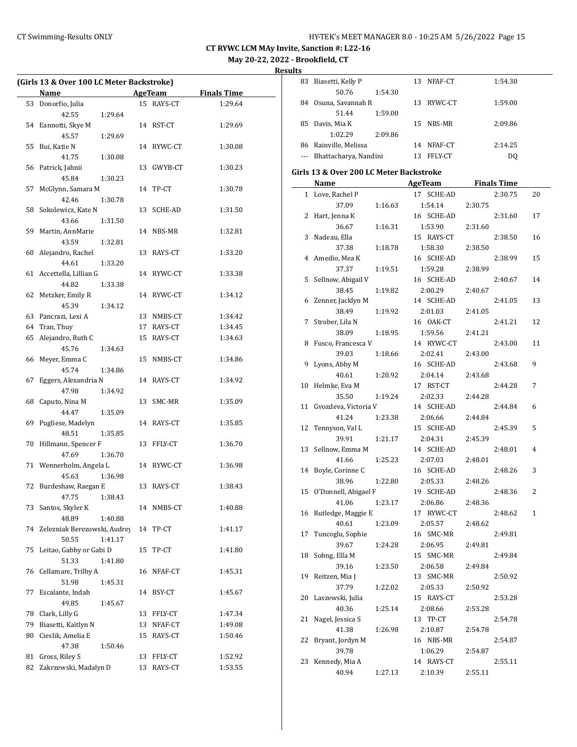**May 20-22, 2022 - Brookfield, CT**

**Results**

|          | (Girls 13 & Over 100 LC Meter Backstroke) |    |                 |                    |
|----------|-------------------------------------------|----|-----------------|--------------------|
|          | Name                                      |    | <b>AgeTeam</b>  | <b>Finals Time</b> |
| 53       | Donorfio, Julia                           |    | 15 RAYS-CT      | 1:29.64            |
|          | 42.55<br>1:29.64                          |    |                 |                    |
| 54       | Eannotti, Skye M                          |    | 14 RST-CT       | 1:29.69            |
|          | 45.57<br>1:29.69                          |    |                 |                    |
| 55       | Bui, Katie N                              |    | 14 RYWC-CT      | 1:30.08            |
|          | 41.75<br>1:30.08                          |    |                 |                    |
| 56       | Patrick, Jahnii                           |    | 13 GWYB-CT      | 1:30.23            |
|          | 45.84<br>1:30.23                          |    |                 |                    |
| 57       | McGlynn, Samara M                         |    | 14 TP-CT        | 1:30.78            |
|          | 42.46<br>1:30.78                          |    |                 |                    |
| 58       | Sokolewicz, Kate N                        |    | 13 SCHE-AD      | 1:31.50            |
|          | 43.66<br>1:31.50                          |    |                 |                    |
| 59       | Martin, AnnMarie                          |    | 14 NBS-MR       | 1:32.81            |
|          | 43.59<br>1:32.81                          |    |                 |                    |
| 60       | Alejandro, Rachel                         |    | 13 RAYS-CT      | 1:33.20            |
|          | 44.61<br>1:33.20                          |    |                 |                    |
| 61       | Accettella, Lillian G                     |    | 14 RYWC-CT      | 1:33.38            |
|          | 44.82<br>1:33.38                          |    |                 |                    |
| 62       | Metzker, Emily R                          |    | 14 RYWC-CT      | 1:34.12            |
|          | 45.39<br>1:34.12                          |    |                 |                    |
| 63       | Pancrazi, Lexi A                          |    | 13 NMBS-CT      | 1:34.42            |
| 64       | Tran, Thuy                                |    | 17 RAYS-CT      | 1:34.45            |
| 65       | Alejandro, Ruth C                         | 15 | RAYS-CT         | 1:34.63            |
| 66       | 45.76<br>1:34.63<br>Meyer, Emma C         |    | 15 NMBS-CT      | 1:34.86            |
|          | 45.74<br>1:34.86                          |    |                 |                    |
| 67       | Eggers, Alexandria N                      |    | 14 RAYS-CT      | 1:34.92            |
|          | 47.98<br>1:34.92                          |    |                 |                    |
| 68       | Caputo, Nina M                            | 13 | SMC-MR          | 1:35.09            |
|          | 44.47<br>1:35.09                          |    |                 |                    |
| 69       | Pugliese, Madelyn                         |    | 14 RAYS-CT      | 1:35.85            |
|          | 48.51<br>1:35.85                          |    |                 |                    |
| 70       | Hillmann, Spencer F                       |    | 13 FFLY-CT      | 1:36.70            |
|          | 47.69<br>1:36.70                          |    |                 |                    |
|          | 71 Wennerholm, Angela L                   |    | 14 RYWC-CT      | 1:36.98            |
|          | 45.63<br>1:36.98                          |    |                 |                    |
|          | 72 Burdeshaw, Raegan E                    |    | 13 RAYS-CT      | 1:38.43            |
|          | 47.75 1:38.43                             |    |                 |                    |
| 73       | Santos, Skyler K                          |    | 14 NMBS-CT      | 1:40.88            |
|          | 48.89<br>1:40.88                          |    |                 |                    |
| 74       | Zelezniak Berezowski, Audrey              | 14 | TP-CT           | 1:41.17            |
|          | 50.55<br>1:41.17                          |    |                 |                    |
| 75       | Leitao, Gabby or Gabi D                   | 15 | TP-CT           | 1:41.80            |
|          | 51.33<br>1:41.80                          |    |                 |                    |
| 76       | Cellamare, Trilby A                       | 16 | NFAF-CT         | 1:45.31            |
|          | 51.98<br>1:45.31                          |    |                 |                    |
| 77       | Escalante, Indah                          | 14 | BSY-CT          | 1:45.67            |
|          | 49.85<br>1:45.67                          |    |                 |                    |
| 78       | Clark, Lilly G                            | 13 | ${\tt FFLY-CT}$ | 1:47.34            |
| 79       | Biasetti, Kaitlyn N                       | 13 | NFAF-CT         | 1:49.08            |
| 80       | Cieslik, Amelia E                         | 15 | RAYS-CT         | 1:50.46            |
|          | 47.38<br>1:50.46<br>Gross, Riley S        |    | 13 FFLY-CT      | 1:52.92            |
| 81<br>82 | Zakrzewski, Madalyn D                     | 13 |                 |                    |
|          |                                           |    | RAYS-CT         | 1:53.55            |

| .  |                                         |                          |            |         |                    |    |
|----|-----------------------------------------|--------------------------|------------|---------|--------------------|----|
| 83 | Biasetti, Kelly P                       |                          | 13 NFAF-CT |         | 1:54.30            |    |
|    | 50.76                                   | 1:54.30                  |            |         |                    |    |
|    | 84 Osuna, Savannah R                    |                          | 13 RYWC-CT |         | 1:59.00            |    |
|    | 51.44                                   | 1:59.00                  |            |         |                    |    |
| 85 | Davis, Mia K                            |                          | 15 NBS-MR  |         | 2:09.86            |    |
|    | 1:02.29                                 | 2:09.86                  |            |         |                    |    |
| 86 | Rainville, Melissa                      |                          | 14 NFAF-CT |         | 2:14.25            |    |
|    | --- Bhattacharya, Nandini               |                          | 13 FFLY-CT |         | DQ                 |    |
|    | Girls 13 & Over 200 LC Meter Backstroke |                          |            |         |                    |    |
|    | Name                                    | <b>Example 2 AgeTeam</b> |            |         | <b>Finals Time</b> |    |
|    | 1 Love, Rachel P                        |                          | 17 SCHE-AD |         | 2:30.75            | 20 |
|    | 37.09                                   | 1:16.63                  | 1:54.14    | 2:30.75 |                    |    |
| 2  | Hart, Jenna K                           |                          | 16 SCHE-AD |         | 2:31.60            | 17 |
|    | 36.67                                   | 1:16.31                  | 1:53.90    | 2:31.60 |                    |    |
| 3  | Nadeau, Ella                            |                          | 15 RAYS-CT |         | 2:38.50            | 16 |
|    | 37.38                                   | 1:18.78                  | 1:58.30    | 2:38.50 |                    |    |
|    | 4 Amedio, Mea K                         |                          | 16 SCHE-AD |         | 2:38.99            | 15 |
|    | 37.37                                   | 1:19.51                  | 1:59.28    | 2:38.99 |                    |    |
| 5  | Sellnow, Abigail V                      |                          | 16 SCHE-AD |         | 2:40.67            | 14 |
|    | 38.45                                   | 1:19.82                  | 2:00.29    | 2:40.67 |                    |    |
|    | 6 Zenner, Jacklyn M                     |                          | 14 SCHE-AD |         | 2:41.05            | 13 |
|    | 38.49                                   | 1:19.92                  | 2:01.03    | 2:41.05 |                    |    |
| 7  | Strober, Lila N                         |                          | 16 OAK-CT  |         | 2:41.21            | 12 |
|    | 38.09                                   | 1:18.95                  | 1:59.56    | 2:41.21 |                    |    |

8 Fusco, Francesca V 14 RYWC-CT 2:43.00 11 39.03 1:18.66 2:02.41 2:43.00 9 Lyons, Abby M 16 SCHE-AD 2:43.68 9 40.61 1:20.92 2:04.14 2:43.68 10 Helmke, Eva M 17 RST-CT 2:44.28 7 35.50 1:19.24 2:02.33 2:44.28 11 Gvozdeva, Victoria V 14 SCHE-AD 2:44.84 6 41.24 1:23.38 2:06.66 2:44.84 12 Tennyson, Val L 15 SCHE-AD 2:45.39 5 39.91 1:21.17 2:04.31 2:45.39 13 Sellnow, Emma M 14 SCHE-AD 2:48.01 4 41.66 1:25.23 2:07.03 2:48.01 14 Boyle, Corinne C 16 SCHE-AD 2:48.26 3 38.96 1:22.80 2:05.33 2:48.26 15 O'Donnell, Abigael F 19 SCHE-AD 2:48.36 2 41.06 1:23.17 2:06.86 2:48.36 16 Rutledge, Maggie E 17 RYWC-CT 2:48.62 1 40.61 1:23.09 2:05.57 2:48.62 17 Tuncoglu, Sophie 16 SMC-MR 2:49.81 39.67 1:24.28 2:06.95 2:49.81 18 Sohng, Ella M 15 SMC-MR 2:49.84 39.16 1:23.50 2:06.58 2:49.84 19 Reitzen, Mia J 13 SMC-MR 2:50.92 37.79 1:22.02 2:05.33 2:50.92 20 Laszewski, Julia 15 RAYS-CT 2:53.28 40.36 1:25.14 2:08.66 2:53.28 21 Nagel, Jessica S 13 TP-CT 2:54.78 41.38 1:26.98 2:10.87 2:54.78 22 Bryant, Jordyn M 16 NBS-MR 2:54.87 39.78 1:06.29 2:54.87 23 Kennedy, Mia A 14 RAYS-CT 2:55.11 40.94 1:27.13 2:10.39 2:55.11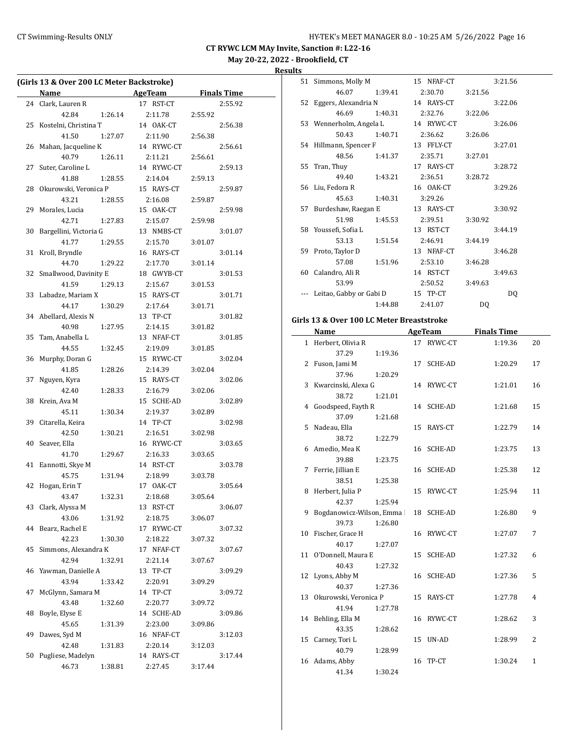# **May 20-22, 2022 - Brookfield, CT**

**Results**

| (Girls 13 & Over 200 LC Meter Backstroke) |                        |         |                |         |                    |  |
|-------------------------------------------|------------------------|---------|----------------|---------|--------------------|--|
|                                           | Name                   |         | <b>AgeTeam</b> |         | <b>Finals Time</b> |  |
| 24                                        | Clark, Lauren R        |         | 17 RST-CT      |         | 2:55.92            |  |
|                                           | 42.84                  | 1:26.14 | 2:11.78        | 2:55.92 |                    |  |
| 25                                        | Kostelni, Christina T  |         | 14 OAK-CT      |         | 2:56.38            |  |
|                                           | 41.50                  | 1:27.07 | 2:11.90        | 2:56.38 |                    |  |
| 26                                        | Mahan, Jacqueline K    |         | 14 RYWC-CT     |         | 2:56.61            |  |
|                                           | 40.79                  | 1:26.11 | 2:11.21        | 2:56.61 |                    |  |
| 27                                        | Suter, Caroline L      |         | 14 RYWC-CT     |         | 2:59.13            |  |
|                                           | 41.88                  | 1:28.55 | 2:14.04        | 2:59.13 |                    |  |
| 28                                        | Okurowski, Veronica P  |         | 15 RAYS-CT     |         | 2:59.87            |  |
|                                           | 43.21                  | 1:28.55 | 2:16.08        | 2:59.87 |                    |  |
| 29                                        | Morales, Lucia         |         | 15 OAK-CT      |         | 2:59.98            |  |
|                                           | 42.71                  | 1:27.83 | 2:15.07        | 2:59.98 |                    |  |
| 30                                        | Bargellini, Victoria G |         | 13 NMBS-CT     |         | 3:01.07            |  |
|                                           | 41.77                  | 1:29.55 | 2:15.70        | 3:01.07 |                    |  |
| 31                                        | Kroll, Bryndle         |         | 16 RAYS-CT     |         | 3:01.14            |  |
|                                           | 44.70                  | 1:29.22 | 2:17.70        | 3:01.14 |                    |  |
| 32                                        | Smallwood, Davinity E  |         | 18 GWYB-CT     |         | 3:01.53            |  |
|                                           | 41.59                  | 1:29.13 | 2:15.67        | 3:01.53 |                    |  |
| 33                                        | Labadze, Mariam X      |         | 15 RAYS-CT     |         | 3:01.71            |  |
|                                           | 44.17                  | 1:30.29 | 2:17.64        | 3:01.71 |                    |  |
| 34                                        | Abellard, Alexis N     |         | 13 TP-CT       |         | 3:01.82            |  |
|                                           | 40.98                  | 1:27.95 | 2:14.15        | 3:01.82 |                    |  |
| 35                                        | Tam, Anabella L        |         | 13 NFAF-CT     |         |                    |  |
|                                           | 44.55                  |         |                |         | 3:01.85            |  |
|                                           |                        | 1:32.45 | 2:19.09        | 3:01.85 |                    |  |
| 36                                        | Murphy, Doran G        |         | 15 RYWC-CT     |         | 3:02.04            |  |
|                                           | 41.85                  | 1:28.26 | 2:14.39        | 3:02.04 |                    |  |
| 37                                        | Nguyen, Kyra           |         | 15 RAYS-CT     |         | 3:02.06            |  |
|                                           | 42.40                  | 1:28.33 | 2:16.79        | 3:02.06 |                    |  |
| 38                                        | Krein, Ava M           |         | 15 SCHE-AD     |         | 3:02.89            |  |
|                                           | 45.11                  | 1:30.34 | 2:19.37        | 3:02.89 |                    |  |
| 39                                        | Citarella, Keira       |         | 14 TP-CT       |         | 3:02.98            |  |
|                                           | 42.50                  | 1:30.21 | 2:16.51        | 3:02.98 |                    |  |
| 40                                        | Seaver, Ella           |         | 16 RYWC-CT     |         | 3:03.65            |  |
|                                           | 41.70                  | 1:29.67 | 2:16.33        | 3:03.65 |                    |  |
| 41                                        | Eannotti, Skye M       |         | 14 RST-CT      |         | 3:03.78            |  |
|                                           | 45.75                  | 1:31.94 | 2:18.99        | 3:03.78 |                    |  |
| 42                                        | Hogan, Erin T          |         | 17 OAK-CT      |         | 3:05.64            |  |
|                                           | 43.47                  | 1:32.31 | 2:18.68        | 3:05.64 |                    |  |
| 43                                        | Clark, Alyssa M        |         | 13 RST-CT      |         | 3:06.07            |  |
|                                           | 43.06                  | 1:31.92 | 2:18.75        | 3:06.07 |                    |  |
| 44                                        | Bearz, Rachel E        |         | 17 RYWC-CT     |         | 3:07.32            |  |
|                                           | 42.23                  | 1:30.30 | 2:18.22        | 3:07.32 |                    |  |
| 45                                        | Simmons, Alexandra K   |         | 17 NFAF-CT     |         | 3:07.67            |  |
|                                           | 42.94                  | 1:32.91 | 2:21.14        | 3:07.67 |                    |  |
| 46                                        | Yawman, Danielle A     |         | 13 TP-CT       |         | 3:09.29            |  |
|                                           | 43.94                  | 1:33.42 | 2:20.91        | 3:09.29 |                    |  |
| 47                                        | McGlynn, Samara M      |         | 14 TP-CT       |         | 3:09.72            |  |
|                                           | 43.48                  | 1:32.60 | 2:20.77        | 3:09.72 |                    |  |
| 48                                        | Boyle, Elyse E         |         | 14 SCHE-AD     |         | 3:09.86            |  |
|                                           | 45.65                  | 1:31.39 | 2:23.00        | 3:09.86 |                    |  |
| 49                                        | Dawes, Syd M           |         | 16 NFAF-CT     |         | 3:12.03            |  |
|                                           | 42.48                  | 1:31.83 | 2:20.14        | 3:12.03 |                    |  |
| 50                                        | Pugliese, Madelyn      |         | 14 RAYS-CT     |         | 3:17.44            |  |
|                                           | 46.73                  | 1:38.81 | 2:27.45        | 3:17.44 |                    |  |

| 51 | Simmons, Molly M        |         | 15 NFAF-CT |         | 3:21.56 |
|----|-------------------------|---------|------------|---------|---------|
|    | 46.07                   | 1:39.41 | 2:30.70    | 3:21.56 |         |
|    | 52 Eggers, Alexandria N |         | 14 RAYS-CT |         | 3:22.06 |
|    | 46.69                   | 1:40.31 | 2:32.76    | 3:22.06 |         |
|    | 53 Wennerholm, Angela L |         | 14 RYWC-CT |         | 3:26.06 |
|    | 50.43                   | 1:40.71 | 2:36.62    | 3:26.06 |         |
|    | 54 Hillmann, Spencer F  |         | 13 FFLY-CT |         | 3:27.01 |
|    | 48.56                   | 1:41.37 | 2:35.71    | 3:27.01 |         |
| 55 | Tran, Thuy              |         | 17 RAYS-CT |         | 3:28.72 |
|    | 49.40                   | 1:43.21 | 2:36.51    | 3:28.72 |         |
|    | 56 Liu, Fedora R        |         | 16 OAK-CT  |         | 3:29.26 |
|    | 45.63                   | 1:40.31 | 3:29.26    |         |         |
| 57 | Burdeshaw, Raegan E     |         | 13 RAYS-CT |         | 3:30.92 |
|    | 51.98                   | 1:45.53 | 2:39.51    | 3:30.92 |         |
|    | 58 Youssefi, Sofia L    |         | 13 RST-CT  |         | 3:44.19 |
|    | 53.13                   | 1:51.54 | 2:46.91    | 3:44.19 |         |
| 59 | Proto, Taylor D         |         | 13 NFAF-CT |         | 3:46.28 |
|    | 57.08                   | 1:51.96 | 2:53.10    | 3:46.28 |         |
| 60 | Calandro, Ali R         |         | 14 RST-CT  |         | 3:49.63 |
|    | 53.99                   |         | 2:50.52    | 3:49.63 |         |
|    | Leitao, Gabby or Gabi D |         | 15 TP-CT   |         | DQ      |
|    |                         | 1:44.88 | 2:41.07    | DQ      |         |
|    |                         |         |            |         |         |

## **Girls 13 & Over 100 LC Meter Breaststroke**

|   | <b>Name</b>                |         |    | <b>AgeTeam</b> | <b>Finals Time</b> |              |
|---|----------------------------|---------|----|----------------|--------------------|--------------|
|   | 1 Herbert, Olivia R        |         |    | 17 RYWC-CT     | 1:19.36            | 20           |
|   | 37.29                      | 1:19.36 |    |                |                    |              |
|   | 2 Fuson, Jami M            |         | 17 | SCHE-AD        | 1:20.29            | 17           |
|   | 37.96                      | 1:20.29 |    |                |                    |              |
|   | 3 Kwarcinski, Alexa G      |         |    | 14 RYWC-CT     | 1:21.01            | 16           |
|   | 38.72                      | 1:21.01 |    |                |                    |              |
|   | 4 Goodspeed, Fayth R       |         |    | 14 SCHE-AD     | 1:21.68            | 15           |
|   | 37.09                      | 1:21.68 |    |                |                    |              |
| 5 | Nadeau, Ella               |         |    | 15 RAYS-CT     | 1:22.79            | 14           |
|   | 38.72                      | 1:22.79 |    |                |                    |              |
|   | 6 Amedio, Mea K            |         |    | 16 SCHE-AD     | 1:23.75            | 13           |
|   | 39.88                      | 1:23.75 |    |                |                    |              |
|   | 7 Ferrie, Jillian E        |         |    | 16 SCHE-AD     | 1:25.38            | 12           |
|   | 38.51                      | 1:25.38 |    |                |                    |              |
| 8 | Herbert, Julia P           |         |    | 15 RYWC-CT     | 1:25.94            | 11           |
|   | 42.37                      | 1:25.94 |    |                |                    |              |
| 9 | Bogdanowicz-Wilson, Emma ! |         |    | 18 SCHE-AD     | 1:26.80            | 9            |
|   | 39.73                      | 1:26.80 |    |                |                    |              |
|   | 10 Fischer, Grace H        |         |    | 16 RYWC-CT     | 1:27.07            | 7            |
|   | 40.17                      | 1:27.07 |    |                |                    |              |
|   | 11 O'Donnell, Maura E      |         |    | 15 SCHE-AD     | 1:27.32            | 6            |
|   | 40.43                      | 1:27.32 |    |                |                    |              |
|   | 12 Lyons, Abby M           |         |    | 16 SCHE-AD     | 1:27.36            | 5            |
|   | 40.37                      | 1:27.36 |    |                |                    |              |
|   | 13 Okurowski, Veronica P   |         |    | 15 RAYS-CT     | 1:27.78            | 4            |
|   | 41.94                      | 1:27.78 |    |                |                    |              |
|   | 14 Behling, Ella M         |         |    | 16 RYWC-CT     | 1:28.62            | 3            |
|   | 43.35                      | 1:28.62 |    |                |                    |              |
|   | 15 Carney, Tori L          |         |    | 15 UN-AD       | 1:28.99            | 2            |
|   | 40.79                      | 1:28.99 |    |                |                    |              |
|   | 16 Adams, Abby             |         | 16 | TP-CT          | 1:30.24            | $\mathbf{1}$ |
|   | 41.34                      | 1:30.24 |    |                |                    |              |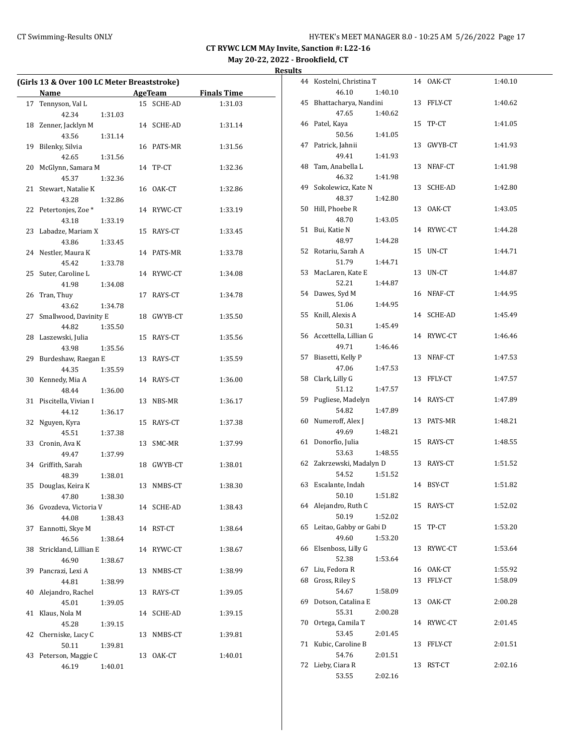# **May 20-22, 2022 - Brookfield, CT**

| Results |  |
|---------|--|
|         |  |

|    | (Girls 13 & Over 100 LC Meter Breaststroke) |         |    |            |                    |
|----|---------------------------------------------|---------|----|------------|--------------------|
|    | Name                                        |         |    | AgeTeam    | <b>Finals Time</b> |
| 17 | Tennyson, Val L                             |         |    | 15 SCHE-AD | 1:31.03            |
|    | 42.34                                       | 1:31.03 |    |            |                    |
|    | 18 Zenner, Jacklyn M                        |         |    | 14 SCHE-AD | 1:31.14            |
|    | 43.56                                       | 1:31.14 |    |            |                    |
|    | 19 Bilenky, Silvia                          |         |    | 16 PATS-MR | 1:31.56            |
|    | 42.65                                       | 1:31.56 |    |            |                    |
|    | 20 McGlynn, Samara M                        |         |    | 14 TP-CT   | 1:32.36            |
|    | 45.37                                       | 1:32.36 |    |            |                    |
| 21 | Stewart, Natalie K                          |         |    | 16 OAK-CT  | 1:32.86            |
|    | 43.28                                       | 1:32.86 |    |            |                    |
|    | 22 Petertonjes, Zoe *                       |         |    | 14 RYWC-CT | 1:33.19            |
|    | 43.18                                       | 1:33.19 |    |            |                    |
|    | 23 Labadze, Mariam X                        |         |    | 15 RAYS-CT | 1:33.45            |
|    | 43.86                                       | 1:33.45 |    |            |                    |
|    | 24 Nestler, Maura K                         |         |    | 14 PATS-MR | 1:33.78            |
|    | 45.42                                       | 1:33.78 |    |            |                    |
|    | 25 Suter, Caroline L                        |         |    |            | 1:34.08            |
|    |                                             |         |    | 14 RYWC-CT |                    |
|    | 41.98                                       | 1:34.08 |    |            |                    |
|    | 26 Tran, Thuy                               |         |    | 17 RAYS-CT | 1:34.78            |
|    | 43.62                                       | 1:34.78 |    |            |                    |
|    | 27 Smallwood, Davinity E                    |         |    | 18 GWYB-CT | 1:35.50            |
|    | 44.82                                       | 1:35.50 |    |            |                    |
|    | 28 Laszewski, Julia                         |         |    | 15 RAYS-CT | 1:35.56            |
|    | 43.98                                       | 1:35.56 |    |            |                    |
|    | 29 Burdeshaw, Raegan E                      |         |    | 13 RAYS-CT | 1:35.59            |
|    | 44.35                                       | 1:35.59 |    |            |                    |
|    | 30 Kennedy, Mia A                           |         |    | 14 RAYS-CT | 1:36.00            |
|    | 48.44                                       | 1:36.00 |    |            |                    |
|    | 31 Piscitella, Vivian I                     |         |    | 13 NBS-MR  | 1:36.17            |
|    | 44.12                                       | 1:36.17 |    |            |                    |
| 32 | Nguyen, Kyra                                |         |    | 15 RAYS-CT | 1:37.38            |
|    | 45.51                                       | 1:37.38 |    |            |                    |
|    | 33 Cronin, Ava K                            |         |    | 13 SMC-MR  | 1:37.99            |
|    | 49.47                                       | 1:37.99 |    |            |                    |
|    | 34 Griffith, Sarah                          |         |    | 18 GWYB-CT | 1:38.01            |
|    | 48.39                                       | 1:38.01 |    |            |                    |
| 35 | Douglas, Keira K                            |         |    | 13 NMBS-CT | 1:38.30            |
|    | 47.80                                       | 1:38.30 |    |            |                    |
|    | 36 Gvozdeva, Victoria V                     |         |    | 14 SCHE-AD | 1:38.43            |
|    | 44.08                                       | 1:38.43 |    |            |                    |
| 37 | Eannotti, Skye M                            |         |    | 14 RST-CT  | 1:38.64            |
|    | 46.56                                       | 1:38.64 |    |            |                    |
| 38 | Strickland, Lillian E                       |         |    | 14 RYWC-CT | 1:38.67            |
|    | 46.90                                       | 1:38.67 |    |            |                    |
| 39 | Pancrazi, Lexi A                            |         |    | 13 NMBS-CT | 1:38.99            |
|    | 44.81                                       | 1:38.99 |    |            |                    |
| 40 | Alejandro, Rachel                           |         |    | 13 RAYS-CT | 1:39.05            |
|    | 45.01                                       | 1:39.05 |    |            |                    |
| 41 | Klaus, Nola M                               |         |    | 14 SCHE-AD | 1:39.15            |
|    | 45.28                                       | 1:39.15 |    |            |                    |
| 42 | Cherniske, Lucy C                           |         |    | 13 NMBS-CT | 1:39.81            |
|    | 50.11                                       | 1:39.81 |    |            |                    |
| 43 | Peterson, Maggie C                          |         | 13 | OAK-CT     | 1:40.01            |
|    | 46.19                                       | 1:40.01 |    |            |                    |
|    |                                             |         |    |            |                    |

| 44 | Kostelni, Christina T          |         |    | 14 OAK-CT | 1:40.10 |
|----|--------------------------------|---------|----|-----------|---------|
|    | 46.10                          | 1:40.10 |    |           |         |
| 45 | Bhattacharya, Nandini          |         | 13 | FFLY-CT   | 1:40.62 |
|    | 47.65                          | 1:40.62 |    |           |         |
| 46 | Patel, Kaya                    |         | 15 | TP-CT     | 1:41.05 |
|    | 50.56                          | 1:41.05 |    |           |         |
| 47 | Patrick, Jahnii                |         | 13 | GWYB-CT   | 1:41.93 |
|    | 49.41                          | 1:41.93 |    |           |         |
| 48 | Tam, Anabella L                |         | 13 | NFAF-CT   | 1:41.98 |
|    | 46.32                          | 1:41.98 |    |           |         |
| 49 | Sokolewicz, Kate N             |         | 13 | SCHE-AD   | 1:42.80 |
|    | 48.37                          | 1:42.80 |    |           |         |
| 50 | Hill, Phoebe R                 |         | 13 | OAK-CT    | 1:43.05 |
|    | 48.70                          | 1:43.05 |    |           |         |
| 51 | Bui, Katie N                   |         | 14 | RYWC-CT   | 1:44.28 |
|    | 48.97                          | 1:44.28 |    |           |         |
| 52 | Rotariu, Sarah A               |         | 15 | UN-CT     | 1:44.71 |
|    | 51.79                          | 1:44.71 |    |           |         |
| 53 | MacLaren, Kate E               |         | 13 | UN-CT     | 1:44.87 |
|    | 52.21                          | 1:44.87 |    |           |         |
| 54 | Dawes, Syd M                   |         | 16 | NFAF-CT   | 1:44.95 |
|    | 51.06                          | 1:44.95 |    |           |         |
| 55 | Knill, Alexis A                |         | 14 | SCHE-AD   | 1:45.49 |
|    | 50.31                          | 1:45.49 |    |           |         |
| 56 | Accettella, Lillian G          |         | 14 | RYWC-CT   | 1:46.46 |
|    | 49.71                          | 1:46.46 |    |           |         |
| 57 | Biasetti, Kelly P              |         | 13 | NFAF-CT   | 1:47.53 |
|    | 47.06                          | 1:47.53 |    |           |         |
| 58 | Clark, Lilly G                 |         | 13 | FFLY-CT   | 1:47.57 |
|    | 51.12                          | 1:47.57 |    |           |         |
| 59 | Pugliese, Madelyn              |         | 14 | RAYS-CT   | 1:47.89 |
|    | 54.82                          | 1:47.89 |    |           |         |
| 60 | Numeroff, Alex J               |         | 13 | PATS-MR   | 1:48.21 |
|    | 49.69                          | 1:48.21 |    |           |         |
| 61 | Donorfio, Julia                |         | 15 | RAYS-CT   | 1:48.55 |
|    | 53.63<br>Zakrzewski, Madalyn D | 1:48.55 |    |           |         |
| 62 |                                |         | 13 | RAYS-CT   | 1:51.52 |
| 63 | 54.52<br>Escalante, Indah      | 1:51.52 | 14 | BSY-CT    | 1:51.82 |
|    | 50.10                          | 1:51.82 |    |           |         |
| 64 | Alejandro, Ruth C              |         | 15 | RAYS-CT   | 1:52.02 |
|    | 50.19                          | 1:52.02 |    |           |         |
| 65 | Leitao, Gabby or Gabi D        |         | 15 | TP-CT     | 1:53.20 |
|    | 49.60                          | 1:53.20 |    |           |         |
| 66 | Elsenboss, Lilly G             |         | 13 | RYWC-CT   | 1:53.64 |
|    | 52.38                          | 1:53.64 |    |           |         |
| 67 | Liu, Fedora R                  |         | 16 | OAK-CT    | 1:55.92 |
| 68 | Gross, Riley S                 |         | 13 | FFLY-CT   | 1:58.09 |
|    | 54.67                          | 1:58.09 |    |           |         |
| 69 | Dotson, Catalina E             |         | 13 | OAK-CT    | 2:00.28 |
|    | 55.31                          | 2:00.28 |    |           |         |
| 70 | Ortega, Camila T               |         | 14 | RYWC-CT   | 2:01.45 |
|    | 53.45                          | 2:01.45 |    |           |         |
| 71 | Kubic, Caroline B              |         | 13 | FFLY-CT   | 2:01.51 |
|    | 54.76                          | 2:01.51 |    |           |         |
| 72 | Lieby, Ciara R                 |         | 13 | RST-CT    | 2:02.16 |
|    | 53.55                          | 2:02.16 |    |           |         |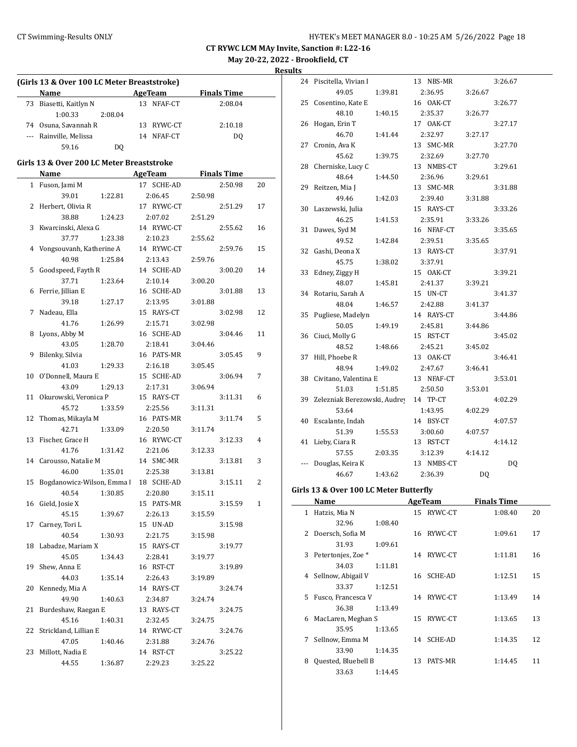**May 20-22, 2022 - Brookfield, CT**

**Results**

| (Girls 13 & Over 100 LC Meter Breaststroke) |                                           |                           |  |                |         |                    |    |  |
|---------------------------------------------|-------------------------------------------|---------------------------|--|----------------|---------|--------------------|----|--|
|                                             | Name                                      | <b>Example 21 AgeTeam</b> |  |                |         | <b>Finals Time</b> |    |  |
|                                             | 73 Biasetti, Kaitlyn N                    |                           |  | 13 NFAF-CT     |         | 2:08.04            |    |  |
|                                             | 1:00.33                                   | 2:08.04                   |  |                |         |                    |    |  |
|                                             | 74 Osuna, Savannah R                      |                           |  | 13 RYWC-CT     |         | 2:10.18            |    |  |
|                                             | --- Rainville, Melissa                    |                           |  | 14 NFAF-CT     |         | DQ                 |    |  |
|                                             | 59.16                                     | DO.                       |  |                |         |                    |    |  |
|                                             | Girls 13 & Over 200 LC Meter Breaststroke |                           |  |                |         |                    |    |  |
|                                             | Name                                      |                           |  | <b>AgeTeam</b> |         | <b>Finals Time</b> |    |  |
|                                             |                                           |                           |  | 17 SCHE-AD     |         | 2:50.98            | 20 |  |
|                                             | 1 Fuson, Jami M<br>39.01                  |                           |  | 2:06.45        | 2:50.98 |                    |    |  |
|                                             |                                           | 1:22.81                   |  | 17 RYWC-CT     |         | 2:51.29            |    |  |
|                                             | 2 Herbert, Olivia R<br>38.88              | 1:24.23                   |  | 2:07.02        | 2:51.29 |                    | 17 |  |
|                                             |                                           |                           |  | 14 RYWC-CT     |         |                    |    |  |
|                                             | 3 Kwarcinski, Alexa G<br>37.77            |                           |  |                |         | 2:55.62            | 16 |  |
|                                             |                                           | 1:23.38                   |  | 2:10.23        | 2:55.62 |                    |    |  |
|                                             | 4 Vongsouvanh, Katherine A<br>40.98       |                           |  | 14 RYWC-CT     |         | 2:59.76            | 15 |  |
|                                             |                                           | 1:25.84                   |  | 2:13.43        | 2:59.76 |                    |    |  |
| 5                                           | Goodspeed, Fayth R                        |                           |  | 14 SCHE-AD     |         | 3:00.20            | 14 |  |
|                                             | 37.71                                     | 1:23.64                   |  | 2:10.14        | 3:00.20 |                    |    |  |
|                                             | 6 Ferrie, Jillian E                       |                           |  | 16 SCHE-AD     |         | 3:01.88            | 13 |  |
|                                             | 39.18                                     | 1:27.17                   |  | 2:13.95        | 3:01.88 |                    |    |  |
| 7                                           | Nadeau, Ella                              |                           |  | 15 RAYS-CT     |         | 3:02.98            | 12 |  |
|                                             | 41.76                                     | 1:26.99                   |  | 2:15.71        | 3:02.98 |                    |    |  |
|                                             | 8 Lyons, Abby M                           |                           |  | 16 SCHE-AD     |         | 3:04.46            | 11 |  |
|                                             | 43.05                                     | 1:28.70                   |  | 2:18.41        | 3:04.46 |                    |    |  |
| 9                                           | Bilenky, Silvia                           |                           |  | 16 PATS-MR     |         | 3:05.45            | 9  |  |
|                                             | 41.03                                     | 1:29.33                   |  | 2:16.18        | 3:05.45 |                    |    |  |
| 10                                          | O'Donnell, Maura E                        |                           |  | 15 SCHE-AD     |         | 3:06.94            | 7  |  |
|                                             | 43.09                                     | 1:29.13                   |  | 2:17.31        | 3:06.94 |                    |    |  |
| 11                                          | Okurowski, Veronica P                     |                           |  | 15 RAYS-CT     |         | 3:11.31            | 6  |  |
|                                             | 45.72                                     | 1:33.59                   |  | 2:25.56        | 3:11.31 |                    |    |  |
| 12                                          | Thomas, Mikayla M                         |                           |  | 16 PATS-MR     |         | 3:11.74            | 5  |  |
|                                             | 42.71                                     | 1:33.09                   |  | 2:20.50        | 3:11.74 |                    |    |  |
| 13                                          | Fischer, Grace H                          |                           |  | 16 RYWC-CT     |         | 3:12.33            | 4  |  |
|                                             | 41.76                                     | 1:31.42                   |  | 2:21.06        | 3:12.33 |                    |    |  |
|                                             | 14 Carousso, Natalie M                    |                           |  | 14 SMC-MR      |         | 3:13.81            | 3  |  |
|                                             | 46.00                                     | 1:35.01                   |  | 2:25.38        | 3:13.81 |                    |    |  |
| 15                                          | Bogdanowicz-Wilson, Emma                  |                           |  | 18 SCHE-AD     |         | 3:15.11            | 2  |  |
|                                             | 40.54                                     | 1:30.85                   |  | 2:20.80        | 3:15.11 |                    |    |  |
|                                             | 16 Gield, Josie X                         |                           |  | 15 PATS-MR     |         | 3:15.59            | 1  |  |
|                                             | 45.15                                     | 1:39.67                   |  | 2:26.13        | 3:15.59 |                    |    |  |
| 17                                          | Carney, Tori L                            |                           |  | 15 UN-AD       |         | 3:15.98            |    |  |
|                                             | 40.54                                     | 1:30.93                   |  | 2:21.75        | 3:15.98 |                    |    |  |
| 18                                          | Labadze, Mariam X                         |                           |  | 15 RAYS-CT     |         | 3:19.77            |    |  |
|                                             | 45.05                                     | 1:34.43                   |  | 2:28.41        | 3:19.77 |                    |    |  |
| 19                                          | Shew, Anna E                              |                           |  | 16 RST-CT      |         | 3:19.89            |    |  |
|                                             | 44.03                                     | 1:35.14                   |  | 2:26.43        | 3:19.89 |                    |    |  |
| 20                                          | Kennedy, Mia A                            |                           |  | 14 RAYS-CT     |         | 3:24.74            |    |  |
|                                             | 49.90                                     | 1:40.63                   |  | 2:34.87        | 3:24.74 |                    |    |  |
| 21                                          | Burdeshaw, Raegan E                       |                           |  | 13 RAYS-CT     |         | 3:24.75            |    |  |
|                                             | 45.16                                     | 1:40.31                   |  | 2:32.45        | 3:24.75 |                    |    |  |
| 22                                          | Strickland, Lillian E                     |                           |  | 14 RYWC-CT     |         | 3:24.76            |    |  |
|                                             | 47.05                                     | 1:40.46                   |  | 2:31.88        | 3:24.76 |                    |    |  |
| 23                                          | Millott, Nadia E                          |                           |  | 14 RST-CT      |         | 3:25.22            |    |  |
|                                             | 44.55                                     | 1:36.87                   |  | 2:29.23        | 3:25.22 |                    |    |  |

| 24 | Piscitella, Vivian I         |         | 13 | NBS-MR     |         | 3:26.67 |
|----|------------------------------|---------|----|------------|---------|---------|
|    | 49.05                        | 1:39.81 |    | 2:36.95    | 3:26.67 |         |
| 25 | Cosentino, Kate E            |         |    | 16 OAK-CT  |         | 3:26.77 |
|    | 48.10                        | 1:40.15 |    | 2:35.37    | 3:26.77 |         |
| 26 | Hogan, Erin T                |         |    | 17 OAK-CT  |         | 3:27.17 |
|    | 46.70                        | 1:41.44 |    | 2:32.97    | 3:27.17 |         |
| 27 | Cronin, Ava K                |         |    | 13 SMC-MR  |         | 3:27.70 |
|    | 45.62                        | 1:39.75 |    | 2:32.69    | 3:27.70 |         |
| 28 | Cherniske, Lucy C            |         |    | 13 NMBS-CT |         | 3:29.61 |
|    | 48.64                        | 1:44.50 |    | 2:36.96    | 3:29.61 |         |
| 29 | Reitzen, Mia J               |         |    | 13 SMC-MR  |         | 3:31.88 |
|    | 49.46                        | 1:42.03 |    | 2:39.40    | 3:31.88 |         |
| 30 | Laszewski, Julia             |         |    | 15 RAYS-CT |         | 3:33.26 |
|    | 46.25                        | 1:41.53 |    | 2:35.91    | 3:33.26 |         |
| 31 | Dawes, Syd M                 |         |    | 16 NFAF-CT |         | 3:35.65 |
|    | 49.52                        | 1:42.84 |    | 2:39.51    | 3:35.65 |         |
| 32 | Gashi, Deona X               |         |    | 13 RAYS-CT |         | 3:37.91 |
|    | 45.75                        | 1:38.02 |    | 3:37.91    |         |         |
| 33 | Edney, Ziggy H               |         |    | 15 OAK-CT  |         | 3:39.21 |
|    | 48.07                        | 1:45.81 |    | 2:41.37    | 3:39.21 |         |
| 34 | Rotariu, Sarah A             |         |    | 15 UN-CT   |         | 3:41.37 |
|    | 48.04                        | 1:46.57 |    | 2:42.88    | 3:41.37 |         |
| 35 | Pugliese, Madelyn            |         |    | 14 RAYS-CT |         | 3:44.86 |
|    | 50.05                        | 1:49.19 |    | 2:45.81    | 3:44.86 |         |
| 36 | Ciuci, Molly G               |         |    | 15 RST-CT  |         | 3:45.02 |
|    | 48.52                        | 1:48.66 |    | 2:45.21    | 3:45.02 |         |
| 37 | Hill, Phoebe R               |         |    | 13 OAK-CT  |         | 3:46.41 |
|    | 48.94                        | 1:49.02 |    | 2:47.67    | 3:46.41 |         |
| 38 | Civitano, Valentina E        |         |    | 13 NFAF-CT |         | 3:53.01 |
|    | 51.03                        | 1:51.85 |    | 2:50.50    | 3:53.01 |         |
| 39 | Zelezniak Berezowski, Audrey |         |    | 14 TP-CT   |         | 4:02.29 |
|    | 53.64                        |         |    | 1:43.95    | 4:02.29 |         |
| 40 | Escalante, Indah             |         |    | 14 BSY-CT  |         | 4:07.57 |
|    | 51.39                        | 1:55.53 |    | 3:00.60    | 4:07.57 |         |
| 41 | Lieby, Ciara R               |         |    | 13 RST-CT  |         | 4:14.12 |
|    | 57.55                        | 2:03.35 |    | 3:12.39    | 4:14.12 |         |
|    | Douglas, Keira K             |         |    | 13 NMBS-CT |         | DQ      |
|    | 46.67                        | 1:43.62 |    | 2:36.39    | DQ      |         |
|    |                              |         |    |            |         |         |

#### **Girls 13 & Over 100 LC Meter Butterfly**

|    | Name                          |         |    | AgeTeam    | <b>Finals Time</b> |    |
|----|-------------------------------|---------|----|------------|--------------------|----|
| 1  | Hatzis, Mia N                 |         | 15 | RYWC-CT    | 1:08.40            | 20 |
|    | 32.96                         | 1:08.40 |    |            |                    |    |
|    | 2 Doersch, Sofia M            |         | 16 | RYWC-CT    | 1:09.61            | 17 |
|    | 31.93                         | 1:09.61 |    |            |                    |    |
| 3  | Petertonjes, Zoe <sup>*</sup> |         |    | 14 RYWC-CT | 1:11.81            | 16 |
|    | 34.03                         | 1:11.81 |    |            |                    |    |
|    | 4 Sellnow, Abigail V          |         |    | 16 SCHE-AD | 1:12.51            | 15 |
|    | 33.37                         | 1:12.51 |    |            |                    |    |
| 5. | Fusco, Francesca V            |         |    | 14 RYWC-CT | 1:13.49            | 14 |
|    | 36.38                         | 1:13.49 |    |            |                    |    |
| 6  | MacLaren, Meghan S            |         | 15 | RYWC-CT    | 1:13.65            | 13 |
|    | 35.95                         | 1:13.65 |    |            |                    |    |
| 7  | Sellnow, Emma M               |         |    | 14 SCHE-AD | 1:14.35            | 12 |
|    | 33.90                         | 1:14.35 |    |            |                    |    |
| 8  | Quested, Bluebell B           |         | 13 | PATS-MR    | 1:14.45            | 11 |
|    | 33.63                         | 1:14.45 |    |            |                    |    |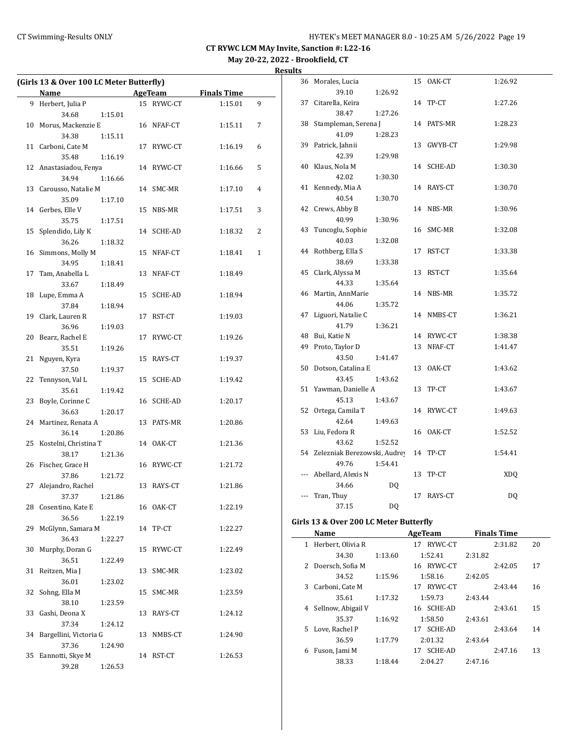**Results**

| (Girls 13 & Over 100 LC Meter Butterfly) |                        |         |    |            |                    |   |
|------------------------------------------|------------------------|---------|----|------------|--------------------|---|
|                                          | Name                   |         |    | AgeTeam    | <b>Finals Time</b> |   |
|                                          | 9 Herbert, Julia P     |         |    | 15 RYWC-CT | 1:15.01            | 9 |
|                                          | 34.68                  | 1:15.01 |    |            |                    |   |
| 10                                       | Morus, Mackenzie E     |         |    | 16 NFAF-CT | 1:15.11            | 7 |
|                                          | 34.38                  | 1:15.11 |    |            |                    |   |
| 11                                       | Carboni, Cate M        |         |    | 17 RYWC-CT | 1:16.19            | 6 |
|                                          | 35.48                  | 1:16.19 |    |            |                    |   |
|                                          | 12 Anastasiadou, Fenya |         |    | 14 RYWC-CT | 1:16.66            | 5 |
|                                          | 34.94                  | 1:16.66 |    |            |                    |   |
| 13                                       | Carousso, Natalie M    |         |    | 14 SMC-MR  | 1:17.10            | 4 |
|                                          | 35.09                  | 1:17.10 |    |            |                    |   |
|                                          | 14 Gerbes, Elle V      |         |    | 15 NBS-MR  | 1:17.51            | 3 |
|                                          | 35.75                  | 1:17.51 |    |            |                    |   |
| 15                                       | Splendido, Lily K      |         |    | 14 SCHE-AD | 1:18.32            | 2 |
|                                          | 36.26                  |         |    |            |                    |   |
|                                          |                        | 1:18.32 |    |            |                    |   |
| 16                                       | Simmons, Molly M       |         |    | 15 NFAF-CT | 1:18.41            | 1 |
|                                          | 34.95                  | 1:18.41 |    |            |                    |   |
| 17                                       | Tam, Anabella L        |         |    | 13 NFAF-CT | 1:18.49            |   |
|                                          | 33.67                  | 1:18.49 |    |            |                    |   |
| 18                                       | Lupe, Emma A           |         |    | 15 SCHE-AD | 1:18.94            |   |
|                                          | 37.84                  | 1:18.94 |    |            |                    |   |
| 19                                       | Clark, Lauren R        |         |    | 17 RST-CT  | 1:19.03            |   |
|                                          | 36.96                  | 1:19.03 |    |            |                    |   |
| 20                                       | Bearz, Rachel E        |         |    | 17 RYWC-CT | 1:19.26            |   |
|                                          | 35.51                  | 1:19.26 |    |            |                    |   |
| 21                                       | Nguyen, Kyra           |         |    | 15 RAYS-CT | 1:19.37            |   |
|                                          | 37.50                  | 1:19.37 |    |            |                    |   |
| 22                                       | Tennyson, Val L        |         |    | 15 SCHE-AD | 1:19.42            |   |
|                                          | 35.61                  | 1:19.42 |    |            |                    |   |
| 23                                       | Boyle, Corinne C       |         |    | 16 SCHE-AD | 1:20.17            |   |
|                                          | 36.63                  | 1:20.17 |    |            |                    |   |
| 24                                       | Martinez, Renata A     |         |    | 13 PATS-MR | 1:20.86            |   |
|                                          | 36.14                  | 1:20.86 |    |            |                    |   |
| 25                                       | Kostelni, Christina T  |         |    | 14 OAK-CT  | 1:21.36            |   |
|                                          | 38.17                  | 1:21.36 |    |            |                    |   |
| 26                                       | Fischer, Grace H       |         |    | 16 RYWC-CT | 1:21.72            |   |
|                                          | 37.86                  | 1:21.72 |    |            |                    |   |
| 27                                       | Alejandro, Rachel      |         |    | 13 RAYS-CT | 1:21.86            |   |
|                                          | 37.37                  | 1:21.86 |    |            |                    |   |
|                                          | 28 Cosentino, Kate E   |         |    | 16 OAK-CT  | 1:22.19            |   |
|                                          | 36.56                  | 1:22.19 |    |            |                    |   |
| 29                                       | McGlynn, Samara M      |         |    | 14 TP-CT   | 1:22.27            |   |
|                                          | 36.43                  | 1:22.27 |    |            |                    |   |
| 30                                       | Murphy, Doran G        |         |    | 15 RYWC-CT | 1:22.49            |   |
|                                          | 36.51                  | 1:22.49 |    |            |                    |   |
| 31                                       | Reitzen, Mia J         |         | 13 | SMC-MR     | 1:23.02            |   |
|                                          | 36.01                  | 1:23.02 |    |            |                    |   |
| 32                                       | Sohng, Ella M          |         | 15 | SMC-MR     | 1:23.59            |   |
|                                          | 38.10                  | 1:23.59 |    |            |                    |   |
| 33                                       | Gashi, Deona X         |         |    | 13 RAYS-CT | 1:24.12            |   |
|                                          | 37.34                  | 1:24.12 |    |            |                    |   |
| 34                                       | Bargellini, Victoria G |         |    | 13 NMBS-CT | 1:24.90            |   |
|                                          | 37.36                  | 1:24.90 |    |            |                    |   |
| 35                                       | Eannotti, Skye M       |         |    | 14 RST-CT  | 1:26.53            |   |
|                                          | 39.28                  | 1:26.53 |    |            |                    |   |
|                                          |                        |         |    |            |                    |   |

| 36  | Morales, Lucia                  |         | 15 | OAK-CT     | 1:26.92 |
|-----|---------------------------------|---------|----|------------|---------|
|     | 39.10                           | 1:26.92 |    |            |         |
| 37  | Citarella, Keira                |         | 14 | TP-CT      | 1:27.26 |
|     | 38.47                           | 1:27.26 |    |            |         |
| 38  | Stampleman, Serena J            |         |    | 14 PATS-MR | 1:28.23 |
|     | 41.09                           | 1:28.23 |    |            |         |
| 39  | Patrick, Jahnii                 |         | 13 | GWYB-CT    | 1:29.98 |
|     | 42.39                           | 1:29.98 |    |            |         |
| 40  | Klaus, Nola M                   |         | 14 | SCHE-AD    | 1:30.30 |
|     | 42.02                           | 1:30.30 |    |            |         |
| 41  | Kennedy, Mia A                  |         |    | 14 RAYS-CT | 1:30.70 |
|     | 40.54                           | 1:30.70 |    |            |         |
| 42  | Crews, Abby B                   |         | 14 | NBS-MR     | 1:30.96 |
|     | 40.99                           | 1:30.96 |    |            |         |
| 43  | Tuncoglu, Sophie                |         | 16 | SMC-MR     | 1:32.08 |
|     | 40.03                           | 1:32.08 |    |            |         |
| 44  | Rothberg, Ella S                |         | 17 | RST-CT     | 1:33.38 |
|     | 38.69                           | 1:33.38 |    |            |         |
| 45  | Clark, Alyssa M                 |         | 13 | RST-CT     | 1:35.64 |
|     | 44.33                           | 1:35.64 |    |            |         |
| 46  | Martin, AnnMarie                |         |    | 14 NBS-MR  | 1:35.72 |
|     | 44.06                           | 1:35.72 |    |            |         |
| 47  | Liguori, Natalie C              |         |    | 14 NMBS-CT | 1:36.21 |
|     | 41.79                           | 1:36.21 |    |            |         |
| 48  | Bui, Katie N                    |         |    | 14 RYWC-CT | 1:38.38 |
| 49  | Proto, Taylor D                 |         | 13 | NFAF-CT    | 1:41.47 |
|     | 43.50                           | 1:41.47 |    |            |         |
| 50  | Dotson, Catalina E              |         | 13 | OAK-CT     | 1:43.62 |
|     | 43.45                           | 1:43.62 |    |            |         |
| 51  | Yawman, Danielle A              |         | 13 | TP-CT      | 1:43.67 |
|     | 45.13                           | 1:43.67 |    |            |         |
| 52  | Ortega, Camila T                |         |    | 14 RYWC-CT | 1:49.63 |
|     | 42.64                           | 1:49.63 |    |            |         |
| 53  | Liu, Fedora R                   |         | 16 | OAK-CT     | 1:52.52 |
|     | 43.62                           | 1:52.52 |    |            |         |
|     | 54 Zelezniak Berezowski, Audrey |         | 14 | TP-CT      | 1:54.41 |
|     | 49.76                           | 1:54.41 |    |            |         |
|     | Abellard, Alexis N              |         | 13 | TP-CT      | XDQ     |
|     | 34.66                           | DQ      |    |            |         |
| --- | Tran, Thuy                      |         | 17 | RAYS-CT    | DQ      |
|     | 37.15                           | DQ      |    |            |         |
|     |                                 |         |    |            |         |

# Girls 13 & Over 200 LC Meter Butterfly

|    | Name               |         | AgeTeam              | <b>Finals Time</b> |    |
|----|--------------------|---------|----------------------|--------------------|----|
| 1  | Herbert, Olivia R  |         | RYWC-CT<br>17        | 2:31.82            | 20 |
|    | 34.30              | 1:13.60 | 1:52.41              | 2:31.82            |    |
|    | 2 Doersch, Sofia M |         | 16 RYWC-CT           | 2:42.05            | 17 |
|    | 34.52              | 1:15.96 | 1:58.16              | 2:42.05            |    |
| 3  | Carboni, Cate M    |         | RYWC-CT<br>17        | 2:43.44            | 16 |
|    | 35.61              | 1:17.32 | 1:59.73              | 2:43.44            |    |
| 4  | Sellnow, Abigail V |         | 16 SCHE-AD           | 2:43.61            | 15 |
|    | 35.37              | 1:16.92 | 1:58.50              | 2:43.61            |    |
| 5. | Love, Rachel P     |         | <b>SCHE-AD</b><br>17 | 2:43.64            | 14 |
|    | 36.59              | 1:17.79 | 2:01.32              | 2:43.64            |    |
| 6  | Fuson, Jami M      |         | SCHE-AD<br>17        | 2:47.16            | 13 |
|    | 38.33              | 1:18.44 | 2:04.27              | 2:47.16            |    |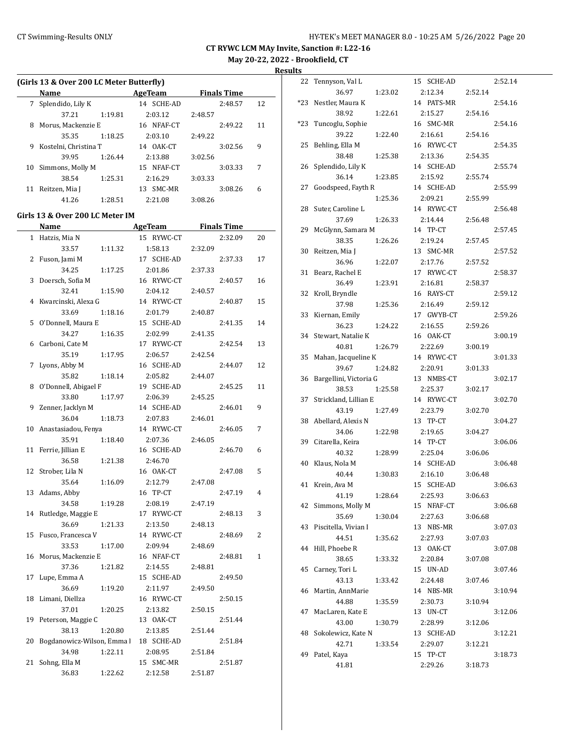|        | (Girls 13 & Over 200 LC Meter Butterfly) |                       |                     |              |
|--------|------------------------------------------|-----------------------|---------------------|--------------|
|        | Name                                     | AgeTeam               | <b>Finals Time</b>  |              |
| 7      | Splendido, Lily K                        | 14 SCHE-AD            | 2:48.57             | 12           |
|        | 37.21<br>1:19.81                         | 2:03.12               | 2:48.57             |              |
| 8      | Morus, Mackenzie E                       | 16 NFAF-CT            | 2:49.22             | 11           |
|        | 35.35<br>1:18.25                         | 2:03.10               | 2:49.22             |              |
| 9      | Kostelni, Christina T                    | 14 OAK-CT             | 3:02.56             | 9            |
|        | 39.95<br>1:26.44                         | 2:13.88               | 3:02.56             |              |
| 10     | Simmons, Molly M                         | 15 NFAF-CT            | 3:03.33             | 7            |
|        | 38.54<br>1:25.31                         | 2:16.29               | 3:03.33             |              |
| 11     | Reitzen, Mia J                           | 13 SMC-MR             | 3:08.26             | 6            |
|        | 41.26<br>1:28.51                         | 2:21.08               | 3:08.26             |              |
|        |                                          |                       |                     |              |
|        | Girls 13 & Over 200 LC Meter IM<br>Name  |                       | AgeTeam Finals Time |              |
|        | 1 Hatzis, Mia N                          | 15 RYWC-CT            | 2:32.09             | 20           |
|        | 33.57<br>1:11.32                         | 1:58.13               | 2:32.09             |              |
|        | 2 Fuson, Jami M                          | 17 SCHE-AD            | 2:37.33             | 17           |
|        | 34.25                                    |                       |                     |              |
|        | 1:17.25                                  | 2:01.86<br>16 RYWC-CT | 2:37.33             | 16           |
| 3      | Doersch, Sofia M<br>32.41<br>1:15.90     |                       | 2:40.57<br>2:40.57  |              |
|        |                                          | 2:04.12               |                     |              |
| 4      | Kwarcinski, Alexa G                      | 14 RYWC-CT            | 2:40.87             | 15           |
|        | 33.69<br>1:18.16                         | 2:01.79               | 2:40.87             |              |
|        | 5 O'Donnell, Maura E                     | 15 SCHE-AD            | 2:41.35             | 14           |
|        | 34.27<br>1:16.35                         | 2:02.99               | 2:41.35             |              |
|        | 6 Carboni, Cate M                        | 17 RYWC-CT            | 2:42.54             | 13           |
|        | 35.19<br>1:17.95                         | 2:06.57               | 2:42.54             |              |
|        | 7 Lyons, Abby M                          | 16 SCHE-AD            | 2:44.07             | 12           |
|        | 35.82<br>1:18.14                         | 2:05.82               | 2:44.07             |              |
|        | 8 O'Donnell, Abigael F                   | 19 SCHE-AD            | 2:45.25             | 11           |
|        | 33.80<br>1:17.97                         | 2:06.39               | 2:45.25             |              |
| 9      | Zenner, Jacklyn M                        | 14 SCHE-AD            | 2:46.01             | 9            |
|        | 36.04<br>1:18.73                         | 2:07.83               | 2:46.01             |              |
|        | 10 Anastasiadou, Fenya                   | 14 RYWC-CT            | 2:46.05             | 7            |
|        | 35.91<br>1:18.40                         | 2:07.36               | 2:46.05             |              |
| 11     | Ferrie, Jillian E                        | 16 SCHE-AD            | 2:46.70             | 6            |
|        | 36.58<br>1:21.38                         | 2:46.70               |                     |              |
|        | 12 Strober, Lila N                       | 16 OAK-CT             | 2:47.08             | 5            |
|        | 35.64<br>1:16.09                         | 2:12.79               | 2:47.08             |              |
|        | 13 Adams, Abby                           | 16 TP-CT              | 2:47.19             | 4            |
|        | 34.58<br>1:19.28                         | 2:08.19               | 2:47.19             |              |
| 14     | Rutledge, Maggie E                       | 17 RYWC-CT            | 2:48.13             | 3            |
|        | 36.69<br>1:21.33                         | 2:13.50               | 2:48.13             |              |
| 15     | Fusco, Francesca V                       | 14 RYWC-CT            | 2:48.69             | 2            |
|        | 33.53<br>1:17.00                         | 2:09.94               | 2:48.69             |              |
| 16     | Morus, Mackenzie E                       | 16 NFAF-CT            | 2:48.81             | $\mathbf{1}$ |
|        | 37.36<br>1:21.82                         | 2:14.55               | 2:48.81             |              |
| $17\,$ | Lupe, Emma A                             | 15 SCHE-AD            | 2:49.50             |              |
|        | 36.69<br>1:19.20                         | 2:11.97               | 2:49.50             |              |
| 18     | Limani, Diellza                          | 16 RYWC-CT            | 2:50.15             |              |
|        | 37.01<br>1:20.25                         | 2:13.82               | 2:50.15             |              |
| 19     | Peterson, Maggie C                       | 13 OAK-CT             | 2:51.44             |              |
|        | 38.13<br>1:20.80                         | 2:13.85               | 2:51.44             |              |
| 20     | Bogdanowicz-Wilson, Emma                 | 18 SCHE-AD            | 2:51.84             |              |
|        | 34.98<br>1:22.11                         | 2:08.95               | 2:51.84             |              |
| 21     | Sohng, Ella M                            | 15 SMC-MR             | 2:51.87             |              |
|        | 36.83<br>1:22.62                         | 2:12.58               | 2:51.87             |              |

| 22  | Tennyson, Val L        | 15 SCHE-AD           |         | 2:52.14 |
|-----|------------------------|----------------------|---------|---------|
|     | 36.97<br>1:23.02       | 2:12.34              | 2:52.14 |         |
| *23 | Nestler, Maura K       | 14 PATS-MR           |         | 2:54.16 |
|     | 38.92<br>1:22.61       | 2:15.27              | 2:54.16 |         |
| *23 | Tuncoglu, Sophie       | 16 SMC-MR            |         | 2:54.16 |
|     | 39.22<br>1:22.40       | 2:16.61              | 2:54.16 |         |
| 25  | Behling, Ella M        | 16 RYWC-CT           |         | 2:54.35 |
|     | 38.48<br>1:25.38       | 2:13.36              | 2:54.35 |         |
| 26  | Splendido, Lily K      | 14 SCHE-AD           |         | 2:55.74 |
|     | 36.14<br>1:23.85       | 2:15.92              | 2:55.74 |         |
| 27  | Goodspeed, Fayth R     | 14 SCHE-AD           |         | 2:55.99 |
|     | 1:25.36                | 2:09.21              | 2:55.99 |         |
| 28  | Suter, Caroline L      | 14 RYWC-CT           |         | 2:56.48 |
|     | 37.69<br>1:26.33       | 2:14.44              | 2:56.48 |         |
| 29  | McGlynn, Samara M      | 14 TP-CT             |         | 2:57.45 |
|     | 38.35<br>1:26.26       | 2:19.24              | 2:57.45 |         |
| 30  | Reitzen, Mia J         | 13 SMC-MR            |         | 2:57.52 |
|     | 36.96<br>1:22.07       | 2:17.76              | 2:57.52 |         |
| 31  | Bearz, Rachel E        | 17<br>RYWC-CT        |         | 2:58.37 |
|     | 36.49<br>1:23.91       | 2:16.81              | 2:58.37 |         |
| 32  | Kroll, Bryndle         | 16 RAYS-CT           |         | 2:59.12 |
|     | 37.98<br>1:25.36       | 2:16.49              | 2:59.12 |         |
| 33  | Kiernan, Emily         | 17 GWYB-CT           |         | 2:59.26 |
|     | 36.23<br>1:24.22       | 2:16.55              | 2:59.26 |         |
| 34  | Stewart, Natalie K     | 16 OAK-CT            |         | 3:00.19 |
|     | 40.81<br>1:26.79       | 2:22.69              | 3:00.19 |         |
| 35  | Mahan, Jacqueline K    | 14 RYWC-CT           |         | 3:01.33 |
|     | 39.67<br>1:24.82       | 2:20.91              | 3:01.33 |         |
|     |                        |                      |         |         |
| 36  | Bargellini, Victoria G | 13 NMBS-CT           |         | 3:02.17 |
|     | 38.53<br>1:25.58       | 2:25.37              | 3:02.17 |         |
| 37  | Strickland, Lillian E  | 14 RYWC-CT           |         | 3:02.70 |
|     | 43.19<br>1:27.49       | 2:23.79              | 3:02.70 |         |
| 38  | Abellard, Alexis N     | 13 TP-CT             |         | 3:04.27 |
|     | 34.06<br>1:22.98       | 2:19.65              | 3:04.27 |         |
| 39  | Citarella, Keira       | 14 TP-CT             |         | 3:06.06 |
|     | 40.32<br>1:28.99       | 2:25.04              | 3:06.06 |         |
| 40  | Klaus, Nola M          | 14 SCHE-AD           |         | 3:06.48 |
|     | 40.44<br>1:30.83       | 2:16.10              | 3:06.48 |         |
| 41  | Krein, Ava M           | 15<br><b>SCHE-AD</b> |         | 3:06.63 |
|     | 1:28.64<br>41.19       | 2:25.93              | 3:06.63 |         |
| 42  | Simmons, Molly M       | 15 NFAF-CT           |         | 3:06.68 |
|     | 35.69<br>1:30.04       | 2:27.63              | 3:06.68 |         |
| 43  | Piscitella, Vivian I   | 13<br>NBS-MR         |         | 3:07.03 |
|     | 44.51<br>1:35.62       | 2:27.93              | 3:07.03 |         |
| 44  | Hill, Phoebe R         | 13 OAK-CT            |         | 3:07.08 |
|     | 38.65<br>1:33.32       | 2:20.84              | 3:07.08 |         |
| 45  | Carney, Tori L         | 15 UN-AD             |         | 3:07.46 |
|     | 43.13<br>1:33.42       | 2:24.48              | 3:07.46 |         |
| 46  | Martin, AnnMarie       | 14 NBS-MR            |         | 3:10.94 |
|     | 44.88<br>1:35.59       | 2:30.73              | 3:10.94 |         |
| 47  | MacLaren, Kate E       | 13 UN-CT             |         | 3:12.06 |
|     | 43.00<br>1:30.79       | 2:28.99              | 3:12.06 |         |
| 48  | Sokolewicz, Kate N     | 13 SCHE-AD           |         | 3:12.21 |
|     | 42.71<br>1:33.54       | 2:29.07              | 3:12.21 |         |
| 49  | Patel, Kaya<br>41.81   | 15 TP-CT<br>2:29.26  | 3:18.73 | 3:18.73 |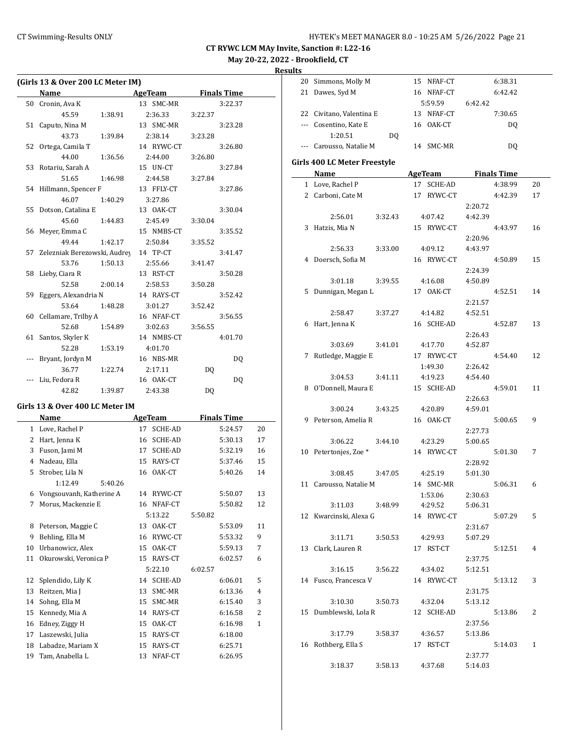|    | (Girls 13 & Over 200 LC Meter IM) |                |                    |    |
|----|-----------------------------------|----------------|--------------------|----|
|    | <b>Name</b>                       | AgeTeam        | <b>Finals Time</b> |    |
| 50 | Cronin, Ava K                     | 13 SMC-MR      | 3:22.37            |    |
|    | 45.59<br>1:38.91                  | 2:36.33        | 3:22.37            |    |
| 51 | Caputo, Nina M                    | 13 SMC-MR      | 3:23.28            |    |
|    | 43.73<br>1:39.84                  | 2:38.14        | 3:23.28            |    |
| 52 | Ortega, Camila T                  | 14 RYWC-CT     | 3:26.80            |    |
|    | 44.00<br>1:36.56                  | 2:44.00        | 3:26.80            |    |
| 53 | Rotariu, Sarah A                  | 15 UN-CT       | 3:27.84            |    |
|    | 51.65<br>1:46.98                  | 2:44.58        | 3:27.84            |    |
|    | 54 Hillmann, Spencer F            | 13 FFLY-CT     | 3:27.86            |    |
|    | 46.07<br>1:40.29                  | 3:27.86        |                    |    |
| 55 | Dotson, Catalina E                | 13 OAK-CT      | 3:30.04            |    |
|    | 45.60<br>1:44.83                  | 2:45.49        | 3:30.04            |    |
| 56 | Meyer, Emma C                     | 15 NMBS-CT     | 3:35.52            |    |
|    | 49.44<br>1:42.17                  | 2:50.84        | 3:35.52            |    |
| 57 | Zelezniak Berezowski, Audrey      | 14 TP-CT       | 3:41.47            |    |
|    | 53.76<br>1:50.13                  | 2:55.66        | 3:41.47            |    |
| 58 | Lieby, Ciara R                    | 13 RST-CT      | 3:50.28            |    |
|    | 52.58<br>2:00.14                  | 2:58.53        | 3:50.28            |    |
| 59 | Eggers, Alexandria N              | 14 RAYS-CT     | 3:52.42            |    |
|    | 53.64<br>1:48.28                  | 3:01.27        | 3:52.42            |    |
|    | 60 Cellamare, Trilby A            | 16 NFAF-CT     | 3:56.55            |    |
|    | 52.68<br>1:54.89                  | 3:02.63        | 3:56.55            |    |
| 61 | Santos, Skyler K                  | 14 NMBS-CT     | 4:01.70            |    |
|    | 52.28<br>1:53.19                  | 4:01.70        |                    |    |
|    | Bryant, Jordyn M                  | 16 NBS-MR      | DQ                 |    |
|    | 36.77<br>1:22.74                  | 2:17.11        | DQ                 |    |
|    | Liu, Fedora R                     | 16 OAK-CT      | DQ                 |    |
|    | 42.82<br>1:39.87                  | 2:43.38        | DQ                 |    |
|    | Girls 13 & Over 400 LC Meter IM   |                |                    |    |
|    | Name                              | <b>AgeTeam</b> | <b>Finals Time</b> |    |
|    | 1 Love, Rachel P                  | 17 SCHE-AD     | 5:24.57            | 20 |
|    | 2 Hart, Jenna K                   | 16 SCHE-AD     | 5:30.13            | 17 |
| 3  | Fuson, Jami M                     | 17 SCHE-AD     | 5:32.19            | 16 |
|    | 4 Nadeau, Ella                    | 15 RAYS-CT     | 5:37.46            | 15 |
| 5  | Strober, Lila N                   | 16 OAK-CT      | 5:40.26            | 14 |
|    | 1:12.49<br>5:40.26                |                |                    |    |
| 6  | Vongsouvanh, Katherine A          | 14 RYWC-CT     | 5:50.07            | 13 |
| 7  | Morus, Mackenzie E                | 16 NFAF-CT     | 5:50.82            | 12 |
|    |                                   | 5:13.22        | 5:50.82            |    |
| 8  | Peterson, Maggie C                | 13 OAK-CT      | 5:53.09            | 11 |
| 9  | Behling, Ella M                   | 16<br>RYWC-CT  | 5:53.32            | 9  |
| 10 | Urbanowicz, Alex                  | 15<br>OAK-CT   | 5:59.13            | 7  |
| 11 | Okurowski, Veronica P             | 15<br>RAYS-CT  | 6:02.57            | 6  |
|    |                                   | 5:22.10        | 6:02.57            |    |
| 12 | Splendido, Lily K                 | SCHE-AD<br>14  | 6:06.01            | 5  |
| 13 | Reitzen, Mia J                    | 13<br>SMC-MR   | 6:13.36            | 4  |
| 14 | Sohng, Ella M                     | 15<br>SMC-MR   | 6:15.40            | 3  |
| 15 | Kennedy, Mia A                    | 14 RAYS-CT     | 6:16.58            | 2  |
| 16 | Edney, Ziggy H                    | 15<br>OAK-CT   | 6:16.98            | 1  |
| 17 | Laszewski, Julia                  | 15 RAYS-CT     | 6:18.00            |    |
| 18 | Labadze, Mariam X                 | RAYS-CT<br>15  | 6:25.71            |    |
| 19 | Tam, Anabella L                   | NFAF-CT<br>13  | 6:26.95            |    |
|    |                                   |                |                    |    |

| 20 | Simmons, Molly M             | 15 NFAF-CT         | 6:38.31            |    |
|----|------------------------------|--------------------|--------------------|----|
|    | 21 Dawes, Syd M              | 16 NFAF-CT         | 6:42.42            |    |
|    |                              | 5:59.59            | 6:42.42            |    |
|    | 22 Civitano, Valentina E     | 13 NFAF-CT         | 7:30.65            |    |
|    | --- Cosentino, Kate E        | 16 OAK-CT          | DQ                 |    |
|    | 1:20.51<br>DQ                |                    |                    |    |
|    | --- Carousso, Natalie M      | 14 SMC-MR          | DQ                 |    |
|    |                              |                    |                    |    |
|    | Girls 400 LC Meter Freestyle |                    |                    |    |
|    | Name                         | <b>AgeTeam</b>     | <b>Finals Time</b> |    |
|    | 1 Love, Rachel P             | 17 SCHE-AD         | 4:38.99            | 20 |
|    | 2 Carboni, Cate M            | 17 RYWC-CT         | 4:42.39            | 17 |
|    |                              |                    | 2:20.72            |    |
|    | 2:56.01<br>3:32.43           | 4:07.42            | 4:42.39            |    |
|    | 3 Hatzis, Mia N              | 15 RYWC-CT         | 4:43.97            | 16 |
|    |                              |                    | 2:20.96            |    |
|    | 2:56.33<br>3:33.00           | 4:09.12            | 4:43.97            |    |
|    | 4 Doersch, Sofia M           | 16 RYWC-CT         | 4:50.89            | 15 |
|    |                              |                    | 2:24.39            |    |
|    | 3:01.18<br>3:39.55           | 4:16.08            | 4:50.89            |    |
|    | 5 Dunnigan, Megan L          | 17 OAK-CT          | 4:52.51            | 14 |
|    |                              |                    | 2:21.57            |    |
|    | 3:37.27<br>2:58.47           | 4:14.82            | 4:52.51            |    |
|    | 6 Hart, Jenna K              | 16 SCHE-AD         | 4:52.87            | 13 |
|    |                              |                    | 2:26.43            |    |
|    | 3:03.69<br>3:41.01           | 4:17.70            | 4:52.87            |    |
|    | 7 Rutledge, Maggie E         | 17 RYWC-CT         | 4:54.40            | 12 |
|    | 3:41.11<br>3:04.53           | 1:49.30<br>4:19.23 | 2:26.42<br>4:54.40 |    |
|    | 8 O'Donnell, Maura E         | 15 SCHE-AD         | 4:59.01            | 11 |
|    |                              |                    | 2:26.63            |    |
|    | 3:43.25<br>3:00.24           | 4:20.89            | 4:59.01            |    |
|    | 9 Peterson, Amelia R         | 16 OAK-CT          | 5:00.65            | 9  |
|    |                              |                    | 2:27.73            |    |
|    | 3:06.22<br>3:44.10           | 4:23.29            | 5:00.65            |    |
|    | 10 Petertonjes, Zoe *        | 14 RYWC-CT         | 5:01.30            | 7  |
|    |                              |                    | 2:28.92            |    |
|    | 3:08.45<br>3:47.05           | 4:25.19            | 5:01.30            |    |
|    | 11 Carousso, Natalie M       | 14 SMC-MR          | 5:06.31            | 6  |
|    |                              | 1:53.06            | 2:30.63            |    |
|    | 3:11.03<br>3:48.99           | 4:29.52            | 5:06.31            |    |
|    | 12 Kwarcinski, Alexa G       | 14 RYWC-CT         | 5:07.29            | 5  |
|    |                              |                    | 2:31.67            |    |
|    | 3:50.53<br>3:11.71           | 4:29.93            | 5:07.29            |    |
|    | 13 Clark, Lauren R           | 17 RST-CT          | 5:12.51            | 4  |
|    |                              |                    | 2:37.75            |    |
|    | 3:16.15<br>3:56.22           | 4:34.02            | 5:12.51            |    |
|    | 14 Fusco, Francesca V        | 14 RYWC-CT         | 5:13.12            | 3  |
|    |                              |                    | 2:31.75            |    |
|    | 3:10.30 3:50.73              | 4:32.04            | 5:13.12            |    |
|    | 15 Dumblewski, Lola R        | 12 SCHE-AD         | 5:13.86            | 2  |
|    |                              |                    | 2:37.56            |    |
|    | 3:58.37<br>3:17.79           | 4:36.57            | 5:13.86            |    |
|    | 16 Rothberg, Ella S          | 17 RST-CT          | 5:14.03            | 1  |
|    |                              |                    | 2:37.77            |    |
|    | 3:18.37<br>3:58.13           | 4:37.68            | 5:14.03            |    |
|    |                              |                    |                    |    |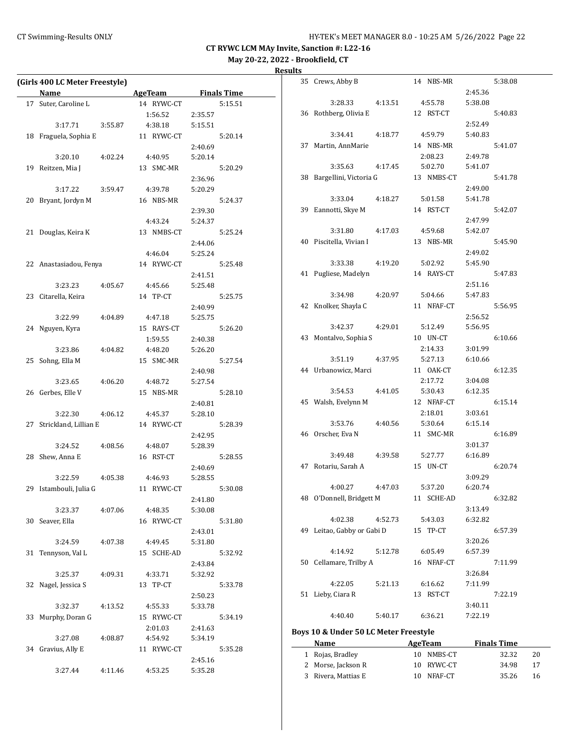35 Crews, Abby B 14 NBS-MR 5:38.08

2:45.36

**CT RYWC LCM MAy Invite, Sanction #: L22-16 May 20-22, 2022 - Brookfield, CT**

# **Results**

| (Girls 400 LC Meter Freestyle)          |                      |         |         |
|-----------------------------------------|----------------------|---------|---------|
| Name                                    | AgeTeam Finals Time  |         |         |
| 17 Suter, Caroline L                    | 14 RYWC-CT           |         | 5:15.51 |
|                                         | 1:56.52 2:35.57      |         |         |
| $3:17.71$ $3:55.87$                     | 4:38.18              | 5:15.51 |         |
| 18 Fraguela, Sophia E                   | 11 RYWC-CT           |         | 5:20.14 |
|                                         |                      | 2:40.69 |         |
| 3:20.10<br>4:02.24                      | 4:40.95              | 5:20.14 |         |
| 19 Reitzen, Mia J                       | 13 SMC-MR            |         | 5:20.29 |
|                                         |                      | 2:36.96 |         |
| 3:17.22<br>3:59.47                      | 4:39.78              | 5:20.29 |         |
| 20 Bryant, Jordyn M                     | 16 NBS-MR            |         | 5:24.37 |
|                                         |                      | 2:39.30 |         |
|                                         | 4:43.24              | 5:24.37 |         |
| 21 Douglas, Keira K                     | 13 NMBS-CT           |         | 5:25.24 |
|                                         |                      | 2:44.06 |         |
|                                         | 4:46.04              | 5:25.24 |         |
| 22 Anastasiadou, Fenya                  | 14 RYWC-CT           | 5:25.48 |         |
|                                         |                      | 2:41.51 |         |
| 3:23.23<br>4:05.67                      | 4:45.66              | 5:25.48 |         |
| 23 Citarella, Keira                     | 14 TP-CT             | 5:25.75 |         |
|                                         |                      | 2:40.99 |         |
| 3:22.99<br>4:04.89                      | 4:47.18              | 5:25.75 |         |
| 24 Nguyen, Kyra                         | 15 RAYS-CT           |         | 5:26.20 |
|                                         | 1:59.55              | 2:40.38 |         |
| 3:23.86<br>4:04.82                      | 4:48.20              | 5:26.20 |         |
| 25 Sohng, Ella M                        | 15 SMC-MR            |         | 5:27.54 |
|                                         |                      | 2:40.98 |         |
| 3:23.65<br>4:06.20<br>26 Gerbes, Elle V | 4:48.72<br>15 NBS-MR | 5:27.54 | 5:28.10 |
|                                         |                      | 2:40.81 |         |
| 3:22.30                                 | 4:06.12 4:45.37      | 5:28.10 |         |
| 27 Strickland, Lillian E                | 14 RYWC-CT           |         | 5:28.39 |
|                                         |                      | 2:42.95 |         |
| 3:24.52<br>4:08.56                      | 4:48.07              | 5:28.39 |         |
| 28 Shew, Anna E                         | 16 RST-CT            |         | 5:28.55 |
|                                         |                      | 2:40.69 |         |
| 3:22.59<br>4:05.38                      | 4:46.93              | 5:28.55 |         |
| 29 Istambouli, Julia G                  | 11 RYWC-CT           |         | 5:30.08 |
|                                         |                      | 2:41.80 |         |
| 3:23.37<br>4:07.06                      | 4:48.35              | 5:30.08 |         |
| 30 Seaver, Ella                         | 16 RYWC-CT           |         | 5:31.80 |
|                                         |                      | 2:43.01 |         |
| 3:24.59<br>4:07.38                      | 4:49.45              | 5:31.80 |         |
| 31 Tennyson, Val L                      | 15 SCHE-AD           |         | 5:32.92 |
|                                         |                      | 2:43.84 |         |
|                                         |                      |         |         |

3:25.37 4:09.31 4:33.71 5:32.92 32 Nagel, Jessica S 13 TP-CT 5:33.78

3:32.37 4:13.52 4:55.33 5:33.78 33 Murphy, Doran G 15 RYWC-CT 5:34.19

3:27.08 4:08.87 4:54.92 5:34.19 34 Gravius, Ally E 11 RYWC-CT 5:35.28

3:27.44 4:11.46 4:53.25 5:35.28

2:50.23

2:45.16

2:01.03 2:41.63

|    | 3:28.33                   | 4:13.51 |    | 4:55.78    | 5:38.08            |         |
|----|---------------------------|---------|----|------------|--------------------|---------|
|    | 36 Rothberg, Olivia E     |         |    | 12 RST-CT  |                    | 5:40.83 |
|    |                           |         |    |            | 2:52.49            |         |
|    | 3:34.41                   | 4:18.77 |    | 4:59.79    | 5:40.83            |         |
| 37 | Martin, AnnMarie          |         |    | 14 NBS-MR  |                    | 5:41.07 |
|    |                           |         |    | 2:08.23    | 2:49.78            |         |
|    | 3:35.63                   | 4:17.45 |    | 5:02.70    | 5:41.07            |         |
|    | 38 Bargellini, Victoria G |         |    | 13 NMBS-CT |                    | 5:41.78 |
|    |                           |         |    |            | 2:49.00            |         |
|    | 3:33.04                   | 4:18.27 |    | 5:01.58    | 5:41.78            |         |
|    | 39 Eannotti, Skye M       |         |    | 14 RST-CT  |                    | 5:42.07 |
|    |                           |         |    |            | 2:47.99            |         |
|    | 3:31.80                   | 4:17.03 |    | 4:59.68    | 5:42.07            |         |
|    | 40 Piscitella, Vivian I   |         |    | 13 NBS-MR  |                    | 5:45.90 |
|    |                           |         |    |            | 2:49.02            |         |
|    | 3:33.38                   | 4:19.20 |    | 5:02.92    | 5:45.90            |         |
|    | 41 Pugliese, Madelyn      |         |    | 14 RAYS-CT |                    | 5:47.83 |
|    |                           |         |    |            | 2:51.16            |         |
|    | 3:34.98                   | 4:20.97 |    | 5:04.66    | 5:47.83            |         |
|    | 42 Knolker, Shayla C      |         |    | 11 NFAF-CT |                    | 5:56.95 |
|    |                           |         |    |            | 2:56.52            |         |
|    | 3:42.37                   | 4:29.01 |    | 5:12.49    | 5:56.95            |         |
| 43 | Montalvo, Sophia S        |         |    | 10 UN-CT   |                    | 6:10.66 |
|    |                           |         |    | 2:14.33    | 3:01.99            |         |
|    | 3:51.19                   | 4:37.95 |    | 5:27.13    | 6:10.66            |         |
|    | 44 Urbanowicz, Marci      |         |    | 11 OAK-CT  |                    | 6:12.35 |
|    |                           |         |    | 2:17.72    | 3:04.08            |         |
|    | 3:54.53                   | 4:41.05 |    | 5:30.43    | 6:12.35            |         |
|    | 45 Walsh, Evelynn M       |         |    | 12 NFAF-CT |                    | 6:15.14 |
|    |                           |         |    | 2:18.01    | 3:03.61            |         |
|    | 3:53.76                   | 4:40.56 |    | 5:30.64    | 6:15.14            |         |
|    | 46 Orscher, Eva N         |         |    | 11 SMC-MR  |                    | 6:16.89 |
|    |                           |         |    |            | 3:01.37            |         |
|    | 3:49.48                   | 4:39.58 |    | 5:27.77    | 6:16.89            |         |
|    | 47 Rotariu, Sarah A       |         |    | 15 UN-CT   | 3:09.29            | 6:20.74 |
|    | 4:00.27                   | 4:47.03 |    | 5:37.20    | 6:20.74            |         |
|    |                           |         |    | 11 SCHE-AD |                    | 6:32.82 |
|    | 48 O'Donnell, Bridgett M  |         |    |            |                    |         |
|    | 4:02.38                   | 4:52.73 |    | 5:43.03    | 3:13.49<br>6:32.82 |         |
| 49 | Leitao, Gabby or Gabi D   |         |    | TP-CT      |                    | 6:57.39 |
|    |                           |         | 15 |            | 3:20.26            |         |
|    | 4:14.92                   | 5:12.78 |    | 6:05.49    | 6:57.39            |         |
| 50 | Cellamare, Trilby A       |         |    | 16 NFAF-CT |                    | 7:11.99 |
|    |                           |         |    |            | 3:26.84            |         |
|    | 4:22.05                   | 5:21.13 |    | 6:16.62    | 7:11.99            |         |
| 51 | Lieby, Ciara R            |         |    | 13 RST-CT  |                    | 7:22.19 |
|    |                           |         |    |            | 3:40.11            |         |
|    | 4:40.40                   | 5:40.17 |    | 6:36.21    | 7:22.19            |         |
|    |                           |         |    |            |                    |         |

#### **Boys 10 & Under 50 LC Meter Freestyle**

| Name                | AgeTeam    | <b>Finals Time</b> |    |  |
|---------------------|------------|--------------------|----|--|
| 1 Rojas, Bradley    | 10 NMBS-CT | 32.32              | 20 |  |
| 2 Morse, Jackson R  | 10 RYWC-CT | 34.98              | 17 |  |
| 3 Rivera, Mattias E | 10 NFAF-CT | 35.26              | 16 |  |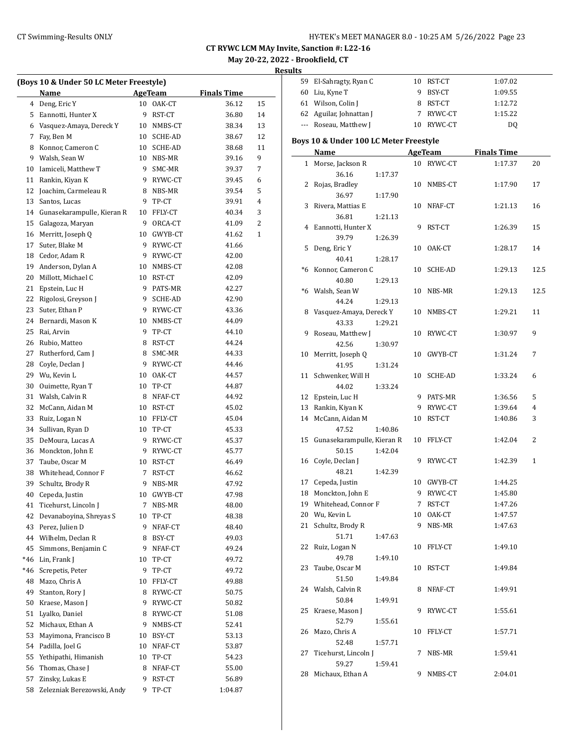|  |  |  |  | (Boys 10 & Under 50 LC Meter Freestyle) |  |
|--|--|--|--|-----------------------------------------|--|
|  |  |  |  |                                         |  |

|     | (Boys 10 & Under 50 LC Meter Freestyle) |          |                |                    |                |
|-----|-----------------------------------------|----------|----------------|--------------------|----------------|
|     | Name                                    |          | <b>AgeTeam</b> | <u>Finals Time</u> |                |
|     | 4 Deng, Eric Y                          |          | 10 OAK-CT      | 36.12              | 15             |
| 5   | Eannotti, Hunter X                      | 9        | RST-CT         | 36.80              | 14             |
|     | 6 Vasquez-Amaya, Dereck Y               |          | 10 NMBS-CT     | 38.34              | 13             |
| 7   | Fay, Ben M                              |          | 10 SCHE-AD     | 38.67              | 12             |
| 8   | Konnor, Cameron C                       | 10       | SCHE-AD        | 38.68              | 11             |
| 9   | Walsh, Sean W                           | 10       | NBS-MR         | 39.16              | 9              |
| 10  | Iamiceli, Matthew T                     | 9        | SMC-MR         | 39.37              | 7              |
|     |                                         |          |                |                    |                |
| 11  | Rankin, Kiyan K                         | 9        | RYWC-CT        | 39.45              | 6              |
| 12  | Joachim, Carmeleau R                    | 8        | NBS-MR         | 39.54              | 5              |
| 13  | Santos, Lucas                           | 9        | TP-CT          | 39.91              | 4              |
| 14  | Gunasekarampulle, Kieran R              | 10       | FFLY-CT        | 40.34              | 3              |
| 15  | Galagoza, Maryan                        | 9        | ORCA-CT        | 41.09              | $\overline{2}$ |
| 16  | Merritt, Joseph Q                       | 10       | GWYB-CT        | 41.62              | 1              |
| 17  | Suter, Blake M                          | 9        | RYWC-CT        | 41.66              |                |
| 18  | Cedor, Adam R                           | 9        | RYWC-CT        | 42.00              |                |
| 19  | Anderson, Dylan A                       |          | 10 NMBS-CT     | 42.08              |                |
| 20  | Millott, Michael C                      | 10       | RST-CT         | 42.09              |                |
| 21  | Epstein, Luc H                          | 9        | PATS-MR        | 42.27              |                |
| 22  | Rigolosi, Greyson J                     | 9        | SCHE-AD        | 42.90              |                |
| 23  | Suter, Ethan P                          |          | 9 RYWC-CT      | 43.36              |                |
| 24  | Bernardi, Mason K                       | 10       | NMBS-CT        | 44.09              |                |
| 25  | Rai, Arvin                              | 9        | TP-CT          | 44.10              |                |
| 26  | Rubio, Matteo                           | 8        | RST-CT         | 44.24              |                |
| 27  | Rutherford, Cam J                       | 8        | SMC-MR         | 44.33              |                |
| 28  | Coyle, Declan J                         | 9        | RYWC-CT        | 44.46              |                |
| 29  | Wu, Kevin L                             |          | 10 OAK-CT      | 44.57              |                |
| 30  | Ouimette, Ryan T                        | 10       | TP-CT          | 44.87              |                |
| 31  | Walsh, Calvin R                         |          | 8 NFAF-CT      | 44.92              |                |
| 32  | McCann, Aidan M                         |          | 10 RST-CT      | 45.02              |                |
|     |                                         |          |                |                    |                |
| 33  | Ruiz, Logan N                           | 10<br>10 | FFLY-CT        | 45.04              |                |
| 34  | Sullivan, Ryan D                        |          | TP-CT          | 45.33              |                |
| 35  | DeMoura, Lucas A                        | 9.       | RYWC-CT        | 45.37              |                |
| 36  | Monckton, John E                        | 9        | RYWC-CT        | 45.77              |                |
| 37  | Taube, Oscar M                          | 10       | RST-CT         | 46.49              |                |
| 38  | Whitehead, Connor F                     | 7        | RST-CT         | 46.62              |                |
| 39  | Schultz, Brody R                        | 9        | NBS-MR         | 47.92              |                |
|     | 40 Cepeda, Justin                       | 10       | GWYB-CT        | 47.98              |                |
|     | 41 Ticehurst, Lincoln J                 |          | 7 NBS-MR       | 48.00              |                |
| 42  | Devanaboyina, Shreyas S                 | 10       | TP-CT          | 48.38              |                |
| 43  | Perez, Julien D                         | 9        | NFAF-CT        | 48.40              |                |
| 44  | Wilhelm, Declan R                       | 8        | BSY-CT         | 49.03              |                |
| 45  | Simmons, Benjamin C                     | 9        | NFAF-CT        | 49.24              |                |
| *46 | Lin, Frank J                            | 10       | TP-CT          | 49.72              |                |
| *46 | Screpetis, Peter                        | 9        | TP-CT          | 49.72              |                |
| 48  | Mazo, Chris A                           | 10       | FFLY-CT        | 49.88              |                |
| 49  | Stanton, Rory J                         | 8        | RYWC-CT        | 50.75              |                |
| 50  | Kraese, Mason J                         | 9        | RYWC-CT        | 50.82              |                |
| 51  | Lyalko, Daniel                          | 8        | RYWC-CT        | 51.08              |                |
| 52  | Michaux, Ethan A                        | 9        | NMBS-CT        | 52.41              |                |
| 53  | Mayimona, Francisco B                   | 10       | BSY-CT         | 53.13              |                |
| 54  | Padilla, Joel G                         | 10       | NFAF-CT        | 53.87              |                |
| 55  | Yethipathi, Himanish                    | 10       | TP-CT          | 54.23              |                |
| 56  | Thomas, Chase J                         | 8        | NFAF-CT        | 55.00              |                |
| 57  | Zinsky, Lukas E                         | 9        | RST-CT         | 56.89              |                |
| 58  | Zelezniak Berezowski, Andy              | 9        | TP-CT          | 1:04.87            |                |
|     |                                         |          |                |                    |                |

| uits         |                                        |         |                |                    |              |
|--------------|----------------------------------------|---------|----------------|--------------------|--------------|
|              | 59 El-Sahragty, Ryan C                 |         | 10 RST-CT      | 1:07.02            |              |
|              | 60 Liu, Kyne T                         |         | 9 BSY-CT       | 1:09.55            |              |
|              | 61 Wilson, Colin J                     |         | 8 RST-CT       | 1:12.72            |              |
|              | 62 Aguilar, Johnattan J                |         | 7 RYWC-CT      | 1:15.22            |              |
|              | --- Roseau, Matthew J                  |         | 10 RYWC-CT     | <b>DQ</b>          |              |
|              |                                        |         |                |                    |              |
|              | Boys 10 & Under 100 LC Meter Freestyle |         |                |                    |              |
|              | Name                                   |         | <b>AgeTeam</b> | <b>Finals Time</b> |              |
| $\mathbf{1}$ | Morse, Jackson R                       |         | 10 RYWC-CT     | 1:17.37            | 20           |
|              | 36.16                                  | 1:17.37 |                |                    |              |
|              | 2 Rojas, Bradley                       | 10      | NMBS-CT        | 1:17.90            | 17           |
|              | 36.97                                  | 1:17.90 |                |                    |              |
| 3            | Rivera, Mattias E                      | 10      | NFAF-CT        | 1:21.13            | 16           |
|              | 36.81                                  | 1:21.13 |                |                    |              |
| 4            | Eannotti, Hunter X                     | 9       | RST-CT         | 1:26.39            | 15           |
|              | 39.79                                  | 1:26.39 |                |                    |              |
| 5            | Deng, Eric Y                           |         | 10 OAK-CT      | 1:28.17            | 14           |
|              | 40.41                                  | 1:28.17 |                |                    |              |
| $*6$         | Konnor, Cameron C                      |         | 10 SCHE-AD     | 1:29.13            | 12.5         |
|              | 40.80                                  | 1:29.13 |                |                    |              |
|              | *6 Walsh, Sean W                       |         | 10 NBS-MR      | 1:29.13            | 12.5         |
|              | 44.24                                  | 1:29.13 |                |                    |              |
| 8            | Vasquez-Amaya, Dereck Y                | 10      | NMBS-CT        | 1:29.21            | 11           |
|              | 43.33                                  | 1:29.21 |                |                    |              |
| 9            | Roseau, Matthew J                      | 10      | RYWC-CT        | 1:30.97            | 9            |
|              | 42.56                                  | 1:30.97 |                |                    |              |
| 10           | Merritt, Joseph Q                      | 10      | GWYB-CT        | 1:31.24            | 7            |
|              | 41.95                                  | 1:31.24 |                |                    |              |
| 11           | Schwenker, Will H                      | 10      | SCHE-AD        | 1:33.24            | 6            |
|              | 44.02                                  | 1:33.24 |                |                    |              |
|              | 12 Epstein, Luc H                      | 9       | PATS-MR        | 1:36.56            | 5            |
| 13           | Rankin, Kiyan K                        | 9       | RYWC-CT        | 1:39.64            | 4            |
| 14           | McCann, Aidan M                        |         | 10 RST-CT      | 1:40.86            | 3            |
|              | 47.52                                  | 1:40.86 |                |                    |              |
|              | 15 Gunasekarampulle, Kieran R          |         | 10 FFLY-CT     | 1:42.04            | 2            |
|              | 50.15                                  | 1:42.04 |                |                    |              |
|              | 16 Coyle, Declan J                     | 9       | RYWC-CT        | 1:42.39            | $\mathbf{1}$ |
|              | 48.21                                  | 1:42.39 |                |                    |              |
|              | 17 Cepeda, Justin                      |         | 10 GWYB-CT     | 1:44.25            |              |
|              | 18 Monckton, John E                    |         | 9 RYWC-CT      | 1:45.80            |              |
|              | 19 Whitehead, Connor F                 |         | 7 RST-CT       | 1:47.26            |              |
|              | 20 Wu, Kevin L                         |         | 10 OAK-CT      | 1:47.57            |              |
|              | 21 Schultz, Brody R                    | 9       | NBS-MR         | 1:47.63            |              |
|              | 51.71                                  | 1:47.63 |                |                    |              |
| 22           | Ruiz, Logan N                          | 10      | FFLY-CT        | 1:49.10            |              |
|              | 49.78                                  | 1:49.10 |                |                    |              |
| 23           | Taube, Oscar M                         | 10      | RST-CT         | 1:49.84            |              |
|              | 51.50                                  | 1:49.84 |                |                    |              |
|              | 24 Walsh, Calvin R                     | 8       | NFAF-CT        | 1:49.91            |              |
|              | 50.84                                  | 1:49.91 |                |                    |              |
| 25           | Kraese, Mason J                        | 9       | RYWC-CT        | 1:55.61            |              |
|              | 52.79                                  | 1:55.61 |                |                    |              |
| 26           | Mazo, Chris A                          | 10      | FFLY-CT        | 1:57.71            |              |
|              | 52.48                                  | 1:57.71 |                |                    |              |
| 27           | Ticehurst, Lincoln J                   | 7       | NBS-MR         | 1:59.41            |              |
|              | 59.27                                  | 1:59.41 |                |                    |              |
| 28           | Michaux, Ethan A                       | 9       | NMBS-CT        | 2:04.01            |              |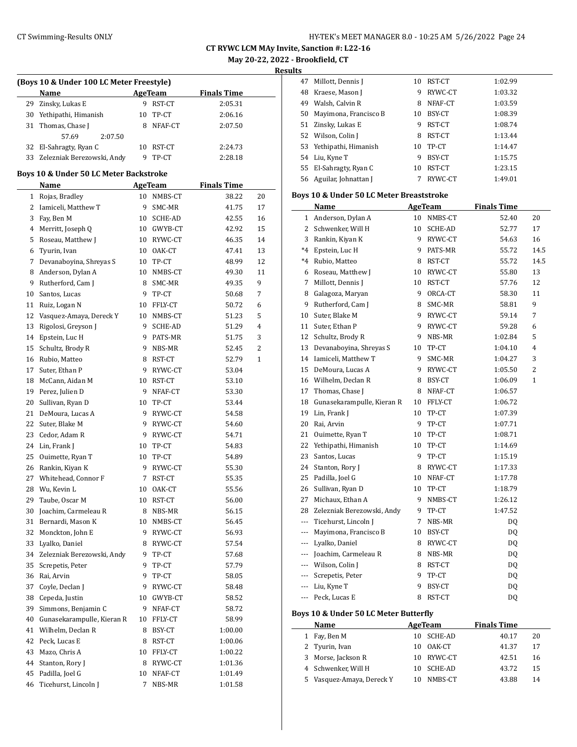**Results**

|    | Name                          |    | AgeTeam | <b>Finals Time</b> |
|----|-------------------------------|----|---------|--------------------|
| 29 | Zinsky, Lukas E               | 9  | RST-CT  | 2:05.31            |
| 30 | Yethipathi, Himanish          | 10 | TP-CT   | 2:06.16            |
|    | 31 Thomas, Chase J            |    | NFAF-CT | 2:07.50            |
|    | 2:07.50<br>57.69              |    |         |                    |
|    | 32 El-Sahragty, Ryan C        | 10 | RST-CT  | 2:24.73            |
|    | 33 Zelezniak Berezowski, Andy | ч  | TP-CT   | 2:28.18            |
|    |                               |    |         |                    |

#### **Boys 10 & Under 50 LC Meter Backstroke**

|              | <b>Name</b>                   |    | <b>AgeTeam</b> | <b>Finals Time</b> |              |
|--------------|-------------------------------|----|----------------|--------------------|--------------|
| $\mathbf{1}$ | Rojas, Bradley                | 10 | NMBS-CT        | 38.22              | 20           |
| 2            | Iamiceli, Matthew T           | 9  | SMC-MR         | 41.75              | 17           |
| 3            | Fay, Ben M                    | 10 | SCHE-AD        | 42.55              | 16           |
|              | 4 Merritt, Joseph Q           |    | 10 GWYB-CT     | 42.92              | 15           |
|              | 5 Roseau, Matthew J           |    | 10 RYWC-CT     | 46.35              | 14           |
| 6            | Tyurin, Ivan                  |    | 10 OAK-CT      | 47.41              | 13           |
| 7            | Devanaboyina, Shreyas S       |    | 10 TP-CT       | 48.99              | 12           |
|              | 8 Anderson, Dylan A           |    | 10 NMBS-CT     | 49.30              | 11           |
| 9            | Rutherford, Cam J             | 8  | SMC-MR         | 49.35              | 9            |
| 10           | Santos, Lucas                 | 9  | TP-CT          | 50.68              | 7            |
| 11           | Ruiz, Logan N                 |    | 10 FFLY-CT     | 50.72              | 6            |
| 12           | Vasquez-Amaya, Dereck Y       |    | 10 NMBS-CT     | 51.23              | 5            |
| 13           | Rigolosi, Greyson J           | 9  | SCHE-AD        | 51.29              | 4            |
| 14           | Epstein, Luc H                | 9  | PATS-MR        | 51.75              | 3            |
| 15           | Schultz, Brody R              | 9. | NBS-MR         | 52.45              | 2            |
|              | 16 Rubio, Matteo              | 8  | RST-CT         | 52.79              | $\mathbf{1}$ |
| 17           | Suter, Ethan P                | 9. | RYWC-CT        | 53.04              |              |
|              | 18 McCann, Aidan M            |    | 10 RST-CT      | 53.10              |              |
| 19           | Perez, Julien D               | 9  | NFAF-CT        | 53.30              |              |
| 20           | Sullivan, Ryan D              |    | 10 TP-CT       | 53.44              |              |
| 21           | DeMoura, Lucas A              |    | 9 RYWC-CT      | 54.58              |              |
| 22           | Suter, Blake M                |    | 9 RYWC-CT      | 54.60              |              |
| 23           | Cedor, Adam R                 | 9. | RYWC-CT        | 54.71              |              |
| 24           | Lin, Frank J                  | 10 | TP-CT          | 54.83              |              |
| 25           | Ouimette, Ryan T              | 10 | TP-CT          | 54.89              |              |
| 26           | Rankin, Kiyan K               | 9. | RYWC-CT        | 55.30              |              |
|              | 27 Whitehead, Connor F        | 7  | RST-CT         | 55.35              |              |
|              | 28 Wu, Kevin L                | 10 | OAK-CT         | 55.56              |              |
| 29           | Taube, Oscar M                |    | 10 RST-CT      | 56.00              |              |
| 30           | Joachim, Carmeleau R          |    | 8 NBS-MR       | 56.15              |              |
| 31           | Bernardi, Mason K             |    | 10 NMBS-CT     | 56.45              |              |
|              | 32 Monckton, John E           |    | 9 RYWC-CT      | 56.93              |              |
|              | 33 Lyalko, Daniel             | 8  | RYWC-CT        | 57.54              |              |
|              | 34 Zelezniak Berezowski, Andy | 9. | TP-CT          | 57.68              |              |
| 35           | Screpetis, Peter              | 9. | TP-CT          | 57.79              |              |
| 36           | Rai, Arvin                    | 9  | TP-CT          | 58.05              |              |
| 37           | Coyle, Declan J               | 9  | RYWC-CT        | 58.48              |              |
| 38           | Cepeda, Justin                | 10 | GWYB-CT        | 58.52              |              |
| 39           | Simmons, Benjamin C           | 9  | NFAF-CT        | 58.72              |              |
| 40           | Gunasekarampulle, Kieran R    | 10 | FFLY-CT        | 58.99              |              |
| 41           | Wilhelm, Declan R             | 8  | BSY-CT         | 1:00.00            |              |
| 42           | Peck, Lucas E                 | 8  | RST-CT         | 1:00.06            |              |
| 43           | Mazo, Chris A                 | 10 | FFLY-CT        | 1:00.22            |              |
| 44           | Stanton, Rory J               | 8  | RYWC-CT        | 1:01.36            |              |
| 45           | Padilla, Joel G               | 10 | NFAF-CT        | 1:01.49            |              |
| 46           | Ticehurst, Lincoln J          | 7  | NBS-MR         | 1:01.58            |              |

| 47 | Millott, Dennis J       | 10 | RST-CT  | 1:02.99 |
|----|-------------------------|----|---------|---------|
| 48 | Kraese, Mason J         | 9  | RYWC-CT | 1:03.32 |
| 49 | Walsh, Calvin R         | 8  | NFAF-CT | 1:03.59 |
| 50 | Mayimona, Francisco B   | 10 | BSY-CT  | 1:08.39 |
| 51 | Zinsky, Lukas E         | 9  | RST-CT  | 1:08.74 |
| 52 | Wilson, Colin J         | 8  | RST-CT  | 1:13.44 |
|    | 53 Yethipathi, Himanish | 10 | TP-CT   | 1:14.47 |
| 54 | Liu, Kyne T             | 9  | BSY-CT  | 1:15.75 |
| 55 | El-Sahragty, Ryan C     | 10 | RST-CT  | 1:23.15 |
| 56 | Aguilar, Johnattan J    |    | RYWC-CT | 1:49.01 |
|    |                         |    |         |         |

#### **Boys 10 & Under 50 LC Meter Breaststroke**

|                | Name                                  |    | AgeTeam | <b>Finals Time</b> |      |  |  |  |  |  |
|----------------|---------------------------------------|----|---------|--------------------|------|--|--|--|--|--|
| 1              | Anderson, Dylan A                     | 10 | NMBS-CT | 52.40              | 20   |  |  |  |  |  |
| 2              | Schwenker, Will H                     | 10 | SCHE-AD | 52.77              | 17   |  |  |  |  |  |
| 3              | Rankin, Kiyan K                       | 9  | RYWC-CT | 54.63              | 16   |  |  |  |  |  |
| $*4$           | Epstein, Luc H                        | 9  | PATS-MR | 55.72              | 14.5 |  |  |  |  |  |
| $*4$           | Rubio, Matteo                         | 8  | RST-CT  | 55.72              | 14.5 |  |  |  |  |  |
| 6              | Roseau, Matthew J                     | 10 | RYWC-CT | 55.80              | 13   |  |  |  |  |  |
| 7              | Millott, Dennis J                     | 10 | RST-CT  | 57.76              | 12   |  |  |  |  |  |
|                | 8 Galagoza, Maryan                    | 9  | ORCA-CT | 58.30              | 11   |  |  |  |  |  |
| 9              | Rutherford, Cam J                     | 8  | SMC-MR  | 58.81              | 9    |  |  |  |  |  |
| 10             | Suter, Blake M                        | 9  | RYWC-CT | 59.14              | 7    |  |  |  |  |  |
| 11             | Suter, Ethan P                        | 9  | RYWC-CT | 59.28              | 6    |  |  |  |  |  |
| 12             | Schultz, Brody R                      | 9  | NBS-MR  | 1:02.84            | 5    |  |  |  |  |  |
| 13             | Devanaboyina, Shreyas S               | 10 | TP-CT   | 1:04.10            | 4    |  |  |  |  |  |
|                | 14 Iamiceli, Matthew T                | 9  | SMC-MR  | 1:04.27            | 3    |  |  |  |  |  |
| 15             | DeMoura, Lucas A                      | 9  | RYWC-CT | 1:05.50            | 2    |  |  |  |  |  |
| 16             | Wilhelm, Declan R                     | 8  | BSY-CT  | 1:06.09            | 1    |  |  |  |  |  |
| 17             | Thomas, Chase J                       | 8  | NFAF-CT | 1:06.57            |      |  |  |  |  |  |
| 18             | Gunasekarampulle, Kieran R            | 10 | FFLY-CT | 1:06.72            |      |  |  |  |  |  |
| 19             | Lin, Frank J                          | 10 | TP-CT   | 1:07.39            |      |  |  |  |  |  |
| 20             | Rai, Arvin                            | 9  | TP-CT   | 1:07.71            |      |  |  |  |  |  |
| 21             | Ouimette, Ryan T                      | 10 | TP-CT   | 1:08.71            |      |  |  |  |  |  |
| 22             | Yethipathi, Himanish                  | 10 | TP-CT   | 1:14.69            |      |  |  |  |  |  |
| 23             | Santos, Lucas                         | 9  | TP-CT   | 1:15.19            |      |  |  |  |  |  |
| 24             | Stanton, Rory J                       | 8  | RYWC-CT | 1:17.33            |      |  |  |  |  |  |
| 25             | Padilla, Joel G                       | 10 | NFAF-CT | 1:17.78            |      |  |  |  |  |  |
| 26             | Sullivan, Ryan D                      | 10 | TP-CT   | 1:18.79            |      |  |  |  |  |  |
| 27             | Michaux, Ethan A                      | 9  | NMBS-CT | 1:26.12            |      |  |  |  |  |  |
| 28             | Zelezniak Berezowski, Andy            | 9  | TP-CT   | 1:47.52            |      |  |  |  |  |  |
| $---$          | Ticehurst, Lincoln J                  | 7  | NBS-MR  | DQ                 |      |  |  |  |  |  |
| ---            | Mayimona, Francisco B                 | 10 | BSY-CT  | DQ                 |      |  |  |  |  |  |
| ---            | Lyalko, Daniel                        | 8  | RYWC-CT | DQ                 |      |  |  |  |  |  |
| $\sim$ $\sim$  | Joachim, Carmeleau R                  | 8  | NBS-MR  | <b>DQ</b>          |      |  |  |  |  |  |
| $---$          | Wilson, Colin J                       | 8  | RST-CT  | <b>DQ</b>          |      |  |  |  |  |  |
| ---            | Screpetis, Peter                      | 9  | TP-CT   | DQ                 |      |  |  |  |  |  |
| $---$          | Liu, Kyne T                           | 9  | BSY-CT  | DQ                 |      |  |  |  |  |  |
| $\overline{a}$ | Peck, Lucas E                         | 8  | RST-CT  | <b>DQ</b>          |      |  |  |  |  |  |
|                | Boys 10 & Under 50 LC Meter Butterfly |    |         |                    |      |  |  |  |  |  |

| Name |                           | AgeTeam    | <b>Finals Time</b> |    |
|------|---------------------------|------------|--------------------|----|
|      | 1 Fay, Ben M              | 10 SCHE-AD | 40.17              | 20 |
|      | 2 Tyurin, Ivan            | 10 OAK-CT  | 41.37              | 17 |
|      | 3 Morse, Jackson R        | 10 RYWC-CT | 42.51              | 16 |
|      | 4 Schwenker, Will H       | 10 SCHE-AD | 43.72              | 15 |
|      | 5 Vasquez-Amaya, Dereck Y | NMBS-CT    | 43.88              | 14 |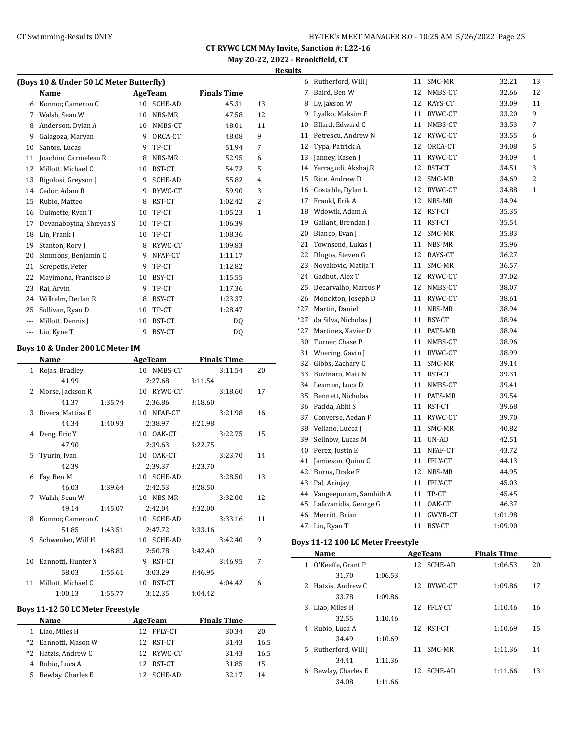**Results**

|                          | (Boys 10 & Under 50 LC Meter Butterfly) |         |    |                |         |                    |    |  |  |
|--------------------------|-----------------------------------------|---------|----|----------------|---------|--------------------|----|--|--|
|                          | Name                                    |         |    | <b>AgeTeam</b> |         | <b>Finals Time</b> |    |  |  |
|                          | 6 Konnor, Cameron C                     |         |    | 10 SCHE-AD     |         | 45.31              | 13 |  |  |
|                          | 7 Walsh, Sean W                         |         | 10 | NBS-MR         |         | 47.58              | 12 |  |  |
| 8                        | Anderson, Dylan A                       |         | 10 | NMBS-CT        |         | 48.01              | 11 |  |  |
| 9                        | Galagoza, Maryan                        |         | 9  | ORCA-CT        |         | 48.08              | 9  |  |  |
| 10                       | Santos, Lucas                           |         | 9  | TP-CT          |         | 51.94              | 7  |  |  |
| 11                       | Joachim, Carmeleau R                    |         | 8  | NBS-MR         |         | 52.95              | 6  |  |  |
| 12                       | Millott, Michael C                      |         | 10 | RST-CT         |         | 54.72              | 5  |  |  |
| 13                       | Rigolosi, Greyson J                     |         | 9  | SCHE-AD        |         | 55.82              | 4  |  |  |
| 14                       | Cedor, Adam R                           |         | 9  | RYWC-CT        |         | 59.90              | 3  |  |  |
| 15                       | Rubio, Matteo                           |         | 8  | RST-CT         |         | 1:02.42            | 2  |  |  |
| 16                       | Ouimette, Ryan T                        |         | 10 | TP-CT          |         | 1:05.23            | 1  |  |  |
| 17                       | Devanaboyina, Shreyas S                 |         | 10 | TP-CT          |         | 1:06.39            |    |  |  |
| 18                       | Lin, Frank J                            |         | 10 | TP-CT          |         | 1:08.36            |    |  |  |
| 19                       | Stanton, Rory J                         |         | 8  | RYWC-CT        |         | 1:09.83            |    |  |  |
| 20                       | Simmons, Benjamin C                     |         |    | 9 NFAF-CT      |         | 1:11.17            |    |  |  |
| 21                       | Screpetis, Peter                        |         | 9  | TP-CT          |         | 1:12.82            |    |  |  |
| 22                       | Mayimona, Francisco B                   |         | 10 | BSY-CT         |         | 1:15.55            |    |  |  |
| 23                       | Rai, Arvin                              |         | 9  | TP-CT          |         | 1:17.36            |    |  |  |
| 24                       | Wilhelm, Declan R                       |         | 8  | BSY-CT         |         | 1:23.37            |    |  |  |
| 25                       | Sullivan, Ryan D                        |         | 10 | TP-CT          |         | 1:28.47            |    |  |  |
| $---$                    | Millott, Dennis J                       |         | 10 | RST-CT         |         | DQ                 |    |  |  |
| $\overline{\phantom{a}}$ | Liu, Kyne T                             |         | 9  | BSY-CT         |         | DQ                 |    |  |  |
|                          | Boys 10 & Under 200 LC Meter IM         |         |    |                |         |                    |    |  |  |
|                          | Name                                    |         |    | AgeTeam        |         | <b>Finals Time</b> |    |  |  |
| 1                        | Rojas, Bradley                          |         | 10 | NMBS-CT        |         | 3:11.54            | 20 |  |  |
|                          | 41.99                                   |         |    | 2:27.68        | 3:11.54 |                    |    |  |  |
| 2                        | Morse, Jackson R                        |         |    | 10 RYWC-CT     |         | 3:18.60            | 17 |  |  |
|                          | 41.37                                   | 1:35.74 |    | 2:36.86        | 3:18.60 |                    |    |  |  |
| 3                        | Rivera, Mattias E                       |         |    | 10 NFAF-CT     |         | 3:21.98            | 16 |  |  |
|                          | 44.34                                   | 1:40.93 |    | 2:38.97        | 3:21.98 |                    |    |  |  |
|                          |                                         |         |    |                |         |                    |    |  |  |

|    | 41.99              |         |    | 2:27.68    | 3:11.54 |         |    |
|----|--------------------|---------|----|------------|---------|---------|----|
| 2  | Morse, Jackson R   |         |    | 10 RYWC-CT |         | 3:18.60 | 17 |
|    | 41.37              | 1:35.74 |    | 2:36.86    | 3:18.60 |         |    |
| 3  | Rivera, Mattias E  |         |    | 10 NFAF-CT |         | 3:21.98 | 16 |
|    | 44.34              | 1:40.93 |    | 2:38.97    | 3:21.98 |         |    |
| 4  | Deng, Eric Y       |         | 10 | OAK-CT     |         | 3:22.75 | 15 |
|    | 47.90              |         |    | 2:39.63    | 3:22.75 |         |    |
| 5  | Tyurin, Ivan       |         |    | 10 OAK-CT  |         | 3:23.70 | 14 |
|    | 42.39              |         |    | 2:39.37    | 3:23.70 |         |    |
| 6  | Fay, Ben M         |         |    | 10 SCHE-AD |         | 3:28.50 | 13 |
|    | 46.03              | 1:39.64 |    | 2:42.53    | 3:28.50 |         |    |
| 7  | Walsh, Sean W      |         | 10 | NBS-MR     |         | 3:32.00 | 12 |
|    | 49.14              | 1:45.07 |    | 2:42.04    | 3:32.00 |         |    |
| 8  | Konnor, Cameron C  |         |    | 10 SCHE-AD |         | 3:33.16 | 11 |
|    | 51.85              | 1:43.51 |    | 2:47.72    | 3:33.16 |         |    |
| 9  | Schwenker, Will H  |         |    | 10 SCHE-AD |         | 3:42.40 | 9  |
|    |                    | 1:48.83 |    | 2:50.78    | 3:42.40 |         |    |
| 10 | Eannotti, Hunter X |         | 9  | RST-CT     |         | 3:46.95 | 7  |
|    | 58.03              | 1:55.61 |    | 3:03.29    | 3:46.95 |         |    |
| 11 | Millott, Michael C |         |    | 10 RST-CT  |         | 4:04.42 | 6  |
|    | 1:00.13            | 1:55.77 |    | 3:12.35    | 4:04.42 |         |    |

## **Boys 11-12 50 LC Meter Freestyle**

| Name                 | AgeTeam |            |  | <b>Finals Time</b> |      |
|----------------------|---------|------------|--|--------------------|------|
| 1 Liao, Miles H      |         | 12 FFLY-CT |  | 30.34              | 20   |
| *2 Eannotti, Mason W |         | 12 RST-CT  |  | 31.43              | 16.5 |
| *2 Hatzis, Andrew C  |         | 12 RYWC-CT |  | 31.43              | 16.5 |
| 4 Rubio, Luca A      |         | 12 RST-CT  |  | 31.85              | 15   |
| 5 Bewlay, Charles E  |         | 12 SCHE-AD |  | 32.17              | 14   |

|       | 6 Rutherford, Will J   | 11 | SMC-MR  | 32.21   | 13 |
|-------|------------------------|----|---------|---------|----|
| 7     | Baird, Ben W           | 12 | NMBS-CT | 32.66   | 12 |
| 8     | Ly, Jaxson W           | 12 | RAYS-CT | 33.09   | 11 |
| 9     | Lyalko, Maksim F       | 11 | RYWC-CT | 33.20   | 9  |
| 10    | Ellard, Edward C       | 11 | NMBS-CT | 33.53   | 7  |
| 11    | Petrescu, Andrew N     | 12 | RYWC-CT | 33.55   | 6  |
| 12    | Typa, Patrick A        | 12 | ORCA-CT | 34.08   | 5  |
| 13    | Janney, Kasen J        | 11 | RYWC-CT | 34.09   | 4  |
| 14    | Yerragudi, Akshaj R    | 12 | RST-CT  | 34.51   | 3  |
| 15    | Rice, Andrew D         | 12 | SMC-MR  | 34.69   | 2  |
| 16    | Costable, Dylan L      | 12 | RYWC-CT | 34.88   | 1  |
| 17    | Frankl, Erik A         | 12 | NBS-MR  | 34.94   |    |
| 18    | Wdowik, Adam A         | 12 | RST-CT  | 35.35   |    |
| 19    | Gallant, Brendan J     | 11 | RST-CT  | 35.54   |    |
| 20    | Bianco, Evan J         | 12 | SMC-MR  | 35.83   |    |
| 21    | Townsend, Lukas J      | 11 | NBS-MR  | 35.96   |    |
| 22    | Dlugos, Steven G       | 12 | RAYS-CT | 36.27   |    |
| 23    | Novakovic, Matija T    | 11 | SMC-MR  | 36.57   |    |
| 24    | Gadbut, Alex T         | 12 | RYWC-CT | 37.02   |    |
| 25    | Decarvalho, Marcus P   | 12 | NMBS-CT | 38.07   |    |
| 26    | Monckton, Joseph D     | 11 | RYWC-CT | 38.61   |    |
| *27   | Martin, Daniel         | 11 | NBS-MR  | 38.94   |    |
| *27   | da Silva, Nicholas J   | 11 | BSY-CT  | 38.94   |    |
| $*27$ | Martinez, Xavier D     | 11 | PATS-MR | 38.94   |    |
| 30    | Turner, Chase P        | 11 | NMBS-CT | 38.96   |    |
| 31    | Woering, Gavin J       | 11 | RYWC-CT | 38.99   |    |
| 32    | Gibbs, Zachary C       | 11 | SMC-MR  | 39.14   |    |
| 33    | Buzinaro, Matt N       | 11 | RST-CT  | 39.31   |    |
| 34    | Leamon, Luca D         | 11 | NMBS-CT | 39.41   |    |
| 35    | Bennett, Nicholas      | 11 | PATS-MR | 39.54   |    |
| 36    | Padda, Abhi S          | 11 | RST-CT  | 39.68   |    |
| 37    | Converse, Aedan F      | 11 | RYWC-CT | 39.70   |    |
| 38    | Vellano, Lucca J       | 11 | SMC-MR  | 40.82   |    |
| 39    | Sellnow, Lucas M       | 11 | UN-AD   | 42.51   |    |
| 40    | Perez, Justin E        | 11 | NFAF-CT | 43.72   |    |
| 41    | Jamieson, Quinn C      | 11 | FFLY-CT | 44.13   |    |
| 42    | Burns, Drake F         | 12 | NBS-MR  | 44.95   |    |
| 43    | Pal, Arinjay           | 11 | FFLY-CT | 45.03   |    |
| 44    | Vangeepuram, Samhith A | 11 | TP-CT   | 45.45   |    |
| 45    | Lafazanidis, George G  | 11 | OAK-CT  | 46.37   |    |
| 46    | Merritt, Brian         | 11 | GWYB-CT | 1:01.98 |    |
| 47    | Liu, Ryan T            | 11 | BSY-CT  | 1:09.90 |    |

## **Boys 11-12 100 LC Meter Freestyle**

|    | Name                |         |    | AgeTeam    | <b>Finals Time</b> |    |  |
|----|---------------------|---------|----|------------|--------------------|----|--|
|    | 1 O'Keeffe, Grant P |         |    | 12 SCHE-AD | 1:06.53            | 20 |  |
|    | 31.70               | 1:06.53 |    |            |                    |    |  |
| 2  | Hatzis, Andrew C    |         | 12 | RYWC-CT    | 1:09.86            | 17 |  |
|    | 33.78               | 1:09.86 |    |            |                    |    |  |
| 3  | Liao, Miles H       |         | 12 | FFLY-CT    | 1:10.46            | 16 |  |
|    | 32.55               | 1:10.46 |    |            |                    |    |  |
| 4  | Rubio, Luca A       |         | 12 | RST-CT     | 1:10.69            | 15 |  |
|    | 34.49               | 1:10.69 |    |            |                    |    |  |
| 5. | Rutherford, Will J  |         | 11 | SMC-MR     | 1:11.36            | 14 |  |
|    | 34.41               | 1:11.36 |    |            |                    |    |  |
| 6  | Bewlay, Charles E   |         | 12 | SCHE-AD    | 1:11.66            | 13 |  |
|    | 34.08               | 1:11.66 |    |            |                    |    |  |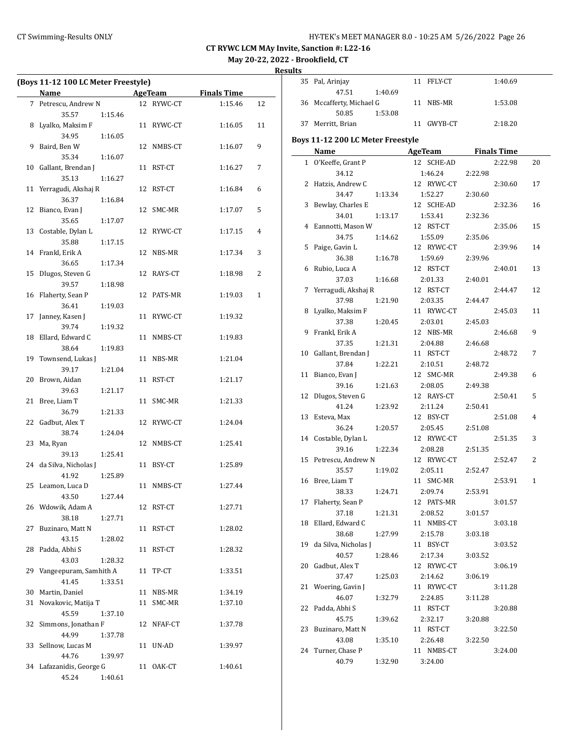## CT Swimming-Results ONLY **EXAMPLE 19 AND STATE AT A STATE AT A STATE MANAGER 8.0 - 10:25 AM 5/26/2022** Page 26

**CT RYWC LCM MAy Invite, Sanction #: L22-16**

**May 20-22, 2022 - Brookfield, CT**

|    | (Boys 11-12 100 LC Meter Freestyle) |         |    |                |                    |    |
|----|-------------------------------------|---------|----|----------------|--------------------|----|
|    | Name                                |         |    | <b>AgeTeam</b> | <b>Finals Time</b> |    |
|    | 7 Petrescu, Andrew N                |         |    | 12 RYWC-CT     | 1:15.46            | 12 |
|    | 35.57                               | 1:15.46 |    |                |                    |    |
| 8  | Lyalko, Maksim F                    |         |    | 11 RYWC-CT     | 1:16.05            | 11 |
|    | 34.95                               | 1:16.05 |    |                |                    |    |
| 9  | Baird, Ben W                        |         |    | 12 NMBS-CT     | 1:16.07            | 9  |
|    | 35.34                               | 1:16.07 |    |                |                    |    |
| 10 | Gallant, Brendan J                  |         |    | 11 RST-CT      | 1:16.27            | 7  |
|    | 35.13                               | 1:16.27 |    |                |                    |    |
| 11 | Yerragudi, Akshaj R                 |         |    | 12 RST-CT      | 1:16.84            | 6  |
|    | 36.37                               | 1:16.84 |    |                |                    |    |
| 12 | Bianco, Evan J                      |         |    | 12 SMC-MR      | 1:17.07            | 5  |
|    | 35.65                               | 1:17.07 |    |                |                    |    |
|    | 13 Costable, Dylan L                |         |    | 12 RYWC-CT     | 1:17.15            | 4  |
|    | 35.88                               | 1:17.15 |    |                |                    |    |
|    | 14 Frankl, Erik A                   |         |    | 12 NBS-MR      | 1:17.34            | 3  |
|    | 36.65                               | 1:17.34 |    |                |                    |    |
| 15 | Dlugos, Steven G                    |         |    | 12 RAYS-CT     | 1:18.98            | 2  |
|    | 39.57                               | 1:18.98 |    |                |                    |    |
| 16 | Flaherty, Sean P                    |         |    | 12 PATS-MR     | 1:19.03            | 1  |
|    | 36.41                               | 1:19.03 |    |                |                    |    |
| 17 | Janney, Kasen J                     |         |    | 11 RYWC-CT     | 1:19.32            |    |
|    | 39.74                               | 1:19.32 |    |                |                    |    |
| 18 | Ellard, Edward C                    |         |    | 11 NMBS-CT     | 1:19.83            |    |
|    | 38.64                               | 1:19.83 |    |                |                    |    |
| 19 | Townsend, Lukas J                   |         |    | 11 NBS-MR      | 1:21.04            |    |
|    | 39.17                               | 1:21.04 |    |                |                    |    |
| 20 | Brown, Aidan                        |         |    | 11 RST-CT      | 1:21.17            |    |
|    | 39.63                               | 1:21.17 |    |                |                    |    |
| 21 | Bree, Liam T                        |         | 11 | SMC-MR         | 1:21.33            |    |
|    | 36.79                               | 1:21.33 |    |                |                    |    |
| 22 | Gadbut, Alex T                      |         |    | 12 RYWC-CT     | 1:24.04            |    |
|    | 38.74                               | 1:24.04 |    |                |                    |    |
| 23 | Ma, Ryan                            |         |    | 12 NMBS-CT     | 1:25.41            |    |
|    | 39.13                               | 1:25.41 |    |                |                    |    |
|    | 24 da Silva, Nicholas J             |         |    | 11 BSY-CT      | 1:25.89            |    |
|    | 41.92                               | 1:25.89 |    |                |                    |    |
|    | 25 Leamon, Luca D                   |         |    | 11 NMBS-CT     | 1:27.44            |    |
|    | 43.50                               | 1:27.44 |    |                |                    |    |
|    | 26 Wdowik, Adam A                   |         |    | 12 RST-CT      | 1:27.71            |    |
|    | 38.18                               | 1:27.71 |    |                |                    |    |
| 27 | Buzinaro, Matt N                    |         |    | 11 RST-CT      | 1:28.02            |    |
|    | 43.15                               | 1:28.02 |    |                |                    |    |
| 28 | Padda, Abhi S                       |         |    | 11 RST-CT      | 1:28.32            |    |
|    | 43.03                               | 1:28.32 |    |                |                    |    |
| 29 | Vangeepuram, Samhith A              |         |    | 11 TP-CT       | 1:33.51            |    |
|    | 41.45                               | 1:33.51 |    |                |                    |    |
| 30 | Martin, Daniel                      |         |    | 11 NBS-MR      | 1:34.19            |    |
| 31 | Novakovic, Matija T                 |         |    | 11 SMC-MR      | 1:37.10            |    |
|    | 45.59                               | 1:37.10 |    |                |                    |    |
| 32 | Simmons, Jonathan F                 |         |    | 12 NFAF-CT     | 1:37.78            |    |
|    | 44.99                               | 1:37.78 |    |                |                    |    |
| 33 | Sellnow, Lucas M                    |         | 11 | UN-AD          | 1:39.97            |    |
|    | 44.76                               | 1:39.97 |    |                |                    |    |
|    | 34 Lafazanidis, George G            |         |    | 11 OAK-CT      | 1:40.61            |    |
|    | 45.24                               | 1:40.61 |    |                |                    |    |

|    | 35 Pal, Arinjay                   |         |  | 11 FFLY-CT          |         | 1:40.69 |              |
|----|-----------------------------------|---------|--|---------------------|---------|---------|--------------|
|    | 47.51                             | 1:40.69 |  |                     |         |         |              |
|    | 36 Mccafferty, Michael G          |         |  | 11 NBS-MR           |         | 1:53.08 |              |
|    | 50.85                             | 1:53.08 |  |                     |         |         |              |
|    | 37 Merritt, Brian                 |         |  | 11 GWYB-CT          |         | 2:18.20 |              |
|    | Boys 11-12 200 LC Meter Freestyle |         |  |                     |         |         |              |
|    | <b>Name</b>                       |         |  | AgeTeam Finals Time |         |         |              |
|    | 1 O'Keeffe, Grant P               |         |  | 12 SCHE-AD          |         | 2:22.98 | 20           |
|    | 34.12                             |         |  | 1:46.24             | 2:22.98 |         |              |
|    | 2 Hatzis, Andrew C                |         |  | 12 RYWC-CT          |         | 2:30.60 | 17           |
|    | 34.47                             | 1:13.34 |  | 1:52.27             | 2:30.60 |         |              |
|    | 3 Bewlay, Charles E               |         |  | 12 SCHE-AD          |         | 2:32.36 | 16           |
|    | 34.01                             | 1:13.17 |  | 1:53.41             | 2:32.36 |         |              |
|    | 4 Eannotti, Mason W               |         |  | 12 RST-CT           |         | 2:35.06 | 15           |
|    | 34.75                             | 1:14.62 |  | 1:55.09             | 2:35.06 |         |              |
|    | 5 Paige, Gavin L                  |         |  | 12 RYWC-CT          |         | 2:39.96 | 14           |
|    | 36.38                             | 1:16.78 |  | 1:59.69             | 2:39.96 |         |              |
|    | 6 Rubio, Luca A                   |         |  | 12 RST-CT           |         | 2:40.01 | 13           |
|    | 37.03                             | 1:16.68 |  | 2:01.33             | 2:40.01 |         |              |
|    | 7 Yerragudi, Akshaj R             |         |  | 12 RST-CT           |         | 2:44.47 | 12           |
|    | 37.98                             | 1:21.90 |  | 2:03.35             | 2:44.47 |         |              |
| 8  | Lyalko, Maksim F                  |         |  | 11 RYWC-CT          |         |         | 11           |
|    | 37.38                             | 1:20.45 |  | 2:03.01             | 2:45.03 | 2:45.03 |              |
|    | 9 Frankl, Erik A                  |         |  | 12 NBS-MR           |         | 2:46.68 | 9            |
|    | 37.35                             | 1:21.31 |  | 2:04.88             | 2:46.68 |         |              |
|    | 10 Gallant, Brendan J             |         |  | 11 RST-CT           |         | 2:48.72 | 7            |
|    | 37.84                             | 1:22.21 |  | 2:10.51             | 2:48.72 |         |              |
|    | 11 Bianco, Evan J                 |         |  | 12 SMC-MR           |         | 2:49.38 | 6            |
|    | 39.16                             | 1:21.63 |  | 2:08.05             | 2:49.38 |         |              |
|    | 12 Dlugos, Steven G               |         |  | 12 RAYS-CT          |         | 2:50.41 | 5            |
|    | 41.24                             | 1:23.92 |  | 2:11.24             | 2:50.41 |         |              |
|    | 13 Esteva, Max                    |         |  | 12 BSY-CT           |         | 2:51.08 | 4            |
|    | 36.24                             | 1:20.57 |  | 2:05.45             | 2:51.08 |         |              |
|    | 14 Costable, Dylan L              |         |  | 12 RYWC-CT          |         | 2:51.35 | 3            |
|    | 39.16                             | 1:22.34 |  | 2:08.28             | 2:51.35 |         |              |
|    | 15 Petrescu, Andrew N             |         |  | 12 RYWC-CT          |         | 2:52.47 | 2            |
|    | 35.57                             | 1:19.02 |  | 2:05.11             | 2:52.47 |         |              |
|    | 16 Bree, Liam T                   |         |  | 11 SMC-MR           |         | 2:53.91 | $\mathbf{1}$ |
|    | 38.33                             | 1:24.71 |  | 2:09.74             | 2:53.91 |         |              |
|    | 17 Flaherty, Sean P               |         |  | 12 PATS-MR          |         | 3:01.57 |              |
|    | 37.18                             | 1:21.31 |  | 2:08.52             | 3:01.57 |         |              |
| 18 | Ellard, Edward C                  |         |  | 11 NMBS-CT          |         | 3:03.18 |              |
|    | 38.68                             | 1:27.99 |  | 2:15.78             | 3:03.18 |         |              |
| 19 | da Silva, Nicholas J              |         |  | 11 BSY-CT           |         | 3:03.52 |              |
|    | 40.57                             | 1:28.46 |  | 2:17.34             | 3:03.52 |         |              |
| 20 | Gadbut, Alex T                    |         |  | 12 RYWC-CT          |         | 3:06.19 |              |
|    | 37.47                             | 1:25.03 |  | 2:14.62             | 3:06.19 |         |              |
| 21 | Woering, Gavin J                  |         |  | 11 RYWC-CT          |         | 3:11.28 |              |
|    | 46.07                             | 1:32.79 |  | 2:24.85             | 3:11.28 |         |              |
| 22 | Padda, Abhi S                     |         |  | 11 RST-CT           |         | 3:20.88 |              |
|    | 45.75                             | 1:39.62 |  | 2:32.17             | 3:20.88 |         |              |
| 23 | Buzinaro, Matt N                  |         |  | 11 RST-CT           |         | 3:22.50 |              |
|    | 43.08                             | 1:35.10 |  | 2:26.48             | 3:22.50 |         |              |
| 24 | Turner, Chase P                   |         |  | 11 NMBS-CT          |         | 3:24.00 |              |
|    | 40.79                             | 1:32.90 |  | 3:24.00             |         |         |              |
|    |                                   |         |  |                     |         |         |              |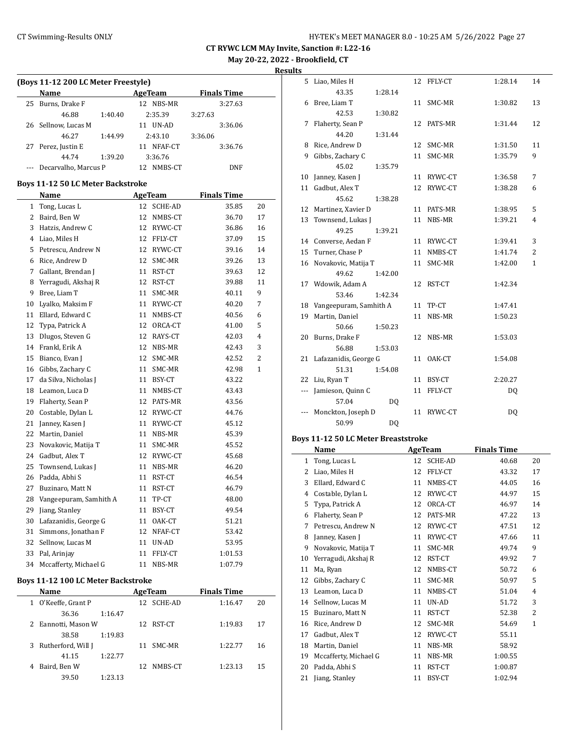**May 20-22, 2022 - Brookfield, CT**

**Results**

|    | (Boys 11-12 200 LC Meter Freestyle) |                        |                    |    |  |  |  |  |  |  |
|----|-------------------------------------|------------------------|--------------------|----|--|--|--|--|--|--|
|    | Name                                | <b>AgeTeam</b>         | <b>Finals Time</b> |    |  |  |  |  |  |  |
| 25 | Burns, Drake F                      | 12 NBS-MR              | 3:27.63            |    |  |  |  |  |  |  |
|    | 46.88<br>1:40.40                    | 2:35.39                | 3:27.63            |    |  |  |  |  |  |  |
| 26 | Sellnow, Lucas M                    | 11 UN-AD               | 3:36.06            |    |  |  |  |  |  |  |
|    | 46.27<br>1:44.99                    | 2:43.10                | 3:36.06            |    |  |  |  |  |  |  |
| 27 | Perez, Justin E                     | 11<br>NFAF-CT          | 3:36.76            |    |  |  |  |  |  |  |
|    | 44.74<br>1:39.20                    | 3:36.76                |                    |    |  |  |  |  |  |  |
|    | Decarvalho, Marcus P                | 12<br>NMBS-CT          | DNF                |    |  |  |  |  |  |  |
|    | Boys 11-12 50 LC Meter Backstroke   |                        |                    |    |  |  |  |  |  |  |
|    | Name                                | <b>AgeTeam</b>         | <b>Finals Time</b> |    |  |  |  |  |  |  |
| 1  | Tong, Lucas L                       | 12<br>SCHE-AD          | 35.85              | 20 |  |  |  |  |  |  |
| 2  | Baird, Ben W                        | 12<br>NMBS-CT          | 36.70              | 17 |  |  |  |  |  |  |
| 3  | Hatzis, Andrew C                    | 12 RYWC-CT             | 36.86              | 16 |  |  |  |  |  |  |
| 4  | Liao, Miles H                       | 12 FFLY-CT             | 37.09              | 15 |  |  |  |  |  |  |
| 5  | Petrescu, Andrew N                  | 12 RYWC-CT             | 39.16              | 14 |  |  |  |  |  |  |
| 6  | Rice, Andrew D                      | 12 SMC-MR              | 39.26              | 13 |  |  |  |  |  |  |
| 7  | Gallant, Brendan J                  | 11 RST-CT              | 39.63              | 12 |  |  |  |  |  |  |
| 8  | Yerragudi, Akshaj R                 | 12<br>RST-CT           | 39.88              | 11 |  |  |  |  |  |  |
| 9  | Bree, Liam T                        | 11<br>SMC-MR           | 40.11              | 9  |  |  |  |  |  |  |
| 10 | Lyalko, Maksim F                    | 11 RYWC-CT             | 40.20              | 7  |  |  |  |  |  |  |
| 11 | Ellard, Edward C                    | 11 NMBS-CT             | 40.56              | 6  |  |  |  |  |  |  |
| 12 | Typa, Patrick A                     | 12 ORCA-CT             | 41.00              | 5  |  |  |  |  |  |  |
| 13 | Dlugos, Steven G                    | 12 RAYS-CT             | 42.03              | 4  |  |  |  |  |  |  |
| 14 | Frankl, Erik A                      | 12 NBS-MR              | 42.43              | 3  |  |  |  |  |  |  |
| 15 | Bianco, Evan J                      | 12 SMC-MR              | 42.52              | 2  |  |  |  |  |  |  |
| 16 | Gibbs, Zachary C                    | 11 SMC-MR              | 42.98              | 1  |  |  |  |  |  |  |
| 17 | da Silva, Nicholas J                | 11 BSY-CT              | 43.22              |    |  |  |  |  |  |  |
| 18 | Leamon, Luca D                      | 11 NMBS-CT             | 43.43              |    |  |  |  |  |  |  |
| 19 | Flaherty, Sean P                    | 12 PATS-MR             | 43.56              |    |  |  |  |  |  |  |
| 20 | Costable, Dylan L                   | 12 RYWC-CT             | 44.76              |    |  |  |  |  |  |  |
| 21 | Janney, Kasen J                     | 11<br>RYWC-CT          | 45.12              |    |  |  |  |  |  |  |
| 22 | Martin, Daniel                      | 11<br>NBS-MR           | 45.39              |    |  |  |  |  |  |  |
| 23 | Novakovic, Matija T                 | 11 SMC-MR              | 45.52              |    |  |  |  |  |  |  |
| 24 | Gadbut, Alex T                      | 12 RYWC-CT             | 45.68              |    |  |  |  |  |  |  |
| 25 | Townsend, Lukas J                   | 11<br>NBS-MR           | 46.20              |    |  |  |  |  |  |  |
| 26 | Padda, Abhi S                       | 11<br>RST-CT           | 46.54              |    |  |  |  |  |  |  |
| 27 | Buzinaro, Matt N                    | 11<br>RST-CT           | 46.79              |    |  |  |  |  |  |  |
| 28 | Vangeepuram, Samhith A              | 11 TP-CT               | 48.00              |    |  |  |  |  |  |  |
| 29 | Jiang, Stanley                      | BSY-CT<br>11           | 49.54              |    |  |  |  |  |  |  |
| 30 | Lafazanidis, George G               | 11<br>OAK-CT           | 51.21              |    |  |  |  |  |  |  |
| 31 | Simmons, Jonathan F                 | 12                     | 53.42              |    |  |  |  |  |  |  |
| 32 | Sellnow, Lucas M                    | NFAF-CT<br>UN-AD<br>11 | 53.95              |    |  |  |  |  |  |  |
| 33 | Pal, Arinjay                        | 11<br>FFLY-CT          | 1:01.53            |    |  |  |  |  |  |  |
|    | 34 Mccafferty, Michael G            | 11<br>NBS-MR           | 1:07.79            |    |  |  |  |  |  |  |
|    |                                     |                        |                    |    |  |  |  |  |  |  |
|    | Roys 11-12 100 LC Meter Rackstroke  |                        |                    |    |  |  |  |  |  |  |

#### **Boys 11-12 100 LC Meter Backstroke**

| Name |                      |         |     | AgeTeam   | <b>Finals Time</b> |    |
|------|----------------------|---------|-----|-----------|--------------------|----|
|      | 1 O'Keeffe, Grant P  |         | 12  | SCHE-AD   | 1:16.47            | 20 |
|      | 36.36                | 1:16.47 |     |           |                    |    |
|      | 2 Eannotti, Mason W  |         |     | 12 RST-CT | 1:19.83            | 17 |
|      | 38.58                | 1:19.83 |     |           |                    |    |
|      | 3 Rutherford, Will J |         | 11  | SMC-MR    | 1:22.77            | 16 |
|      | 41.15                | 1:22.77 |     |           |                    |    |
| 4    | Baird, Ben W         |         | 12. | NMBS-CT   | 1:23.13            | 15 |
|      | 39.50                | 1:23.13 |     |           |                    |    |

| 5   | Liao, Miles H            |         | 12 | FFLY-CT | 1:28.14 | 14             |
|-----|--------------------------|---------|----|---------|---------|----------------|
|     | 43.35                    | 1:28.14 |    |         |         |                |
| 6   | Bree, Liam T             |         | 11 | SMC-MR  | 1:30.82 | 13             |
|     | 42.53                    | 1:30.82 |    |         |         |                |
| 7   | Flaherty, Sean P         |         | 12 | PATS-MR | 1:31.44 | 12             |
|     | 44.20                    | 1:31.44 |    |         |         |                |
| 8   | Rice, Andrew D           |         | 12 | SMC-MR  | 1:31.50 | 11             |
| 9   | Gibbs, Zachary C         |         | 11 | SMC-MR  | 1:35.79 | 9              |
|     | 45.02                    | 1:35.79 |    |         |         |                |
| 10  | Janney, Kasen J          |         | 11 | RYWC-CT | 1:36.58 | 7              |
| 11  | Gadbut, Alex T           |         | 12 | RYWC-CT | 1:38.28 | 6              |
|     | 45.62                    | 1:38.28 |    |         |         |                |
| 12  | Martinez, Xavier D       |         | 11 | PATS-MR | 1:38.95 | 5              |
| 13  | Townsend, Lukas J        |         | 11 | NBS-MR  | 1:39.21 | $\overline{4}$ |
|     | 49.25                    | 1:39.21 |    |         |         |                |
|     | 14 Converse, Aedan F     |         | 11 | RYWC-CT | 1:39.41 | 3              |
| 15  | Turner, Chase P          |         | 11 | NMBS-CT | 1:41.74 | 2              |
| 16  | Novakovic, Matija T      |         | 11 | SMC-MR  | 1:42.00 | $\mathbf{1}$   |
|     | 49.62                    | 1:42.00 |    |         |         |                |
|     | 17 Wdowik, Adam A        |         | 12 | RST-CT  | 1:42.34 |                |
|     | 53.46                    | 1:42.34 |    |         |         |                |
| 18  | Vangeepuram, Samhith A   |         | 11 | TP-CT   | 1:47.41 |                |
| 19  | Martin, Daniel           |         | 11 | NBS-MR  | 1:50.23 |                |
|     | 50.66                    | 1:50.23 |    |         |         |                |
| 20  | Burns, Drake F           |         | 12 | NBS-MR  | 1:53.03 |                |
|     | 56.88                    | 1:53.03 |    |         |         |                |
|     | 21 Lafazanidis, George G |         | 11 | OAK-CT  | 1:54.08 |                |
|     | 51.31                    | 1:54.08 |    |         |         |                |
| 22  | Liu, Ryan T              |         | 11 | BSY-CT  | 2:20.27 |                |
| --- | Jamieson, Quinn C        |         | 11 | FFLY-CT | DQ      |                |
|     | 57.04                    | DQ      |    |         |         |                |
|     | Monckton, Joseph D       |         | 11 | RYWC-CT | DQ      |                |
|     | 50.99                    | DQ      |    |         |         |                |

## **Boys 11-12 50 LC Meter Breaststroke**

|    | Name                  |    | <b>AgeTeam</b> | <b>Finals Time</b> |                |
|----|-----------------------|----|----------------|--------------------|----------------|
| 1  | Tong, Lucas L         | 12 | SCHE-AD        | 40.68              | 20             |
| 2  | Liao, Miles H         | 12 | FFLY-CT        | 43.32              | 17             |
| 3  | Ellard, Edward C      | 11 | NMBS-CT        | 44.05              | 16             |
| 4  | Costable, Dylan L     | 12 | RYWC-CT        | 44.97              | 15             |
| 5  | Typa, Patrick A       | 12 | ORCA-CT        | 46.97              | 14             |
| 6  | Flaherty, Sean P      | 12 | PATS-MR        | 47.22              | 13             |
| 7  | Petrescu, Andrew N    | 12 | RYWC-CT        | 47.51              | 12             |
| 8  | Janney, Kasen J       | 11 | RYWC-CT        | 47.66              | 11             |
| 9  | Novakovic, Matija T   | 11 | SMC-MR         | 49.74              | 9              |
| 10 | Yerragudi, Akshaj R   | 12 | RST-CT         | 49.92              | 7              |
| 11 | Ma, Ryan              | 12 | NMBS-CT        | 50.72              | 6              |
| 12 | Gibbs, Zachary C      | 11 | SMC-MR         | 50.97              | 5              |
| 13 | Leamon, Luca D        | 11 | NMBS-CT        | 51.04              | $\overline{4}$ |
| 14 | Sellnow, Lucas M      | 11 | UN-AD          | 51.72              | 3              |
| 15 | Buzinaro, Matt N      | 11 | RST-CT         | 52.38              | $\overline{2}$ |
| 16 | Rice, Andrew D        | 12 | SMC-MR         | 54.69              | $\mathbf{1}$   |
| 17 | Gadbut, Alex T        | 12 | RYWC-CT        | 55.11              |                |
| 18 | Martin, Daniel        | 11 | NBS-MR         | 58.92              |                |
| 19 | Mccafferty, Michael G | 11 | NBS-MR         | 1:00.55            |                |
| 20 | Padda, Abhi S         | 11 | RST-CT         | 1:00.87            |                |
| 21 | Jiang, Stanley        | 11 | BSY-CT         | 1:02.94            |                |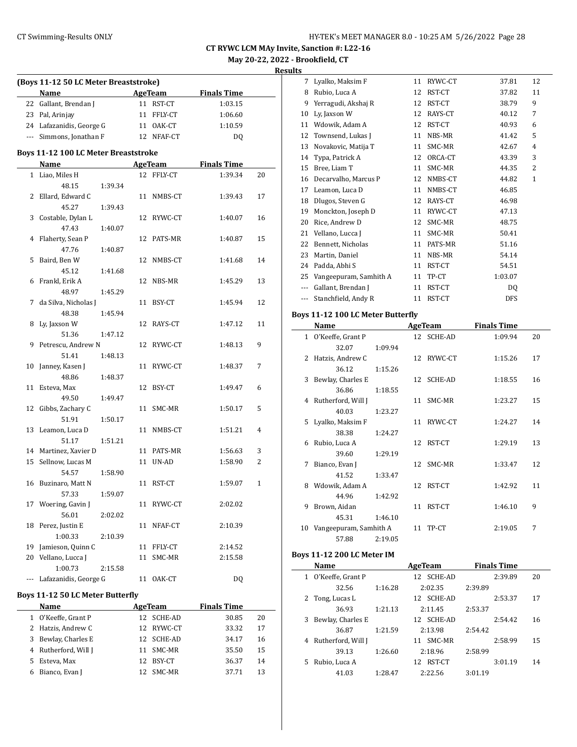**Results**

|    | (Boys 11-12 50 LC Meter Breaststroke)<br>Name |                           |    | <b>AgeTeam</b> | <b>Finals Time</b> |    |
|----|-----------------------------------------------|---------------------------|----|----------------|--------------------|----|
|    | 22 Gallant, Brendan J                         |                           |    | 11 RST-CT      | 1:03.15            |    |
|    | 23 Pal, Arinjay                               |                           |    | 11 FFLY-CT     | 1:06.60            |    |
|    | 24 Lafazanidis, George G                      |                           |    | 11 OAK-CT      | 1:10.59            |    |
|    | --- Simmons, Jonathan F                       |                           |    | 12 NFAF-CT     | DQ                 |    |
|    |                                               |                           |    |                |                    |    |
|    | Boys 11-12 100 LC Meter Breaststroke          |                           |    |                |                    |    |
|    | <b>Name</b>                                   | <b>Example 21 AgeTeam</b> |    |                | <b>Finals Time</b> |    |
|    | 1 Liao, Miles H                               |                           |    | 12 FFLY-CT     | 1:39.34            | 20 |
|    | 48.15                                         | 1:39.34                   |    |                |                    |    |
| 2  | Ellard, Edward C                              |                           | 11 | NMBS-CT        | 1:39.43            | 17 |
|    | 45.27                                         | 1:39.43                   |    |                |                    |    |
| 3  | Costable, Dylan L                             |                           |    | 12 RYWC-CT     | 1:40.07            | 16 |
|    | 47.43                                         | 1:40.07                   |    |                |                    |    |
| 4  | Flaherty, Sean P                              |                           | 12 | PATS-MR        | 1:40.87            | 15 |
|    | 47.76                                         | 1:40.87                   |    |                |                    |    |
| 5  | Baird, Ben W                                  |                           | 12 | NMBS-CT        | 1:41.68            | 14 |
|    | 45.12                                         | 1:41.68                   |    |                |                    |    |
| 6  | Frankl, Erik A                                |                           | 12 | NBS-MR         | 1:45.29            | 13 |
|    | 48.97                                         | 1:45.29                   |    |                |                    |    |
| 7  | da Silva, Nicholas J                          |                           | 11 | BSY-CT         | 1:45.94            | 12 |
|    | 48.38                                         | 1:45.94                   |    |                |                    |    |
| 8  | Ly, Jaxson W                                  |                           |    | 12 RAYS-CT     | 1:47.12            | 11 |
|    | 51.36                                         | 1:47.12                   |    |                |                    |    |
| 9  | Petrescu, Andrew N                            |                           |    | 12 RYWC-CT     | 1:48.13            | 9  |
|    | 51.41                                         | 1:48.13                   |    |                |                    |    |
| 10 | Janney, Kasen J                               |                           | 11 | RYWC-CT        | 1:48.37            | 7  |
|    | 48.86                                         | 1:48.37                   |    |                |                    |    |
| 11 | Esteva, Max                                   |                           | 12 | BSY-CT         | 1:49.47            | 6  |
|    | 49.50                                         | 1:49.47                   |    |                |                    |    |
| 12 | Gibbs, Zachary C                              |                           | 11 | SMC-MR         | 1:50.17            | 5  |
|    | 51.91                                         | 1:50.17                   |    |                |                    |    |
| 13 | Leamon, Luca D                                |                           | 11 | NMBS-CT        | 1:51.21            | 4  |
|    | 51.17                                         | 1:51.21                   |    |                |                    |    |
| 14 | Martinez, Xavier D                            |                           |    | 11 PATS-MR     | 1:56.63            | 3  |
| 15 | Sellnow, Lucas M                              |                           |    | 11 UN-AD       | 1:58.90            | 2  |
|    | 54.57                                         | 1:58.90                   |    |                |                    |    |
|    | 16 Buzinaro, Matt N                           |                           |    | 11 RST-CT      | 1:59.07            | 1  |
|    | 57.33                                         | 1:59.07                   |    |                |                    |    |
|    | 17 Woering, Gavin J                           |                           | 11 | RYWC-CT        | 2:02.02            |    |
|    | 56.01                                         | 2:02.02                   |    |                |                    |    |
| 18 | Perez, Justin E                               |                           | 11 | NFAF-CT        | 2:10.39            |    |
|    | 1:00.33                                       | 2:10.39                   |    |                |                    |    |
| 19 | Jamieson, Quinn C                             |                           | 11 | FFLY-CT        | 2:14.52            |    |
| 20 | Vellano, Lucca J                              |                           | 11 | SMC-MR         | 2:15.58            |    |
|    | 1:00.73                                       | 2:15.58                   |    |                |                    |    |
|    | Lafazanidis, George G                         |                           | 11 | OAK-CT         | DQ                 |    |
|    | Boys 11-12 50 LC Meter Butterfly              |                           |    |                |                    |    |
|    | Name                                          |                           |    | AgeTeam        | <b>Finals Time</b> |    |
|    | 1 O'Keeffe, Grant P                           |                           |    | 12 SCHE-AD     | 30.85              | 20 |
|    | 2 Hatzis, Andrew C                            |                           |    | 12 RYWC-CT     | 33.32              | 17 |
| 3  | Bewlay, Charles E                             |                           |    | 12 SCHE-AD     | 34.17              | 16 |
|    | 4 Rutherford, Will J                          |                           |    | 11 SMC-MR      | 35.50              | 15 |
| 5  | Esteva, Max                                   |                           |    | 12 BSY-CT      | 36.37              |    |
|    |                                               |                           |    |                |                    | 14 |
|    | 6 Bianco, Evan J                              |                           |    | 12 SMC-MR      | 37.71              | 13 |

| э     |                        |    |         |                |                |
|-------|------------------------|----|---------|----------------|----------------|
| 7     | Lyalko, Maksim F       | 11 | RYWC-CT | 37.81          | 12             |
| 8     | Rubio, Luca A          | 12 | RST-CT  | 37.82          | 11             |
| 9     | Yerragudi, Akshaj R    | 12 | RST-CT  | 38.79          | 9              |
| 10    | Ly, Jaxson W           | 12 | RAYS-CT | 40.12          | 7              |
| 11    | Wdowik, Adam A         | 12 | RST-CT  | 40.93          | 6              |
| 12    | Townsend, Lukas J      | 11 | NBS-MR  | 41.42          | 5              |
| 13    | Novakovic, Matija T    | 11 | SMC-MR  | 42.67          | 4              |
| 14    | Typa, Patrick A        | 12 | ORCA-CT | 43.39          | 3              |
| 15    | Bree, Liam T           | 11 | SMC-MR  | 44.35          | $\overline{2}$ |
| 16    | Decarvalho, Marcus P   | 12 | NMBS-CT | 44.82          | $\mathbf{1}$   |
| 17    | Leamon, Luca D         | 11 | NMBS-CT | 46.85          |                |
| 18    | Dlugos, Steven G       | 12 | RAYS-CT | 46.98          |                |
| 19    | Monckton, Joseph D     | 11 | RYWC-CT | 47.13          |                |
| 20    | Rice, Andrew D         | 12 | SMC-MR  | 48.75          |                |
| 21    | Vellano, Lucca J       | 11 | SMC-MR  | 50.41          |                |
| 22    | Bennett, Nicholas      | 11 | PATS-MR | 51.16          |                |
| 23    | Martin, Daniel         | 11 | NBS-MR  | 54.14          |                |
| 24    | Padda, Abhi S          | 11 | RST-CT  | 54.51          |                |
| 25    | Vangeepuram, Samhith A | 11 | TP-CT   | 1:03.07        |                |
| $---$ | Gallant, Brendan J     | 11 | RST-CT  | D <sub>0</sub> |                |
| ---   | Stanchfield, Andy R    | 11 | RST-CT  | <b>DFS</b>     |                |
|       |                        |    |         |                |                |

## **Boys 11-12 100 LC Meter Butterfly**

|              | Name                   |         |    | <b>AgeTeam</b> | <b>Finals Time</b> |    |
|--------------|------------------------|---------|----|----------------|--------------------|----|
| $\mathbf{1}$ | O'Keeffe, Grant P      |         |    | 12 SCHE-AD     | 1:09.94            | 20 |
|              | 32.07                  | 1:09.94 |    |                |                    |    |
| 2            | Hatzis, Andrew C       |         |    | 12 RYWC-CT     | 1:15.26            | 17 |
|              | 36.12                  | 1:15.26 |    |                |                    |    |
| 3            | Bewlay, Charles E      |         |    | 12 SCHE-AD     | 1:18.55            | 16 |
|              | 36.86                  | 1:18.55 |    |                |                    |    |
| 4            | Rutherford, Will J     |         | 11 | SMC-MR         | 1:23.27            | 15 |
|              | 40.03                  | 1:23.27 |    |                |                    |    |
| 5.           | Lyalko, Maksim F       |         | 11 | RYWC-CT        | 1:24.27            | 14 |
|              | 38.38                  | 1:24.27 |    |                |                    |    |
| 6            | Rubio, Luca A          |         |    | 12 RST-CT      | 1:29.19            | 13 |
|              | 39.60                  | 1:29.19 |    |                |                    |    |
| 7            | Bianco, Evan J         |         |    | 12 SMC-MR      | 1:33.47            | 12 |
|              | 41.52                  | 1:33.47 |    |                |                    |    |
| 8            | Wdowik, Adam A         |         | 12 | RST-CT         | 1:42.92            | 11 |
|              | 44.96                  | 1:42.92 |    |                |                    |    |
| 9            | Brown, Aidan           |         | 11 | RST-CT         | 1:46.10            | 9  |
|              | 45.31                  | 1:46.10 |    |                |                    |    |
| 10           | Vangeepuram, Samhith A |         | 11 | TP-CT          | 2:19.05            | 7  |
|              | 57.88                  | 2:19.05 |    |                |                    |    |

## **Boys 11-12 200 LC Meter IM**

|              | Name               |         | AgeTeam       | <b>Finals Time</b> |    |
|--------------|--------------------|---------|---------------|--------------------|----|
| $\mathbf{1}$ | O'Keeffe, Grant P  |         | SCHE-AD<br>12 | 2:39.89            | 20 |
|              | 32.56              | 1:16.28 | 2:02.35       | 2:39.89            |    |
|              | 2 Tong, Lucas L    |         | 12 SCHE-AD    | 2:53.37            | 17 |
|              | 36.93              | 1:21.13 | 2:11.45       | 2:53.37            |    |
| 3            | Bewlay, Charles E  |         | 12 SCHE-AD    | 2:54.42            | 16 |
|              | 36.87              | 1:21.59 | 2:13.98       | 2:54.42            |    |
| 4            | Rutherford, Will J |         | SMC-MR<br>11  | 2:58.99            | 15 |
|              | 39.13              | 1:26.60 | 2:18.96       | 2:58.99            |    |
| 5.           | Rubio, Luca A      |         | RST-CT<br>12  | 3:01.19            | 14 |
|              | 41.03              | 1:28.47 | 2:22.56       | 3:01.19            |    |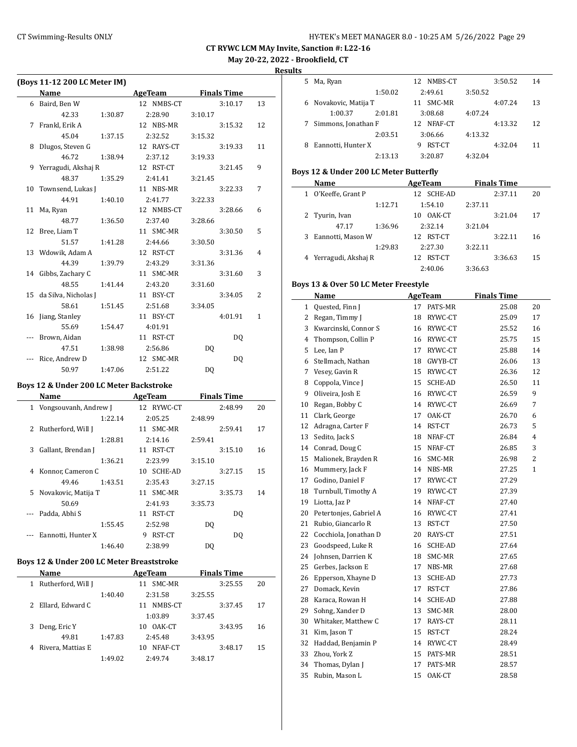| HY-TEK's MEET MANAGER 8.0 - 10:25 AM 5/26/2022 Page 29 |  |  |  |
|--------------------------------------------------------|--|--|--|
|--------------------------------------------------------|--|--|--|

## **May 20-22, 2022 - Brookfield, CT**

**Results**

|    | (Boys 11-12 200 LC Meter IM) |         |            |                |                    |    |
|----|------------------------------|---------|------------|----------------|--------------------|----|
|    | <b>Name</b>                  |         | AgeTeam    |                | <b>Finals Time</b> |    |
|    | 6 Baird, Ben W               |         | 12 NMBS-CT |                | 3:10.17            | 13 |
|    | 42.33                        | 1:30.87 | 2:28.90    | 3:10.17        |                    |    |
| 7  | Frankl, Erik A               |         | 12 NBS-MR  |                | 3:15.32            | 12 |
|    | 45.04                        | 1:37.15 | 2:32.52    | 3:15.32        |                    |    |
| 8  | Dlugos, Steven G             |         | 12 RAYS-CT |                | 3:19.33            | 11 |
|    | 46.72                        | 1:38.94 | 2:37.12    | 3:19.33        |                    |    |
|    | 9 Yerragudi, Akshaj R        |         | 12 RST-CT  |                | 3:21.45            | 9  |
|    | 48.37                        | 1:35.29 | 2:41.41    | 3:21.45        |                    |    |
|    | 10 Townsend, Lukas J         |         | 11 NBS-MR  |                | 3:22.33            | 7  |
|    | 44.91                        | 1:40.10 | 2:41.77    | 3:22.33        |                    |    |
|    | 11 Ma, Ryan                  |         | 12 NMBS-CT |                | 3:28.66            | 6  |
|    | 48.77                        | 1:36.50 | 2:37.40    | 3:28.66        |                    |    |
|    | 12 Bree, Liam T              |         | 11 SMC-MR  |                | 3:30.50            | 5  |
|    | 51.57                        | 1:41.28 | 2:44.66    | 3:30.50        |                    |    |
|    | 13 Wdowik, Adam A            |         | 12 RST-CT  |                | 3:31.36            | 4  |
|    | 44.39                        | 1:39.79 | 2:43.29    | 3:31.36        |                    |    |
|    | 14 Gibbs, Zachary C          |         | 11 SMC-MR  |                | 3:31.60            | 3  |
|    | 48.55                        | 1:41.44 | 2:43.20    | 3:31.60        |                    |    |
|    | 15 da Silva, Nicholas J      |         | 11 BSY-CT  |                | 3:34.05            | 2  |
|    | 58.61                        | 1:51.45 | 2:51.68    | 3:34.05        |                    |    |
| 16 | Jiang, Stanley               |         | 11 BSY-CT  |                | 4:01.91            | 1  |
|    | 55.69                        | 1:54.47 | 4:01.91    |                |                    |    |
|    | Brown, Aidan                 |         | 11 RST-CT  |                | DO.                |    |
|    | 47.51                        | 1:38.98 | 2:56.86    | D <sub>0</sub> |                    |    |
|    | Rice, Andrew D               |         | 12 SMC-MR  |                | D <sub>0</sub>     |    |
|    | 50.97                        | 1:47.06 | 2:51.22    | DQ             |                    |    |

#### **Boys 12 & Under 200 LC Meter Backstroke**

|    | Name                  |         | AgeTeam    |         | <b>Finals Time</b> |    |
|----|-----------------------|---------|------------|---------|--------------------|----|
| 1  | Vongsouvanh, Andrew J |         | 12 RYWC-CT |         | 2:48.99            | 20 |
|    |                       | 1:22.14 | 2:05.25    | 2:48.99 |                    |    |
| 2  | Rutherford, Will J    |         | 11 SMC-MR  |         | 2:59.41            | 17 |
|    |                       | 1:28.81 | 2:14.16    | 2:59.41 |                    |    |
| 3  | Gallant, Brendan J    |         | 11 RST-CT  |         | 3:15.10            | 16 |
|    |                       | 1:36.21 | 2:23.99    | 3:15.10 |                    |    |
| 4  | Konnor, Cameron C     |         | 10 SCHE-AD |         | 3:27.15            | 15 |
|    | 49.46                 | 1:43.51 | 2:35.43    | 3:27.15 |                    |    |
| 5. | Novakovic, Matija T   |         | 11 SMC-MR  |         | 3:35.73            | 14 |
|    | 50.69                 |         | 2:41.93    | 3:35.73 |                    |    |
|    | Padda, Abhi S         | 11      | RST-CT     |         | D <sub>0</sub>     |    |
|    |                       | 1:55.45 | 2:52.98    | DQ      |                    |    |
|    | Eannotti, Hunter X    | 9       | RST-CT     |         | DO.                |    |
|    |                       | 1:46.40 | 2:38.99    | DQ      |                    |    |
|    |                       |         |            |         |                    |    |

## **Boys 12 & Under 200 LC Meter Breaststroke**

|   | Name               |         | AgeTeam       |         | <b>Finals Time</b> |    |
|---|--------------------|---------|---------------|---------|--------------------|----|
| 1 | Rutherford, Will J |         | SMC-MR<br>11  |         | 3:25.55            | 20 |
|   |                    | 1:40.40 | 2:31.58       | 3:25.55 |                    |    |
|   | 2 Ellard, Edward C |         | NMBS-CT<br>11 |         | 3:37.45            | 17 |
|   |                    |         | 1:03.89       | 3:37.45 |                    |    |
| 3 | Deng, Eric Y       |         | OAK-CT<br>10  |         | 3:43.95            | 16 |
|   | 49.81              | 1:47.83 | 2:45.48       | 3:43.95 |                    |    |
|   | Rivera, Mattias E  |         | NFAF-CT<br>10 |         | 3:48.17            | 15 |
|   |                    | 1:49.02 | 2.49.74       | 3:48.17 |                    |    |

| 5 | Ma, Ryan              |         |    | 12 NMBS-CT |         | 3:50.52 | 14 |
|---|-----------------------|---------|----|------------|---------|---------|----|
|   |                       | 1:50.02 |    | 2:49.61    | 3:50.52 |         |    |
|   | 6 Novakovic, Matija T |         | 11 | SMC-MR     |         | 4:07.24 | 13 |
|   | 1:00.37               | 2:01.81 |    | 3:08.68    | 4:07.24 |         |    |
|   | Simmons, Jonathan F   |         |    | 12 NFAF-CT |         | 4:13.32 | 12 |
|   |                       | 2:03.51 |    | 3:06.66    | 4:13.32 |         |    |
| 8 | Eannotti, Hunter X    |         | 9  | RST-CT     |         | 4:32.04 | 11 |
|   |                       | 2:13.13 |    | 3:20.87    | 4:32.04 |         |    |

## **Boys 12 & Under 200 LC Meter Butterfly**

| Name              |                           | AgeTeam                                    |         |         |                    |
|-------------------|---------------------------|--------------------------------------------|---------|---------|--------------------|
| O'Keeffe, Grant P |                           | 12 SCHE-AD                                 |         | 2:37.11 | 20                 |
|                   | 1:12.71                   | 1:54.10                                    | 2:37.11 |         |                    |
|                   |                           | OAK-CT<br>10                               |         | 3:21.04 | 17                 |
| 47.17             | 1:36.96                   | 2:32.14                                    | 3:21.04 |         |                    |
|                   |                           | 12 RST-CT                                  |         | 3:22.11 | 16                 |
|                   | 1:29.83                   | 2:27.30                                    | 3:22.11 |         |                    |
|                   |                           | 12 RST-CT                                  |         | 3:36.63 | 15                 |
|                   |                           | 2:40.06                                    | 3:36.63 |         |                    |
|                   | 1<br>2 Tyurin, Ivan<br>3. | Eannotti, Mason W<br>4 Yerragudi, Akshaj R |         |         | <b>Finals Time</b> |

## **Boys 13 & Over 50 LC Meter Freestyle**

|    | <b>Name</b>            |    | <b>AgeTeam</b> | <b>Finals Time</b> |                |
|----|------------------------|----|----------------|--------------------|----------------|
| 1  | Quested, Finn J        | 17 | PATS-MR        | 25.08              | 20             |
| 2  | Regan, Timmy J         | 18 | RYWC-CT        | 25.09              | 17             |
| 3  | Kwarcinski, Connor S   | 16 | RYWC-CT        | 25.52              | 16             |
| 4  | Thompson, Collin P     | 16 | RYWC-CT        | 25.75              | 15             |
| 5  | Lee, Ian P             | 17 | RYWC-CT        | 25.88              | 14             |
| 6  | Stellmach, Nathan      | 18 | GWYB-CT        | 26.06              | 13             |
| 7  | Vesey, Gavin R         | 15 | RYWC-CT        | 26.36              | 12             |
| 8  | Coppola, Vince J       | 15 | <b>SCHE-AD</b> | 26.50              | 11             |
| 9  | Oliveira, Josh E       | 16 | RYWC-CT        | 26.59              | 9              |
| 10 | Regan, Bobby C         | 14 | RYWC-CT        | 26.69              | 7              |
| 11 | Clark, George          | 17 | OAK-CT         | 26.70              | 6              |
| 12 | Adragna, Carter F      | 14 | RST-CT         | 26.73              | 5              |
| 13 | Sedito, Jack S         | 18 | NFAF-CT        | 26.84              | $\overline{4}$ |
| 14 | Conrad, Doug C         | 15 | NFAF-CT        | 26.85              | 3              |
| 15 | Malionek, Brayden R    | 16 | SMC-MR         | 26.98              | 2              |
| 16 | Mummery, Jack F        | 14 | NBS-MR         | 27.25              | 1              |
| 17 | Godino, Daniel F       | 17 | RYWC-CT        | 27.29              |                |
| 18 | Turnbull, Timothy A    | 19 | RYWC-CT        | 27.39              |                |
| 19 | Liotta, Jaz P          | 14 | NFAF-CT        | 27.40              |                |
| 20 | Petertonjes, Gabriel A | 16 | RYWC-CT        | 27.41              |                |
| 21 | Rubio, Giancarlo R     | 13 | RST-CT         | 27.50              |                |
| 22 | Cocchiola, Jonathan D  | 20 | RAYS-CT        | 27.51              |                |
| 23 | Goodspeed, Luke R      | 16 | SCHE-AD        | 27.64              |                |
| 24 | Johnsen, Darrien K     | 18 | SMC-MR         | 27.65              |                |
| 25 | Gerbes, Jackson E      | 17 | NBS-MR         | 27.68              |                |
| 26 | Epperson, Xhayne D     | 13 | SCHE-AD        | 27.73              |                |
| 27 | Domack, Kevin          | 17 | RST-CT         | 27.86              |                |
| 28 | Karaca, Rowan H        | 14 | SCHE-AD        | 27.88              |                |
| 29 | Sohng, Xander D        | 13 | SMC-MR         | 28.00              |                |
| 30 | Whitaker, Matthew C    | 17 | RAYS-CT        | 28.11              |                |
| 31 | Kim, Jason T           | 15 | RST-CT         | 28.24              |                |
| 32 | Haddad, Benjamin P     | 14 | RYWC-CT        | 28.49              |                |
| 33 | Zhou, York Z           | 15 | PATS-MR        | 28.51              |                |
| 34 | Thomas, Dylan J        | 17 | PATS-MR        | 28.57              |                |
| 35 | Rubin, Mason L         | 15 | OAK-CT         | 28.58              |                |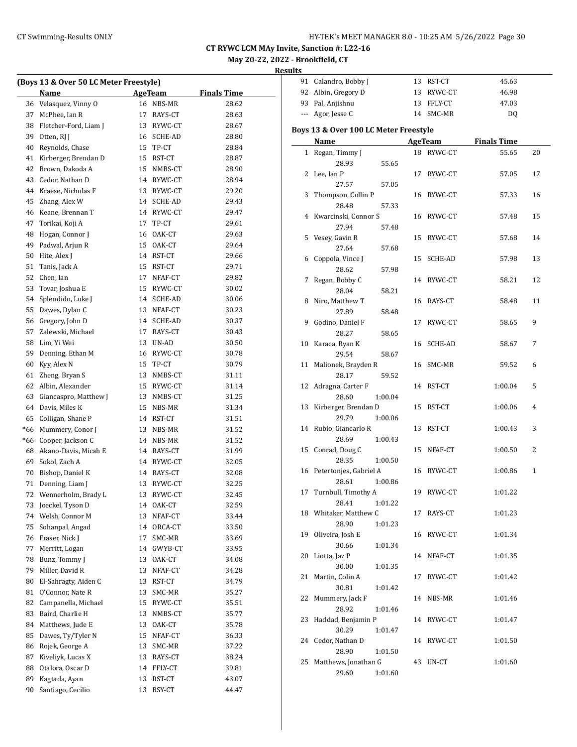| (Boys 13 & Over 50 LC Meter Freestyle) |                       |    |            |                    |  |  |
|----------------------------------------|-----------------------|----|------------|--------------------|--|--|
|                                        | Name                  |    | AgeTeam    | <b>Finals Time</b> |  |  |
| 36                                     | Velasquez, Vinny O    |    | 16 NBS-MR  | 28.62              |  |  |
| 37                                     | McPhee, Ian R         | 17 | RAYS-CT    | 28.63              |  |  |
| 38                                     | Fletcher-Ford, Liam J |    | 13 RYWC-CT | 28.67              |  |  |
| 39                                     | Otten, RJ J           |    | 16 SCHE-AD | 28.80              |  |  |
| 40                                     | Reynolds, Chase       |    | 15 TP-CT   | 28.84              |  |  |
| 41                                     | Kirberger, Brendan D  |    | 15 RST-CT  | 28.87              |  |  |
| 42                                     | Brown, Dakoda A       |    | 15 NMBS-CT | 28.90              |  |  |
| 43                                     | Cedor, Nathan D       |    | 14 RYWC-CT | 28.94              |  |  |
| 44                                     | Kraese, Nicholas F    |    | 13 RYWC-CT | 29.20              |  |  |
| 45                                     | Zhang, Alex W         |    | 14 SCHE-AD | 29.43              |  |  |
| 46                                     | Keane, Brennan T      |    | 14 RYWC-CT | 29.47              |  |  |
| 47                                     | Torikai, Koji A       |    | 17 TP-CT   | 29.61              |  |  |
| 48                                     | Hogan, Connor J       |    | 16 OAK-CT  | 29.63              |  |  |
| 49                                     | Padwal, Arjun R       |    | 15 OAK-CT  | 29.64              |  |  |
| 50                                     | Hite, Alex J          |    | 14 RST-CT  | 29.66              |  |  |
| 51                                     | Tanis, Jack A         |    | 15 RST-CT  | 29.71              |  |  |
| 52                                     | Chen, Ian             | 17 | NFAF-CT    | 29.82              |  |  |
| 53                                     |                       |    | 15 RYWC-CT |                    |  |  |
| 54                                     | Tovar, Joshua E       |    |            | 30.02              |  |  |
|                                        | Splendido, Luke J     |    | 14 SCHE-AD | 30.06              |  |  |
| 55                                     | Dawes, Dylan C        |    | 13 NFAF-CT | 30.23              |  |  |
| 56                                     | Gregory, John D       |    | 14 SCHE-AD | 30.37              |  |  |
| 57                                     | Zalewski, Michael     |    | 17 RAYS-CT | 30.43              |  |  |
| 58                                     | Lim, Yi Wei           |    | 13 UN-AD   | 30.50              |  |  |
| 59                                     | Denning, Ethan M      |    | 16 RYWC-CT | 30.78              |  |  |
| 60                                     | Kyy, Alex N           | 15 | TP-CT      | 30.79              |  |  |
| 61                                     | Zheng, Bryan S        |    | 13 NMBS-CT | 31.11              |  |  |
| 62                                     | Albin, Alexander      |    | 15 RYWC-CT | 31.14              |  |  |
| 63                                     | Giancaspro, Matthew J |    | 13 NMBS-CT | 31.25              |  |  |
| 64                                     | Davis, Miles K        | 15 | NBS-MR     | 31.34              |  |  |
| 65                                     | Colligan, Shane P     |    | 14 RST-CT  | 31.51              |  |  |
| *66                                    | Mummery, Conor J      |    | 13 NBS-MR  | 31.52              |  |  |
| *66                                    | Cooper, Jackson C     |    | 14 NBS-MR  | 31.52              |  |  |
| 68                                     | Akano-Davis, Micah E  |    | 14 RAYS-CT | 31.99              |  |  |
| 69                                     | Sokol, Zach A         |    | 14 RYWC-CT | 32.05              |  |  |
| 70                                     | Bishop, Daniel K      |    | 14 RAYS-CT | 32.08              |  |  |
| 71                                     | Denning, Liam J       |    | 13 RYWC-CT | 32.25              |  |  |
| 72                                     | Wennerholm, Brady L   | 13 | RYWC-CT    | 32.45              |  |  |
| 73                                     | Joeckel, Tyson D      | 14 | OAK-CT     | 32.59              |  |  |
| 74                                     | Welsh, Connor M       | 13 | NFAF-CT    | 33.44              |  |  |
| 75                                     | Sohanpal, Angad       | 14 | ORCA-CT    | 33.50              |  |  |
| 76                                     | Fraser, Nick J        | 17 | SMC-MR     | 33.69              |  |  |
| 77                                     | Merritt, Logan        | 14 | GWYB-CT    | 33.95              |  |  |
| 78                                     | Bunz, Tommy J         | 13 | OAK-CT     | 34.08              |  |  |
| 79                                     | Miller, David R       | 13 | NFAF-CT    | 34.28              |  |  |
| 80                                     | El-Sahragty, Aiden C  | 13 | RST-CT     | 34.79              |  |  |
| 81                                     | O'Connor, Nate R      | 13 | SMC-MR     | 35.27              |  |  |
| 82                                     | Campanella, Michael   | 15 | RYWC-CT    | 35.51              |  |  |
| 83                                     | Baird, Charlie H      | 13 | NMBS-CT    | 35.77              |  |  |
| 84                                     | Matthews, Jude E      | 13 | OAK-CT     | 35.78              |  |  |
| 85                                     | Dawes, Ty/Tyler N     | 15 | NFAF-CT    | 36.33              |  |  |
| 86                                     | Rojek, George A       | 13 | SMC-MR     | 37.22              |  |  |
| 87                                     | Kiveliyk, Lucas X     | 13 | RAYS-CT    | 38.24              |  |  |
| 88                                     | Otalora, Oscar D      | 14 | FFLY-CT    | 39.81              |  |  |
| 89                                     | Kagtada, Ayan         | 13 | RST-CT     | 43.07              |  |  |
| 90                                     | Santiago, Cecilio     | 13 | BSY-CT     | 44.47              |  |  |
|                                        |                       |    |            |                    |  |  |

|              | 91 Calandro, Bobby J                  | 13 | RST-CT     | 45.63              |              |
|--------------|---------------------------------------|----|------------|--------------------|--------------|
|              | 92 Albin, Gregory D                   | 13 | RYWC-CT    | 46.98              |              |
|              | 93 Pal, Anjishnu                      | 13 | FFLY-CT    | 47.03              |              |
| ---          | Agor, Jesse C                         |    | 14 SMC-MR  | DQ                 |              |
|              |                                       |    |            |                    |              |
|              | Boys 13 & Over 100 LC Meter Freestyle |    |            |                    |              |
|              | Name                                  |    | AgeTeam    | <b>Finals Time</b> |              |
| $\mathbf{1}$ | Regan, Timmy J                        |    | 18 RYWC-CT | 55.65              | 20           |
|              | 28.93<br>55.65                        |    |            |                    |              |
| 2            | Lee, Ian P                            | 17 | RYWC-CT    | 57.05              | 17           |
|              | 27.57<br>57.05                        |    |            |                    |              |
| 3            | Thompson, Collin P                    | 16 | RYWC-CT    | 57.33              | 16           |
|              | 28.48<br>57.33                        |    |            |                    |              |
| 4            | Kwarcinski, Connor S                  | 16 | RYWC-CT    | 57.48              | 15           |
|              | 27.94<br>57.48                        |    |            |                    |              |
| 5            | Vesey, Gavin R                        | 15 | RYWC-CT    | 57.68              | 14           |
|              | 27.64<br>57.68                        |    |            |                    |              |
| 6            | Coppola, Vince J                      | 15 | SCHE-AD    | 57.98              | 13           |
|              | 28.62<br>57.98                        |    |            |                    |              |
| 7            | Regan, Bobby C                        | 14 | RYWC-CT    | 58.21              | 12           |
|              | 28.04<br>58.21                        |    |            |                    |              |
| 8            | Niro, Matthew T                       | 16 | RAYS-CT    | 58.48              | 11           |
|              | 27.89<br>58.48                        |    |            |                    |              |
| 9            | Godino, Daniel F                      | 17 | RYWC-CT    | 58.65              | 9            |
|              | 28.27<br>58.65                        |    |            |                    |              |
| 10           | Karaca, Ryan K                        | 16 | SCHE-AD    | 58.67              | 7            |
|              | 29.54<br>58.67                        |    |            |                    |              |
| 11           | Malionek, Brayden R                   | 16 | SMC-MR     | 59.52              | 6            |
|              | 28.17<br>59.52                        |    |            |                    |              |
|              | 12 Adragna, Carter F                  | 14 | RST-CT     | 1:00.04            | 5            |
|              | 28.60<br>1:00.04                      |    |            |                    |              |
| 13           | Kirberger, Brendan D                  | 15 | RST-CT     | 1:00.06            | 4            |
|              | 29.79<br>1:00.06                      |    |            |                    |              |
| 14           | Rubio, Giancarlo R                    | 13 | RST-CT     | 1:00.43            | 3            |
|              | 28.69<br>1:00.43                      |    |            |                    |              |
| 15           | Conrad, Doug C                        | 15 | NFAF-CT    | 1:00.50            | 2            |
|              | 28.35<br>1:00.50                      |    |            |                    |              |
| 16           | Petertonjes, Gabriel A                | 16 | RYWC-CT    | 1:00.86            | $\mathbf{1}$ |
|              | 28.61<br>1:00.86                      |    |            |                    |              |
|              | 17 Turnbull, Timothy A                |    | 19 RYWC-CT | 1:01.22            |              |
|              | 28.41<br>1:01.22                      |    |            |                    |              |
|              | 18 Whitaker, Matthew C                |    | 17 RAYS-CT | 1:01.23            |              |
|              | 28.90<br>1:01.23                      |    |            |                    |              |
| 19           | Oliveira, Josh E                      |    | 16 RYWC-CT | 1:01.34            |              |
|              | 30.66<br>1:01.34                      |    |            |                    |              |
| 20           | Liotta, Jaz P                         | 14 | NFAF-CT    | 1:01.35            |              |
|              | 30.00<br>1:01.35                      |    |            |                    |              |
| 21           | Martin, Colin A                       | 17 | RYWC-CT    | 1:01.42            |              |
|              | 30.81<br>1:01.42                      |    |            |                    |              |
| 22           | Mummery, Jack F                       | 14 | NBS-MR     | 1:01.46            |              |
|              | 28.92<br>1:01.46                      |    |            |                    |              |
| 23           | Haddad, Benjamin P                    |    | 14 RYWC-CT | 1:01.47            |              |
|              | 30.29<br>1:01.47                      |    |            |                    |              |
| 24           | Cedor, Nathan D                       | 14 | RYWC-CT    | 1:01.50            |              |
|              | 28.90<br>1:01.50                      |    |            |                    |              |
| 25           | Matthews, Jonathan G                  | 43 | UN-CT      | 1:01.60            |              |
|              | 29.60<br>1:01.60                      |    |            |                    |              |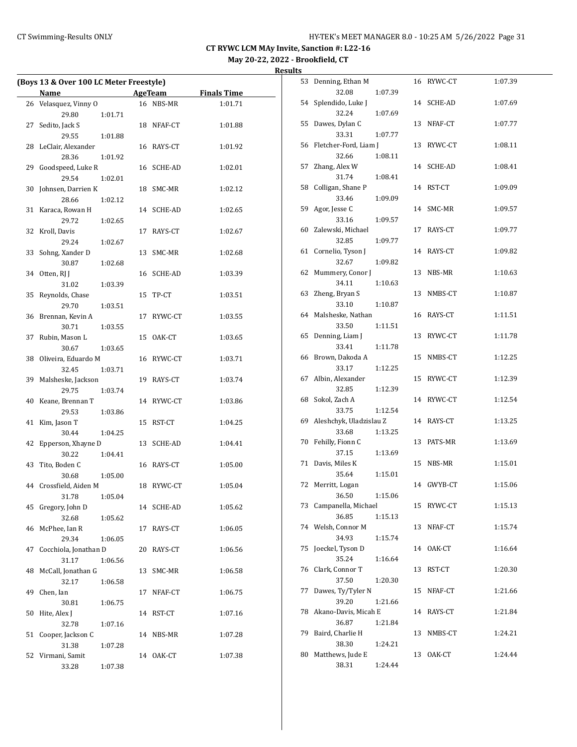**May 20-22, 2022 - Brookfield, CT**

| Results |  |
|---------|--|
|         |  |

|    | (Boys 13 & Over 100 LC Meter Freestyle) |         |            |                    |  |  |  |
|----|-----------------------------------------|---------|------------|--------------------|--|--|--|
|    | Name                                    |         | AgeTeam    | <b>Finals Time</b> |  |  |  |
| 26 | Velasquez, Vinny O                      |         | 16 NBS-MR  | 1:01.71            |  |  |  |
|    | 29.80                                   | 1:01.71 |            |                    |  |  |  |
| 27 | Sedito, Jack S                          |         | 18 NFAF-CT | 1:01.88            |  |  |  |
|    | 29.55                                   | 1:01.88 |            |                    |  |  |  |
| 28 | LeClair, Alexander                      |         | 16 RAYS-CT | 1:01.92            |  |  |  |
|    | 28.36                                   | 1:01.92 |            |                    |  |  |  |
| 29 | Goodspeed, Luke R                       | 16      | SCHE-AD    | 1:02.01            |  |  |  |
|    | 29.54                                   | 1:02.01 |            |                    |  |  |  |
| 30 | Johnsen, Darrien K                      | 18      | SMC-MR     | 1:02.12            |  |  |  |
|    | 28.66                                   | 1:02.12 |            |                    |  |  |  |
| 31 | Karaca, Rowan H                         |         | 14 SCHE-AD | 1:02.65            |  |  |  |
|    | 29.72                                   | 1:02.65 |            |                    |  |  |  |
| 32 | Kroll, Davis                            | 17      | RAYS-CT    | 1:02.67            |  |  |  |
|    | 29.24                                   | 1:02.67 |            |                    |  |  |  |
| 33 | Sohng, Xander D                         | 13      | SMC-MR     | 1:02.68            |  |  |  |
|    | 30.87                                   | 1:02.68 |            |                    |  |  |  |
| 34 | Otten, RJ J                             | 16      | SCHE-AD    | 1:03.39            |  |  |  |
|    | 31.02                                   | 1:03.39 |            |                    |  |  |  |
| 35 | Reynolds, Chase                         | 15      | TP-CT      | 1:03.51            |  |  |  |
|    | 29.70                                   | 1:03.51 |            |                    |  |  |  |
| 36 | Brennan, Kevin A                        | 17      | RYWC-CT    | 1:03.55            |  |  |  |
|    | 30.71                                   | 1:03.55 |            |                    |  |  |  |
| 37 | Rubin, Mason L                          | 15      | OAK-CT     | 1:03.65            |  |  |  |
|    | 30.67                                   | 1:03.65 |            |                    |  |  |  |
| 38 | Oliveira, Eduardo M                     |         | 16 RYWC-CT | 1:03.71            |  |  |  |
|    | 32.45                                   | 1:03.71 |            |                    |  |  |  |
| 39 | Malsheske, Jackson                      |         | 19 RAYS-CT | 1:03.74            |  |  |  |
|    | 29.75                                   | 1:03.74 |            |                    |  |  |  |
| 40 | Keane, Brennan T                        | 14      | RYWC-CT    | 1:03.86            |  |  |  |
|    | 29.53                                   | 1:03.86 |            |                    |  |  |  |
| 41 | Kim, Jason T                            | 15      | RST-CT     | 1:04.25            |  |  |  |
|    | 30.44                                   | 1:04.25 |            |                    |  |  |  |
| 42 | Epperson, Xhayne D                      | 13      | SCHE-AD    | 1:04.41            |  |  |  |
|    | 30.22                                   | 1:04.41 |            |                    |  |  |  |
| 43 | Tito, Boden C                           |         | 16 RAYS-CT | 1:05.00            |  |  |  |
|    | 30.68                                   | 1:05.00 |            |                    |  |  |  |
| 44 | Crossfield, Aiden M                     | 18      | RYWC-CT    | 1:05.04            |  |  |  |
|    | 31.78                                   | 1:05.04 |            |                    |  |  |  |
| 45 | Gregory, John D                         | 14      | SCHE-AD    | 1:05.62            |  |  |  |
|    | 32.68                                   | 1:05.62 |            |                    |  |  |  |
| 46 | McPhee, Ian R                           | 17      | RAYS-CT    | 1:06.05            |  |  |  |
|    | 29.34                                   | 1:06.05 |            |                    |  |  |  |
| 47 | Cocchiola, Jonathan D                   | 20      | RAYS-CT    | 1:06.56            |  |  |  |
|    | 31.17                                   | 1:06.56 |            |                    |  |  |  |
| 48 | McCall, Jonathan G                      | 13      | SMC-MR     | 1:06.58            |  |  |  |
|    | 32.17                                   | 1:06.58 |            |                    |  |  |  |
| 49 | Chen, Ian                               | 17      | NFAF-CT    | 1:06.75            |  |  |  |
|    | 30.81                                   | 1:06.75 |            |                    |  |  |  |
| 50 | Hite, Alex J                            | 14      | RST-CT     | 1:07.16            |  |  |  |
|    | 32.78                                   | 1:07.16 |            |                    |  |  |  |
| 51 | Cooper, Jackson C                       |         | 14 NBS-MR  | 1:07.28            |  |  |  |
|    | 31.38                                   | 1:07.28 |            |                    |  |  |  |
| 52 | Virmani, Samit                          | 14      | OAK-CT     | 1:07.38            |  |  |  |
|    | 33.28                                   | 1:07.38 |            |                    |  |  |  |

| 53 | Denning, Ethan M        |         | 16 | RYWC-CT | 1:07.39 |
|----|-------------------------|---------|----|---------|---------|
|    | 32.08                   | 1:07.39 |    |         |         |
| 54 | Splendido, Luke J       |         | 14 | SCHE-AD | 1:07.69 |
|    | 32.24                   | 1:07.69 |    |         |         |
| 55 | Dawes, Dylan C          |         | 13 | NFAF-CT | 1:07.77 |
|    | 33.31                   | 1:07.77 |    |         |         |
| 56 | Fletcher-Ford, Liam J   |         | 13 | RYWC-CT | 1:08.11 |
|    | 32.66                   | 1:08.11 |    |         |         |
| 57 | Zhang, Alex W           |         | 14 | SCHE-AD | 1:08.41 |
|    | 31.74                   | 1:08.41 |    |         |         |
| 58 | Colligan, Shane P       |         | 14 | RST-CT  | 1:09.09 |
|    | 33.46                   | 1:09.09 |    |         |         |
| 59 | Agor, Jesse C           |         | 14 | SMC-MR  | 1:09.57 |
|    | 33.16                   | 1:09.57 |    |         |         |
| 60 | Zalewski, Michael       |         | 17 | RAYS-CT | 1:09.77 |
|    | 32.85                   | 1:09.77 |    |         |         |
| 61 | Cornelio, Tyson J       |         | 14 | RAYS-CT | 1:09.82 |
|    | 32.67                   | 1:09.82 |    |         |         |
| 62 | Mummery, Conor J        |         | 13 | NBS-MR  | 1:10.63 |
|    | 34.11                   | 1:10.63 |    |         |         |
| 63 | Zheng, Bryan S          |         | 13 | NMBS-CT | 1:10.87 |
|    | 33.10                   | 1:10.87 |    |         |         |
| 64 | Malsheske, Nathan       |         | 16 | RAYS-CT | 1:11.51 |
|    | 33.50                   | 1:11.51 |    |         |         |
| 65 | Denning, Liam J         |         | 13 | RYWC-CT | 1:11.78 |
|    | 33.41                   | 1:11.78 |    |         |         |
| 66 | Brown, Dakoda A         |         | 15 | NMBS-CT | 1:12.25 |
|    | 33.17                   | 1:12.25 |    |         |         |
| 67 | Albin, Alexander        |         | 15 | RYWC-CT | 1:12.39 |
|    | 32.85                   | 1:12.39 |    |         |         |
| 68 | Sokol, Zach A           |         | 14 | RYWC-CT | 1:12.54 |
|    | 33.75                   | 1:12.54 |    |         |         |
| 69 | Aleshchyk, Uladzislau Z |         | 14 | RAYS-CT | 1:13.25 |
|    | 33.68                   | 1:13.25 |    |         |         |
| 70 | Fehilly, Fionn C        |         | 13 | PATS-MR | 1:13.69 |
|    | 37.15                   | 1:13.69 |    |         |         |
| 71 | Davis, Miles K          |         | 15 | NBS-MR  | 1:15.01 |
|    | 35.64                   | 1:15.01 |    |         |         |
| 72 | Merritt, Logan          |         | 14 | GWYB-CT | 1:15.06 |
|    | 36.50                   | 1:15.06 |    |         |         |
| 73 | Campanella, Michael     |         | 15 | RYWC-CT | 1:15.13 |
|    | 36.85                   | 1:15.13 |    |         |         |
| 74 | Welsh, Connor M         |         | 13 | NFAF-CT | 1:15.74 |
|    | 34.93                   | 1:15.74 |    |         |         |
| 75 | Joeckel, Tyson D        |         | 14 | OAK-CT  | 1:16.64 |
|    | 35.24                   | 1:16.64 |    |         |         |
| 76 | Clark, Connor T         |         | 13 | RST-CT  | 1:20.30 |
|    | 37.50                   | 1:20.30 |    |         |         |
| 77 | Dawes, Ty/Tyler N       |         | 15 | NFAF-CT | 1:21.66 |
|    | 39.20                   | 1:21.66 |    |         |         |
| 78 | Akano-Davis, Micah E    |         | 14 | RAYS-CT | 1:21.84 |
|    | 36.87                   | 1:21.84 |    |         |         |
| 79 | Baird, Charlie H        |         | 13 | NMBS-CT | 1:24.21 |
|    | 38.30                   | 1:24.21 |    |         |         |
| 80 | Matthews, Jude E        |         | 13 | OAK-CT  | 1:24.44 |
|    | 38.31                   | 1:24.44 |    |         |         |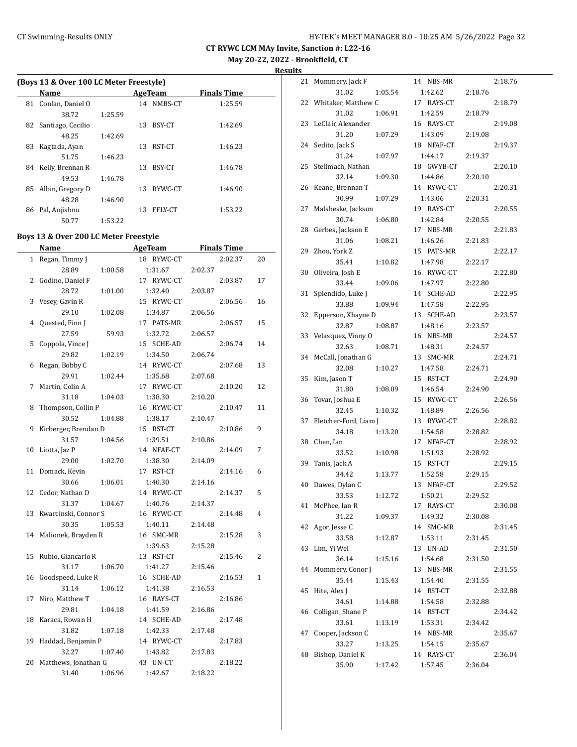**May 20-22, 2022 - Brookfield, CT**

**Results**

|  | (Boys 13 & Over 100 LC Meter Freestyle) |  |
|--|-----------------------------------------|--|
|--|-----------------------------------------|--|

|    | Name                |         |    | AgeTeam        | <b>Finals Time</b> |  |
|----|---------------------|---------|----|----------------|--------------------|--|
|    | 81 Conlan, Daniel O |         |    | 14 NMBS-CT     | 1:25.59            |  |
|    | 38.72               | 1:25.59 |    |                |                    |  |
| 82 | Santiago, Cecilio   |         | 13 | BSY-CT         | 1:42.69            |  |
|    | 48.25               | 1:42.69 |    |                |                    |  |
| 83 | Kagtada, Ayan       |         | 13 | RST-CT         | 1:46.23            |  |
|    | 51.75               | 1:46.23 |    |                |                    |  |
| 84 | Kelly, Brennan R    |         | 13 | BSY-CT         | 1:46.78            |  |
|    | 49.53               | 1:46.78 |    |                |                    |  |
| 85 | Albin, Gregory D    |         | 13 | RYWC-CT        | 1:46.90            |  |
|    | 48.28               | 1:46.90 |    |                |                    |  |
| 86 | Pal, Anjishnu       |         | 13 | <b>FFLY-CT</b> | 1:53.22            |  |
|    | 50.77               | 1:53.22 |    |                |                    |  |

## **Boys 13 & Over 200 LC Meter Freestyle**

|              | <b>Name</b>          | AgeTeam    | <b>Finals Time</b> |    |
|--------------|----------------------|------------|--------------------|----|
| $\mathbf{1}$ | Regan, Timmy J       | 18 RYWC-CT | 2:02.37            | 20 |
|              | 28.89<br>1:00.58     | 1:31.67    | 2:02.37            |    |
| 2            | Godino, Daniel F     | 17 RYWC-CT | 2:03.87            | 17 |
|              | 28.72<br>1:01.00     | 1:32.40    | 2:03.87            |    |
| 3            | Vesey, Gavin R       | 15 RYWC-CT | 2:06.56            | 16 |
|              | 29.10<br>1:02.08     | 1:34.87    | 2:06.56            |    |
| 4            | Quested, Finn J      | 17 PATS-MR | 2:06.57            | 15 |
|              | 27.59<br>59.93       | 1:32.72    | 2:06.57            |    |
| 5            | Coppola, Vince J     | 15 SCHE-AD | 2:06.74            | 14 |
|              | 29.82<br>1:02.19     | 1:34.50    | 2:06.74            |    |
| 6            | Regan, Bobby C       | 14 RYWC-CT | 2:07.68            | 13 |
|              | 29.91<br>1:02.44     | 1:35.68    | 2:07.68            |    |
| 7            | Martin, Colin A      | 17 RYWC-CT | 2:10.20            | 12 |
|              | 31.18<br>1:04.03     | 1:38.30    | 2:10.20            |    |
| 8            | Thompson, Collin P   | 16 RYWC-CT | 2:10.47            | 11 |
|              | 30.52<br>1:04.88     | 1:38.17    | 2:10.47            |    |
| 9            | Kirberger, Brendan D | 15 RST-CT  | 2:10.86            | 9  |
|              | 31.57<br>1:04.56     | 1:39.51    | 2:10.86            |    |
| 10           | Liotta, Jaz P        | 14 NFAF-CT | 2:14.09            | 7  |
|              | 29.00<br>1:02.70     | 1:38.30    | 2:14.09            |    |
| 11           | Domack, Kevin        | 17 RST-CT  | 2:14.16            | 6  |
|              | 30.66<br>1:06.01     | 1:40.30    | 2:14.16            |    |
| 12           | Cedor, Nathan D      | 14 RYWC-CT | 2:14.37            | 5  |
|              | 31.37<br>1:04.67     | 1:40.76    | 2:14.37            |    |
| 13           | Kwarcinski, Connor S | 16 RYWC-CT | 2:14.48            | 4  |
|              | 30.35<br>1:05.53     | 1:40.11    | 2:14.48            |    |
| 14           | Malionek, Brayden R  | 16 SMC-MR  | 2:15.28            | 3  |
|              |                      | 1:39.63    | 2:15.28            |    |
| 15           | Rubio, Giancarlo R   | 13 RST-CT  | 2:15.46            | 2  |
|              | 31.17<br>1:06.70     | 1:41.27    | 2:15.46            |    |
| 16           | Goodspeed, Luke R    | 16 SCHE-AD | 2:16.53            | 1  |
|              | 31.14<br>1:06.12     | 1:41.38    | 2:16.53            |    |
| 17           | Niro, Matthew T      | 16 RAYS-CT | 2:16.86            |    |
|              | 29.81<br>1:04.18     | 1:41.59    | 2:16.86            |    |
| 18           | Karaca, Rowan H      | 14 SCHE-AD | 2:17.48            |    |
|              | 31.82<br>1:07.18     | 1:42.33    | 2:17.48            |    |
| 19           | Haddad, Benjamin P   | 14 RYWC-CT | 2:17.83            |    |
|              | 32.27<br>1:07.40     | 1:43.82    | 2:17.83            |    |
| 20           | Matthews, Jonathan G | 43 UN-CT   | 2:18.22            |    |
|              | 31.40<br>1:06.96     | 1:42.67    | 2:18.22            |    |

| 21 | Mummery, Jack F       | 14 NBS-MR                 | 2:18.76            |  |
|----|-----------------------|---------------------------|--------------------|--|
|    | 31.02<br>1:05.54      | 1:42.62                   | 2:18.76            |  |
| 22 | Whitaker, Matthew C   | 17 RAYS-CT                | 2:18.79            |  |
|    | 31.02<br>1:06.91      | 1:42.59                   | 2:18.79            |  |
| 23 | LeClair, Alexander    | 16 RAYS-CT                | 2:19.08            |  |
|    | 31.20<br>1:07.29      | 1:43.09                   | 2:19.08            |  |
| 24 | Sedito, Jack S        | 18 NFAF-CT                | 2:19.37            |  |
|    | 31.24<br>1:07.97      | 1:44.17                   | 2:19.37            |  |
| 25 | Stellmach, Nathan     | 18 GWYB-CT                | 2:20.10            |  |
|    | 32.14<br>1:09.30      | 1:44.86                   | 2:20.10            |  |
| 26 | Keane, Brennan T      | 14 RYWC-CT                | 2:20.31            |  |
|    | 30.99<br>1:07.29      | 1:43.06                   | 2:20.31            |  |
| 27 | Malsheske, Jackson    | 19 RAYS-CT                | 2:20.55            |  |
|    | 30.74<br>1:06.80      | 1:42.84                   | 2:20.55            |  |
| 28 | Gerbes, Jackson E     | 17 NBS-MR                 | 2:21.83            |  |
|    | 31.06<br>1:08.21      | 1:46.26                   | 2:21.83            |  |
| 29 | Zhou, York Z          | 15 PATS-MR                | 2:22.17            |  |
|    | 35.41<br>1:10.82      | 1:47.98                   | 2:22.17            |  |
| 30 | Oliveira, Josh E      | 16 RYWC-CT                | 2:22.80            |  |
|    | 33.44<br>1:09.06      | 1:47.97                   | 2:22.80            |  |
| 31 | Splendido, Luke J     | 14 SCHE-AD                | 2:22.95            |  |
|    | 33.88                 |                           |                    |  |
|    | 1:09.94               | 1:47.58<br><b>SCHE-AD</b> | 2:22.95<br>2:23.57 |  |
| 32 | Epperson, Xhayne D    | 13                        |                    |  |
|    | 32.87<br>1:08.87      | 1:48.16                   | 2:23.57            |  |
| 33 | Velasquez, Vinny O    | 16 NBS-MR                 | 2:24.57            |  |
|    | 32.63<br>1:08.71      | 1:48.31<br>13<br>SMC-MR   | 2:24.57<br>2:24.71 |  |
| 34 | McCall, Jonathan G    |                           |                    |  |
|    | 32.08<br>1:10.27      | 1:47.58<br>15 RST-CT      | 2:24.71            |  |
| 35 | Kim, Jason T          |                           | 2:24.90            |  |
|    | 31.80<br>1:08.09      | 1:46.54                   | 2:24.90            |  |
| 36 | Tovar, Joshua E       | 15 RYWC-CT                | 2:26.56            |  |
|    | 32.45<br>1:10.32      | 1:48.89<br>13 RYWC-CT     | 2:26.56            |  |
| 37 | Fletcher-Ford, Liam J |                           | 2:28.82            |  |
|    | 34.18<br>1:13.20      | 1:54.58<br>17             | 2:28.82            |  |
| 38 | Chen, Ian             | NFAF-CT                   | 2:28.92            |  |
|    | 33.52<br>1:10.98      | 1:51.93                   | 2:28.92            |  |
| 39 | Tanis, Jack A         | RST-CT<br>15              | 2:29.15            |  |
|    | 34.42<br>1:13.77      | 1:52.58                   | 2:29.15            |  |
| 40 | Dawes, Dylan C        | 13<br>NFAF-CT             | 2:29.52            |  |
|    | 33.53<br>1:12.72      | 1:50.21                   | 2:29.52            |  |
| 41 | McPhee, Ian R         | 17 RAYS-CT                | 2:30.08            |  |
|    | 31.22<br>1:09.37      | 1:49.32<br>SMC-MR         | 2:30.08            |  |
| 42 | Agor, Jesse C         | 14                        | 2:31.45            |  |
|    | 33.58<br>1:12.87      | 1:53.11                   | 2:31.45            |  |
| 43 | Lim, Yi Wei           | UN-AD<br>13               | 2:31.50            |  |
|    | 36.14<br>1:15.16      | 1:54.68                   | 2:31.50            |  |
| 44 | Mummery, Conor J      | 13 NBS-MR                 | 2:31.55            |  |
|    | 35.44<br>1:15.43      | 1:54.40                   | 2:31.55            |  |
| 45 | Hite, Alex J          | 14 RST-CT                 | 2:32.88            |  |
|    | 34.61<br>1:14.88      | 1:54.58                   | 2:32.88            |  |
| 46 | Colligan, Shane P     | 14 RST-CT                 | 2:34.42            |  |
|    | 33.61<br>1:13.19      | 1:53.31                   | 2:34.42            |  |
| 47 | Cooper, Jackson C     | 14 NBS-MR                 | 2:35.67            |  |
|    | 33.27<br>1:13.25      | 1:54.15                   | 2:35.67            |  |
| 48 | Bishop, Daniel K      | 14 RAYS-CT                | 2:36.04            |  |
|    | 35.90<br>1:17.42      | 1:57.45                   | 2:36.04            |  |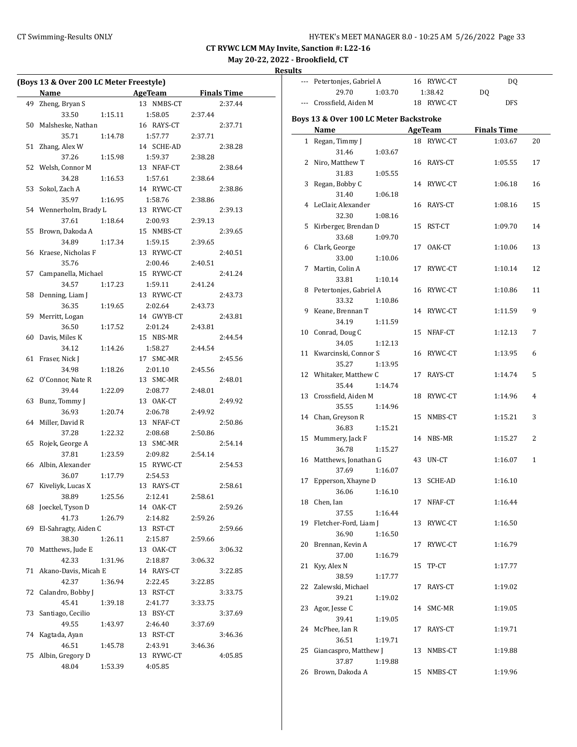--- Petertonjes, Gabriel A 16 RYWC-CT DQ

**CT RYWC LCM MAy Invite, Sanction #: L22-16**

## **May 20-22, 2022 - Brookfield, CT**

**Results**

 $\sim$ 

|    | (Boys 13 & Over 200 LC Meter Freestyle) |         |  |                                        |         |         |  |
|----|-----------------------------------------|---------|--|----------------------------------------|---------|---------|--|
|    | Name                                    |         |  | <b>Example 21 AgeTeam</b> Prinals Time |         |         |  |
| 49 | Zheng, Bryan S                          |         |  | 13 NMBS-CT                             |         | 2:37.44 |  |
|    | 33.50                                   | 1:15.11 |  | 1:58.05                                | 2:37.44 |         |  |
| 50 | Malsheske, Nathan                       |         |  | 16 RAYS-CT                             |         | 2:37.71 |  |
|    | 35.71                                   | 1:14.78 |  | 1:57.77                                | 2:37.71 |         |  |
| 51 | Zhang, Alex W                           |         |  | 14 SCHE-AD                             |         | 2:38.28 |  |
|    | 37.26                                   | 1:15.98 |  | 1:59.37                                | 2:38.28 |         |  |
| 52 | Welsh, Connor M                         |         |  | 13 NFAF-CT                             |         | 2:38.64 |  |
|    | 34.28                                   | 1:16.53 |  | 1:57.61                                | 2:38.64 |         |  |
| 53 | Sokol, Zach A                           |         |  | 14 RYWC-CT                             |         | 2:38.86 |  |
|    | 35.97                                   | 1:16.95 |  | 1:58.76                                | 2:38.86 |         |  |
|    | 54 Wennerholm, Brady L                  |         |  | 13 RYWC-CT                             |         | 2:39.13 |  |
|    | 37.61                                   | 1:18.64 |  | 2:00.93                                | 2:39.13 |         |  |
| 55 | Brown, Dakoda A                         |         |  | 15 NMBS-CT                             |         | 2:39.65 |  |
|    | 34.89                                   | 1:17.34 |  | 1:59.15                                | 2:39.65 |         |  |
| 56 | Kraese, Nicholas F                      |         |  | 13 RYWC-CT                             |         | 2:40.51 |  |
|    | 35.76                                   |         |  | 2:00.46                                | 2:40.51 |         |  |
| 57 | Campanella, Michael                     |         |  | 15 RYWC-CT                             |         | 2:41.24 |  |
|    | 34.57                                   | 1:17.23 |  | 1:59.11                                | 2:41.24 |         |  |
| 58 | Denning, Liam J                         |         |  | 13 RYWC-CT                             |         | 2:43.73 |  |
|    | 36.35                                   | 1:19.65 |  | 2:02.64                                | 2:43.73 |         |  |
| 59 | Merritt, Logan                          |         |  | 14 GWYB-CT                             |         | 2:43.81 |  |
|    | 36.50                                   | 1:17.52 |  | 2:01.24                                | 2:43.81 |         |  |
| 60 | Davis, Miles K                          |         |  | 15 NBS-MR                              |         | 2:44.54 |  |
|    | 34.12                                   | 1:14.26 |  | 1:58.27                                | 2:44.54 |         |  |
| 61 | Fraser, Nick J                          |         |  | 17 SMC-MR                              |         | 2:45.56 |  |
|    | 34.98                                   | 1:18.26 |  | 2:01.10                                | 2:45.56 |         |  |
| 62 | O'Connor, Nate R                        |         |  | 13 SMC-MR                              |         | 2:48.01 |  |
|    | 39.44                                   | 1:22.09 |  | 2:08.77                                | 2:48.01 |         |  |
| 63 | Bunz, Tommy J                           |         |  | 13 OAK-CT                              |         | 2:49.92 |  |
|    | 36.93                                   | 1:20.74 |  | 2:06.78                                | 2:49.92 |         |  |
| 64 | Miller, David R                         |         |  | 13 NFAF-CT                             |         | 2:50.86 |  |
|    | 37.28                                   | 1:22.32 |  | 2:08.68                                | 2:50.86 |         |  |
| 65 | Rojek, George A                         |         |  | 13 SMC-MR                              |         | 2:54.14 |  |
|    | 37.81                                   | 1:23.59 |  | 2:09.82                                | 2:54.14 |         |  |
| 66 | Albin, Alexander                        |         |  | 15 RYWC-CT                             |         | 2:54.53 |  |
|    | 36.07                                   | 1:17.79 |  | 2:54.53                                |         |         |  |
| 67 | Kiveliyk, Lucas X                       |         |  | 13 RAYS-CT                             |         | 2:58.61 |  |
|    | 38.89                                   | 1:25.56 |  | 2:12.41                                | 2:58.61 |         |  |
| 68 | Joeckel, Tyson D                        |         |  | 14 OAK-CT                              |         | 2:59.26 |  |
|    | 41.73                                   | 1:26.79 |  | 2:14.82                                | 2:59.26 |         |  |
| 69 | El-Sahragty, Aiden C                    |         |  | 13 RST-CT                              |         | 2:59.66 |  |
|    | 38.30                                   | 1:26.11 |  | 2:15.87                                | 2:59.66 |         |  |
| 70 | Matthews, Jude E                        |         |  | 13 OAK-CT                              |         | 3:06.32 |  |
|    | 42.33                                   | 1:31.96 |  | 2:18.87                                | 3:06.32 |         |  |
| 71 | Akano-Davis, Micah E                    |         |  | 14 RAYS-CT                             |         | 3:22.85 |  |
|    | 42.37                                   | 1:36.94 |  | 2:22.45                                | 3:22.85 |         |  |
| 72 | Calandro, Bobby J                       |         |  | 13 RST-CT                              |         | 3:33.75 |  |
|    | 45.41                                   | 1:39.18 |  | 2:41.77                                | 3:33.75 |         |  |
| 73 | Santiago, Cecilio                       |         |  | 13 BSY-CT                              |         | 3:37.69 |  |
|    | 49.55                                   | 1:43.97 |  | 2:46.40                                | 3:37.69 |         |  |
| 74 | Kagtada, Ayan                           |         |  | 13 RST-CT                              |         | 3:46.36 |  |
|    | 46.51                                   | 1:45.78 |  | 2:43.91                                | 3:46.36 |         |  |
| 75 | Albin, Gregory D                        |         |  | 13 RYWC-CT                             |         | 4:05.85 |  |
|    | 48.04                                   | 1:53.39 |  | 4:05.85                                |         |         |  |
|    |                                         |         |  |                                        |         |         |  |

|    | 29.70                                  | 1:03.70 |    | 1:38.42        | DQ                 |                |
|----|----------------------------------------|---------|----|----------------|--------------------|----------------|
|    | --- Crossfield, Aiden M                |         |    | 18 RYWC-CT     | DFS                |                |
|    |                                        |         |    |                |                    |                |
|    | Boys 13 & Over 100 LC Meter Backstroke |         |    |                |                    |                |
|    | Name                                   |         |    | AgeTeam        | <b>Finals Time</b> |                |
| 1  | Regan, Timmy J                         |         |    | 18 RYWC-CT     | 1:03.67            | 20             |
|    | 31.46                                  | 1:03.67 |    |                |                    |                |
| 2  | Niro, Matthew T                        |         |    | 16 RAYS-CT     | 1:05.55            | 17             |
|    | 31.83                                  | 1:05.55 |    |                |                    |                |
| 3  | Regan, Bobby C                         |         |    | 14 RYWC-CT     | 1:06.18            | 16             |
|    | 31.40                                  | 1:06.18 |    |                |                    |                |
| 4  | LeClair, Alexander                     |         |    | 16 RAYS-CT     | 1:08.16            | 15             |
|    | 32.30                                  | 1:08.16 |    |                |                    |                |
| 5  | Kirberger, Brendan D                   |         | 15 | RST-CT         | 1:09.70            | 14             |
|    | 33.68                                  | 1:09.70 |    |                |                    | 13             |
| 6  | Clark, George                          |         | 17 | OAK-CT         | 1:10.06            |                |
|    | 33.00                                  | 1:10.06 |    |                |                    |                |
| 7  | Martin, Colin A<br>33.81               |         | 17 | RYWC-CT        | 1:10.14            | 12             |
|    |                                        | 1:10.14 |    |                |                    |                |
| 8  | Petertonjes, Gabriel A                 |         | 16 | RYWC-CT        | 1:10.86            | 11             |
|    | 33.32                                  | 1:10.86 |    |                |                    | 9              |
| 9  | Keane, Brennan T<br>34.19              |         |    | 14 RYWC-CT     | 1:11.59            |                |
|    |                                        | 1:11.59 | 15 | NFAF-CT        |                    | 7              |
| 10 | Conrad, Doug C<br>34.05                |         |    |                | 1:12.13            |                |
| 11 |                                        | 1:12.13 |    | 16 RYWC-CT     | 1:13.95            | 6              |
|    | Kwarcinski, Connor S<br>35.27          | 1:13.95 |    |                |                    |                |
| 12 | Whitaker, Matthew C                    |         | 17 | RAYS-CT        | 1:14.74            | 5              |
|    | 35.44                                  | 1:14.74 |    |                |                    |                |
| 13 | Crossfield, Aiden M                    |         | 18 | RYWC-CT        | 1:14.96            | $\overline{4}$ |
|    | 35.55                                  | 1:14.96 |    |                |                    |                |
| 14 | Chan, Greyson R                        |         | 15 | NMBS-CT        | 1:15.21            | 3              |
|    | 36.83                                  | 1:15.21 |    |                |                    |                |
| 15 | Mummery, Jack F                        |         |    | 14 NBS-MR      | 1:15.27            | 2              |
|    | 36.78                                  | 1:15.27 |    |                |                    |                |
| 16 | Matthews, Jonathan G                   |         | 43 | UN-CT          | 1:16.07            | $\mathbf{1}$   |
|    | 37.69                                  | 1:16.07 |    |                |                    |                |
| 17 | Epperson, Xhayne D                     |         | 13 | <b>SCHE-AD</b> | 1:16.10            |                |
|    | 36.06                                  | 1:16.10 |    |                |                    |                |
|    | 18 Chen, Ian                           |         |    | 17 NFAF-CT     | 1:16.44            |                |
|    | 37.55                                  | 1:16.44 |    |                |                    |                |
|    | 19 Fletcher-Ford, Liam J               |         |    | 13 RYWC-CT     | 1:16.50            |                |
|    | 36.90                                  | 1:16.50 |    |                |                    |                |
| 20 | Brennan, Kevin A                       |         |    | 17 RYWC-CT     | 1:16.79            |                |
|    | 37.00                                  | 1:16.79 |    |                |                    |                |
| 21 | Kyy, Alex N                            |         |    | 15 TP-CT       | 1:17.77            |                |
|    | 38.59                                  | 1:17.77 |    |                |                    |                |
| 22 | Zalewski, Michael                      |         | 17 | RAYS-CT        | 1:19.02            |                |
|    | 39.21                                  | 1:19.02 |    |                |                    |                |
| 23 | Agor, Jesse C                          |         |    | 14 SMC-MR      | 1:19.05            |                |
|    | 39.41                                  | 1:19.05 |    |                |                    |                |
| 24 | McPhee, Ian R                          |         |    | 17 RAYS-CT     | 1:19.71            |                |
|    | 36.51                                  | 1:19.71 |    |                |                    |                |
| 25 | Giancaspro, Matthew J                  |         | 13 | NMBS-CT        | 1:19.88            |                |
|    | 37.87                                  | 1:19.88 |    |                |                    |                |
| 26 | Brown, Dakoda A                        |         | 15 | NMBS-CT        | 1:19.96            |                |
|    |                                        |         |    |                |                    |                |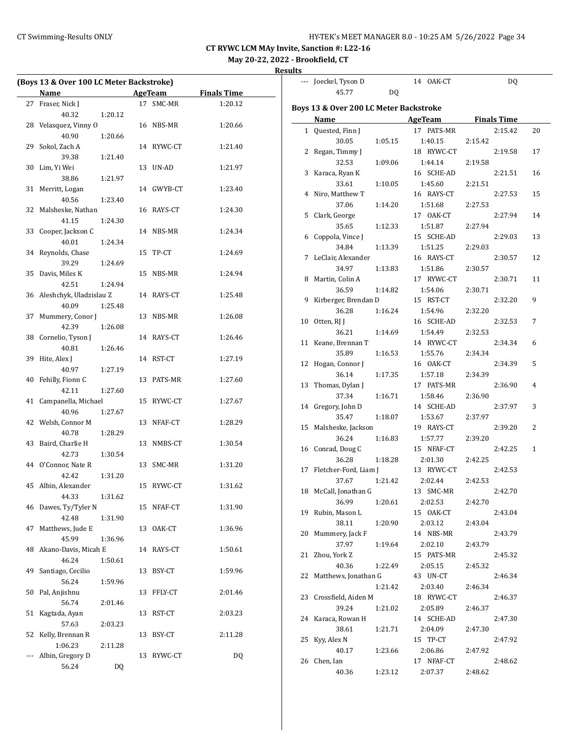## CT Swimming-Results ONLY **EXAMPLE 19 AND SET MANAGER 8.0 - 10:25 AM 5/26/2022** Page 34

**CT RYWC LCM MAy Invite, Sanction #: L22-16**

**May 20-22, 2022 - Brookfield, CT**

| (Boys 13 & Over 100 LC Meter Backstroke) |            |                    | --- Joeckel, Tyson D |                                        | 14 OAK-CT             | DQ                 |    |
|------------------------------------------|------------|--------------------|----------------------|----------------------------------------|-----------------------|--------------------|----|
| Name                                     | AgeTeam    | <b>Finals Time</b> |                      | 45.77<br>DQ                            |                       |                    |    |
| 27 Fraser, Nick J                        | 17 SMC-MR  | 1:20.12            |                      | Boys 13 & Over 200 LC Meter Backstroke |                       |                    |    |
| 40.32<br>1:20.12                         |            |                    | Name                 |                                        | AgeTeam               | <b>Finals Time</b> |    |
| 28 Velasquez, Vinny O                    | 16 NBS-MR  | 1:20.66            | 1 Quested, Finn J    |                                        | 17 PATS-MR            | 2:15.42            | 20 |
| 40.90<br>1:20.66                         |            |                    |                      | 30.05<br>1:05.15                       | 1:40.15               | 2:15.42            |    |
| 29 Sokol, Zach A                         | 14 RYWC-CT | 1:21.40            | 2 Regan, Timmy J     |                                        | 18 RYWC-CT            | 2:19.58            | 17 |
| 39.38<br>1:21.40                         |            |                    |                      | 32.53<br>1:09.06                       | 1:44.14               | 2:19.58            |    |
| 30 Lim, Yi Wei                           | 13 UN-AD   | 1:21.97            | 3 Karaca, Ryan K     |                                        | 16 SCHE-AD            | 2:21.51            | 16 |
| 38.86<br>1:21.97                         |            |                    |                      | 33.61<br>1:10.05                       | 1:45.60               | 2:21.51            |    |
| 31 Merritt, Logan                        | 14 GWYB-CT | 1:23.40            | 4 Niro, Matthew T    |                                        | 16 RAYS-CT            | 2:27.53            | 15 |
| 1:23.40<br>40.56                         |            |                    |                      | 37.06<br>1:14.20                       | 1:51.68               | 2:27.53            |    |
| 32 Malsheske, Nathan                     | 16 RAYS-CT | 1:24.30            | 5 Clark, George      |                                        | 17 OAK-CT             | 2:27.94            | 14 |
| 41.15<br>1:24.30                         |            |                    |                      | 35.65<br>1:12.33                       | 1:51.87               | 2:27.94            |    |
| 33 Cooper, Jackson C                     | 14 NBS-MR  | 1:24.34            | 6 Coppola, Vince J   |                                        | 15 SCHE-AD            | 2:29.03            | 13 |
| 40.01<br>1:24.34                         |            |                    |                      | 34.84<br>1:13.39                       | 1:51.25               | 2:29.03            |    |
| 34 Reynolds, Chase                       | 15 TP-CT   | 1:24.69            |                      | 7 LeClair, Alexander                   | 16 RAYS-CT            | 2:30.57            | 12 |
| 39.29<br>1:24.69                         |            |                    |                      | 34.97<br>1:13.83                       | 1:51.86               | 2:30.57            |    |
| 35 Davis, Miles K                        | 15 NBS-MR  | 1:24.94            | 8 Martin, Colin A    |                                        | 17 RYWC-CT            | 2:30.71            | 11 |
| 42.51<br>1:24.94                         |            |                    |                      | 36.59<br>1:14.82                       | 1:54.06               | 2:30.71            |    |
| 36 Aleshchyk, Uladzislau Z               | 14 RAYS-CT | 1:25.48            |                      | 9 Kirberger, Brendan D                 | 15 RST-CT             | 2:32.20            | 9  |
| 40.09<br>1:25.48                         |            |                    |                      | 36.28<br>1:16.24                       | 1:54.96               | 2:32.20            |    |
| 37 Mummery, Conor J                      | 13 NBS-MR  | 1:26.08            | 10 Otten, RJ J       |                                        | 16 SCHE-AD            | 2:32.53            | 7  |
| 42.39<br>1:26.08                         |            |                    |                      | 36.21<br>1:14.69                       | 1:54.49               | 2:32.53            |    |
| 38 Cornelio, Tyson J                     | 14 RAYS-CT | 1:26.46            | 11 Keane, Brennan T  |                                        | 14 RYWC-CT            | 2:34.34            | 6  |
| 40.81<br>1:26.46                         |            |                    |                      | 35.89<br>1:16.53                       | 1:55.76               | 2:34.34            |    |
| 39 Hite, Alex J                          | 14 RST-CT  | 1:27.19            | 12 Hogan, Connor J   |                                        | 16 OAK-CT             | 2:34.39            | 5  |
| 1:27.19<br>40.97                         |            |                    |                      | 36.14<br>1:17.35                       | 1:57.18               | 2:34.39            |    |
| 40 Fehilly, Fionn C                      | 13 PATS-MR | 1:27.60            | 13 Thomas, Dylan J   |                                        | 17 PATS-MR            | 2:36.90            | 4  |
| 1:27.60<br>42.11                         |            |                    |                      | 37.34<br>1:16.71                       | 1:58.46               | 2:36.90            |    |
| 41 Campanella, Michael                   | 15 RYWC-CT | 1:27.67            | 14 Gregory, John D   |                                        | 14 SCHE-AD            | 2:37.97            | 3  |
| 40.96<br>1:27.67<br>42 Welsh, Connor M   | 13 NFAF-CT | 1:28.29            |                      | 35.47<br>1:18.07                       | 1:53.67               | 2:37.97            |    |
| 40.78<br>1:28.29                         |            |                    |                      | 15 Malsheske, Jackson                  | 19 RAYS-CT            | 2:39.20            | 2  |
| 43 Baird, Charlie H                      | 13 NMBS-CT | 1:30.54            |                      | 36.24<br>1:16.83                       | 1:57.77               | 2:39.20            |    |
| 1:30.54<br>42.73                         |            |                    | 16 Conrad, Doug C    |                                        | 15 NFAF-CT            | 2:42.25            | 1  |
| 44 O'Connor, Nate R                      | 13 SMC-MR  | 1:31.20            |                      | 36.28<br>1:18.28                       | 2:01.30               | 2:42.25            |    |
| 1:31.20<br>42.42                         |            |                    |                      | 17 Fletcher-Ford, Liam J               | 13 RYWC-CT            | 2:42.53            |    |
| 45 Albin, Alexander                      | 15 RYWC-CT | 1:31.62            |                      | 37.67<br>1:21.42                       | 2:02.44               | 2:42.53            |    |
| 44.33<br>1:31.62                         |            |                    |                      | 18 McCall, Jonathan G                  | 13 SMC-MR             | 2:42.70            |    |
| 46 Dawes, Ty/Tyler N                     | 15 NFAF-CT | 1:31.90            |                      | 36.99<br>1:20.61                       | 2:02.53               | 2:42.70            |    |
| 42.48<br>1:31.90                         |            |                    | 19 Rubin, Mason L    |                                        | 15 OAK-CT             | 2:43.04            |    |
| 47 Matthews, Jude E                      | 13 OAK-CT  | 1:36.96            |                      | 38.11<br>1:20.90                       | 2:03.12               | 2:43.04            |    |
| 45.99<br>1:36.96                         |            |                    | 20 Mummery, Jack F   |                                        | 14 NBS-MR             | 2:43.79            |    |
| 48 Akano-Davis, Micah E                  | 14 RAYS-CT | 1:50.61            |                      | 37.97<br>1:19.64                       | 2:02.10               | 2:43.79            |    |
| 46.24<br>1:50.61                         |            |                    | 21 Zhou, York Z      |                                        | 15 PATS-MR            | 2:45.32            |    |
| 49 Santiago, Cecilio                     | 13 BSY-CT  | 1:59.96            |                      | 40.36<br>1:22.49                       | 2:05.15               | 2:45.32            |    |
| 1:59.96<br>56.24                         |            |                    |                      | 22 Matthews, Jonathan G                | 43 UN-CT              | 2:46.34            |    |
| 50 Pal, Anjishnu                         | 13 FFLY-CT | 2:01.46            |                      | 1:21.42                                | 2:03.40               | 2:46.34            |    |
| 56.74<br>2:01.46                         |            |                    |                      | 23 Crossfield, Aiden M                 | 18 RYWC-CT            | 2:46.37            |    |
| 51 Kagtada, Ayan                         | 13 RST-CT  | 2:03.23            |                      | 39.24<br>1:21.02                       | 2:05.89               | 2:46.37            |    |
| 2:03.23<br>57.63                         |            |                    | 24 Karaca, Rowan H   |                                        | 14 SCHE-AD            | 2:47.30            |    |
| 52 Kelly, Brennan R                      | 13 BSY-CT  | 2:11.28            |                      | 38.61<br>1:21.71                       | 2:04.09               | 2:47.30            |    |
| 1:06.23<br>2:11.28                       |            |                    | 25 Kyy, Alex N       |                                        | 15 TP-CT              | 2:47.92            |    |
| --- Albin, Gregory D                     | 13 RYWC-CT | DQ                 | 26 Chen, Ian         | 40.17<br>1:23.66                       | 2:06.86<br>17 NFAF-CT | 2:47.92<br>2:48.62 |    |
| 56.24<br>DQ                              |            |                    |                      | 1:23.12<br>40.36                       | 2:07.37               | 2:48.62            |    |
|                                          |            |                    |                      |                                        |                       |                    |    |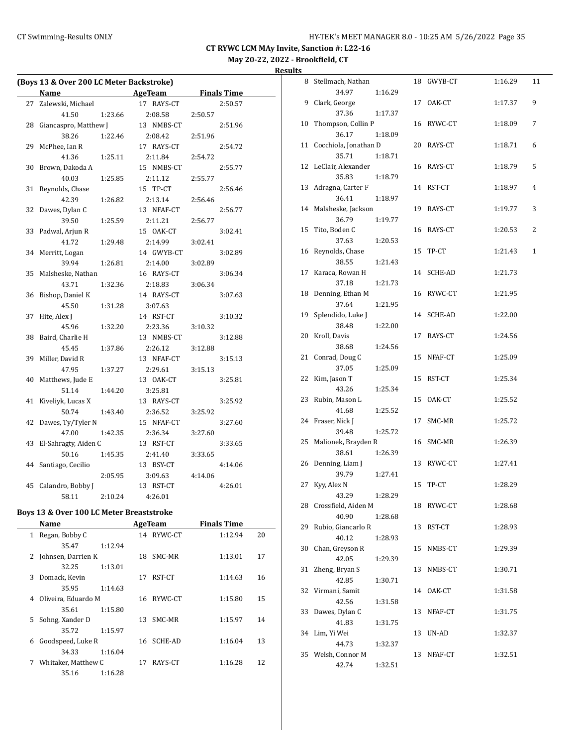8 Stellmach, Nathan 18 GWYB-CT 1:16.29 11

**CT RYWC LCM MAy Invite, Sanction #: L22-16**

## **May 20-22, 2022 - Brookfield, CT**

**Results**

|              | (Boys 13 & Over 200 LC Meter Backstroke) |         |    |            |         |                    |    |
|--------------|------------------------------------------|---------|----|------------|---------|--------------------|----|
|              | Name                                     |         |    | AgeTeam    |         | <u>Finals Time</u> |    |
| 27           | Zalewski, Michael                        |         |    | 17 RAYS-CT |         | 2:50.57            |    |
|              | 41.50                                    | 1:23.66 |    | 2:08.58    | 2:50.57 |                    |    |
| 28           | Giancaspro, Matthew J                    |         |    | 13 NMBS-CT |         | 2:51.96            |    |
|              | 38.26                                    | 1:22.46 |    | 2:08.42    | 2:51.96 |                    |    |
| 29           | McPhee, Ian R                            |         |    | 17 RAYS-CT |         | 2:54.72            |    |
|              | 41.36                                    | 1:25.11 |    | 2:11.84    | 2:54.72 |                    |    |
| 30           | Brown, Dakoda A                          |         |    | 15 NMBS-CT |         | 2:55.77            |    |
|              | 40.03                                    | 1:25.85 |    | 2:11.12    | 2:55.77 |                    |    |
| 31           | Reynolds, Chase                          |         |    | 15 TP-CT   |         | 2:56.46            |    |
|              | 42.39                                    | 1:26.82 |    | 2:13.14    | 2:56.46 |                    |    |
| 32           | Dawes, Dylan C                           |         |    | 13 NFAF-CT |         | 2:56.77            |    |
|              | 39.50                                    | 1:25.59 |    | 2:11.21    | 2:56.77 |                    |    |
| 33           | Padwal, Arjun R                          |         |    | 15 OAK-CT  |         | 3:02.41            |    |
|              | 41.72                                    | 1:29.48 |    | 2:14.99    | 3:02.41 |                    |    |
| 34           | Merritt, Logan                           |         |    | 14 GWYB-CT |         | 3:02.89            |    |
|              | 39.94                                    | 1:26.81 |    | 2:14.00    | 3:02.89 |                    |    |
| 35           | Malsheske, Nathan                        |         |    | 16 RAYS-CT |         | 3:06.34            |    |
|              | 43.71                                    | 1:32.36 |    | 2:18.83    | 3:06.34 |                    |    |
| 36           | Bishop, Daniel K                         |         |    | 14 RAYS-CT |         | 3:07.63            |    |
|              | 45.50                                    | 1:31.28 |    | 3:07.63    |         |                    |    |
| 37           | Hite, Alex J                             |         |    | 14 RST-CT  |         | 3:10.32            |    |
|              | 45.96                                    | 1:32.20 |    | 2:23.36    | 3:10.32 |                    |    |
| 38           | Baird, Charlie H                         |         |    | 13 NMBS-CT |         | 3:12.88            |    |
|              | 45.45                                    | 1:37.86 |    | 2:26.12    | 3:12.88 |                    |    |
| 39           | Miller, David R                          |         |    | 13 NFAF-CT |         | 3:15.13            |    |
|              | 47.95                                    | 1:37.27 |    | 2:29.61    | 3:15.13 |                    |    |
| 40           | Matthews, Jude E                         |         |    | 13 OAK-CT  |         | 3:25.81            |    |
|              | 51.14                                    | 1:44.20 |    | 3:25.81    |         |                    |    |
| 41           | Kiveliyk, Lucas X                        |         |    | 13 RAYS-CT |         | 3:25.92            |    |
|              | 50.74                                    | 1:43.40 |    | 2:36.52    | 3:25.92 |                    |    |
| 42           | Dawes, Ty/Tyler N                        |         |    | 15 NFAF-CT |         | 3:27.60            |    |
|              | 47.00                                    | 1:42.35 |    | 2:36.34    | 3:27.60 |                    |    |
| 43           | El-Sahragty, Aiden C                     |         |    | 13 RST-CT  |         | 3:33.65            |    |
|              | 50.16                                    | 1:45.35 |    | 2:41.40    | 3:33.65 |                    |    |
| 44           | Santiago, Cecilio                        |         |    | 13 BSY-CT  |         | 4:14.06            |    |
|              |                                          | 2:05.95 |    | 3:09.63    | 4:14.06 |                    |    |
| 45           | Calandro, Bobby J                        |         |    | 13 RST-CT  |         | 4:26.01            |    |
|              | 58.11                                    | 2:10.24 |    | 4:26.01    |         |                    |    |
|              | Boys 13 & Over 100 LC Meter Breaststroke |         |    |            |         |                    |    |
|              | Name                                     |         |    | AgeTeam    |         | <b>Finals Time</b> |    |
| $\mathbf{1}$ | Regan, Bobby C                           |         | 14 | RYWC-CT    |         | 1:12.94            | 20 |
|              | 35.47                                    | 1:12.94 |    |            |         |                    |    |
|              |                                          |         |    |            |         |                    |    |

2 Johnsen, Darrien K 18 SMC-MR 1:13.01 17

3 Domack, Kevin 17 RST-CT 1:14.63 16

4 Oliveira, Eduardo M 16 RYWC-CT 1:15.80 15

5 Sohng, Xander D 13 SMC-MR 1:15.97 14

6 Goodspeed, Luke R 16 SCHE-AD 1:16.04 13

7 Whitaker, Matthew C 17 RAYS-CT 1:16.28 12

32.25 1:13.01

35.95 1:14.63

35.61 1:15.80

35.72 1:15.97

34.33 1:16.04

35.16 1:16.28

|    | 34.97                  | 1:16.29 |    |            |         |   |
|----|------------------------|---------|----|------------|---------|---|
| 9  | Clark, George          |         |    | 17 OAK-CT  | 1:17.37 | 9 |
|    | 37.36                  | 1:17.37 |    |            |         |   |
| 10 | Thompson, Collin P     |         | 16 | RYWC-CT    | 1:18.09 | 7 |
|    | 36.17                  | 1:18.09 |    |            |         |   |
| 11 | Cocchiola, Jonathan D  |         | 20 | RAYS-CT    | 1:18.71 | 6 |
|    | 35.71                  | 1:18.71 |    |            |         |   |
| 12 | LeClair, Alexander     |         | 16 | RAYS-CT    | 1:18.79 | 5 |
|    | 35.83                  | 1:18.79 |    |            |         |   |
| 13 | Adragna, Carter F      |         | 14 | RST-CT     | 1:18.97 | 4 |
|    | 36.41                  | 1:18.97 |    |            |         |   |
| 14 | Malsheske, Jackson     |         | 19 | RAYS-CT    | 1:19.77 | 3 |
|    | 36.79                  | 1:19.77 |    |            |         |   |
| 15 | Tito, Boden C          |         | 16 | RAYS-CT    | 1:20.53 | 2 |
|    | 37.63                  | 1:20.53 |    |            |         |   |
| 16 | Reynolds, Chase        |         | 15 | TP-CT      | 1:21.43 | 1 |
|    | 38.55                  | 1:21.43 |    |            |         |   |
| 17 | Karaca, Rowan H        |         | 14 | SCHE-AD    | 1:21.73 |   |
|    | 37.18                  | 1:21.73 |    |            |         |   |
| 18 | Denning, Ethan M       |         | 16 | RYWC-CT    | 1:21.95 |   |
|    | 37.64                  | 1:21.95 |    |            |         |   |
| 19 | Splendido, Luke J      |         | 14 | SCHE-AD    | 1:22.00 |   |
|    | 38.48                  | 1:22.00 |    |            |         |   |
| 20 | Kroll, Davis           |         | 17 | RAYS-CT    | 1:24.56 |   |
|    | 38.68                  | 1:24.56 |    |            |         |   |
| 21 | Conrad, Doug C         |         | 15 | NFAF-CT    | 1:25.09 |   |
|    | 37.05                  | 1:25.09 |    |            |         |   |
| 22 | Kim, Jason T           |         | 15 | RST-CT     | 1:25.34 |   |
|    | 43.26                  | 1:25.34 |    |            |         |   |
| 23 | Rubin, Mason L         |         | 15 | OAK-CT     | 1:25.52 |   |
|    | 41.68                  | 1:25.52 |    |            |         |   |
| 24 | Fraser, Nick J         |         | 17 | SMC-MR     | 1:25.72 |   |
|    | 39.48                  | 1:25.72 |    |            |         |   |
| 25 | Malionek, Brayden R    |         | 16 | SMC-MR     | 1:26.39 |   |
|    | 38.61                  | 1:26.39 |    |            |         |   |
| 26 | Denning, Liam J        |         | 13 | RYWC-CT    | 1:27.41 |   |
|    | 39.79                  | 1:27.41 |    |            |         |   |
| 27 | Kyy, Alex N            |         | 15 | TP-CT      | 1:28.29 |   |
|    | 43.29                  | 1:28.29 |    |            |         |   |
|    | 28 Crossfield, Aiden M |         |    | 18 RYWC-CT | 1:28.68 |   |
|    | 40.90                  | 1:28.68 |    |            |         |   |
| 29 | Rubio, Giancarlo R     |         | 13 | RST-CT     | 1:28.93 |   |
|    | 40.12                  | 1:28.93 |    |            |         |   |
| 30 | Chan, Greyson R        |         | 15 | NMBS-CT    | 1:29.39 |   |
|    | 42.05                  | 1:29.39 |    |            |         |   |
| 31 | Zheng, Bryan S         |         | 13 | NMBS-CT    | 1:30.71 |   |
|    | 42.85                  | 1:30.71 |    |            |         |   |
| 32 | Virmani, Samit         |         | 14 | OAK-CT     | 1:31.58 |   |
|    | 42.56                  | 1:31.58 |    |            |         |   |
| 33 | Dawes, Dylan C         |         | 13 | NFAF-CT    | 1:31.75 |   |
|    | 41.83                  | 1:31.75 |    |            |         |   |
| 34 | Lim, Yi Wei            |         |    | 13 UN-AD   | 1:32.37 |   |
|    | 44.73                  | 1:32.37 |    |            |         |   |
| 35 | Welsh, Connor M        |         | 13 | NFAF-CT    | 1:32.51 |   |
|    | 42.74                  | 1:32.51 |    |            |         |   |
|    |                        |         |    |            |         |   |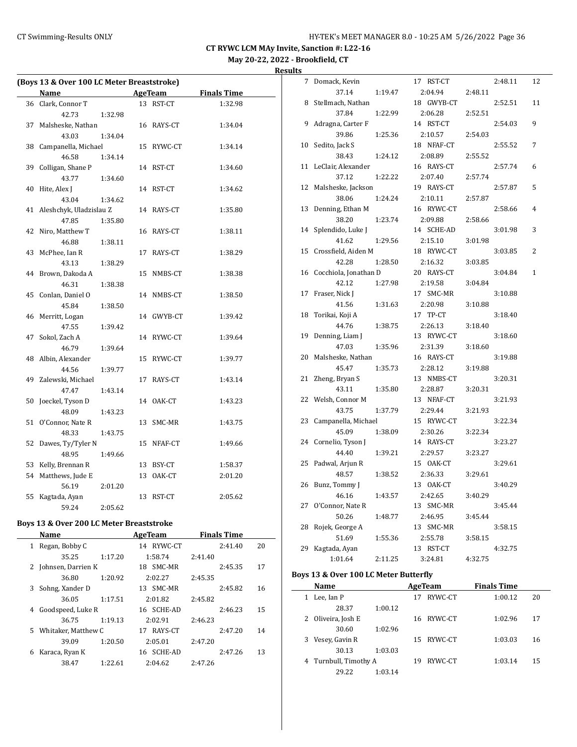**Results**

|    | (Boys 13 & Over 100 LC Meter Breaststroke) |         |            |                    |
|----|--------------------------------------------|---------|------------|--------------------|
|    | Name                                       |         | AgeTeam    | <b>Finals Time</b> |
|    | 36 Clark, Connor T                         |         | 13 RST-CT  | 1:32.98            |
|    | 42.73                                      | 1:32.98 |            |                    |
| 37 | Malsheske, Nathan                          |         | 16 RAYS-CT | 1:34.04            |
|    | 43.03                                      | 1:34.04 |            |                    |
|    | 38 Campanella, Michael                     |         | 15 RYWC-CT | 1:34.14            |
|    | 46.58                                      | 1:34.14 |            |                    |
| 39 | Colligan, Shane P                          |         | 14 RST-CT  | 1:34.60            |
|    | 43.77                                      | 1:34.60 |            |                    |
| 40 | Hite, Alex J                               |         | 14 RST-CT  | 1:34.62            |
|    | 43.04                                      | 1:34.62 |            |                    |
| 41 | Aleshchyk, Uladzislau Z                    |         | 14 RAYS-CT | 1:35.80            |
|    | 47.85                                      | 1:35.80 |            |                    |
| 42 | Niro, Matthew T                            |         | 16 RAYS-CT | 1:38.11            |
|    | 46.88                                      | 1:38.11 |            |                    |
| 43 | McPhee, Ian R                              |         | 17 RAYS-CT | 1:38.29            |
|    | 43.13                                      | 1:38.29 |            |                    |
| 44 | Brown, Dakoda A                            |         | 15 NMBS-CT | 1:38.38            |
|    | 46.31                                      | 1:38.38 |            |                    |
| 45 | Conlan, Daniel O                           |         | 14 NMBS-CT | 1:38.50            |
|    | 45.84                                      | 1:38.50 |            |                    |
| 46 | Merritt, Logan                             |         | 14 GWYB-CT | 1:39.42            |
|    | 47.55                                      | 1:39.42 |            |                    |
| 47 | Sokol, Zach A                              |         | 14 RYWC-CT | 1:39.64            |
|    | 46.79                                      | 1:39.64 |            |                    |
|    | 48 Albin, Alexander                        |         | 15 RYWC-CT | 1:39.77            |
|    | 44.56                                      | 1:39.77 |            |                    |
| 49 | Zalewski, Michael                          |         | 17 RAYS-CT | 1:43.14            |
|    | 47.47                                      | 1:43.14 |            |                    |
| 50 | Joeckel, Tyson D                           |         | 14 OAK-CT  | 1:43.23            |
|    | 48.09                                      | 1:43.23 |            |                    |
| 51 | O'Connor, Nate R                           |         | 13 SMC-MR  | 1:43.75            |
|    | 48.33                                      | 1:43.75 |            |                    |
| 52 | Dawes, Ty/Tyler N                          |         | 15 NFAF-CT | 1:49.66            |
|    | 48.95                                      | 1:49.66 |            |                    |
|    | 53 Kelly, Brennan R                        |         | 13 BSY-CT  | 1:58.37            |
| 54 | Matthews, Jude E                           |         | 13 OAK-CT  | 2:01.20            |
|    | 56.19                                      | 2:01.20 |            |                    |
| 55 | Kagtada, Ayan                              |         | 13 RST-CT  | 2:05.62            |
|    | 59.24                                      | 2:05.62 |            |                    |

## **Boys 13 & Over 200 LC Meter Breaststroke**

| Name |                     | AgeTeam | <b>Finals Time</b> |         |    |
|------|---------------------|---------|--------------------|---------|----|
| 1    | Regan, Bobby C      |         | 14 RYWC-CT         | 2:41.40 | 20 |
|      | 35.25               | 1:17.20 | 1:58.74            | 2:41.40 |    |
| 2    | Johnsen, Darrien K  |         | SMC-MR<br>18       | 2:45.35 | 17 |
|      | 36.80               | 1:20.92 | 2:02.27            | 2:45.35 |    |
| 3    | Sohng, Xander D     |         | 13 SMC-MR          | 2:45.82 | 16 |
|      | 36.05               | 1:17.51 | 2:01.82            | 2:45.82 |    |
| 4    | Goodspeed, Luke R   |         | 16 SCHE-AD         | 2:46.23 | 15 |
|      | 36.75               | 1:19.13 | 2:02.91            | 2:46.23 |    |
| 5    | Whitaker, Matthew C |         | 17 RAYS-CT         | 2:47.20 | 14 |
|      | 39.09               | 1:20.50 | 2:05.01            | 2:47.20 |    |
| 6    | Karaca, Ryan K      |         | 16 SCHE-AD         | 2:47.26 | 13 |
|      | 38.47               | 1:22.61 | 2:04.62            | 2:47.26 |    |
|      |                     |         |                    |         |    |

| 7  | Domack, Kevin         | 17 RST-CT    | 2:48.11 | 12 |
|----|-----------------------|--------------|---------|----|
|    | 37.14<br>1:19.47      | 2:04.94      | 2:48.11 |    |
| 8  | Stellmach, Nathan     | 18 GWYB-CT   | 2:52.51 | 11 |
|    | 37.84<br>1:22.99      | 2:06.28      | 2:52.51 |    |
| 9  | Adragna, Carter F     | 14 RST-CT    | 2:54.03 | 9  |
|    | 39.86<br>1:25.36      | 2:10.57      | 2:54.03 |    |
| 10 | Sedito, Jack S        | 18 NFAF-CT   | 2:55.52 | 7  |
|    | 38.43<br>1:24.12      | 2:08.89      | 2:55.52 |    |
| 11 | LeClair, Alexander    | 16 RAYS-CT   | 2:57.74 | 6  |
|    | 37.12<br>1:22.22      | 2:07.40      | 2:57.74 |    |
| 12 | Malsheske, Jackson    | 19 RAYS-CT   | 2:57.87 | 5  |
|    | 38.06<br>1:24.24      | 2:10.11      | 2:57.87 |    |
| 13 | Denning, Ethan M      | 16 RYWC-CT   | 2:58.66 | 4  |
|    | 38.20<br>1:23.74      | 2:09.88      | 2:58.66 |    |
| 14 | Splendido, Luke J     | 14 SCHE-AD   | 3:01.98 | 3  |
|    | 41.62<br>1:29.56      | 2:15.10      | 3:01.98 |    |
| 15 | Crossfield, Aiden M   | 18 RYWC-CT   | 3:03.85 | 2  |
|    | 42.28<br>1:28.50      | 2:16.32      | 3:03.85 |    |
| 16 | Cocchiola, Jonathan D | 20 RAYS-CT   | 3:04.84 | 1  |
|    | 42.12<br>1:27.98      | 2:19.58      | 3:04.84 |    |
| 17 | Fraser, Nick J        | 17 SMC-MR    | 3:10.88 |    |
|    | 41.56<br>1:31.63      | 2:20.98      | 3:10.88 |    |
| 18 | Torikai, Koji A       | 17 TP-CT     | 3:18.40 |    |
|    | 44.76<br>1:38.75      | 2:26.13      | 3:18.40 |    |
| 19 | Denning, Liam J       | 13 RYWC-CT   | 3:18.60 |    |
|    | 47.03<br>1:35.96      | 2:31.39      | 3:18.60 |    |
| 20 | Malsheske, Nathan     | 16 RAYS-CT   | 3:19.88 |    |
|    | 45.47<br>1:35.73      | 2:28.12      | 3:19.88 |    |
| 21 | Zheng, Bryan S        | 13 NMBS-CT   | 3:20.31 |    |
|    | 43.11<br>1:35.80      | 2:28.87      | 3:20.31 |    |
| 22 | Welsh, Connor M       | 13 NFAF-CT   | 3:21.93 |    |
|    | 43.75<br>1:37.79      | 2:29.44      | 3:21.93 |    |
| 23 | Campanella, Michael   | 15 RYWC-CT   | 3:22.34 |    |
|    | 45.09<br>1:38.09      | 2:30.26      | 3:22.34 |    |
| 24 | Cornelio, Tyson J     | 14 RAYS-CT   | 3:23.27 |    |
|    | 44.40<br>1:39.21      | 2:29.57      | 3:23.27 |    |
| 25 | Padwal, Arjun R       | 15 OAK-CT    | 3:29.61 |    |
|    | 48.57<br>1:38.52      | 2:36.33      | 3:29.61 |    |
| 26 | Bunz, Tommy J         | 13 OAK-CT    | 3:40.29 |    |
|    | 46.16<br>1:43.57      | 2:42.65      | 3:40.29 |    |
| 27 | O'Connor, Nate R      | 13<br>SMC-MR | 3:45.44 |    |
|    | 50.26<br>1:48.77      | 2:46.95      | 3:45.44 |    |
| 28 | Rojek, George A       | 13 SMC-MR    | 3:58.15 |    |
|    | 51.69<br>1:55.36      | 2:55.78      | 3:58.15 |    |
| 29 | Kagtada, Ayan         | 13 RST-CT    | 4:32.75 |    |
|    | 2:11.25<br>1:01.64    | 3:24.81      | 4:32.75 |    |

## **Boys 13 & Over 100 LC Meter Butterfly**

 $\overline{\phantom{0}}$ 

|   | Name                  |         |     | AgeTeam    | <b>Finals Time</b> |    |
|---|-----------------------|---------|-----|------------|--------------------|----|
|   | Lee, Ian P            |         | 17  | RYWC-CT    | 1:00.12            | 20 |
|   | 28.37                 | 1:00.12 |     |            |                    |    |
|   | 2 Oliveira, Josh E    |         | 16. | RYWC-CT    | 1:02.96            | 17 |
|   | 30.60                 | 1:02.96 |     |            |                    |    |
| 3 | Vesey, Gavin R        |         |     | 15 RYWC-CT | 1:03.03            | 16 |
|   | 30.13                 | 1:03.03 |     |            |                    |    |
|   | 4 Turnbull, Timothy A |         | 19  | RYWC-CT    | 1:03.14            | 15 |
|   | 29.22                 | 1:03.14 |     |            |                    |    |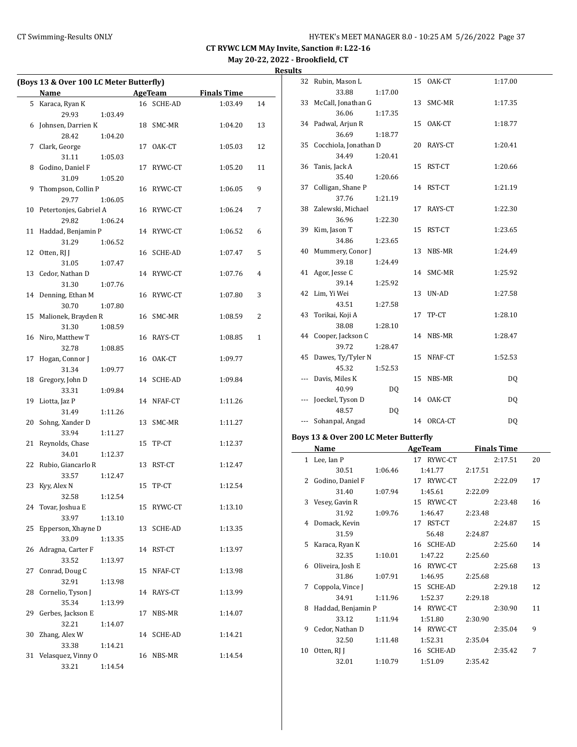| (Boys 13 & Over 100 LC Meter Butterfly) |                        |    |            |                    |              |
|-----------------------------------------|------------------------|----|------------|--------------------|--------------|
|                                         | Name                   |    | AgeTeam    | <b>Finals Time</b> |              |
| 5                                       | Karaca, Ryan K         |    | 16 SCHE-AD | 1:03.49            | 14           |
|                                         | 29.93<br>1:03.49       |    |            |                    |              |
| 6                                       | Johnsen, Darrien K     |    | 18 SMC-MR  | 1:04.20            | 13           |
|                                         | 28.42<br>1:04.20       |    |            |                    |              |
| 7                                       | Clark, George          |    | 17 OAK-CT  | 1:05.03            | 12           |
|                                         | 31.11<br>1:05.03       |    |            |                    |              |
| 8                                       | Godino, Daniel F       |    | 17 RYWC-CT | 1:05.20            | 11           |
|                                         | 31.09<br>1:05.20       |    |            |                    |              |
| 9                                       | Thompson, Collin P     |    | 16 RYWC-CT | 1:06.05            | 9            |
|                                         | 29.77<br>1:06.05       |    |            |                    |              |
| 10                                      | Petertonjes, Gabriel A |    | 16 RYWC-CT | 1:06.24            | 7            |
|                                         | 29.82<br>1:06.24       |    |            |                    |              |
| 11                                      | Haddad, Benjamin P     |    | 14 RYWC-CT | 1:06.52            | 6            |
|                                         | 31.29<br>1:06.52       |    |            |                    |              |
| 12                                      | Otten, RJ J            |    | 16 SCHE-AD | 1:07.47            | 5            |
|                                         | 31.05<br>1:07.47       |    |            |                    |              |
| 13                                      | Cedor, Nathan D        |    | 14 RYWC-CT | 1:07.76            | 4            |
|                                         | 31.30<br>1:07.76       |    |            |                    |              |
| 14                                      | Denning, Ethan M       |    | 16 RYWC-CT | 1:07.80            | 3            |
|                                         | 30.70<br>1:07.80       |    |            |                    |              |
| 15                                      | Malionek, Brayden R    |    | 16 SMC-MR  | 1:08.59            | 2            |
|                                         | 31.30<br>1:08.59       |    |            |                    |              |
| 16                                      | Niro, Matthew T        |    | 16 RAYS-CT | 1:08.85            | $\mathbf{1}$ |
|                                         | 32.78<br>1:08.85       |    |            |                    |              |
| 17                                      | Hogan, Connor J        |    | 16 OAK-CT  | 1:09.77            |              |
|                                         | 31.34<br>1:09.77       |    |            |                    |              |
| 18                                      | Gregory, John D        |    | 14 SCHE-AD | 1:09.84            |              |
|                                         | 33.31<br>1:09.84       |    |            |                    |              |
| 19                                      | Liotta, Jaz P          |    | 14 NFAF-CT | 1:11.26            |              |
|                                         | 31.49<br>1:11.26       |    |            |                    |              |
| 20                                      | Sohng, Xander D        |    | 13 SMC-MR  | 1:11.27            |              |
|                                         | 33.94<br>1:11.27       |    |            |                    |              |
| 21                                      | Reynolds, Chase        | 15 | TP-CT      | 1:12.37            |              |
|                                         | 34.01<br>1:12.37       |    |            |                    |              |
| 22                                      | Rubio, Giancarlo R     | 13 | RST-CT     | 1:12.47            |              |
|                                         | 33.57<br>1:12.47       |    |            |                    |              |
| 23                                      | Kyy, Alex N            | 15 | TP-CT      | 1:12.54            |              |
|                                         | 32.58<br>1:12.54       |    |            |                    |              |
| 24                                      | Tovar, Joshua E        |    | 15 RYWC-CT | 1:13.10            |              |
|                                         | 33.97<br>1:13.10       |    |            |                    |              |
| 25                                      | Epperson, Xhayne D     | 13 | SCHE-AD    | 1:13.35            |              |
|                                         | 33.09<br>1:13.35       |    |            |                    |              |
| 26                                      | Adragna, Carter F      |    | 14 RST-CT  | 1:13.97            |              |
|                                         | 33.52<br>1:13.97       |    |            |                    |              |
| 27                                      | Conrad, Doug C         | 15 | NFAF-CT    | 1:13.98            |              |
|                                         | 32.91<br>1:13.98       |    |            |                    |              |
| 28                                      | Cornelio, Tyson J      |    | 14 RAYS-CT | 1:13.99            |              |
|                                         | 35.34<br>1:13.99       |    |            |                    |              |
| 29                                      | Gerbes, Jackson E      | 17 | NBS-MR     | 1:14.07            |              |
|                                         | 32.21<br>1:14.07       |    |            |                    |              |
| 30                                      | Zhang, Alex W          | 14 | SCHE-AD    | 1:14.21            |              |
|                                         | 33.38<br>1:14.21       |    |            |                    |              |
| 31                                      | Velasquez, Vinny O     |    | 16 NBS-MR  | 1:14.54            |              |
|                                         | 33.21<br>1:14.54       |    |            |                    |              |
|                                         |                        |    |            |                    |              |

|       | Name                                  |         |    | <b>AgeTeam</b> | <b>Finals Time</b> |  |
|-------|---------------------------------------|---------|----|----------------|--------------------|--|
|       | Boys 13 & Over 200 LC Meter Butterfly |         |    |                |                    |  |
| $---$ | Sohanpal, Angad                       |         |    | 14 ORCA-CT     | DQ                 |  |
|       | 48.57                                 | DQ      |    |                |                    |  |
| ---   | Joeckel, Tyson D                      |         |    | 14 OAK-CT      | DQ                 |  |
|       | 40.99                                 | DQ      |    |                |                    |  |
| ---   | Davis, Miles K                        |         | 15 | NBS-MR         | DQ                 |  |
|       | 45.32                                 | 1:52.53 |    |                |                    |  |
| 45    | Dawes, Ty/Tyler N                     |         | 15 | NFAF-CT        | 1:52.53            |  |
|       | 39.72                                 | 1:28.47 |    |                |                    |  |
|       | 44 Cooper, Jackson C                  |         |    | 14 NBS-MR      | 1:28.47            |  |
|       | 38.08                                 | 1:28.10 |    |                |                    |  |
| 43    | Torikai, Koji A                       |         | 17 | TP-CT          | 1:28.10            |  |
|       | 43.51                                 | 1:27.58 |    |                |                    |  |
| 42    | Lim, Yi Wei                           |         | 13 | UN-AD          | 1:27.58            |  |
|       | 39.14                                 | 1:25.92 |    |                |                    |  |
| 41    | Agor, Jesse C                         |         |    | 14 SMC-MR      | 1:25.92            |  |
|       | 39.18                                 | 1:24.49 |    |                |                    |  |
| 40    | Mummery, Conor J                      |         |    | 13 NBS-MR      | 1:24.49            |  |
|       | 34.86                                 | 1:23.65 |    |                |                    |  |
| 39    | Kim, Jason T                          |         | 15 | RST-CT         | 1:23.65            |  |
|       | 36.96                                 | 1:22.30 |    |                |                    |  |
| 38    | Zalewski, Michael                     |         | 17 | RAYS-CT        | 1:22.30            |  |
|       | 37.76                                 | 1:21.19 |    |                |                    |  |
| 37    | 35.40<br>Colligan, Shane P            | 1:20.66 |    | 14 RST-CT      | 1:21.19            |  |
| 36    | Tanis, Jack A                         |         |    | 15 RST-CT      | 1:20.66            |  |
|       | 34.49                                 | 1:20.41 |    |                |                    |  |
|       | 35 Cocchiola, Jonathan D              |         |    | 20 RAYS-CT     | 1:20.41            |  |
|       | 36.69                                 | 1:18.77 |    |                |                    |  |
|       | 34 Padwal, Arjun R                    |         | 15 | OAK-CT         | 1:18.77            |  |
|       | 36.06                                 | 1:17.35 |    |                |                    |  |
| 33    | McCall, Jonathan G                    |         | 13 | SMC-MR         | 1:17.35            |  |
|       | 33.88                                 | 1:17.00 |    |                |                    |  |
| 32    | Rubin, Mason L                        |         | 15 | OAK-CT         | 1:17.00            |  |
|       |                                       |         |    |                |                    |  |

|    | Name               |         | <b>AgeTeam</b> | <b>Finals Time</b> |    |
|----|--------------------|---------|----------------|--------------------|----|
|    | 1 Lee, Ian P       |         | 17 RYWC-CT     | 2:17.51            | 20 |
|    | 30.51              | 1:06.46 | 1:41.77        | 2:17.51            |    |
| 2. | Godino, Daniel F   |         | 17 RYWC-CT     | 2:22.09            | 17 |
|    | 31.40              | 1:07.94 | 1:45.61        | 2:22.09            |    |
| 3  | Vesey, Gavin R     |         | 15 RYWC-CT     | 2:23.48            | 16 |
|    | 31.92              | 1:09.76 | 1:46.47        | 2:23.48            |    |
|    | 4 Domack, Kevin    |         | 17 RST-CT      | 2:24.87            | 15 |
|    | 31.59              |         | 56.48          | 2:24.87            |    |
| 5. | Karaca, Ryan K     |         | 16 SCHE-AD     | 2:25.60            | 14 |
|    | 32.35              | 1:10.01 | 1:47.22        | 2:25.60            |    |
|    | 6 Oliveira, Josh E |         | 16 RYWC-CT     | 2:25.68            | 13 |
|    | 31.86              | 1:07.91 | 1:46.95        | 2:25.68            |    |
| 7  | Coppola, Vince J   |         | 15 SCHE-AD     | 2:29.18            | 12 |
|    | 34.91              | 1:11.96 | 1:52.37        | 2:29.18            |    |
| 8  | Haddad, Benjamin P |         | 14 RYWC-CT     | 2:30.90            | 11 |
|    | 33.12              | 1:11.94 | 1:51.80        | 2:30.90            |    |
| 9  | Cedor, Nathan D    |         | 14 RYWC-CT     | 2:35.04            | 9  |
|    | 32.50              | 1:11.48 | 1:52.31        | 2:35.04            |    |
| 10 | Otten, RJ J        |         | 16 SCHE-AD     | 2:35.42            | 7  |
|    | 32.01              | 1:10.79 | 1:51.09        | 2:35.42            |    |
|    |                    |         |                |                    |    |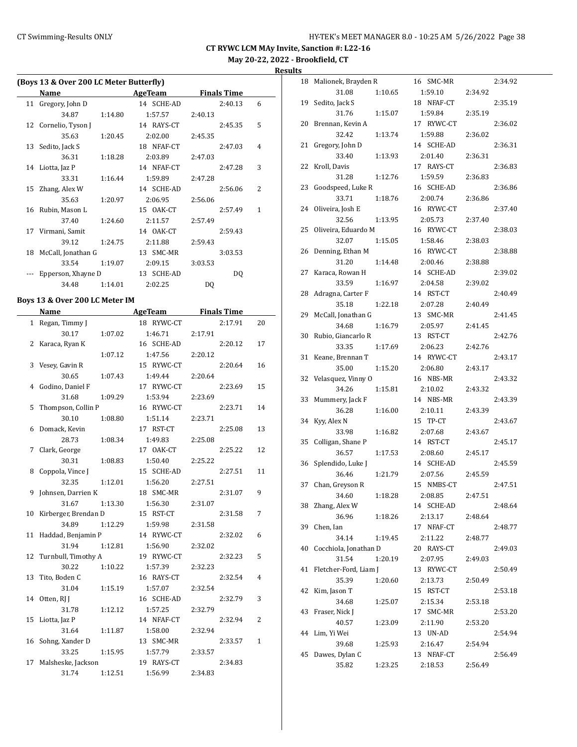**May 20-22, 2022 - Brookfield, CT**

**Results**

|    | (Boys 13 & Over 200 LC Meter Butterfly) |         |            |                    |              |  |  |
|----|-----------------------------------------|---------|------------|--------------------|--------------|--|--|
|    | Name                                    |         | AgeTeam    | <b>Finals Time</b> |              |  |  |
|    | 11 Gregory, John D                      |         | 14 SCHE-AD | 2:40.13            | 6            |  |  |
|    | 34.87                                   | 1:14.80 | 1:57.57    | 2:40.13            |              |  |  |
|    | 12 Cornelio, Tyson J                    |         | 14 RAYS-CT | 2:45.35            | 5            |  |  |
|    | 35.63                                   | 1:20.45 | 2:02.00    | 2:45.35            |              |  |  |
|    | 13 Sedito, Jack S                       |         | 18 NFAF-CT | 2:47.03            | 4            |  |  |
|    | 36.31                                   | 1:18.28 | 2:03.89    | 2:47.03            |              |  |  |
| 14 | Liotta, Jaz P                           |         | 14 NFAF-CT | 2:47.28            | 3            |  |  |
|    | 33.31                                   | 1:16.44 | 1:59.89    | 2:47.28            |              |  |  |
|    | 15 Zhang, Alex W                        |         | 14 SCHE-AD | 2:56.06            | 2            |  |  |
|    | 35.63                                   | 1:20.97 | 2:06.95    | 2:56.06            |              |  |  |
|    | 16 Rubin, Mason L                       |         | 15 OAK-CT  | 2:57.49            | $\mathbf{1}$ |  |  |
|    | 37.40                                   | 1:24.60 | 2:11.57    | 2:57.49            |              |  |  |
| 17 | Virmani, Samit                          |         | 14 0AK-CT  | 2:59.43            |              |  |  |
|    | 39.12                                   | 1:24.75 | 2:11.88    | 2:59.43            |              |  |  |
| 18 | McCall, Jonathan G                      |         | 13 SMC-MR  | 3:03.53            |              |  |  |
|    | 33.54                                   | 1:19.07 | 2:09.15    | 3:03.53            |              |  |  |
|    | Epperson, Xhayne D                      |         | 13 SCHE-AD | DQ                 |              |  |  |
|    | 34.48                                   | 1:14.01 | 2:02.25    | DO.                |              |  |  |
|    |                                         |         |            |                    |              |  |  |

## **Boys 13 & Over 200 LC Meter IM**

 $\overline{\phantom{a}}$ 

|              | <b>Name</b>          | <b>AgeTeam</b> | <b>Finals Time</b> |                |  |
|--------------|----------------------|----------------|--------------------|----------------|--|
| $\mathbf{1}$ | Regan, Timmy J       | 18 RYWC-CT     | 2:17.91            | 20             |  |
|              | 30.17<br>1:07.02     | 1:46.71        | 2:17.91            |                |  |
| 2            | Karaca, Ryan K       | 16 SCHE-AD     | 2:20.12            | 17             |  |
|              | 1:07.12              | 1:47.56        | 2:20.12            |                |  |
| 3            | Vesey, Gavin R       | 15 RYWC-CT     | 2:20.64            | 16             |  |
|              | 30.65<br>1:07.43     | 1:49.44        | 2:20.64            |                |  |
| 4            | Godino, Daniel F     | 17 RYWC-CT     | 2:23.69            | 15             |  |
|              | 31.68<br>1:09.29     | 1:53.94        | 2:23.69            |                |  |
| 5            | Thompson, Collin P   | 16 RYWC-CT     | 2:23.71            | 14             |  |
|              | 30.10<br>1:08.80     | 1:51.14        | 2:23.71            |                |  |
| 6            | Domack, Kevin        | 17 RST-CT      | 2:25.08            | 13             |  |
|              | 28.73<br>1:08.34     | 1:49.83        | 2:25.08            |                |  |
| 7            | Clark, George        | 17 OAK-CT      | 2:25.22            | 12             |  |
|              | 30.31<br>1:08.83     | 1:50.40        | 2:25.22            |                |  |
| 8            | Coppola, Vince J     | 15 SCHE-AD     | 2:27.51            | 11             |  |
|              | 32.35<br>1:12.01     | 1:56.20        | 2:27.51            |                |  |
| 9            | Johnsen, Darrien K   | 18 SMC-MR      | 2:31.07            | 9              |  |
|              | 31.67<br>1:13.30     | 1:56.30        | 2:31.07            |                |  |
| 10           | Kirberger, Brendan D | 15 RST-CT      | 2:31.58            | 7              |  |
|              | 34.89<br>1:12.29     | 1:59.98        | 2:31.58            |                |  |
| 11           | Haddad, Benjamin P   | 14 RYWC-CT     | 2:32.02            | 6              |  |
|              | 31.94<br>1:12.81     | 1:56.90        | 2:32.02            |                |  |
| 12           | Turnbull, Timothy A  | 19 RYWC-CT     | 2:32.23            | 5              |  |
|              | 30.22<br>1:10.22     | 1:57.39        | 2:32.23            |                |  |
| 13           | Tito, Boden C        | 16 RAYS-CT     | 2:32.54            | 4              |  |
|              | 31.04<br>1:15.19     | 1:57.07        | 2:32.54            |                |  |
|              | 14 Otten, RJ J       | 16 SCHE-AD     | 2:32.79            | 3              |  |
|              | 31.78<br>1:12.12     | 1:57.25        | 2:32.79            |                |  |
| 15           | Liotta, Jaz P        | 14 NFAF-CT     | 2:32.94            | $\overline{2}$ |  |
|              | 31.64<br>1:11.87     | 1:58.00        | 2:32.94            |                |  |
| 16           | Sohng, Xander D      | 13 SMC-MR      | 2:33.57            | $\mathbf{1}$   |  |
|              | 33.25<br>1:15.95     | 1:57.79        | 2:33.57            |                |  |
| 17           | Malsheske, Jackson   | 19 RAYS-CT     | 2:34.83            |                |  |
|              | 1:12.51<br>31.74     | 1:56.99        | 2:34.83            |                |  |

| 18 | Malionek, Brayden R   |         | SMC-MR<br>16  |         | 2:34.92 |
|----|-----------------------|---------|---------------|---------|---------|
|    | 31.08                 | 1:10.65 | 1:59.10       | 2:34.92 |         |
| 19 | Sedito, Jack S        |         | 18 NFAF-CT    |         | 2:35.19 |
|    | 31.76                 | 1:15.07 | 1:59.84       | 2:35.19 |         |
| 20 | Brennan, Kevin A      |         | 17 RYWC-CT    |         | 2:36.02 |
|    | 32.42                 | 1:13.74 | 1:59.88       | 2:36.02 |         |
| 21 | Gregory, John D       |         | 14 SCHE-AD    |         | 2:36.31 |
|    | 33.40                 | 1:13.93 | 2:01.40       | 2:36.31 |         |
| 22 | Kroll, Davis          |         | 17 RAYS-CT    |         | 2:36.83 |
|    | 31.28                 | 1:12.76 | 1:59.59       | 2:36.83 |         |
| 23 | Goodspeed, Luke R     |         | 16 SCHE-AD    |         | 2:36.86 |
|    | 33.71                 |         | 2:00.74       |         |         |
|    | Oliveira, Josh E      | 1:18.76 |               | 2:36.86 | 2:37.40 |
| 24 |                       |         | 16 RYWC-CT    |         |         |
|    | 32.56                 | 1:13.95 | 2:05.73       | 2:37.40 |         |
| 25 | Oliveira, Eduardo M   |         | 16 RYWC-CT    |         | 2:38.03 |
|    | 32.07                 | 1:15.05 | 1:58.46       | 2:38.03 |         |
| 26 | Denning, Ethan M      |         | 16 RYWC-CT    |         | 2:38.88 |
|    | 31.20                 | 1:14.48 | 2:00.46       | 2:38.88 |         |
| 27 | Karaca, Rowan H       |         | 14 SCHE-AD    |         | 2:39.02 |
|    | 33.59                 | 1:16.97 | 2:04.58       | 2:39.02 |         |
| 28 | Adragna, Carter F     |         | 14 RST-CT     |         | 2:40.49 |
|    | 35.18                 | 1:22.18 | 2:07.28       | 2:40.49 |         |
| 29 | McCall, Jonathan G    |         | 13<br>SMC-MR  |         | 2:41.45 |
|    | 34.68                 | 1:16.79 | 2:05.97       | 2:41.45 |         |
| 30 | Rubio, Giancarlo R    |         | 13 RST-CT     |         | 2:42.76 |
|    | 33.35                 | 1:17.69 | 2:06.23       | 2:42.76 |         |
| 31 | Keane, Brennan T      |         | 14 RYWC-CT    |         | 2:43.17 |
|    | 35.00                 | 1:15.20 | 2:06.80       | 2:43.17 |         |
| 32 | Velasquez, Vinny O    |         | 16 NBS-MR     |         | 2:43.32 |
|    | 34.26                 | 1:15.81 | 2:10.02       | 2:43.32 |         |
| 33 | Mummery, Jack F       |         | 14 NBS-MR     |         | 2:43.39 |
|    | 36.28                 | 1:16.00 | 2:10.11       | 2:43.39 |         |
| 34 | Kyy, Alex N           |         | 15 TP-CT      |         | 2:43.67 |
|    | 33.98                 | 1:16.82 | 2:07.68       | 2:43.67 |         |
| 35 | Colligan, Shane P     |         | 14 RST-CT     |         | 2:45.17 |
|    | 36.57                 | 1:17.53 | 2:08.60       | 2:45.17 |         |
| 36 | Splendido, Luke J     |         | 14 SCHE-AD    |         | 2:45.59 |
|    | 36.46                 |         | 2:07.56       |         |         |
|    |                       | 1:21.79 | 15 NMBS-CT    | 2:45.59 | 2:47.51 |
| 37 | Chan, Greyson R       |         |               |         |         |
|    | 34.60                 | 1:18.28 | 2:08.85       | 2:47.51 |         |
| 38 | Zhang, Alex W         |         | 14 SCHE-AD    |         | 2:48.64 |
|    | 36.96                 | 1:18.26 | 2:13.17       | 2:48.64 |         |
| 39 | Chen, Ian             |         | 17 NFAF-CT    |         | 2:48.77 |
|    | 34.14                 | 1:19.45 | 2:11.22       | 2:48.77 |         |
| 40 | Cocchiola, Jonathan D |         | 20 RAYS-CT    |         | 2:49.03 |
|    | 31.54                 | 1:20.19 | 2:07.95       | 2:49.03 |         |
| 41 | Fletcher-Ford, Liam J |         | 13<br>RYWC-CT |         | 2:50.49 |
|    | 35.39                 | 1:20.60 | 2:13.73       | 2:50.49 |         |
| 42 | Kim, Jason T          |         | 15 RST-CT     |         | 2:53.18 |
|    | 34.68                 | 1:25.07 | 2:15.34       | 2:53.18 |         |
| 43 | Fraser, Nick J        |         | 17 SMC-MR     |         | 2:53.20 |
|    | 40.57                 | 1:23.09 | 2:11.90       | 2:53.20 |         |
| 44 | Lim, Yi Wei           |         | 13 UN-AD      |         | 2:54.94 |
|    | 39.68                 | 1:25.93 | 2:16.47       | 2:54.94 |         |
| 45 | Dawes, Dylan C        |         | 13 NFAF-CT    |         | 2:56.49 |
|    | 35.82                 | 1:23.25 | 2:18.53       | 2:56.49 |         |
|    |                       |         |               |         |         |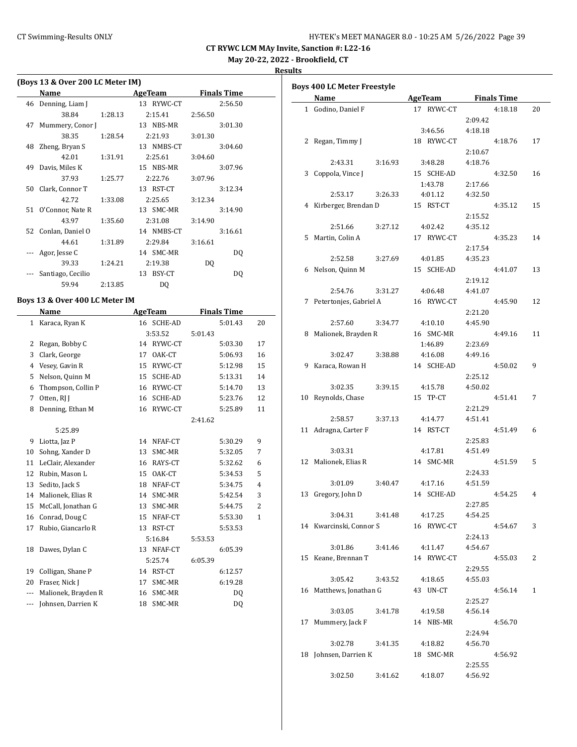## CT Swimming-Results ONLY **EXAMPLE 19 AND STATE AT A STATE AT A STATE MANAGER 8.0 - 10:25 AM 5/26/2022** Page 39

**CT RYWC LCM MAy Invite, Sanction #: L22-16**

**May 20-22, 2022 - Brookfield, CT**

**Results**

|    | (Boys 13 & Over 200 LC Meter IM) |         |            |         |                    |
|----|----------------------------------|---------|------------|---------|--------------------|
|    | Name                             |         | AgeTeam    |         | <b>Finals Time</b> |
| 46 | Denning, Liam J                  |         | 13 RYWC-CT |         | 2:56.50            |
|    | 38.84                            | 1:28.13 | 2:15.41    | 2:56.50 |                    |
| 47 | Mummery, Conor J                 |         | 13 NBS-MR  |         | 3:01.30            |
|    | 38.35                            | 1:28.54 | 2:21.93    | 3:01.30 |                    |
| 48 | Zheng, Bryan S                   |         | 13 NMBS-CT |         | 3:04.60            |
|    | 42.01                            | 1:31.91 | 2:25.61    | 3:04.60 |                    |
| 49 | Davis, Miles K                   |         | 15 NBS-MR  |         | 3:07.96            |
|    | 37.93                            | 1:25.77 | 2:22.76    | 3:07.96 |                    |
| 50 | Clark, Connor T                  |         | 13 RST-CT  |         | 3:12.34            |
|    | 42.72                            | 1:33.08 | 2:25.65    | 3:12.34 |                    |
| 51 | O'Connor, Nate R                 |         | 13 SMC-MR  |         | 3:14.90            |
|    | 43.97                            | 1:35.60 | 2:31.08    | 3:14.90 |                    |
| 52 | Conlan, Daniel O                 |         | 14 NMBS-CT |         | 3:16.61            |
|    | 44.61                            | 1:31.89 | 2:29.84    | 3:16.61 |                    |
|    | Agor, Jesse C                    |         | 14 SMC-MR  |         | DQ                 |
|    | 39.33                            | 1:24.21 | 2:19.38    | DQ      |                    |
|    | Santiago, Cecilio                |         | 13 BSY-CT  |         | DQ                 |
|    | 59.94                            | 2:13.85 | DQ         |         |                    |

## **Boys 13 & Over 400 LC Meter IM**

|     | Name                | AgeTeam |            | <b>Finals Time</b> |         |              |
|-----|---------------------|---------|------------|--------------------|---------|--------------|
| 1   | Karaca, Ryan K      |         | 16 SCHE-AD |                    | 5:01.43 | 20           |
|     |                     | 3:53.52 |            | 5:01.43            |         |              |
| 2   | Regan, Bobby C      | 14      | RYWC-CT    |                    | 5:03.30 | 17           |
| 3   | Clark, George       | 17      | OAK-CT     |                    | 5:06.93 | 16           |
| 4   | Vesey, Gavin R      | 15      | RYWC-CT    |                    | 5:12.98 | 15           |
| 5   | Nelson, Quinn M     | 15      | SCHE-AD    |                    | 5:13.31 | 14           |
| 6   | Thompson, Collin P  | 16      | RYWC-CT    |                    | 5:14.70 | 13           |
| 7   | Otten, RJ J         | 16      | SCHE-AD    |                    | 5:23.76 | 12           |
| 8   | Denning, Ethan M    | 16      | RYWC-CT    |                    | 5:25.89 | 11           |
|     |                     |         |            | 2:41.62            |         |              |
|     | 5:25.89             |         |            |                    |         |              |
| 9   | Liotta, Jaz P       | 14      | NFAF-CT    |                    | 5:30.29 | 9            |
| 10  | Sohng, Xander D     | 13      | SMC-MR     |                    | 5:32.05 | 7            |
| 11  | LeClair, Alexander  | 16      | RAYS-CT    |                    | 5:32.62 | 6            |
| 12  | Rubin, Mason L      | 15      | OAK-CT     |                    | 5:34.53 | 5            |
| 13  | Sedito, Jack S      | 18      | NFAF-CT    |                    | 5:34.75 | 4            |
| 14  | Malionek, Elias R   | 14      | SMC-MR     |                    | 5:42.54 | 3            |
| 15  | McCall, Jonathan G  | 13      | SMC-MR     |                    | 5:44.75 | 2            |
| 16  | Conrad, Doug C      | 15      | NFAF-CT    |                    | 5:53.30 | $\mathbf{1}$ |
| 17  | Rubio, Giancarlo R  |         | 13 RST-CT  |                    | 5:53.53 |              |
|     |                     |         | 5:16.84    | 5:53.53            |         |              |
| 18  | Dawes, Dylan C      |         | 13 NFAF-CT |                    | 6:05.39 |              |
|     |                     |         | 5:25.74    | 6:05.39            |         |              |
| 19  | Colligan, Shane P   | 14      | RST-CT     |                    | 6:12.57 |              |
| 20  | Fraser, Nick J      | 17      | SMC-MR     |                    | 6:19.28 |              |
| --- | Malionek, Brayden R | 16      | SMC-MR     |                    | DQ      |              |
| --- | Johnsen, Darrien K  | 18      | SMC-MR     |                    | DQ      |              |

| Name                     | <b>AgeTeam</b>     | <b>Finals Time</b> |    |
|--------------------------|--------------------|--------------------|----|
| 1 Godino, Daniel F       | 17 RYWC-CT         | 4:18.18            | 20 |
|                          |                    | 2:09.42            |    |
|                          | 3:46.56            | 4:18.18            |    |
| 2 Regan, Timmy J         | 18 RYWC-CT         | 4:18.76            | 17 |
|                          |                    | 2:10.67            |    |
| 2:43.31                  | 3:16.93<br>3:48.28 | 4:18.76            |    |
| 3 Coppola, Vince J       | 15 SCHE-AD         | 4:32.50            | 16 |
|                          | 1:43.78            | 2:17.66            |    |
| 2:53.17                  | 3:26.33<br>4:01.12 | 4:32.50            |    |
| 4 Kirberger, Brendan D   | 15 RST-CT          | 4:35.12            | 15 |
|                          |                    | 2:15.52            |    |
| 2:51.66                  | 3:27.12<br>4:02.42 | 4:35.12            |    |
| 5 Martin, Colin A        | 17 RYWC-CT         | 4:35.23            | 14 |
|                          |                    | 2:17.54            |    |
| 2:52.58                  | 3:27.69<br>4:01.85 | 4:35.23            |    |
| 6 Nelson, Quinn M        | 15 SCHE-AD         | 4:41.07            | 13 |
|                          |                    | 2:19.12            |    |
| 2:54.76                  | 3:31.27<br>4:06.48 | 4:41.07            |    |
| 7 Petertonjes, Gabriel A | 16 RYWC-CT         | 4:45.90            | 12 |
|                          |                    | 2:21.20            |    |
| 2:57.60                  | 3:34.77<br>4:10.10 | 4:45.90            |    |
| 8 Malionek, Brayden R    | 16 SMC-MR          | 4:49.16            | 11 |
|                          | 1:46.89            | 2:23.69            |    |
| 3:02.47                  | 3:38.88<br>4:16.08 | 4:49.16            |    |
| 9 Karaca, Rowan H        | 14 SCHE-AD         | 4:50.02            | 9  |
|                          |                    | 2:25.12            |    |
| 3:02.35                  | 3:39.15<br>4:15.78 | 4:50.02            |    |
| 10 Reynolds, Chase       | 15 TP-CT           | 4:51.41            | 7  |
|                          |                    | 2:21.29            |    |
| 2:58.57                  | 3:37.13<br>4:14.77 | 4:51.41            |    |
| 11 Adragna, Carter F     | 14 RST-CT          | 4:51.49            | 6  |
|                          |                    | 2:25.83            |    |
| 3:03.31                  | 4:17.81            | 4:51.49            |    |
| 12 Malionek, Elias R     | 14 SMC-MR          | 4:51.59            | 5  |
|                          |                    | 2:24.33            |    |
| 3:01.09                  | 3:40.47<br>4:17.16 | 4:51.59            |    |
| 13 Gregory, John D       | 14 SCHE-AD         | 4:54.25            | 4  |
|                          |                    | 2:27.85            |    |
| 3:04.31                  | 4:17.25<br>3:41.48 | 4:54.25            |    |
| 14 Kwarcinski, Connor S  | 16 RYWC-CT         | 4:54.67            | 3  |
|                          |                    | 2:24.13<br>4:54.67 |    |
| 3:01.86                  | 3:41.46<br>4:11.47 |                    |    |
| 15 Keane, Brennan T      | 14 RYWC-CT         | 4:55.03<br>2:29.55 | 2  |
| 3:05.42                  | 3:43.52<br>4:18.65 | 4:55.03            |    |
| 16 Matthews, Jonathan G  | 43 UN-CT           | 4:56.14            | 1  |
|                          |                    | 2:25.27            |    |
| 3:03.05                  | 4:19.58<br>3:41.78 | 4:56.14            |    |
| 17 Mummery, Jack F       | 14 NBS-MR          | 4:56.70            |    |
|                          |                    | 2:24.94            |    |
| 3:02.78                  | 3:41.35<br>4:18.82 | 4:56.70            |    |
| 18 Johnsen, Darrien K    | 18 SMC-MR          | 4:56.92            |    |
|                          |                    | 2:25.55            |    |
| 3:02.50                  | 3:41.62<br>4:18.07 | 4:56.92            |    |
|                          |                    |                    |    |